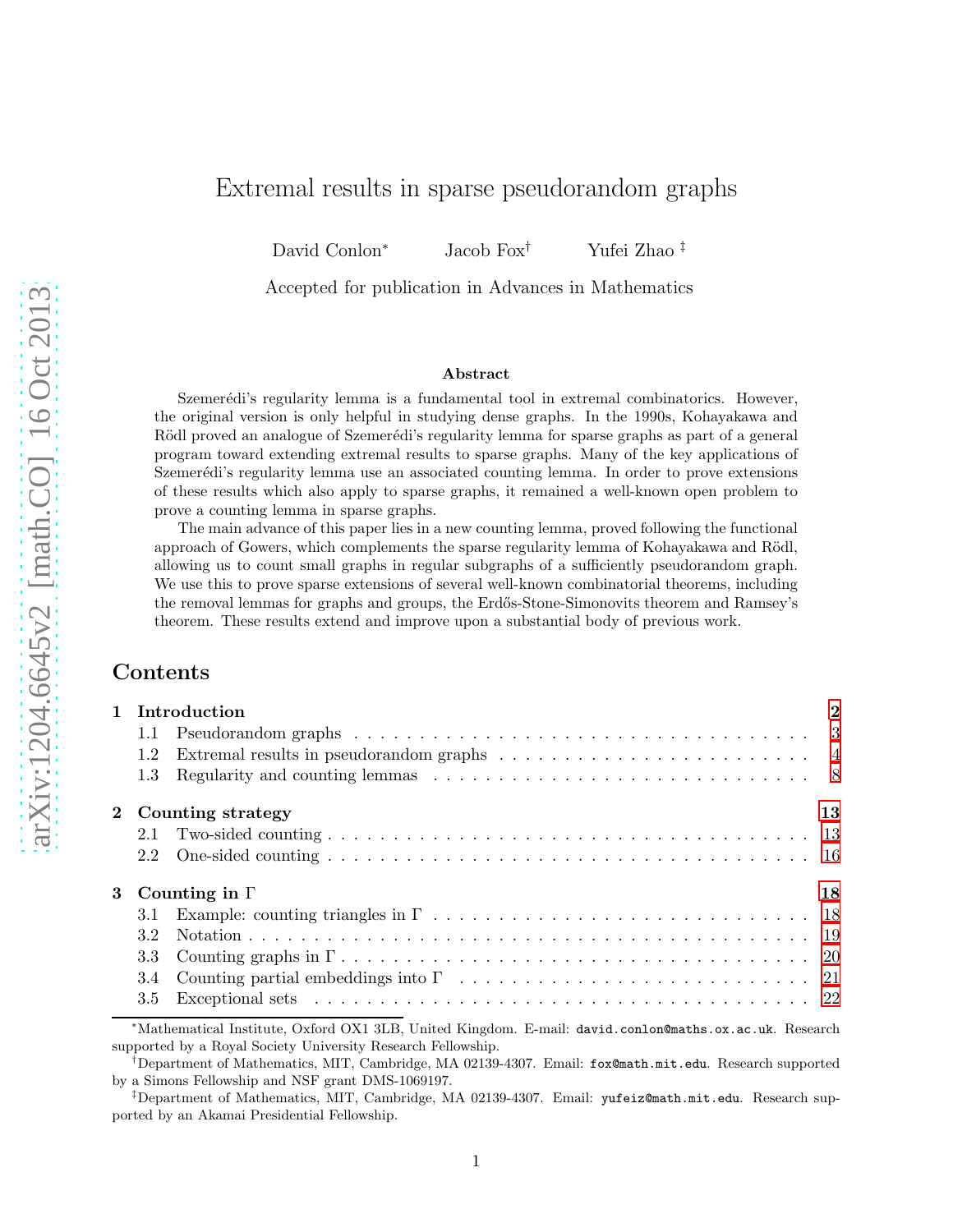# Extremal results in sparse pseudorandom graphs

David Conlon<sup>∗</sup> Jacob Fox† Yufei Zhao ‡

Accepted for publication in Advances in Mathematics

#### Abstract

Szemerédi's regularity lemma is a fundamental tool in extremal combinatorics. However, the original version is only helpful in studying dense graphs. In the 1990s, Kohayakawa and Rödl proved an analogue of Szemerédi's regularity lemma for sparse graphs as part of a general program toward extending extremal results to sparse graphs. Many of the key applications of Szemerédi's regularity lemma use an associated counting lemma. In order to prove extensions of these results which also apply to sparse graphs, it remained a well-known open problem to prove a counting lemma in sparse graphs.

The main advance of this paper lies in a new counting lemma, proved following the functional approach of Gowers, which complements the sparse regularity lemma of Kohayakawa and Rödl, allowing us to count small graphs in regular subgraphs of a sufficiently pseudorandom graph. We use this to prove sparse extensions of several well-known combinatorial theorems, including the removal lemmas for graphs and groups, the Erd˝os-Stone-Simonovits theorem and Ramsey's theorem. These results extend and improve upon a substantial body of previous work.

## Contents

|     | 1 Introduction                                                                                                      | $\bf{2}$ |
|-----|---------------------------------------------------------------------------------------------------------------------|----------|
| 1.1 |                                                                                                                     |          |
| 1.2 |                                                                                                                     |          |
| 1.3 |                                                                                                                     |          |
|     | 2 Counting strategy                                                                                                 | 13       |
| 2.1 |                                                                                                                     |          |
| 2.2 |                                                                                                                     |          |
|     | 3 Counting in $\Gamma$                                                                                              | 18       |
| 3.1 |                                                                                                                     |          |
| 3.2 |                                                                                                                     |          |
| 3.3 |                                                                                                                     |          |
| 3.4 |                                                                                                                     |          |
| 3.5 |                                                                                                                     |          |
|     | المالي المستحدث والمستحدث والمستحدث والمستحدث والمستحدث والمستحدث والمستحدث والمستحدث والمستحدث والمستحدث والمستحدث |          |

<sup>∗</sup>Mathematical Institute, Oxford OX1 3LB, United Kingdom. E-mail: david.conlon@maths.ox.ac.uk. Research supported by a Royal Society University Research Fellowship.

<sup>†</sup>Department of Mathematics, MIT, Cambridge, MA 02139-4307. Email: fox@math.mit.edu. Research supported by a Simons Fellowship and NSF grant DMS-1069197.

<sup>‡</sup>Department of Mathematics, MIT, Cambridge, MA 02139-4307. Email: yufeiz@math.mit.edu. Research supported by an Akamai Presidential Fellowship.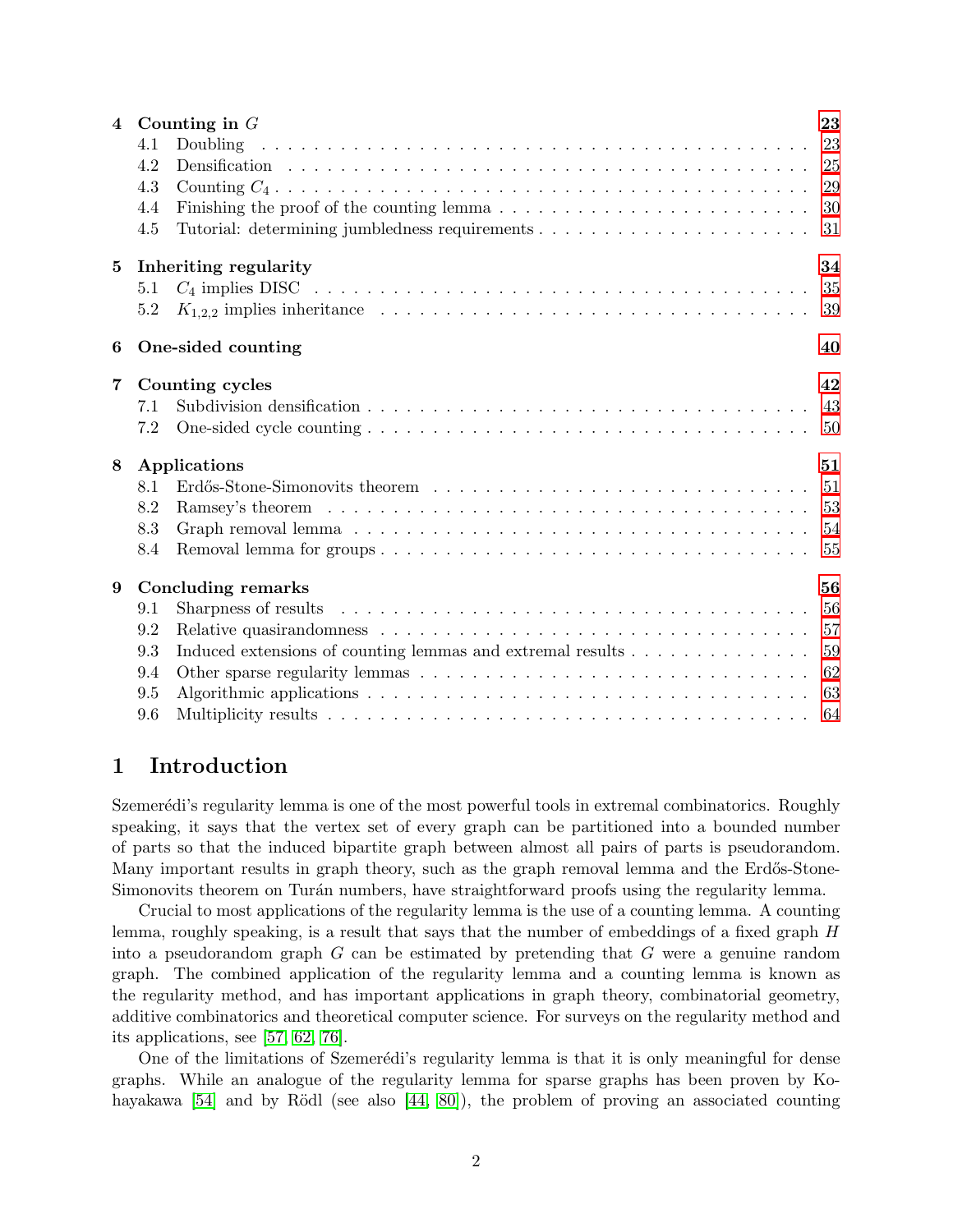|                 |                       | 4 Counting in $G$                                             | 23  |  |  |
|-----------------|-----------------------|---------------------------------------------------------------|-----|--|--|
|                 | 4.1                   |                                                               |     |  |  |
|                 | 4.2                   |                                                               |     |  |  |
|                 | 4.3                   |                                                               |     |  |  |
|                 | 4.4                   |                                                               | 30  |  |  |
|                 | 4.5                   |                                                               | 31  |  |  |
| $5\phantom{.0}$ | Inheriting regularity |                                                               |     |  |  |
|                 | 5.1                   |                                                               | 35  |  |  |
|                 | 5.2                   |                                                               | 39  |  |  |
| 6               |                       | One-sided counting                                            |     |  |  |
| $\overline{7}$  |                       | Counting cycles                                               | 42  |  |  |
|                 | 7.1                   |                                                               |     |  |  |
|                 | 7.2                   |                                                               | -50 |  |  |
| 8               |                       | Applications                                                  | 51  |  |  |
|                 | 8.1                   |                                                               |     |  |  |
|                 | 8.2                   |                                                               |     |  |  |
|                 | 8.3                   |                                                               |     |  |  |
|                 | 8.4                   |                                                               |     |  |  |
| 9               |                       | <b>Concluding remarks</b>                                     | 56  |  |  |
|                 | 9.1                   |                                                               |     |  |  |
|                 | 9.2                   |                                                               |     |  |  |
|                 | 9.3                   | Induced extensions of counting lemmas and extremal results 59 |     |  |  |
|                 | 9.4                   |                                                               |     |  |  |
|                 | 9.5                   |                                                               |     |  |  |
|                 | 9.6                   |                                                               |     |  |  |

# <span id="page-1-0"></span>1 Introduction

Szemerédi's regularity lemma is one of the most powerful tools in extremal combinatorics. Roughly speaking, it says that the vertex set of every graph can be partitioned into a bounded number of parts so that the induced bipartite graph between almost all pairs of parts is pseudorandom. Many important results in graph theory, such as the graph removal lemma and the Erdős-Stone-Simonovits theorem on Turán numbers, have straightforward proofs using the regularity lemma.

Crucial to most applications of the regularity lemma is the use of a counting lemma. A counting lemma, roughly speaking, is a result that says that the number of embeddings of a fixed graph H into a pseudorandom graph  $G$  can be estimated by pretending that  $G$  were a genuine random graph. The combined application of the regularity lemma and a counting lemma is known as the regularity method, and has important applications in graph theory, combinatorial geometry, additive combinatorics and theoretical computer science. For surveys on the regularity method and its applications, see [\[57,](#page-67-0) [62,](#page-67-1) [76\]](#page-68-0).

One of the limitations of Szemerédi's regularity lemma is that it is only meaningful for dense graphs. While an analogue of the regularity lemma for sparse graphs has been proven by Kohayakawa  $[54]$  and by Rödl (see also  $[44, 80]$  $[44, 80]$ ), the problem of proving an associated counting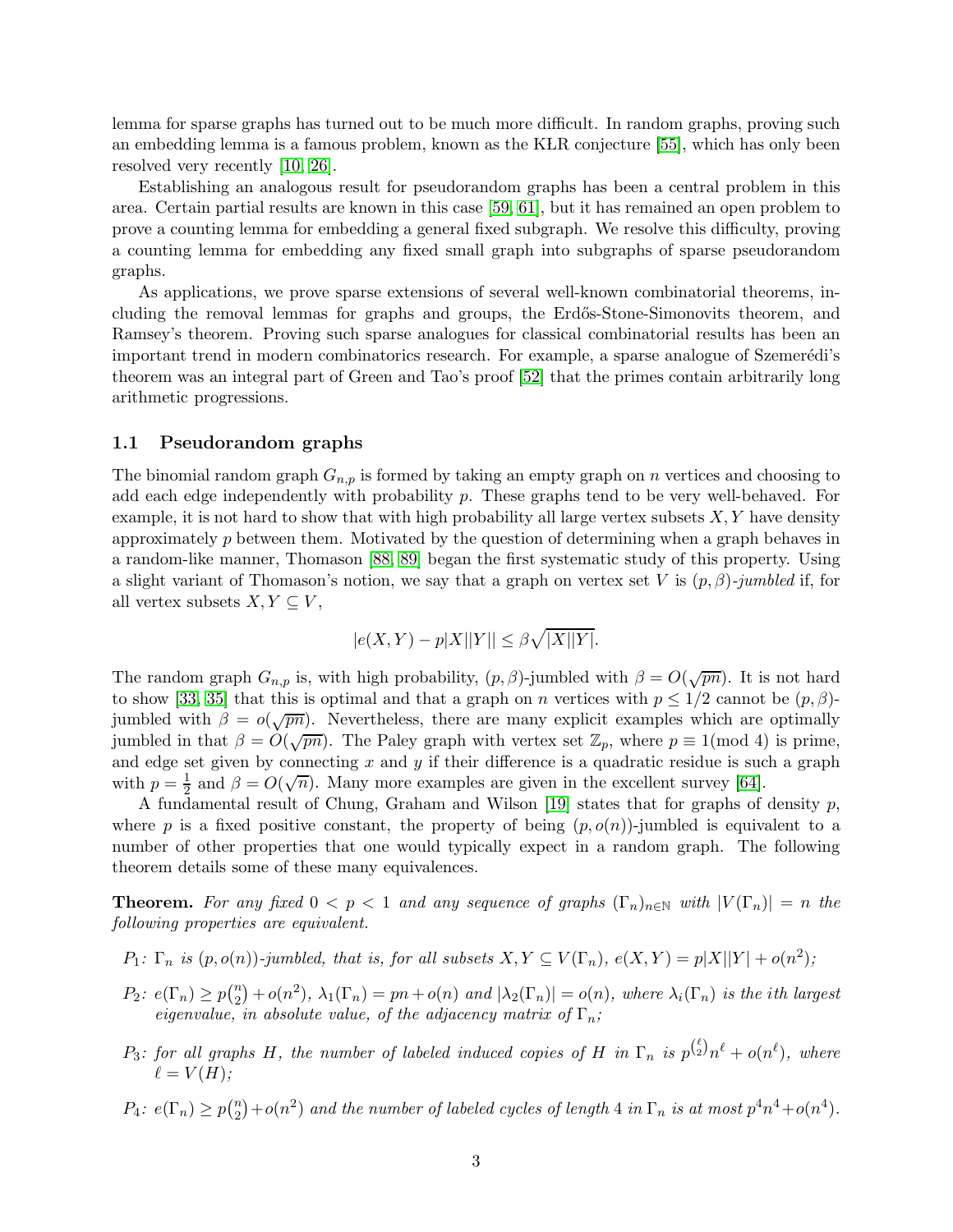lemma for sparse graphs has turned out to be much more difficult. In random graphs, proving such an embedding lemma is a famous problem, known as the KLR conjecture [\[55\]](#page-67-3), which has only been resolved very recently [\[10,](#page-65-0) [26\]](#page-65-1).

Establishing an analogous result for pseudorandom graphs has been a central problem in this area. Certain partial results are known in this case [\[59,](#page-67-4) [61\]](#page-67-5), but it has remained an open problem to prove a counting lemma for embedding a general fixed subgraph. We resolve this difficulty, proving a counting lemma for embedding any fixed small graph into subgraphs of sparse pseudorandom graphs.

As applications, we prove sparse extensions of several well-known combinatorial theorems, including the removal lemmas for graphs and groups, the Erdős-Stone-Simonovits theorem, and Ramsey's theorem. Proving such sparse analogues for classical combinatorial results has been an important trend in modern combinatorics research. For example, a sparse analogue of Szemerédi's theorem was an integral part of Green and Tao's proof [\[52\]](#page-67-6) that the primes contain arbitrarily long arithmetic progressions.

#### <span id="page-2-0"></span>1.1 Pseudorandom graphs

The binomial random graph  $G_{n,p}$  is formed by taking an empty graph on n vertices and choosing to add each edge independently with probability  $p$ . These graphs tend to be very well-behaved. For example, it is not hard to show that with high probability all large vertex subsets  $X, Y$  have density approximately  $p$  between them. Motivated by the question of determining when a graph behaves in a random-like manner, Thomason [\[88,](#page-69-0) [89\]](#page-69-1) began the first systematic study of this property. Using a slight variant of Thomason's notion, we say that a graph on vertex set V is  $(p, \beta)$ -jumbled if, for all vertex subsets  $X, Y \subseteq V$ ,

$$
|e(X,Y)-p|X||Y||\leq \beta\sqrt{|X||Y|}.
$$

The random graph  $G_{n,p}$  is, with high probability,  $(p, \beta)$ -jumbled with  $\beta = O(\sqrt{pn})$ . It is not hard to show [\[33,](#page-66-1) [35\]](#page-66-2) that this is optimal and that a graph on n vertices with  $p \leq 1/2$  cannot be  $(p, \beta)$ jumbled with  $\beta = o(\sqrt{pn})$ . Nevertheless, there are many explicit examples which are optimally jumbled in that  $\beta = O(\sqrt{pn})$ . The Paley graph with vertex set  $\mathbb{Z}_p$ , where  $p \equiv 1 \pmod{4}$  is prime, and edge set given by connecting  $x$  and  $y$  if their difference is a quadratic residue is such a graph with  $p=\frac{1}{2}$  $\frac{1}{2}$  and  $\beta = O(\sqrt{n})$ . Many more examples are given in the excellent survey [\[64\]](#page-68-2).

A fundamental result of Chung, Graham and Wilson [\[19\]](#page-65-2) states that for graphs of density  $p$ , where p is a fixed positive constant, the property of being  $(p, o(n))$ -jumbled is equivalent to a number of other properties that one would typically expect in a random graph. The following theorem details some of these many equivalences.

**Theorem.** For any fixed  $0 < p < 1$  and any sequence of graphs  $(\Gamma_n)_{n \in \mathbb{N}}$  with  $|V(\Gamma_n)| = n$  the following properties are equivalent.

- $P_1: \Gamma_n$  is  $(p, o(n))$ -jumbled, that is, for all subsets  $X, Y \subseteq V(\Gamma_n)$ ,  $e(X, Y) = p|X||Y| + o(n^2)$ ;
- $P_2$ :  $e(\Gamma_n) \geq p(\frac{n}{2})$  $\mathbb{Z}_2^{(n)} + o(n^2)$ ,  $\lambda_1(\Gamma_n) = pn + o(n)$  and  $|\lambda_2(\Gamma_n)| = o(n)$ , where  $\lambda_i(\Gamma_n)$  is the ith largest eigenvalue, in absolute value, of the adjacency matrix of  $\Gamma_n$ ;
- $P_3$ : for all graphs H, the number of labeled induced copies of H in  $\Gamma_n$  is  $p^{(\ell)}_{2}n^{\ell} + o(n^{\ell})$ , where  $\ell = V(H);$

 $P_4$ :  $e(\Gamma_n) \ge p(\frac{n}{2})$  $\binom{n}{2}+o(n^2)$  and the number of labeled cycles of length 4 in  $\Gamma_n$  is at most  $p^4n^4+o(n^4)$ .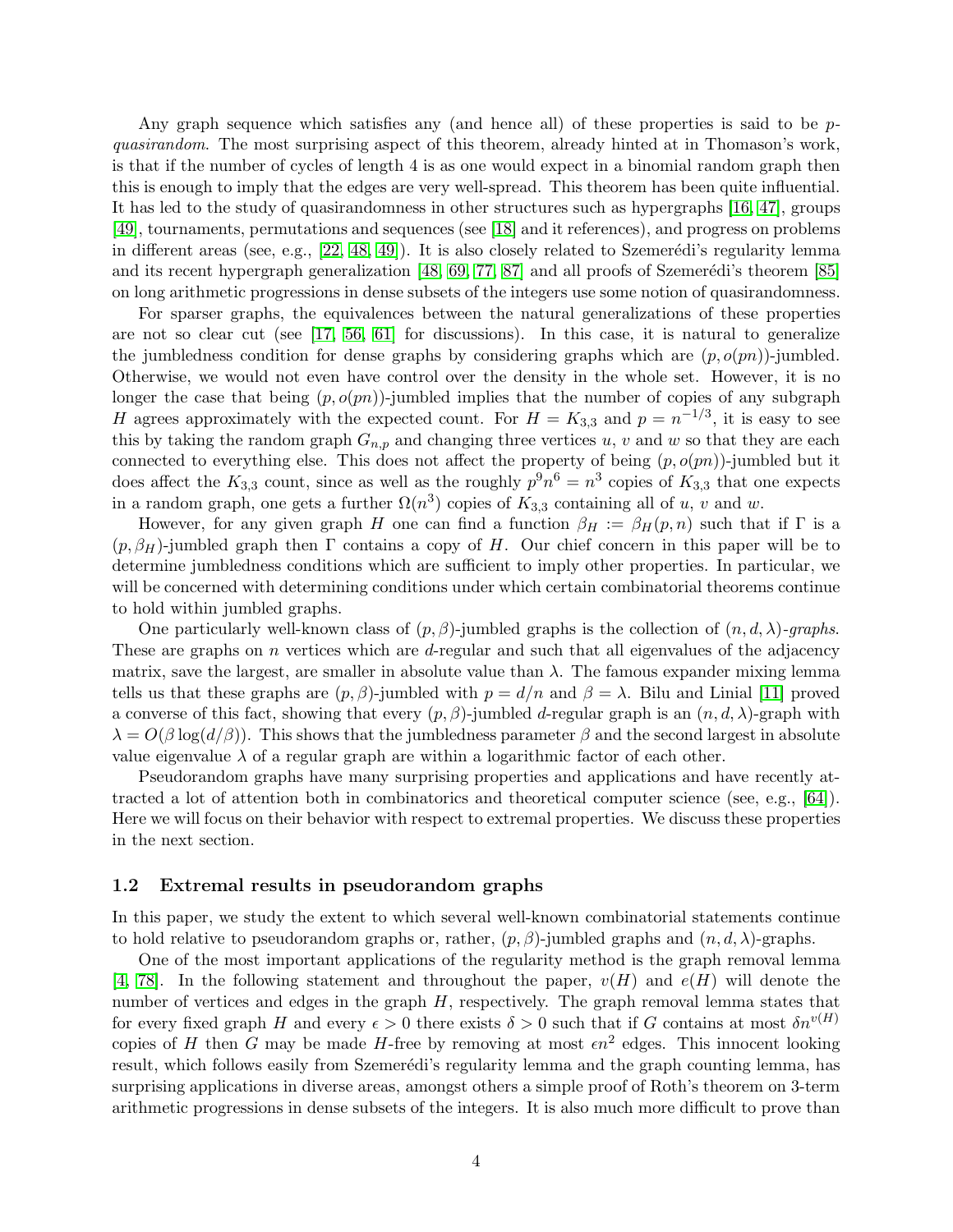Any graph sequence which satisfies any (and hence all) of these properties is said to be pquasirandom. The most surprising aspect of this theorem, already hinted at in Thomason's work, is that if the number of cycles of length 4 is as one would expect in a binomial random graph then this is enough to imply that the edges are very well-spread. This theorem has been quite influential. It has led to the study of quasirandomness in other structures such as hypergraphs [\[16,](#page-65-3) [47\]](#page-67-7), groups [\[49\]](#page-67-8), tournaments, permutations and sequences (see [\[18\]](#page-65-4) and it references), and progress on problems in different areas (see, e.g.,  $[22, 48, 49]$  $[22, 48, 49]$  $[22, 48, 49]$ ). It is also closely related to Szemerédi's regularity lemma and its recent hypergraph generalization  $[48, 69, 77, 87]$  $[48, 69, 77, 87]$  $[48, 69, 77, 87]$  $[48, 69, 77, 87]$  and all proofs of Szemerédi's theorem  $[85]$ on long arithmetic progressions in dense subsets of the integers use some notion of quasirandomness.

For sparser graphs, the equivalences between the natural generalizations of these properties are not so clear cut (see [\[17,](#page-65-6) [56,](#page-67-10) [61\]](#page-67-5) for discussions). In this case, it is natural to generalize the jumbledness condition for dense graphs by considering graphs which are  $(p, o(pn))$ -jumbled. Otherwise, we would not even have control over the density in the whole set. However, it is no longer the case that being  $(p, o(pn))$ -jumbled implies that the number of copies of any subgraph H agrees approximately with the expected count. For  $H = K_{3,3}$  and  $p = n^{-1/3}$ , it is easy to see this by taking the random graph  $G_{n,p}$  and changing three vertices u, v and w so that they are each connected to everything else. This does not affect the property of being  $(p, o(pn))$ -jumbled but it does affect the  $K_{3,3}$  count, since as well as the roughly  $p^9n^6 = n^3$  copies of  $K_{3,3}$  that one expects in a random graph, one gets a further  $\Omega(n^3)$  copies of  $K_{3,3}$  containing all of u, v and w.

However, for any given graph H one can find a function  $\beta_H := \beta_H(p,n)$  such that if  $\Gamma$  is a  $(p, \beta_H)$ -jumbled graph then  $\Gamma$  contains a copy of H. Our chief concern in this paper will be to determine jumbledness conditions which are sufficient to imply other properties. In particular, we will be concerned with determining conditions under which certain combinatorial theorems continue to hold within jumbled graphs.

One particularly well-known class of  $(p, \beta)$ -jumbled graphs is the collection of  $(n, d, \lambda)$ -graphs. These are graphs on  $n$  vertices which are  $d$ -regular and such that all eigenvalues of the adjacency matrix, save the largest, are smaller in absolute value than  $\lambda$ . The famous expander mixing lemma tells us that these graphs are  $(p, \beta)$ -jumbled with  $p = d/n$  and  $\beta = \lambda$ . Bilu and Linial [\[11\]](#page-65-7) proved a converse of this fact, showing that every  $(p, \beta)$ -jumbled d-regular graph is an  $(n, d, \lambda)$ -graph with  $\lambda = O(\beta \log(d/\beta))$ . This shows that the jumbledness parameter  $\beta$  and the second largest in absolute value eigenvalue  $\lambda$  of a regular graph are within a logarithmic factor of each other.

Pseudorandom graphs have many surprising properties and applications and have recently attracted a lot of attention both in combinatorics and theoretical computer science (see, e.g., [\[64\]](#page-68-2)). Here we will focus on their behavior with respect to extremal properties. We discuss these properties in the next section.

### <span id="page-3-0"></span>1.2 Extremal results in pseudorandom graphs

In this paper, we study the extent to which several well-known combinatorial statements continue to hold relative to pseudorandom graphs or, rather,  $(p, \beta)$ -jumbled graphs and  $(n, d, \lambda)$ -graphs.

One of the most important applications of the regularity method is the graph removal lemma [\[4,](#page-64-0) [78\]](#page-68-5). In the following statement and throughout the paper,  $v(H)$  and  $e(H)$  will denote the number of vertices and edges in the graph  $H$ , respectively. The graph removal lemma states that for every fixed graph H and every  $\epsilon > 0$  there exists  $\delta > 0$  such that if G contains at most  $\delta n^{v(H)}$ copies of H then G may be made H-free by removing at most  $\epsilon n^2$  edges. This innocent looking result, which follows easily from Szemerédi's regularity lemma and the graph counting lemma, has surprising applications in diverse areas, amongst others a simple proof of Roth's theorem on 3-term arithmetic progressions in dense subsets of the integers. It is also much more difficult to prove than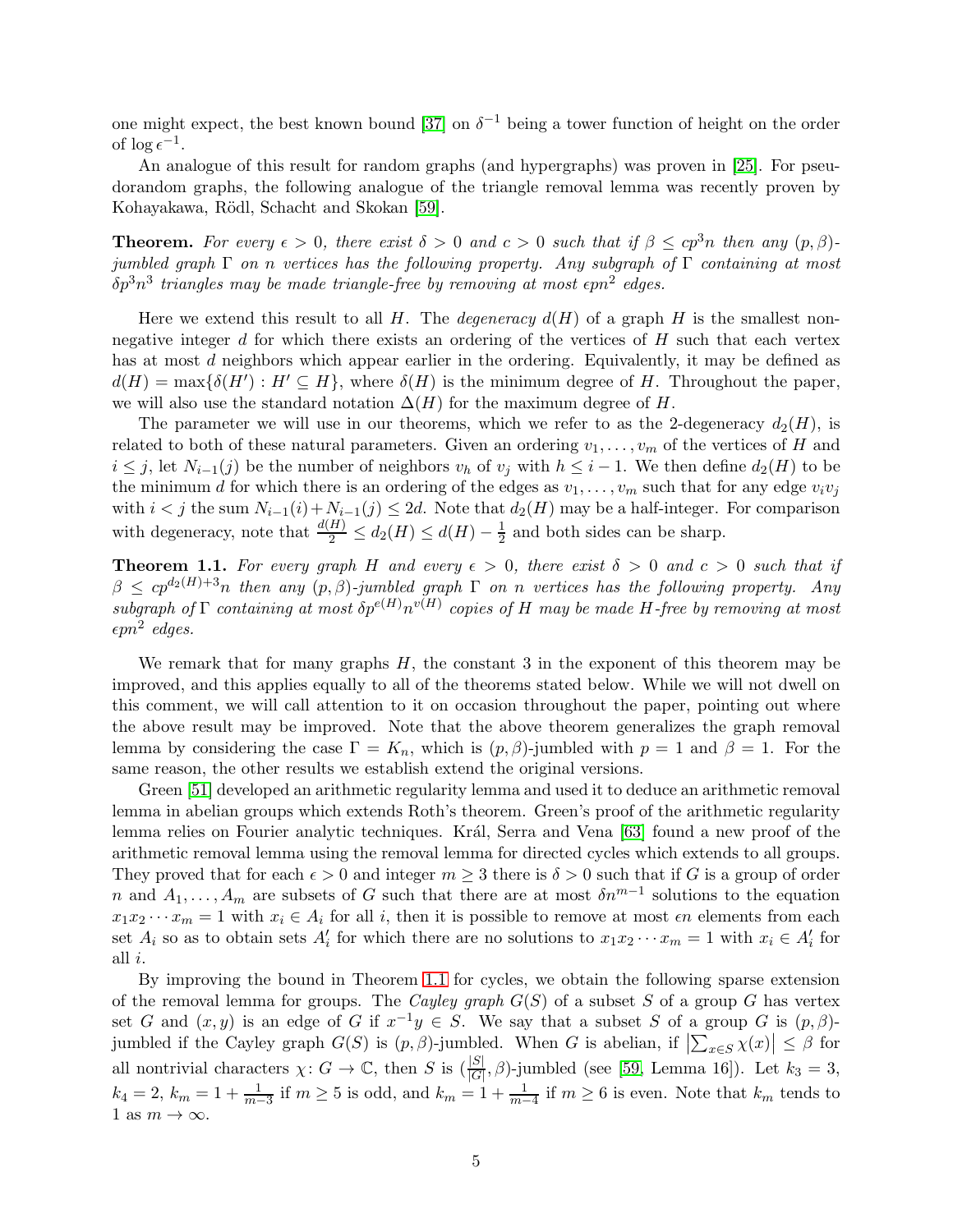one might expect, the best known bound [\[37\]](#page-66-3) on  $\delta^{-1}$  being a tower function of height on the order of  $\log \epsilon^{-1}$ .

An analogue of this result for random graphs (and hypergraphs) was proven in [\[25\]](#page-65-8). For pseudorandom graphs, the following analogue of the triangle removal lemma was recently proven by Kohayakawa, Rödl, Schacht and Skokan [\[59\]](#page-67-4).

**Theorem.** For every  $\epsilon > 0$ , there exist  $\delta > 0$  and  $c > 0$  such that if  $\beta \leq cp^3n$  then any  $(p, \beta)$ jumbled graph  $\Gamma$  on n vertices has the following property. Any subgraph of  $\Gamma$  containing at most  $\delta p^3n^3$  triangles may be made triangle-free by removing at most  $\epsilon pn^2$  edges.

Here we extend this result to all H. The *degeneracy*  $d(H)$  of a graph H is the smallest nonnegative integer  $d$  for which there exists an ordering of the vertices of  $H$  such that each vertex has at most d neighbors which appear earlier in the ordering. Equivalently, it may be defined as  $d(H) = \max\{\delta(H'): H' \subseteq H\}$ , where  $\delta(H)$  is the minimum degree of H. Throughout the paper, we will also use the standard notation  $\Delta(H)$  for the maximum degree of H.

The parameter we will use in our theorems, which we refer to as the 2-degeneracy  $d_2(H)$ , is related to both of these natural parameters. Given an ordering  $v_1, \ldots, v_m$  of the vertices of H and  $i \leq j$ , let  $N_{i-1}(j)$  be the number of neighbors  $v_h$  of  $v_j$  with  $h \leq i-1$ . We then define  $d_2(H)$  to be the minimum d for which there is an ordering of the edges as  $v_1, \ldots, v_m$  such that for any edge  $v_i v_j$ with  $i < j$  the sum  $N_{i-1}(i) + N_{i-1}(j) \le 2d$ . Note that  $d_2(H)$  may be a half-integer. For comparison with degeneracy, note that  $\frac{d(H)}{2} \leq d_2(H) \leq d(H) - \frac{1}{2}$  $\frac{1}{2}$  and both sides can be sharp.

<span id="page-4-0"></span>**Theorem 1.1.** For every graph H and every  $\epsilon > 0$ , there exist  $\delta > 0$  and  $c > 0$  such that if  $\beta \leq cp^{d_2(H)+3}n$  then any  $(p, \beta)$ -jumbled graph  $\Gamma$  on n vertices has the following property. Any subgraph of  $\Gamma$  containing at most  $\delta p^{e(H)} n^{v(H)}$  copies of H may be made H-free by removing at most  $\epsilon pn^2$  edges.

We remark that for many graphs  $H$ , the constant 3 in the exponent of this theorem may be improved, and this applies equally to all of the theorems stated below. While we will not dwell on this comment, we will call attention to it on occasion throughout the paper, pointing out where the above result may be improved. Note that the above theorem generalizes the graph removal lemma by considering the case  $\Gamma = K_n$ , which is  $(p, \beta)$ -jumbled with  $p = 1$  and  $\beta = 1$ . For the same reason, the other results we establish extend the original versions.

Green [\[51\]](#page-67-11) developed an arithmetic regularity lemma and used it to deduce an arithmetic removal lemma in abelian groups which extends Roth's theorem. Green's proof of the arithmetic regularity lemma relies on Fourier analytic techniques. Král, Serra and Vena [\[63\]](#page-68-6) found a new proof of the arithmetic removal lemma using the removal lemma for directed cycles which extends to all groups. They proved that for each  $\epsilon > 0$  and integer  $m \geq 3$  there is  $\delta > 0$  such that if G is a group of order n and  $A_1, \ldots, A_m$  are subsets of G such that there are at most  $\delta n^{m-1}$  solutions to the equation  $x_1x_2 \cdots x_m = 1$  with  $x_i \in A_i$  for all i, then it is possible to remove at most  $\epsilon n$  elements from each set  $A_i$  so as to obtain sets  $A'_i$  for which there are no solutions to  $x_1x_2\cdots x_m=1$  with  $x_i\in A'_i$  for all i.

By improving the bound in Theorem [1.1](#page-4-0) for cycles, we obtain the following sparse extension of the removal lemma for groups. The *Cayley graph*  $G(S)$  of a subset S of a group G has vertex set G and  $(x, y)$  is an edge of G if  $x^{-1}y \in S$ . We say that a subset S of a group G is  $(p, \beta)$ jumbled if the Cayley graph  $G(S)$  is  $(p, \beta)$ -jumbled. When G is abelian, if  $\left|\sum_{x \in S} \chi(x)\right| \leq \beta$  for all nontrivial characters  $\chi: G \to \mathbb{C}$ , then S is  $\left(\frac{|S|}{|G|}, \beta\right)$ -jumbled (see [\[59,](#page-67-4) Lemma 16]). Let  $k_3 = 3$ ,  $k_4 = 2$ ,  $k_m = 1 + \frac{1}{m-3}$  if  $m \ge 5$  is odd, and  $k_m = 1 + \frac{1}{m-4}$  if  $m \ge 6$  is even. Note that  $k_m$  tends to 1 as  $m \to \infty$ .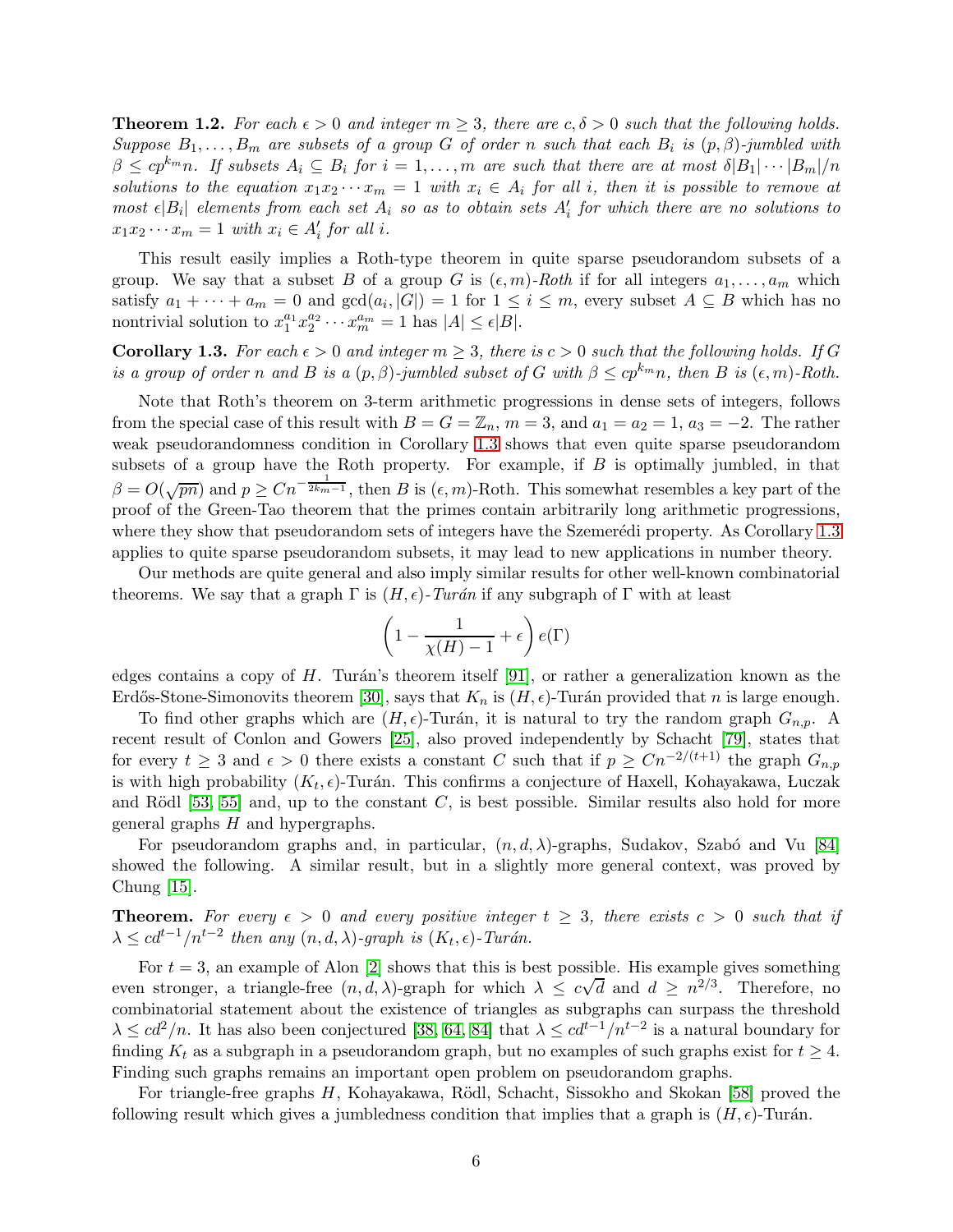<span id="page-5-1"></span>**Theorem 1.2.** For each  $\epsilon > 0$  and integer  $m \geq 3$ , there are  $c, \delta > 0$  such that the following holds. Suppose  $B_1, \ldots, B_m$  are subsets of a group G of order n such that each  $B_i$  is  $(p, \beta)$ -jumbled with  $\beta \leq cp^{k_m}n$ . If subsets  $A_i \subseteq B_i$  for  $i = 1, ..., m$  are such that there are at most  $\delta |B_1| \cdots |B_m|/n$ solutions to the equation  $x_1x_2\cdots x_m = 1$  with  $x_i \in A_i$  for all i, then it is possible to remove at most  $\epsilon |B_i|$  elements from each set  $A_i$  so as to obtain sets  $A'_i$  for which there are no solutions to  $x_1x_2\cdots x_m=1$  with  $x_i\in A'_i$  for all i.

This result easily implies a Roth-type theorem in quite sparse pseudorandom subsets of a group. We say that a subset B of a group G is  $(\epsilon, m)$ -Roth if for all integers  $a_1, \ldots, a_m$  which satisfy  $a_1 + \cdots + a_m = 0$  and  $gcd(a_i, |G|) = 1$  for  $1 \le i \le m$ , every subset  $A \subseteq B$  which has no nontrivial solution to  $x_1^{a_1} x_2^{a_2} \cdots x_m^{a_m} = 1$  has  $|A| \leq \epsilon |B|$ .

<span id="page-5-0"></span>**Corollary 1.3.** For each  $\epsilon > 0$  and integer  $m \geq 3$ , there is  $c > 0$  such that the following holds. If G is a group of order n and B is a  $(p, \beta)$ -jumbled subset of G with  $\beta \leq cp^{k_m}n$ , then B is  $(\epsilon, m)$ -Roth.

Note that Roth's theorem on 3-term arithmetic progressions in dense sets of integers, follows from the special case of this result with  $B = G = \mathbb{Z}_n$ ,  $m = 3$ , and  $a_1 = a_2 = 1$ ,  $a_3 = -2$ . The rather weak pseudorandomness condition in Corollary [1.3](#page-5-0) shows that even quite sparse pseudorandom subsets of a group have the Roth property. For example, if  $B$  is optimally jumbled, in that  $\beta = O(\sqrt{pn})$  and  $p \geq Cn^{-\frac{1}{2k_m-1}}$ , then B is  $(\epsilon, m)$ -Roth. This somewhat resembles a key part of the proof of the Green-Tao theorem that the primes contain arbitrarily long arithmetic progressions, where they show that pseudorandom sets of integers have the Szemerédi property. As Corollary [1.3](#page-5-0) applies to quite sparse pseudorandom subsets, it may lead to new applications in number theory.

Our methods are quite general and also imply similar results for other well-known combinatorial theorems. We say that a graph  $\Gamma$  is  $(H, \epsilon)$ -Turán if any subgraph of  $\Gamma$  with at least

$$
\left(1-\frac{1}{\chi(H)-1}+\epsilon\right)e(\Gamma)
$$

edges contains a copy of H. Turán's theorem itself [\[91\]](#page-69-4), or rather a generalization known as the Erdős-Stone-Simonovits theorem [\[30\]](#page-66-4), says that  $K_n$  is  $(H, \epsilon)$ -Turán provided that n is large enough.

To find other graphs which are  $(H, \epsilon)$ -Turán, it is natural to try the random graph  $G_{n,p}$ . A recent result of Conlon and Gowers [\[25\]](#page-65-8), also proved independently by Schacht [\[79\]](#page-68-7), states that for every  $t \geq 3$  and  $\epsilon > 0$  there exists a constant C such that if  $p \geq Cn^{-2/(t+1)}$  the graph  $G_{n,p}$ is with high probability  $(K_t, \epsilon)$ -Turán. This confirms a conjecture of Haxell, Kohayakawa, Luczak and Rödl  $[53, 55]$  $[53, 55]$  and, up to the constant C, is best possible. Similar results also hold for more general graphs  $H$  and hypergraphs.

For pseudorandom graphs and, in particular,  $(n, d, \lambda)$ -graphs, Sudakov, Szabó and Vu [\[84\]](#page-69-5) showed the following. A similar result, but in a slightly more general context, was proved by Chung [\[15\]](#page-65-9).

**Theorem.** For every  $\epsilon > 0$  and every positive integer  $t \geq 3$ , there exists  $c > 0$  such that if  $\lambda \leq c d^{t-1}/n^{t-2}$  then any  $(n, d, \lambda)$ -graph is  $(K_t, \epsilon)$ -Turán.

For  $t = 3$ , an example of Alon [\[2\]](#page-64-1) shows that this is best possible. His example gives something even stronger, a triangle-free  $(n, d, \lambda)$ -graph for which  $\lambda \leq c\sqrt{d}$  and  $d \geq n^{2/3}$ . Therefore, no combinatorial statement about the existence of triangles as subgraphs can surpass the threshold  $\lambda \leq c d^2/n$ . It has also been conjectured [\[38,](#page-66-5) [64,](#page-68-2) [84\]](#page-69-5) that  $\lambda \leq c d^{t-1}/n^{t-2}$  is a natural boundary for finding  $K_t$  as a subgraph in a pseudorandom graph, but no examples of such graphs exist for  $t \geq 4$ . Finding such graphs remains an important open problem on pseudorandom graphs.

For triangle-free graphs H, Kohayakawa, Rödl, Schacht, Sissokho and Skokan [\[58\]](#page-67-13) proved the following result which gives a jumbledness condition that implies that a graph is  $(H, \epsilon)$ -Turán.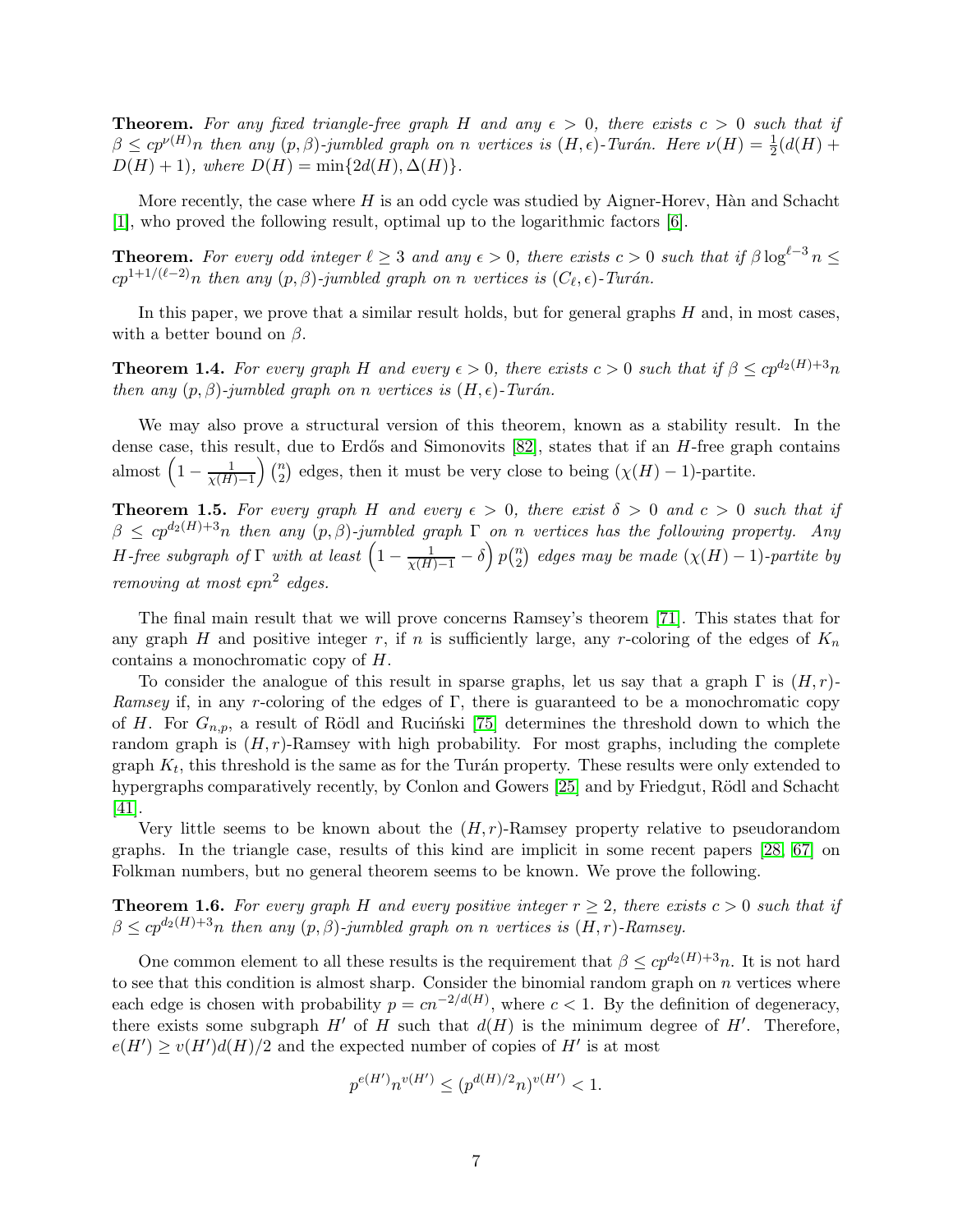**Theorem.** For any fixed triangle-free graph H and any  $\epsilon > 0$ , there exists  $c > 0$  such that if  $\beta \leq cp^{\nu(H)}n$  then any  $(p, \beta)$ -jumbled graph on n vertices is  $(H, \epsilon)$ -Turán. Here  $\nu(H) = \frac{1}{2}(d(H) +$  $D(H) + 1$ , where  $D(H) = \min\{2d(H), \Delta(H)\}.$ 

More recently, the case where  $H$  is an odd cycle was studied by Aigner-Horev, Hàn and Schacht [\[1\]](#page-64-2), who proved the following result, optimal up to the logarithmic factors [\[6\]](#page-64-3).

**Theorem.** For every odd integer  $\ell \geq 3$  and any  $\epsilon > 0$ , there exists  $c > 0$  such that if  $\beta \log^{\ell-3} n \leq$  $cp^{1+1/(\ell-2)}n$  then any  $(p, \beta)$ -jumbled graph on n vertices is  $(C_{\ell}, \epsilon)$ -Turán.

In this paper, we prove that a similar result holds, but for general graphs  $H$  and, in most cases, with a better bound on  $\beta$ .

<span id="page-6-0"></span>**Theorem 1.4.** For every graph H and every  $\epsilon > 0$ , there exists  $c > 0$  such that if  $\beta \leq cp^{d_2(H)+3}n$ then any  $(p, \beta)$ -jumbled graph on n vertices is  $(H, \epsilon)$ -Turán.

We may also prove a structural version of this theorem, known as a stability result. In the dense case, this result, due to Erdős and Simonovits  $[82]$ , states that if an  $H$ -free graph contains almost  $\left(1-\frac{1}{\chi(H)-1}\right)\binom{n}{2}$  $\binom{n}{2}$  edges, then it must be very close to being  $(\chi(H) - 1)$ -partite.

<span id="page-6-1"></span>**Theorem 1.5.** For every graph H and every  $\epsilon > 0$ , there exist  $\delta > 0$  and  $c > 0$  such that if  $\beta \leq cp^{d_2(H)+3}n$  then any  $(p, \beta)$ -jumbled graph  $\Gamma$  on n vertices has the following property. Any H-free subgraph of  $\Gamma$  with at least  $\left(1-\frac{1}{\chi(H)-1}-\delta\right)p\binom{n}{2}$  $\binom{n}{2}$  edges may be made  $(\chi(H) - 1)$ -partite by removing at most  $\epsilon pn^2$  edges.

The final main result that we will prove concerns Ramsey's theorem [\[71\]](#page-68-8). This states that for any graph H and positive integer r, if n is sufficiently large, any r-coloring of the edges of  $K_n$ contains a monochromatic copy of H.

To consider the analogue of this result in sparse graphs, let us say that a graph  $\Gamma$  is  $(H, r)$ -Ramsey if, in any r-coloring of the edges of  $\Gamma$ , there is guaranteed to be a monochromatic copy of H. For  $G_{n,p}$ , a result of Rödl and Rucinski [\[75\]](#page-68-9) determines the threshold down to which the random graph is  $(H, r)$ -Ramsey with high probability. For most graphs, including the complete graph  $K_t$ , this threshold is the same as for the Turán property. These results were only extended to hypergraphs comparatively recently, by Conlon and Gowers [\[25\]](#page-65-8) and by Friedgut, Rödl and Schacht [\[41\]](#page-66-6).

Very little seems to be known about the  $(H, r)$ -Ramsey property relative to pseudorandom graphs. In the triangle case, results of this kind are implicit in some recent papers [\[28,](#page-66-7) [67\]](#page-68-10) on Folkman numbers, but no general theorem seems to be known. We prove the following.

<span id="page-6-2"></span>**Theorem 1.6.** For every graph H and every positive integer  $r \geq 2$ , there exists  $c > 0$  such that if  $\beta \leq cp^{d_2(H)+3}n$  then any  $(p, \beta)$ -jumbled graph on n vertices is  $(H, r)$ -Ramsey.

One common element to all these results is the requirement that  $\beta \leq cp^{d_2(H)+3}n$ . It is not hard to see that this condition is almost sharp. Consider the binomial random graph on  $n$  vertices where each edge is chosen with probability  $p = cn^{-2/d(H)}$ , where  $c < 1$ . By the definition of degeneracy, there exists some subgraph  $H'$  of H such that  $d(H)$  is the minimum degree of  $H'$ . Therefore,  $e(H') \ge v(H')d(H)/2$  and the expected number of copies of  $H'$  is at most

$$
p^{e(H')}n^{v(H')} \le (p^{d(H)/2}n)^{v(H')} < 1.
$$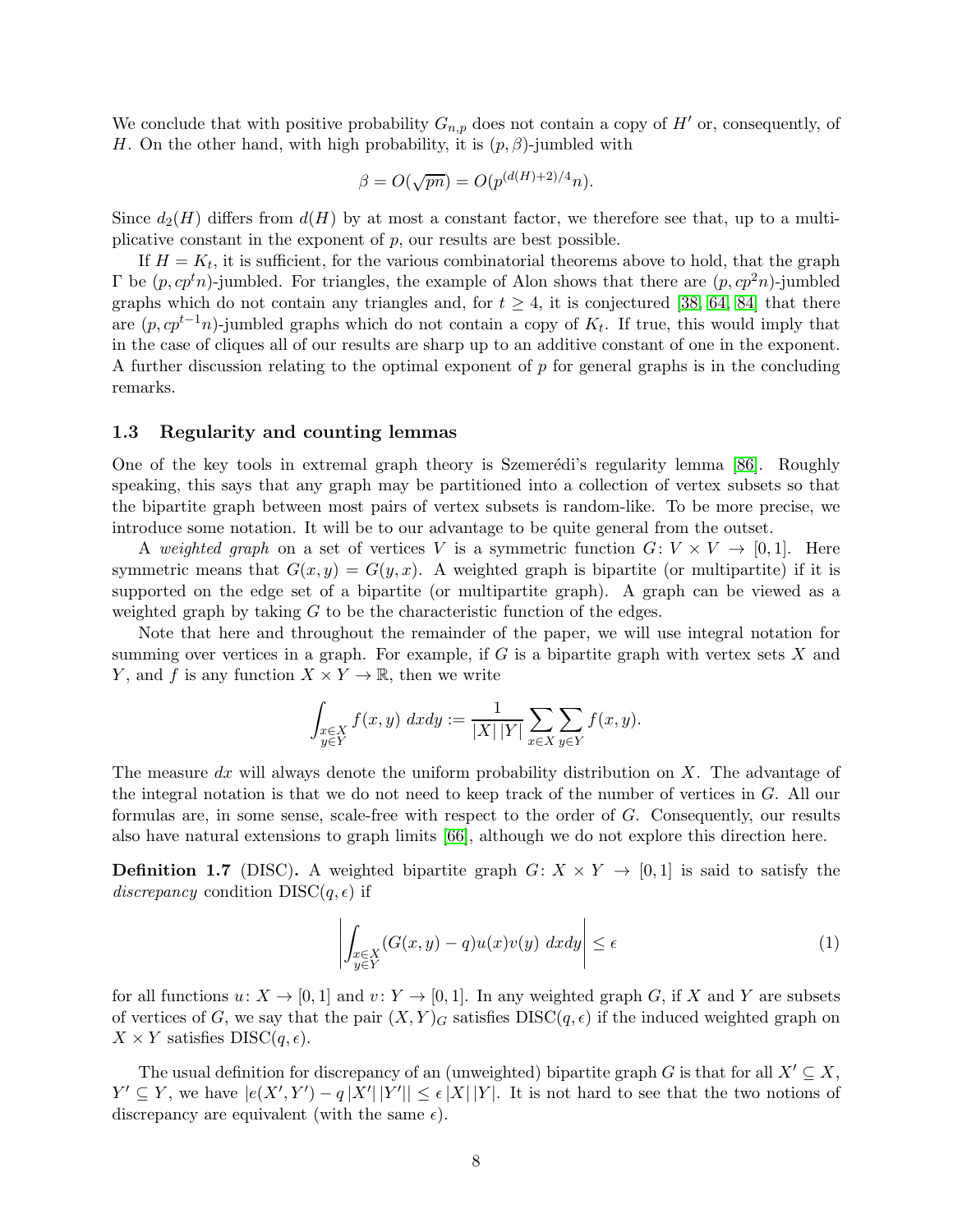We conclude that with positive probability  $G_{n,p}$  does not contain a copy of  $H'$  or, consequently, of H. On the other hand, with high probability, it is  $(p, \beta)$ -jumbled with

$$
\beta = O(\sqrt{pn}) = O(p^{(d(H)+2)/4}n).
$$

Since  $d_2(H)$  differs from  $d(H)$  by at most a constant factor, we therefore see that, up to a multiplicative constant in the exponent of  $p$ , our results are best possible.

If  $H = K_t$ , it is sufficient, for the various combinatorial theorems above to hold, that the graph  $\Gamma$  be  $(p, cp^t n)$ -jumbled. For triangles, the example of Alon shows that there are  $(p, cp^2 n)$ -jumbled graphs which do not contain any triangles and, for  $t \geq 4$ , it is conjectured [\[38,](#page-66-5) [64,](#page-68-2) [84\]](#page-69-5) that there are  $(p, cp^{t-1}n)$ -jumbled graphs which do not contain a copy of  $K_t$ . If true, this would imply that in the case of cliques all of our results are sharp up to an additive constant of one in the exponent. A further discussion relating to the optimal exponent of  $p$  for general graphs is in the concluding remarks.

## <span id="page-7-0"></span>1.3 Regularity and counting lemmas

One of the key tools in extremal graph theory is Szemerédi's regularity lemma [\[86\]](#page-69-7). Roughly speaking, this says that any graph may be partitioned into a collection of vertex subsets so that the bipartite graph between most pairs of vertex subsets is random-like. To be more precise, we introduce some notation. It will be to our advantage to be quite general from the outset.

A weighted graph on a set of vertices V is a symmetric function  $G: V \times V \rightarrow [0, 1]$ . Here symmetric means that  $G(x, y) = G(y, x)$ . A weighted graph is bipartite (or multipartite) if it is supported on the edge set of a bipartite (or multipartite graph). A graph can be viewed as a weighted graph by taking  $G$  to be the characteristic function of the edges.

Note that here and throughout the remainder of the paper, we will use integral notation for summing over vertices in a graph. For example, if  $G$  is a bipartite graph with vertex sets  $X$  and Y, and f is any function  $X \times Y \to \mathbb{R}$ , then we write

$$
\int_{\substack{x \in X \\ y \in Y}} f(x, y) \, dx dy := \frac{1}{|X| |Y|} \sum_{x \in X} \sum_{y \in Y} f(x, y).
$$

The measure dx will always denote the uniform probability distribution on  $X$ . The advantage of the integral notation is that we do not need to keep track of the number of vertices in G. All our formulas are, in some sense, scale-free with respect to the order of G. Consequently, our results also have natural extensions to graph limits [\[66\]](#page-68-11), although we do not explore this direction here.

**Definition 1.7** (DISC). A weighted bipartite graph  $G: X \times Y \rightarrow [0,1]$  is said to satisfy the discrepancy condition  $DISC(q, \epsilon)$  if

<span id="page-7-1"></span>
$$
\left| \int_{\substack{x \in X \\ y \in Y}} (G(x, y) - q) u(x) v(y) \, dx dy \right| \le \epsilon \tag{1}
$$

for all functions  $u: X \to [0, 1]$  and  $v: Y \to [0, 1]$ . In any weighted graph G, if X and Y are subsets of vertices of G, we say that the pair  $(X, Y)<sub>G</sub>$  satisfies  $DISC(q, \epsilon)$  if the induced weighted graph on  $X \times Y$  satisfies DISC $(q, \epsilon)$ .

The usual definition for discrepancy of an (unweighted) bipartite graph G is that for all  $X' \subseteq X$ ,  $Y' \subseteq Y$ , we have  $|e(X', Y') - q|X'| |Y'| \le \epsilon |X| |Y|$ . It is not hard to see that the two notions of discrepancy are equivalent (with the same  $\epsilon$ ).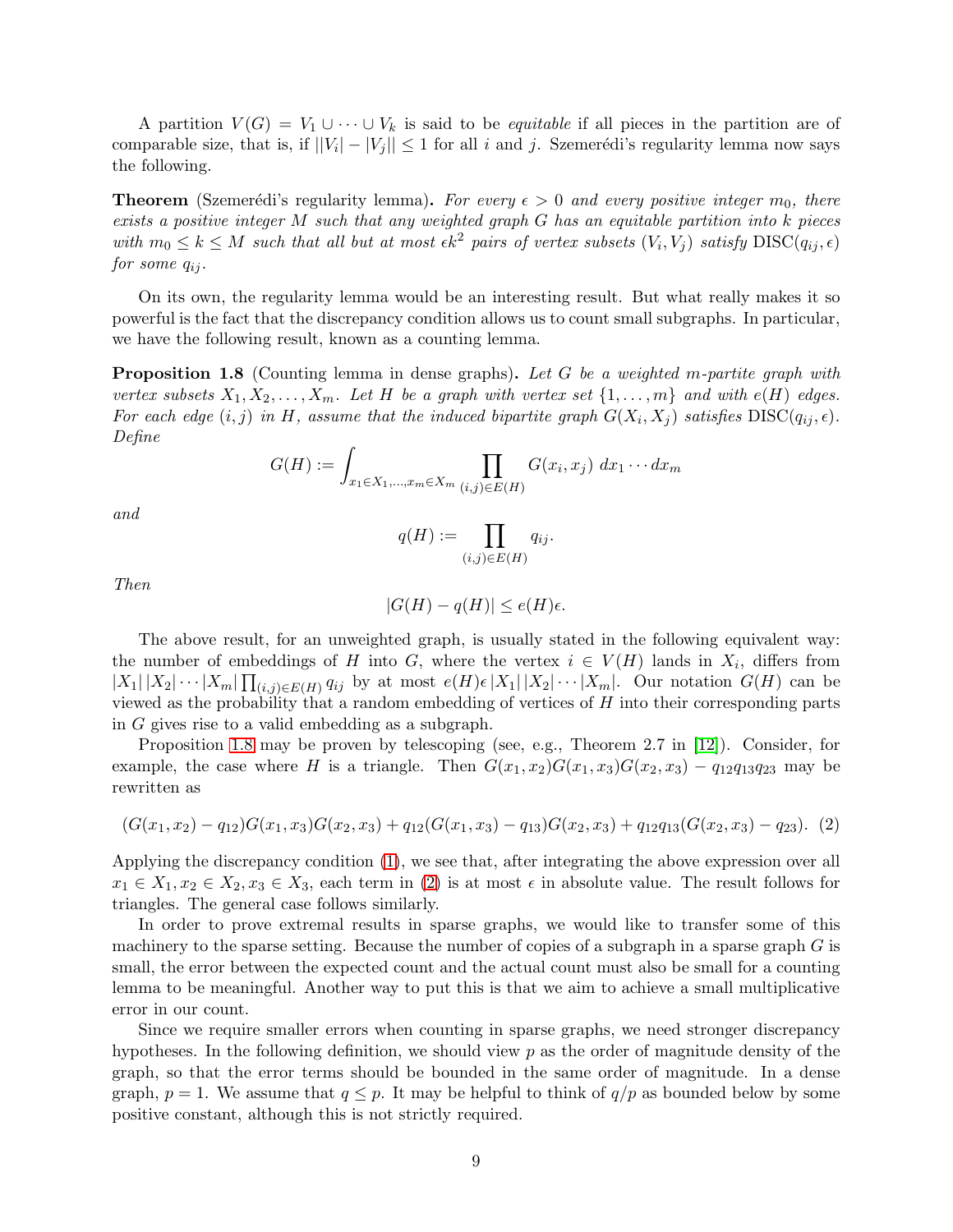A partition  $V(G) = V_1 \cup \cdots \cup V_k$  is said to be *equitable* if all pieces in the partition are of comparable size, that is, if  $||V_i| - |V_j|| \leq 1$  for all i and j. Szemerédi's regularity lemma now says the following.

**Theorem** (Szemerédi's regularity lemma). For every  $\epsilon > 0$  and every positive integer  $m_0$ , there exists a positive integer  $M$  such that any weighted graph  $G$  has an equitable partition into  $k$  pieces with  $m_0 \leq k \leq M$  such that all but at most  $\epsilon k^2$  pairs of vertex subsets  $(V_i, V_j)$  satisfy  $\text{DISC}(q_{ij}, \epsilon)$ for some  $q_{ij}$ .

On its own, the regularity lemma would be an interesting result. But what really makes it so powerful is the fact that the discrepancy condition allows us to count small subgraphs. In particular, we have the following result, known as a counting lemma.

<span id="page-8-0"></span>**Proposition 1.8** (Counting lemma in dense graphs). Let G be a weighted m-partite graph with vertex subsets  $X_1, X_2, \ldots, X_m$ . Let H be a graph with vertex set  $\{1, \ldots, m\}$  and with  $e(H)$  edges. For each edge  $(i, j)$  in H, assume that the induced bipartite graph  $G(X_i, X_j)$  satisfies  $DISC(q_{ij}, \epsilon)$ . Define

$$
G(H) := \int_{x_1 \in X_1, ..., x_m \in X_m} \prod_{(i,j) \in E(H)} G(x_i, x_j) \, dx_1 \cdots dx_m
$$

and

$$
q(H) := \prod_{(i,j)\in E(H)} q_{ij}.
$$

Then

$$
|G(H) - q(H)| \le e(H)\epsilon.
$$

The above result, for an unweighted graph, is usually stated in the following equivalent way: the number of embeddings of H into G, where the vertex  $i \in V(H)$  lands in  $X_i$ , differs from  $|X_1||X_2|\cdots |X_m| \prod_{(i,j)\in E(H)} q_{ij}$  by at most  $e(H)\in |X_1||X_2|\cdots |X_m|$ . Our notation  $G(H)$  can be viewed as the probability that a random embedding of vertices of  $H$  into their corresponding parts in G gives rise to a valid embedding as a subgraph.

Proposition [1.8](#page-8-0) may be proven by telescoping (see, e.g., Theorem 2.7 in [\[12\]](#page-65-10)). Consider, for example, the case where H is a triangle. Then  $G(x_1, x_2)G(x_1, x_3)G(x_2, x_3) - q_{12}q_{13}q_{23}$  may be rewritten as

<span id="page-8-1"></span>
$$
(G(x_1,x_2)-q_{12})G(x_1,x_3)G(x_2,x_3)+q_{12}(G(x_1,x_3)-q_{13})G(x_2,x_3)+q_{12}q_{13}(G(x_2,x_3)-q_{23}).
$$
 (2)

Applying the discrepancy condition [\(1\)](#page-7-1), we see that, after integrating the above expression over all  $x_1 \in X_1, x_2 \in X_2, x_3 \in X_3$ , each term in [\(2\)](#page-8-1) is at most  $\epsilon$  in absolute value. The result follows for triangles. The general case follows similarly.

In order to prove extremal results in sparse graphs, we would like to transfer some of this machinery to the sparse setting. Because the number of copies of a subgraph in a sparse graph  $G$  is small, the error between the expected count and the actual count must also be small for a counting lemma to be meaningful. Another way to put this is that we aim to achieve a small multiplicative error in our count.

Since we require smaller errors when counting in sparse graphs, we need stronger discrepancy hypotheses. In the following definition, we should view  $p$  as the order of magnitude density of the graph, so that the error terms should be bounded in the same order of magnitude. In a dense graph,  $p = 1$ . We assume that  $q \leq p$ . It may be helpful to think of  $q/p$  as bounded below by some positive constant, although this is not strictly required.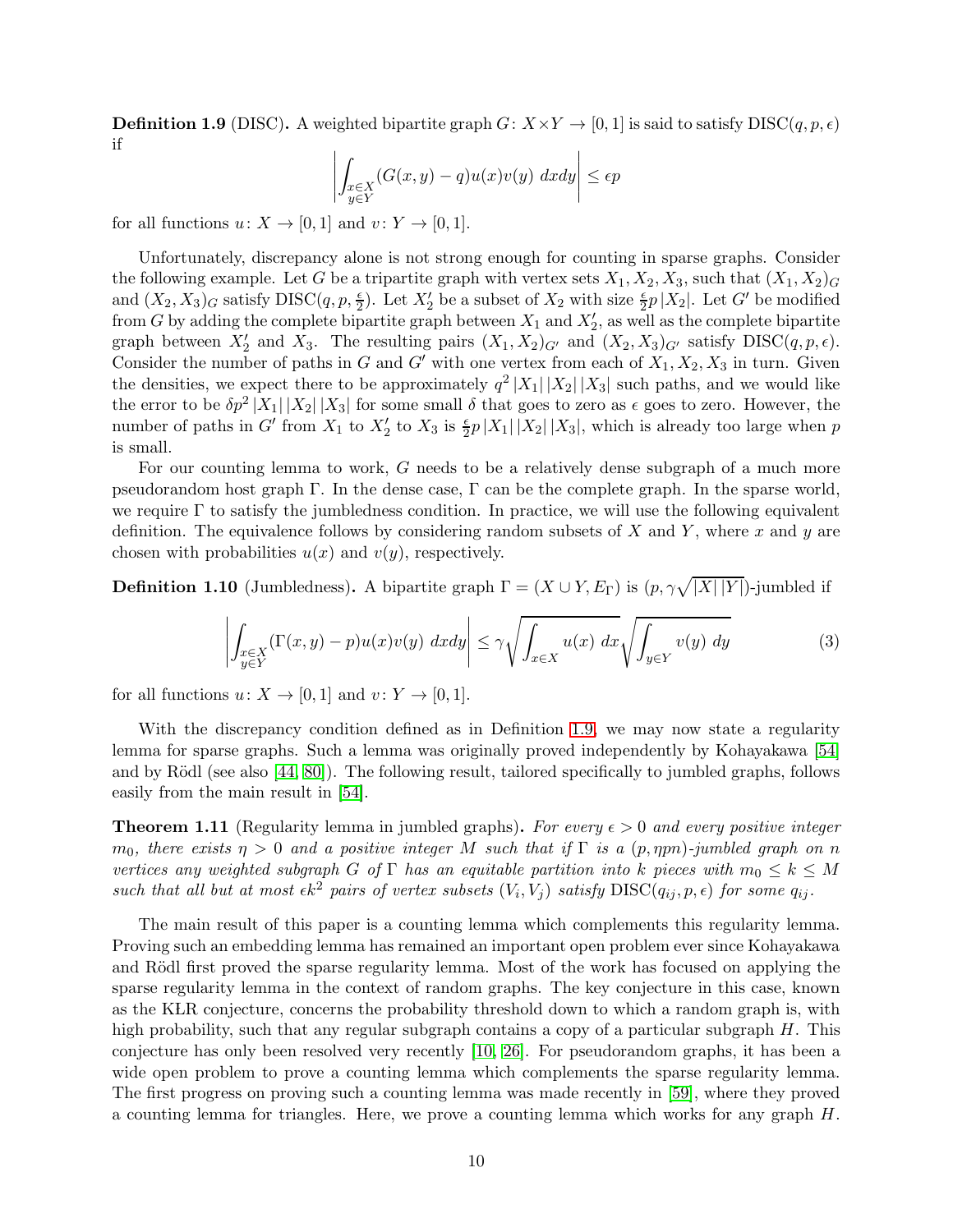<span id="page-9-0"></span>**Definition 1.9** (DISC). A weighted bipartite graph  $G: X \times Y \to [0, 1]$  is said to satisfy  $DISC(q, p, \epsilon)$ if  $\overline{\phantom{a}}$ 

$$
\left| \int_{\substack{x \in X \\ y \in Y}} (G(x, y) - q) u(x) v(y) \, dx dy \right| \le \epsilon p
$$

for all functions  $u: X \to [0,1]$  and  $v: Y \to [0,1]$ .

Unfortunately, discrepancy alone is not strong enough for counting in sparse graphs. Consider the following example. Let G be a tripartite graph with vertex sets  $X_1, X_2, X_3$ , such that  $(X_1, X_2)$ and  $(X_2, X_3)_G$  satisfy  $DISC(q, p, \frac{\epsilon}{2})$ . Let  $X'_2$  be a subset of  $X_2$  with size  $\frac{\epsilon}{2}p|X_2|$ . Let  $G'$  be modified from G by adding the complete bipartite graph between  $X_1$  and  $X'_2$ , as well as the complete bipartite graph between  $X'_2$  and  $X_3$ . The resulting pairs  $(X_1, X_2)_{G'}$  and  $(X_2, X_3)_{G'}$  satisfy  $DISC(q, p, \epsilon)$ . Consider the number of paths in G and G' with one vertex from each of  $X_1, X_2, X_3$  in turn. Given the densities, we expect there to be approximately  $q^2 |X_1| |X_2| |X_3|$  such paths, and we would like the error to be  $\delta p^2 |X_1| |X_2| |X_3|$  for some small  $\delta$  that goes to zero as  $\epsilon$  goes to zero. However, the number of paths in G' from  $X_1$  to  $X_2'$  to  $X_3$  is  $\frac{\epsilon}{2}p|X_1||X_2||X_3|$ , which is already too large when p is small.

For our counting lemma to work, G needs to be a relatively dense subgraph of a much more pseudorandom host graph Γ. In the dense case, Γ can be the complete graph. In the sparse world, we require  $\Gamma$  to satisfy the jumbledness condition. In practice, we will use the following equivalent definition. The equivalence follows by considering random subsets of X and Y, where x and y are chosen with probabilities  $u(x)$  and  $v(y)$ , respectively.

**Definition 1.10** (Jumbledness). A bipartite graph  $\Gamma = (X \cup Y, E_{\Gamma})$  is  $(p, \gamma \sqrt{|X| |Y|})$ -jumbled if

<span id="page-9-1"></span>
$$
\left| \int_{\substack{x \in X \\ y \in Y}} (\Gamma(x, y) - p) u(x) v(y) \, dx dy \right| \le \gamma \sqrt{\int_{x \in X} u(x) \, dx} \sqrt{\int_{y \in Y} v(y) \, dy} \tag{3}
$$

for all functions  $u: X \to [0, 1]$  and  $v: Y \to [0, 1]$ .

With the discrepancy condition defined as in Definition [1.9,](#page-9-0) we may now state a regularity lemma for sparse graphs. Such a lemma was originally proved independently by Kohayakawa [\[54\]](#page-67-2) and by Rödl (see also  $[44, 80]$  $[44, 80]$ ). The following result, tailored specifically to jumbled graphs, follows easily from the main result in [\[54\]](#page-67-2).

<span id="page-9-2"></span>**Theorem 1.11** (Regularity lemma in jumbled graphs). For every  $\epsilon > 0$  and every positive integer  $m_0$ , there exists  $\eta > 0$  and a positive integer M such that if  $\Gamma$  is a  $(p, \eta pn)$ -jumbled graph on n vertices any weighted subgraph G of  $\Gamma$  has an equitable partition into k pieces with  $m_0 \leq k \leq M$ such that all but at most  $\epsilon k^2$  pairs of vertex subsets  $(V_i, V_j)$  satisfy  $\text{DISC}(q_{ij}, p, \epsilon)$  for some  $q_{ij}$ .

The main result of this paper is a counting lemma which complements this regularity lemma. Proving such an embedding lemma has remained an important open problem ever since Kohayakawa and Rödl first proved the sparse regularity lemma. Most of the work has focused on applying the sparse regularity lemma in the context of random graphs. The key conjecture in this case, known as the KLR conjecture, concerns the probability threshold down to which a random graph is, with high probability, such that any regular subgraph contains a copy of a particular subgraph H. This conjecture has only been resolved very recently [\[10,](#page-65-0) [26\]](#page-65-1). For pseudorandom graphs, it has been a wide open problem to prove a counting lemma which complements the sparse regularity lemma. The first progress on proving such a counting lemma was made recently in [\[59\]](#page-67-4), where they proved a counting lemma for triangles. Here, we prove a counting lemma which works for any graph  $H$ .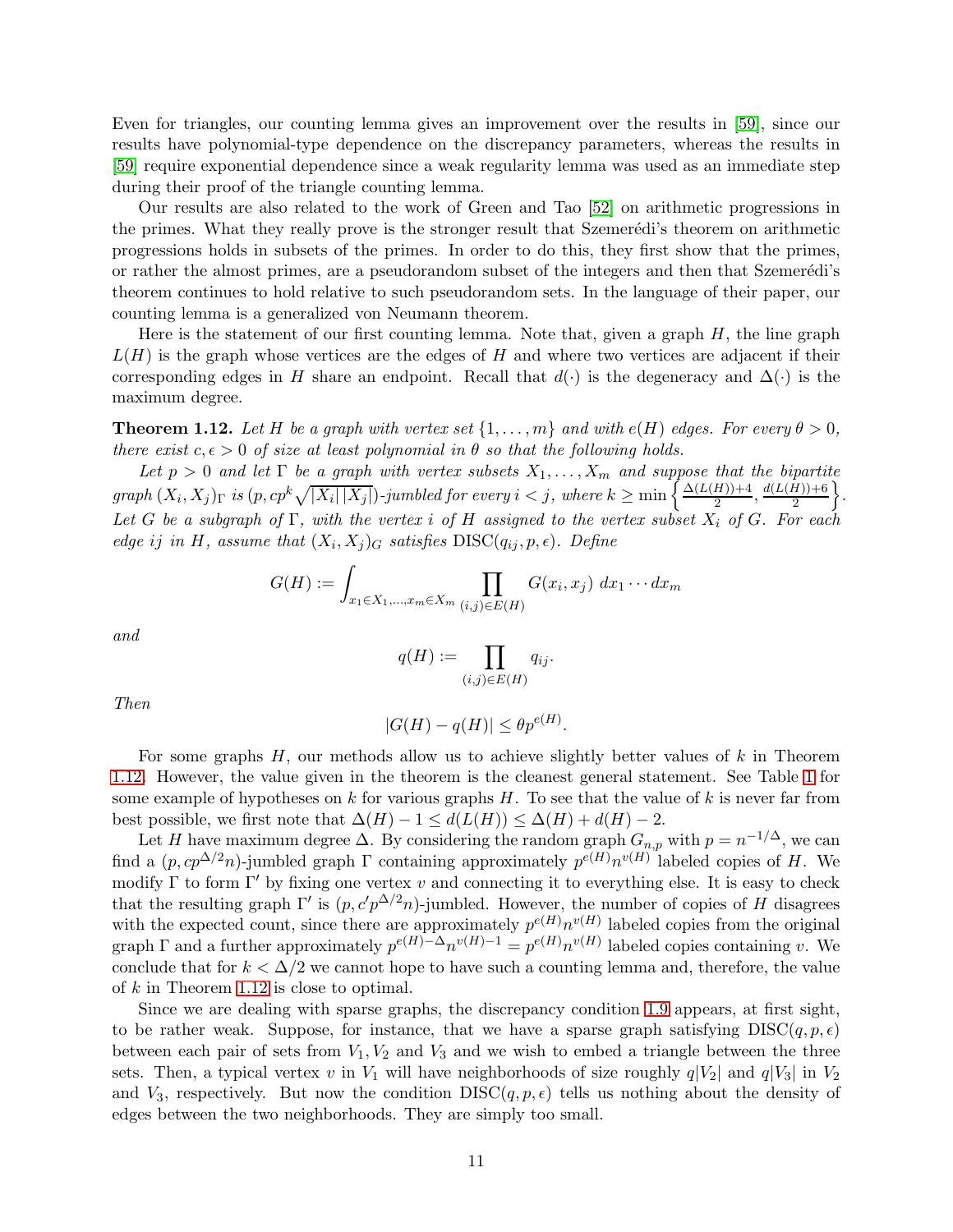Even for triangles, our counting lemma gives an improvement over the results in [\[59\]](#page-67-4), since our results have polynomial-type dependence on the discrepancy parameters, whereas the results in [\[59\]](#page-67-4) require exponential dependence since a weak regularity lemma was used as an immediate step during their proof of the triangle counting lemma.

Our results are also related to the work of Green and Tao [\[52\]](#page-67-6) on arithmetic progressions in the primes. What they really prove is the stronger result that Szemerédi's theorem on arithmetic progressions holds in subsets of the primes. In order to do this, they first show that the primes, or rather the almost primes, are a pseudorandom subset of the integers and then that Szemerédi's theorem continues to hold relative to such pseudorandom sets. In the language of their paper, our counting lemma is a generalized von Neumann theorem.

Here is the statement of our first counting lemma. Note that, given a graph  $H$ , the line graph  $L(H)$  is the graph whose vertices are the edges of H and where two vertices are adjacent if their corresponding edges in H share an endpoint. Recall that  $d(·)$  is the degeneracy and  $\Delta(·)$  is the maximum degree.

<span id="page-10-0"></span>**Theorem 1.12.** Let H be a graph with vertex set  $\{1, \ldots, m\}$  and with  $e(H)$  edges. For every  $\theta > 0$ , there exist  $c, \epsilon > 0$  of size at least polynomial in  $\theta$  so that the following holds.

Let  $p > 0$  and let  $\Gamma$  be a graph with vertex subsets  $X_1, \ldots, X_m$  and suppose that the bipartite  $graph (X_i, X_j)$ <sub>Γ</sub> is  $(p, cp^k \sqrt{|X_i||X_j|})$ -jumbled for every  $i < j$ , where  $k \geq min \bigg\{\frac{\Delta(L(H))+4}{2}\bigg\}$  $\frac{H\rightarrow{+4}}{2}, \frac{d(L(H)) + 6}{2}$ 2  $\bigg\}$ . Let G be a subgraph of  $\Gamma$ , with the vertex i of H assigned to the vertex subset  $X_i$  of G. For each edge ij in H, assume that  $(X_i, X_j)_G$  satisfies  $DISC(q_{ij}, p, \epsilon)$ . Define

$$
G(H) := \int_{x_1 \in X_1, ..., x_m \in X_m} \prod_{(i,j) \in E(H)} G(x_i, x_j) \, dx_1 \cdots dx_m
$$

and

$$
q(H) := \prod_{(i,j) \in E(H)} q_{ij}.
$$

Then

$$
|G(H) - q(H)| \le \theta p^{e(H)}.
$$

For some graphs H, our methods allow us to achieve slightly better values of k in Theorem [1.12.](#page-10-0) However, the value given in the theorem is the cleanest general statement. See Table [1](#page-11-0) for some example of hypotheses on k for various graphs  $H$ . To see that the value of k is never far from best possible, we first note that  $\Delta(H) - 1 \leq d(L(H)) \leq \Delta(H) + d(H) - 2$ .

Let H have maximum degree  $\Delta$ . By considering the random graph  $G_{n,p}$  with  $p = n^{-1/\Delta}$ , we can find a  $(p, cp^{\Delta/2}n)$ -jumbled graph  $\Gamma$  containing approximately  $p^{e(H)}n^{v(H)}$  labeled copies of H. We modify  $\Gamma$  to form  $\Gamma'$  by fixing one vertex v and connecting it to everything else. It is easy to check that the resulting graph  $\Gamma'$  is  $(p, c'p^{\Delta/2}n)$ -jumbled. However, the number of copies of H disagrees with the expected count, since there are approximately  $p^{e(H)}n^{v(H)}$  labeled copies from the original graph  $\Gamma$  and a further approximately  $p^{e(H)-\Delta}n^{v(H)-1} = p^{e(H)}n^{v(H)}$  labeled copies containing v. We conclude that for  $k < \Delta/2$  we cannot hope to have such a counting lemma and, therefore, the value of k in Theorem [1.12](#page-10-0) is close to optimal.

Since we are dealing with sparse graphs, the discrepancy condition [1.9](#page-9-0) appears, at first sight, to be rather weak. Suppose, for instance, that we have a sparse graph satisfying  $DISC(q, p, \epsilon)$ between each pair of sets from  $V_1, V_2$  and  $V_3$  and we wish to embed a triangle between the three sets. Then, a typical vertex v in  $V_1$  will have neighborhoods of size roughly  $q|V_2|$  and  $q|V_3|$  in  $V_2$ and  $V_3$ , respectively. But now the condition DISC $(q, p, \epsilon)$  tells us nothing about the density of edges between the two neighborhoods. They are simply too small.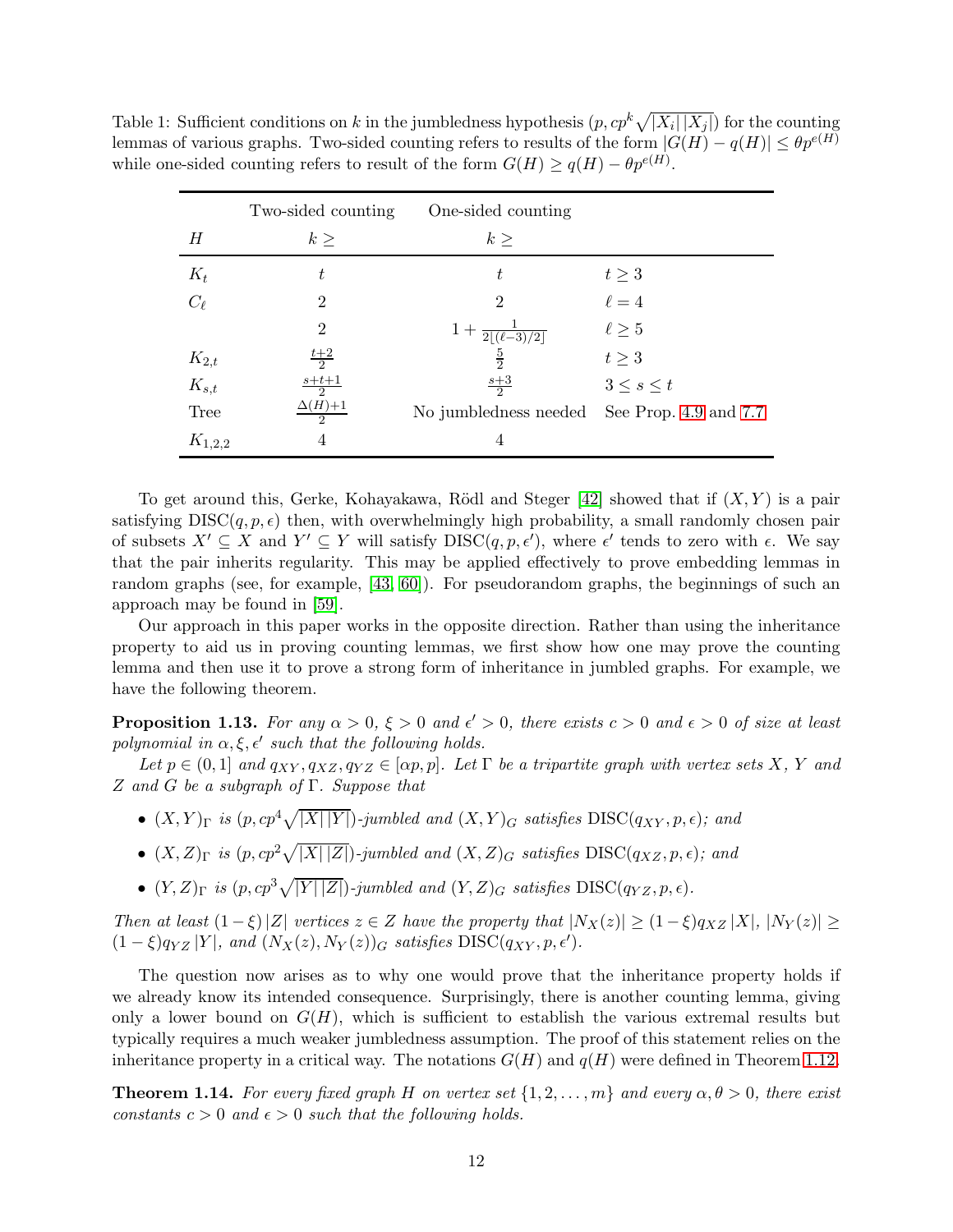<span id="page-11-0"></span>Table 1: Sufficient conditions on k in the jumbledness hypothesis  $(p, cp^k \sqrt{|X_i||X_j|})$  for the counting lemmas of various graphs. Two-sided counting refers to results of the form  $|G(H) - q(H)| \leq \theta p^{e(H)}$ while one-sided counting refers to result of the form  $G(H) \ge q(H) - \theta p^{e(H)}$ .

|             | Two-sided counting             | One-sided counting          |                       |
|-------------|--------------------------------|-----------------------------|-----------------------|
| H           | k >                            | $k\geq$                     |                       |
| $K_t$       | t.                             | t                           | $t\geq 3$             |
| $C_{\ell}$  | $\overline{2}$                 | $\overline{2}$              | $\ell = 4$            |
|             | $\overline{2}$                 | $1+\frac{1}{2 (\ell-3)/2 }$ | $\ell \geq 5$         |
| $K_{2,t}$   | $rac{t+2}{2}$                  | $\frac{5}{2}$               | $t\geq 3$             |
| $K_{s,t}$   | $\frac{s+t+1}{2}$              | $\frac{s+3}{2}$             | $3\leq s\leq t$       |
| <b>Tree</b> | $\Delta(H)+1$<br>$\mathcal{D}$ | No jumbledness needed       | See Prop. 4.9 and 7.7 |
| $K_{1,2,2}$ | 4                              | 4                           |                       |

To get around this, Gerke, Kohayakawa, Rödl and Steger [\[42\]](#page-66-8) showed that if  $(X, Y)$  is a pair satisfying  $DISC(q, p, \epsilon)$  then, with overwhelmingly high probability, a small randomly chosen pair of subsets  $X' \subseteq X$  and  $Y' \subseteq Y$  will satisfy  $DISC(q, p, \epsilon')$ , where  $\epsilon'$  tends to zero with  $\epsilon$ . We say that the pair inherits regularity. This may be applied effectively to prove embedding lemmas in random graphs (see, for example, [\[43,](#page-66-9) [60\]](#page-67-14)). For pseudorandom graphs, the beginnings of such an approach may be found in [\[59\]](#page-67-4).

Our approach in this paper works in the opposite direction. Rather than using the inheritance property to aid us in proving counting lemmas, we first show how one may prove the counting lemma and then use it to prove a strong form of inheritance in jumbled graphs. For example, we have the following theorem.

<span id="page-11-2"></span>**Proposition 1.13.** For any  $\alpha > 0$ ,  $\xi > 0$  and  $\epsilon' > 0$ , there exists  $c > 0$  and  $\epsilon > 0$  of size at least polynomial in  $\alpha, \xi, \epsilon'$  such that the following holds.

Let  $p \in (0,1]$  and  $q_{XY}, q_{XZ}, q_{YZ} \in [\alpha p, p]$ . Let  $\Gamma$  be a tripartite graph with vertex sets X, Y and Z and G be a subgraph of  $\Gamma$ . Suppose that

- $(X,Y)_{\Gamma}$  is  $(p, cp^4\sqrt{|X||Y|})$ -jumbled and  $(X,Y)_{G}$  satisfies  $\text{DISC}(q_{XY}, p, \epsilon)$ ; and
- $(X, Z)_{\Gamma}$  is  $(p, cp^2\sqrt{|X|\,|Z|})$ -jumbled and  $(X, Z)_{G}$  satisfies  $DISC(q_{XZ}, p, \epsilon)$ ; and
- $(Y, Z)_{\Gamma}$  is  $(p, cp^3\sqrt{|Y||Z|})$ -jumbled and  $(Y, Z)_{G}$  satisfies  $\text{DISC}(q_{YZ}, p, \epsilon)$ .

Then at least  $(1 - \xi)|Z|$  vertices  $z \in Z$  have the property that  $|N_X(z)| \geq (1 - \xi)q_{XZ} |X|, |N_Y(z)| \geq$  $(1 - \xi) q_{YZ} |Y|$ , and  $(N_X(z), N_Y(z))_G$  satisfies DISC $(q_{XY}, p, \epsilon')$ .

The question now arises as to why one would prove that the inheritance property holds if we already know its intended consequence. Surprisingly, there is another counting lemma, giving only a lower bound on  $G(H)$ , which is sufficient to establish the various extremal results but typically requires a much weaker jumbledness assumption. The proof of this statement relies on the inheritance property in a critical way. The notations  $G(H)$  and  $q(H)$  were defined in Theorem [1.12.](#page-10-0)

<span id="page-11-1"></span>**Theorem 1.14.** For every fixed graph H on vertex set  $\{1, 2, ..., m\}$  and every  $\alpha, \theta > 0$ , there exist constants  $c > 0$  and  $\epsilon > 0$  such that the following holds.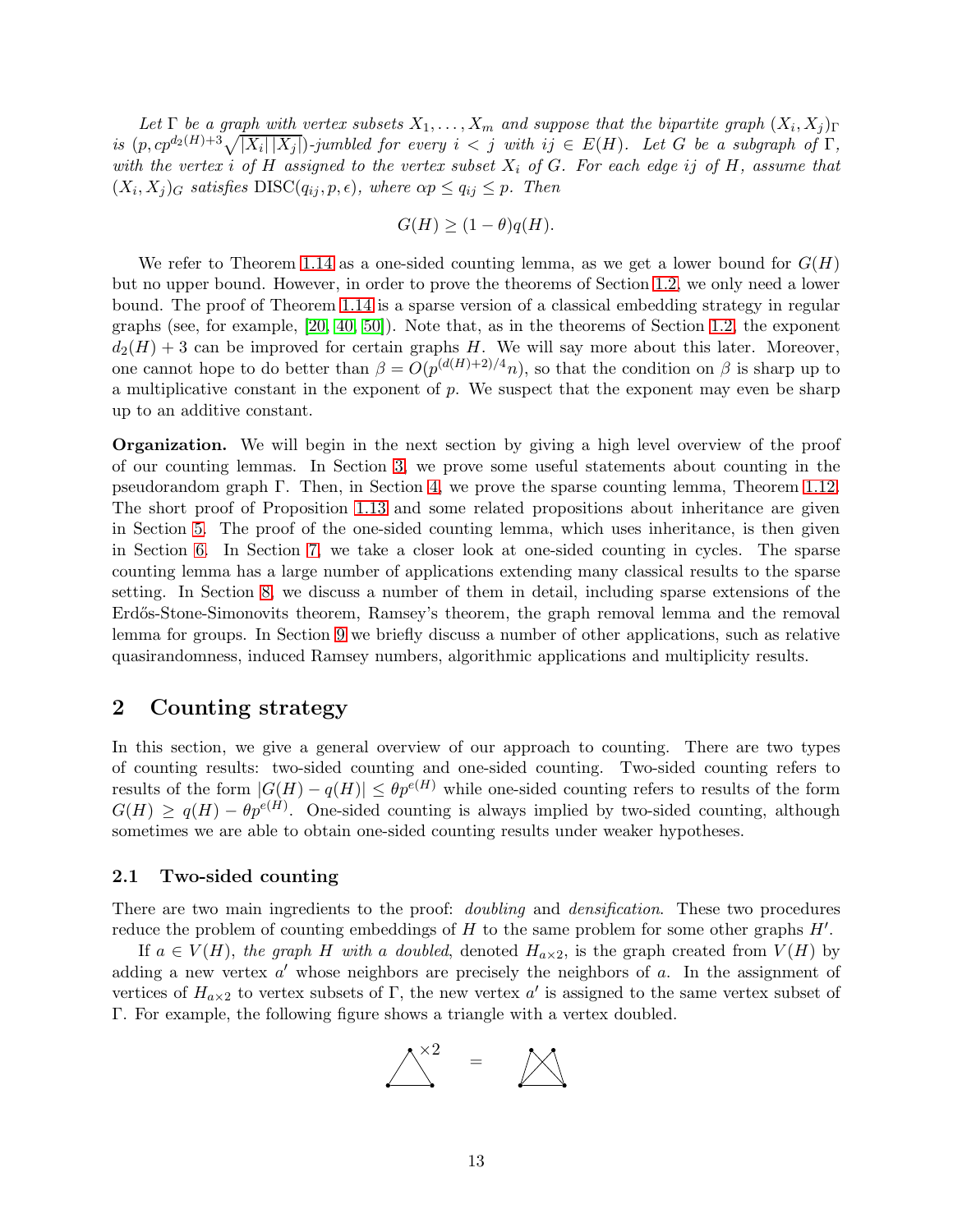Let  $\Gamma$  be a graph with vertex subsets  $X_1, \ldots, X_m$  and suppose that the bipartite graph  $(X_i, X_j)_{\Gamma}$ is  $(p, cp^{d_2(H)+3}\sqrt{|X_i||X_j|})$ -jumbled for every  $i < j$  with  $ij \in E(H)$ . Let G be a subgraph of  $\Gamma$ , with the vertex i of H assigned to the vertex subset  $X_i$  of G. For each edge ij of H, assume that  $(X_i, X_j)_G$  satisfies  $DISC(q_{ij}, p, \epsilon)$ , where  $\alpha p \le q_{ij} \le p$ . Then

$$
G(H) \ge (1 - \theta)q(H).
$$

We refer to Theorem [1.14](#page-11-1) as a one-sided counting lemma, as we get a lower bound for  $G(H)$ but no upper bound. However, in order to prove the theorems of Section [1.2,](#page-3-0) we only need a lower bound. The proof of Theorem [1.14](#page-11-1) is a sparse version of a classical embedding strategy in regular graphs (see, for example, [\[20,](#page-65-11) [40,](#page-66-10) [50\]](#page-67-15)). Note that, as in the theorems of Section [1.2,](#page-3-0) the exponent  $d_2(H) + 3$  can be improved for certain graphs H. We will say more about this later. Moreover, one cannot hope to do better than  $\beta = O(p^{(d(H)+2)/4}n)$ , so that the condition on  $\beta$  is sharp up to a multiplicative constant in the exponent of  $p$ . We suspect that the exponent may even be sharp up to an additive constant.

Organization. We will begin in the next section by giving a high level overview of the proof of our counting lemmas. In Section [3,](#page-17-0) we prove some useful statements about counting in the pseudorandom graph Γ. Then, in Section [4,](#page-22-0) we prove the sparse counting lemma, Theorem [1.12.](#page-10-0) The short proof of Proposition [1.13](#page-11-2) and some related propositions about inheritance are given in Section [5.](#page-33-0) The proof of the one-sided counting lemma, which uses inheritance, is then given in Section [6.](#page-39-0) In Section [7,](#page-41-0) we take a closer look at one-sided counting in cycles. The sparse counting lemma has a large number of applications extending many classical results to the sparse setting. In Section [8,](#page-50-0) we discuss a number of them in detail, including sparse extensions of the Erdős-Stone-Simonovits theorem, Ramsey's theorem, the graph removal lemma and the removal lemma for groups. In Section [9](#page-55-0) we briefly discuss a number of other applications, such as relative quasirandomness, induced Ramsey numbers, algorithmic applications and multiplicity results.

## <span id="page-12-0"></span>2 Counting strategy

In this section, we give a general overview of our approach to counting. There are two types of counting results: two-sided counting and one-sided counting. Two-sided counting refers to results of the form  $|G(H) - q(H)| \leq \theta p^{e(H)}$  while one-sided counting refers to results of the form  $G(H) \geq q(H) - \theta p^{e(H)}$ . One-sided counting is always implied by two-sided counting, although sometimes we are able to obtain one-sided counting results under weaker hypotheses.

## <span id="page-12-1"></span>2.1 Two-sided counting

There are two main ingredients to the proof: *doubling* and *densification*. These two procedures reduce the problem of counting embeddings of  $H$  to the same problem for some other graphs  $H'$ .

If  $a \in V(H)$ , the graph H with a doubled, denoted  $H_{a \times 2}$ , is the graph created from  $V(H)$  by adding a new vertex  $a'$  whose neighbors are precisely the neighbors of  $a$ . In the assignment of vertices of  $H_{a\times 2}$  to vertex subsets of Γ, the new vertex a' is assigned to the same vertex subset of Γ. For example, the following figure shows a triangle with a vertex doubled.

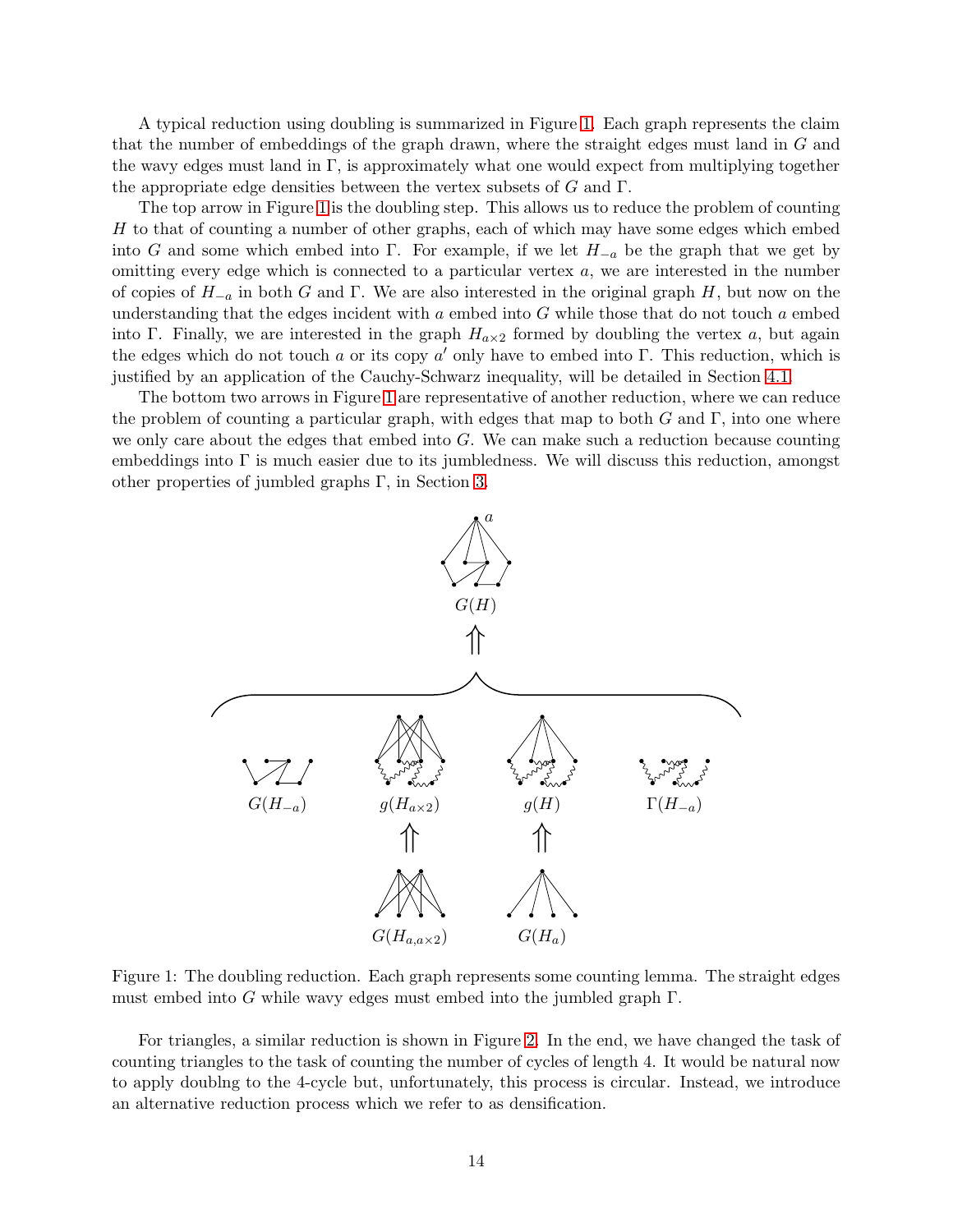A typical reduction using doubling is summarized in Figure [1.](#page-13-0) Each graph represents the claim that the number of embeddings of the graph drawn, where the straight edges must land in G and the wavy edges must land in  $\Gamma$ , is approximately what one would expect from multiplying together the appropriate edge densities between the vertex subsets of  $G$  and  $\Gamma$ .

The top arrow in Figure [1](#page-13-0) is the doubling step. This allows us to reduce the problem of counting  $H$  to that of counting a number of other graphs, each of which may have some edges which embed into G and some which embed into Γ. For example, if we let  $H_{-a}$  be the graph that we get by omitting every edge which is connected to a particular vertex a, we are interested in the number of copies of  $H_{-a}$  in both G and Γ. We are also interested in the original graph H, but now on the understanding that the edges incident with  $a$  embed into  $G$  while those that do not touch  $a$  embed into Γ. Finally, we are interested in the graph  $H_{\alpha\times2}$  formed by doubling the vertex a, but again the edges which do not touch a or its copy a' only have to embed into  $\Gamma$ . This reduction, which is justified by an application of the Cauchy-Schwarz inequality, will be detailed in Section [4.1.](#page-22-1)

The bottom two arrows in Figure [1](#page-13-0) are representative of another reduction, where we can reduce the problem of counting a particular graph, with edges that map to both  $G$  and  $\Gamma$ , into one where we only care about the edges that embed into  $G$ . We can make such a reduction because counting embeddings into  $\Gamma$  is much easier due to its jumbledness. We will discuss this reduction, amongst other properties of jumbled graphs Γ, in Section [3.](#page-17-0)

<span id="page-13-0"></span>

Figure 1: The doubling reduction. Each graph represents some counting lemma. The straight edges must embed into G while wavy edges must embed into the jumbled graph Γ.

For triangles, a similar reduction is shown in Figure [2.](#page-14-0) In the end, we have changed the task of counting triangles to the task of counting the number of cycles of length 4. It would be natural now to apply doublng to the 4-cycle but, unfortunately, this process is circular. Instead, we introduce an alternative reduction process which we refer to as densification.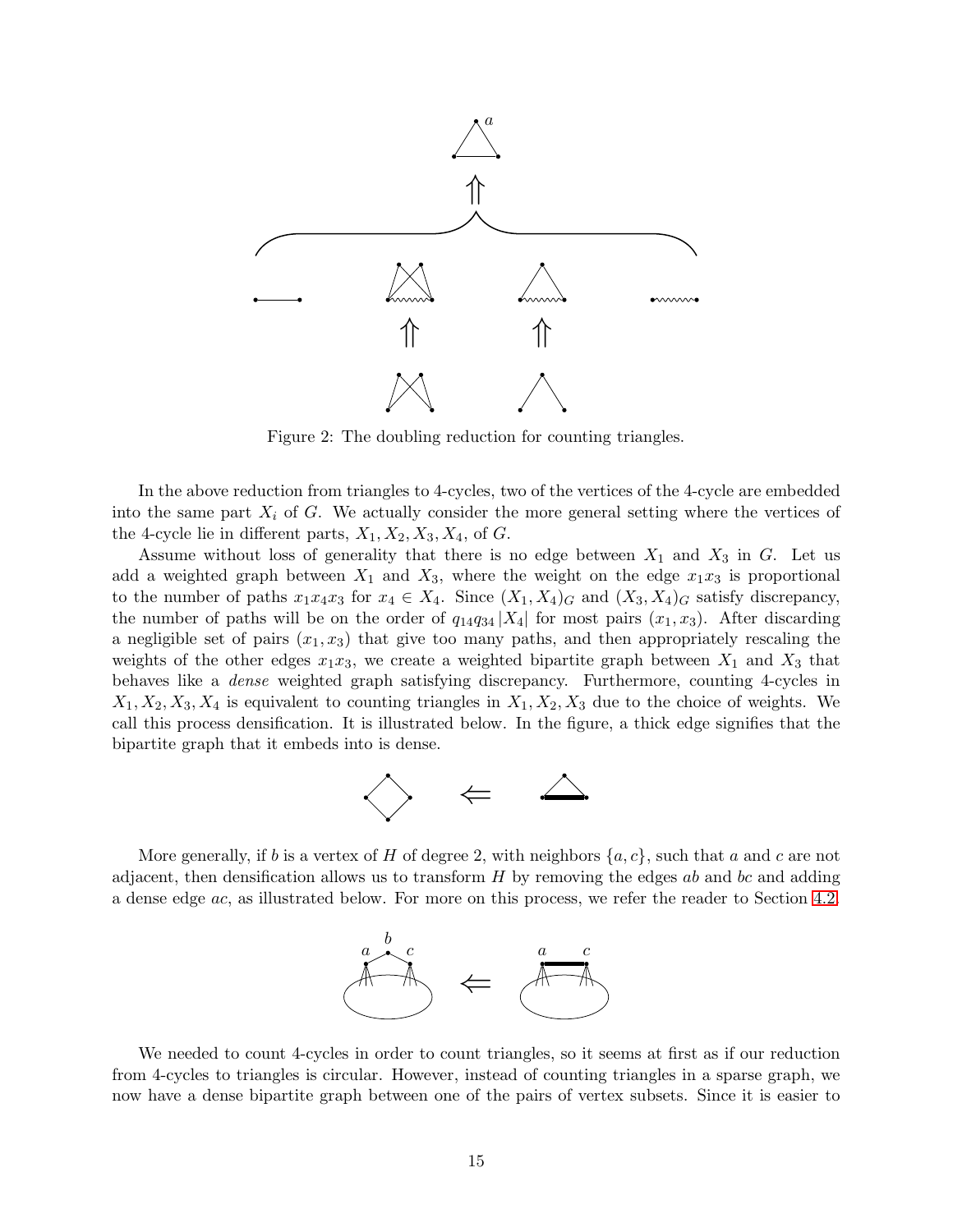<span id="page-14-0"></span>

Figure 2: The doubling reduction for counting triangles.

In the above reduction from triangles to 4-cycles, two of the vertices of the 4-cycle are embedded into the same part  $X_i$  of G. We actually consider the more general setting where the vertices of the 4-cycle lie in different parts,  $X_1, X_2, X_3, X_4$ , of G.

Assume without loss of generality that there is no edge between  $X_1$  and  $X_3$  in G. Let us add a weighted graph between  $X_1$  and  $X_3$ , where the weight on the edge  $x_1x_3$  is proportional to the number of paths  $x_1x_4x_3$  for  $x_4 \in X_4$ . Since  $(X_1, X_4)_G$  and  $(X_3, X_4)_G$  satisfy discrepancy, the number of paths will be on the order of  $q_{14}q_{34}$  |X<sub>4</sub>| for most pairs  $(x_1, x_3)$ . After discarding a negligible set of pairs  $(x_1, x_3)$  that give too many paths, and then appropriately rescaling the weights of the other edges  $x_1x_3$ , we create a weighted bipartite graph between  $X_1$  and  $X_3$  that behaves like a dense weighted graph satisfying discrepancy. Furthermore, counting 4-cycles in  $X_1, X_2, X_3, X_4$  is equivalent to counting triangles in  $X_1, X_2, X_3$  due to the choice of weights. We call this process densification. It is illustrated below. In the figure, a thick edge signifies that the bipartite graph that it embeds into is dense.



More generally, if b is a vertex of H of degree 2, with neighbors  $\{a, c\}$ , such that a and c are not adjacent, then densification allows us to transform  $H$  by removing the edges ab and bc and adding a dense edge ac, as illustrated below. For more on this process, we refer the reader to Section [4.2.](#page-24-0)



We needed to count 4-cycles in order to count triangles, so it seems at first as if our reduction from 4-cycles to triangles is circular. However, instead of counting triangles in a sparse graph, we now have a dense bipartite graph between one of the pairs of vertex subsets. Since it is easier to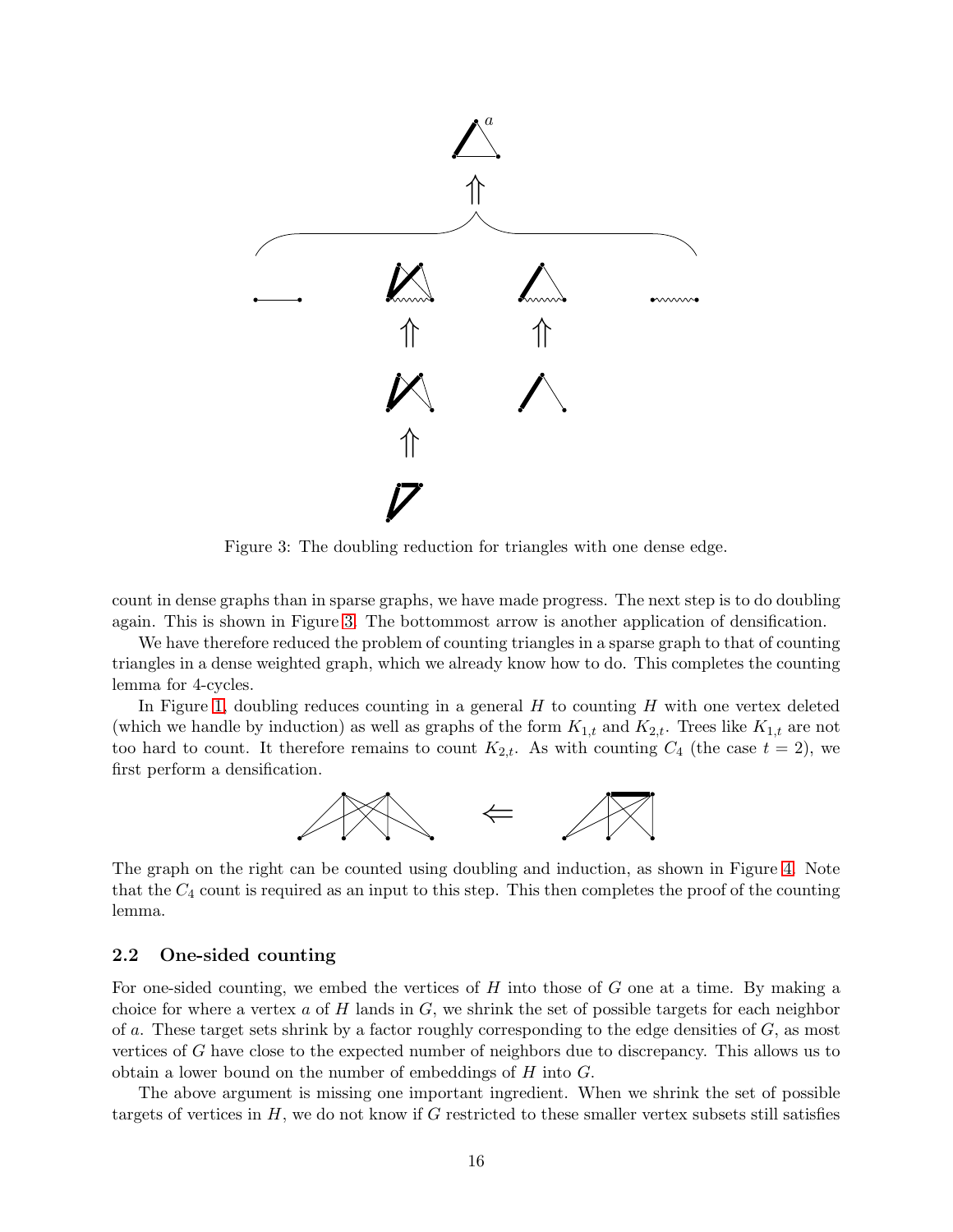<span id="page-15-1"></span>

Figure 3: The doubling reduction for triangles with one dense edge.

count in dense graphs than in sparse graphs, we have made progress. The next step is to do doubling again. This is shown in Figure [3.](#page-15-1) The bottommost arrow is another application of densification.

We have therefore reduced the problem of counting triangles in a sparse graph to that of counting triangles in a dense weighted graph, which we already know how to do. This completes the counting lemma for 4-cycles.

In Figure [1,](#page-13-0) doubling reduces counting in a general  $H$  to counting  $H$  with one vertex deleted (which we handle by induction) as well as graphs of the form  $K_{1,t}$  and  $K_{2,t}$ . Trees like  $K_{1,t}$  are not too hard to count. It therefore remains to count  $K_{2,t}$ . As with counting  $C_4$  (the case  $t = 2$ ), we first perform a densification.



The graph on the right can be counted using doubling and induction, as shown in Figure [4.](#page-16-0) Note that the  $C_4$  count is required as an input to this step. This then completes the proof of the counting lemma.

### <span id="page-15-0"></span>2.2 One-sided counting

For one-sided counting, we embed the vertices of  $H$  into those of  $G$  one at a time. By making a choice for where a vertex  $a$  of  $H$  lands in  $G$ , we shrink the set of possible targets for each neighbor of a. These target sets shrink by a factor roughly corresponding to the edge densities of  $G$ , as most vertices of G have close to the expected number of neighbors due to discrepancy. This allows us to obtain a lower bound on the number of embeddings of  $H$  into  $G$ .

The above argument is missing one important ingredient. When we shrink the set of possible targets of vertices in  $H$ , we do not know if G restricted to these smaller vertex subsets still satisfies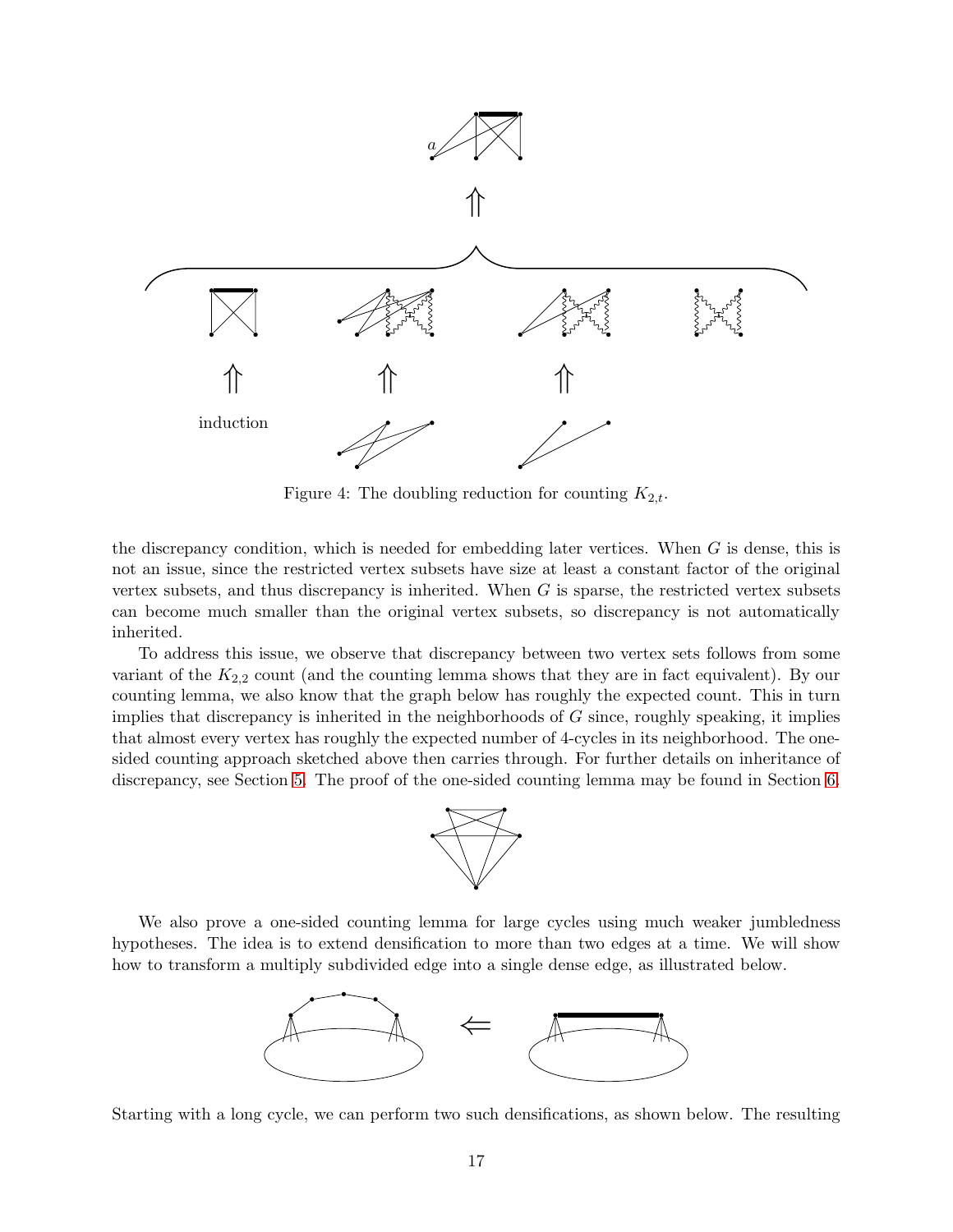<span id="page-16-0"></span>

Figure 4: The doubling reduction for counting  $K_{2,t}$ .

the discrepancy condition, which is needed for embedding later vertices. When G is dense, this is not an issue, since the restricted vertex subsets have size at least a constant factor of the original vertex subsets, and thus discrepancy is inherited. When  $G$  is sparse, the restricted vertex subsets can become much smaller than the original vertex subsets, so discrepancy is not automatically inherited.

To address this issue, we observe that discrepancy between two vertex sets follows from some variant of the  $K_{2,2}$  count (and the counting lemma shows that they are in fact equivalent). By our counting lemma, we also know that the graph below has roughly the expected count. This in turn implies that discrepancy is inherited in the neighborhoods of  $G$  since, roughly speaking, it implies that almost every vertex has roughly the expected number of 4-cycles in its neighborhood. The onesided counting approach sketched above then carries through. For further details on inheritance of discrepancy, see Section [5.](#page-33-0) The proof of the one-sided counting lemma may be found in Section [6.](#page-39-0)



We also prove a one-sided counting lemma for large cycles using much weaker jumbledness hypotheses. The idea is to extend densification to more than two edges at a time. We will show how to transform a multiply subdivided edge into a single dense edge, as illustrated below.



Starting with a long cycle, we can perform two such densifications, as shown below. The resulting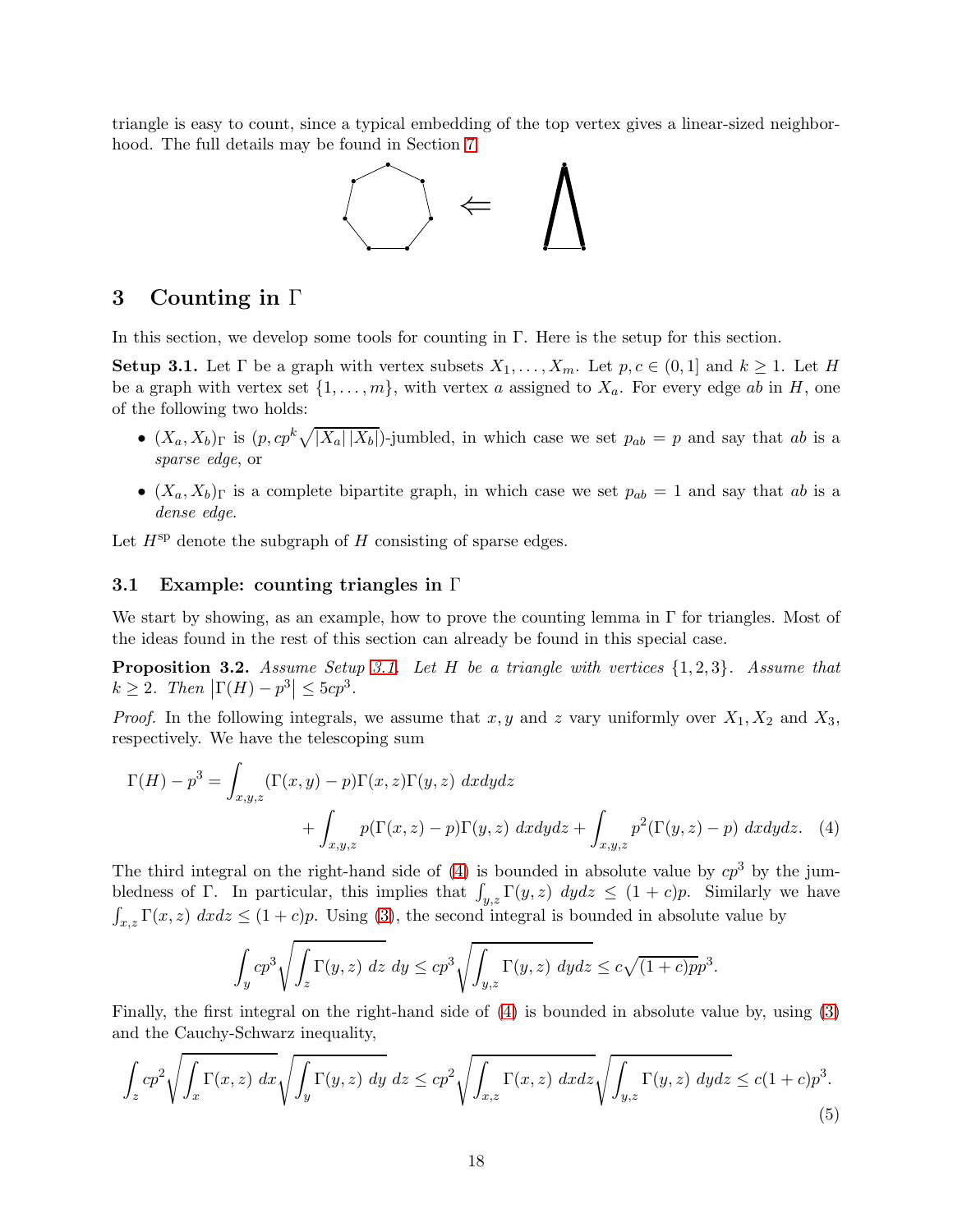triangle is easy to count, since a typical embedding of the top vertex gives a linear-sized neighborhood. The full details may be found in Section [7.](#page-41-0)



## <span id="page-17-0"></span>3 Counting in Γ

In this section, we develop some tools for counting in  $\Gamma$ . Here is the setup for this section.

<span id="page-17-2"></span>**Setup 3.1.** Let  $\Gamma$  be a graph with vertex subsets  $X_1, \ldots, X_m$ . Let  $p, c \in (0,1]$  and  $k \geq 1$ . Let H be a graph with vertex set  $\{1, \ldots, m\}$ , with vertex a assigned to  $X_a$ . For every edge ab in H, one of the following two holds:

- $(X_a, X_b)$ <sub>Γ</sub> is  $(p, cp^k \sqrt{|X_a||X_b|})$ -jumbled, in which case we set  $p_{ab} = p$  and say that ab is a sparse edge, or
- $(X_a, X_b)$ <sub>Γ</sub> is a complete bipartite graph, in which case we set  $p_{ab} = 1$  and say that ab is a dense edge.

<span id="page-17-1"></span>Let  $H^{\rm sp}$  denote the subgraph of H consisting of sparse edges.

## 3.1 Example: counting triangles in Γ

We start by showing, as an example, how to prove the counting lemma in  $\Gamma$  for triangles. Most of the ideas found in the rest of this section can already be found in this special case.

**Proposition 3.2.** Assume Setup [3.1.](#page-17-2) Let H be a triangle with vertices  $\{1, 2, 3\}$ . Assume that  $k \geq 2$ . Then  $\left| \Gamma(H) - p^3 \right| \leq 5cp^3$ .

*Proof.* In the following integrals, we assume that x, y and z vary uniformly over  $X_1, X_2$  and  $X_3$ , respectively. We have the telescoping sum

$$
\Gamma(H) - p3 = \int_{x,y,z} (\Gamma(x,y) - p)\Gamma(x,z)\Gamma(y,z) \, dxdydz + \int_{x,y,z} p(\Gamma(x,z) - p)\Gamma(y,z) \, dxdydz + \int_{x,y,z} p^{2}(\Gamma(y,z) - p) \, dxdydz.
$$
 (4)

The third integral on the right-hand side of [\(4\)](#page-17-3) is bounded in absolute value by  $cp<sup>3</sup>$  by the jumbledness of Γ. In particular, this implies that  $\int_{y,z} \Gamma(y, z) dydz \leq (1 + c)p$ . Similarly we have  $\int_{x,z} \Gamma(x,z) \ dx dz \leq (1+c)p$ . Using [\(3\)](#page-9-1), the second integral is bounded in absolute value by

<span id="page-17-3"></span>
$$
\int_{y} cp^3 \sqrt{\int_{z} \Gamma(y, z) \ dz} \ dy \le cp^3 \sqrt{\int_{y,z} \Gamma(y, z) \ dydz} \le c \sqrt{(1 + c)pp^3}.
$$

Finally, the first integral on the right-hand side of [\(4\)](#page-17-3) is bounded in absolute value by, using [\(3\)](#page-9-1) and the Cauchy-Schwarz inequality,

<span id="page-17-4"></span>
$$
\int_{z} cp^2 \sqrt{\int_{x} \Gamma(x, z) dx} \sqrt{\int_{y} \Gamma(y, z) dy} dz \le cp^2 \sqrt{\int_{x, z} \Gamma(x, z) dx} dz \sqrt{\int_{y, z} \Gamma(y, z) dy} dz \le c(1 + c)p^3.
$$
\n(5)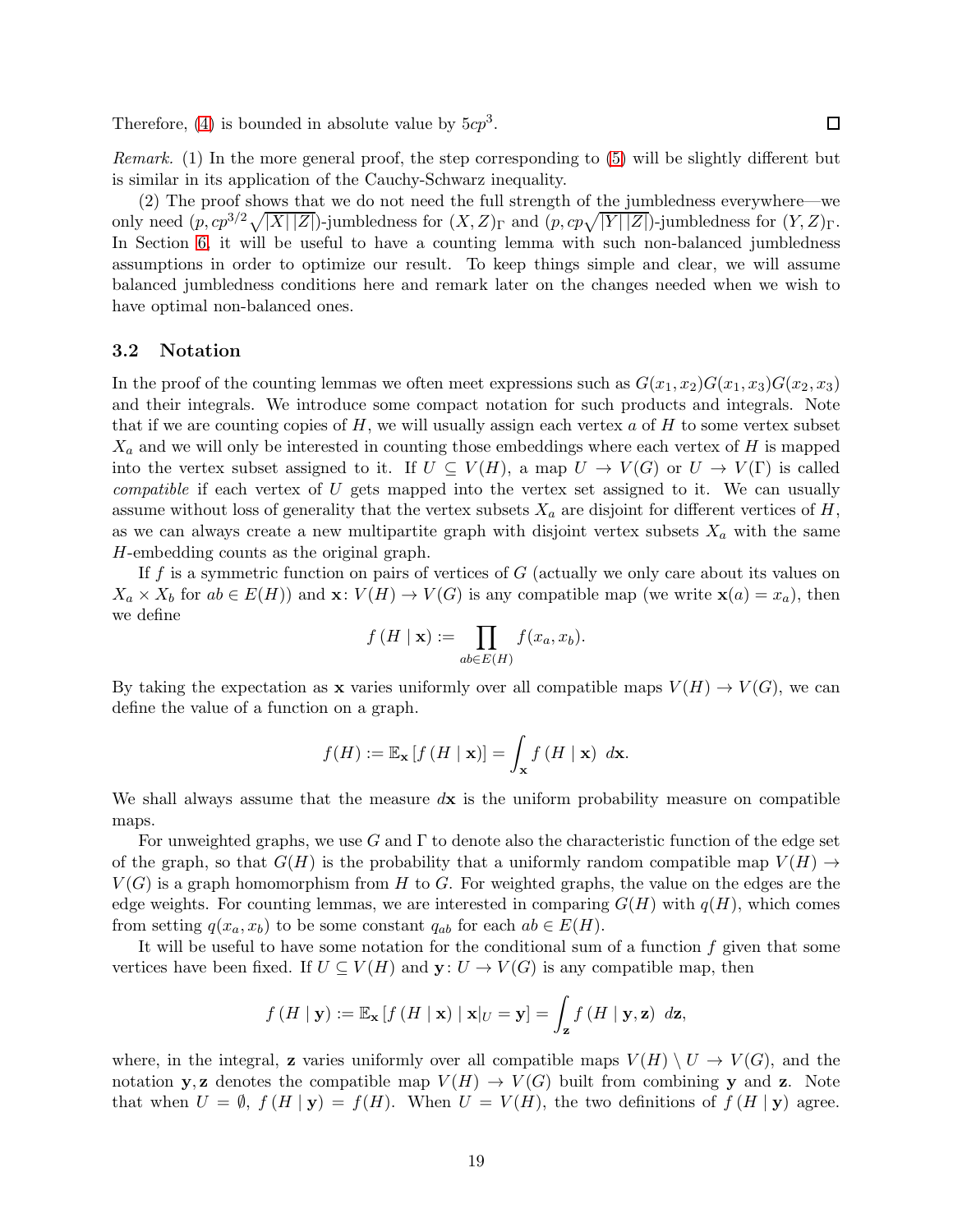Therefore, [\(4\)](#page-17-3) is bounded in absolute value by  $5cp<sup>3</sup>$ .

Remark. (1) In the more general proof, the step corresponding to [\(5\)](#page-17-4) will be slightly different but is similar in its application of the Cauchy-Schwarz inequality.

(2) The proof shows that we do not need the full strength of the jumbledness everywhere—we only need  $(p, cp^{3/2}\sqrt{|X||Z|})$ -jumbledness for  $(X, Z)<sub>\Gamma</sub>$  and  $(p, cp\sqrt{|Y||Z|})$ -jumbledness for  $(Y, Z)<sub>\Gamma</sub>$ . In Section [6,](#page-39-0) it will be useful to have a counting lemma with such non-balanced jumbledness assumptions in order to optimize our result. To keep things simple and clear, we will assume balanced jumbledness conditions here and remark later on the changes needed when we wish to have optimal non-balanced ones.

## <span id="page-18-0"></span>3.2 Notation

In the proof of the counting lemmas we often meet expressions such as  $G(x_1, x_2)G(x_1, x_3)G(x_2, x_3)$ and their integrals. We introduce some compact notation for such products and integrals. Note that if we are counting copies of  $H$ , we will usually assign each vertex a of  $H$  to some vertex subset  $X_a$  and we will only be interested in counting those embeddings where each vertex of H is mapped into the vertex subset assigned to it. If  $U \subseteq V(H)$ , a map  $U \to V(G)$  or  $U \to V(\Gamma)$  is called compatible if each vertex of U gets mapped into the vertex set assigned to it. We can usually assume without loss of generality that the vertex subsets  $X_a$  are disjoint for different vertices of H, as we can always create a new multipartite graph with disjoint vertex subsets  $X_a$  with the same H-embedding counts as the original graph.

If f is a symmetric function on pairs of vertices of  $G$  (actually we only care about its values on  $X_a \times X_b$  for  $ab \in E(H)$  and  $\mathbf{x}: V(H) \to V(G)$  is any compatible map (we write  $\mathbf{x}(a) = x_a$ ), then we define

$$
f(H \mid \mathbf{x}) := \prod_{ab \in E(H)} f(x_a, x_b).
$$

By taking the expectation as **x** varies uniformly over all compatible maps  $V(H) \to V(G)$ , we can define the value of a function on a graph.

$$
f(H) := \mathbb{E}_{\mathbf{x}}\left[f\left(H \mid \mathbf{x}\right)\right] = \int_{\mathbf{x}} f\left(H \mid \mathbf{x}\right) \; d\mathbf{x}.
$$

We shall always assume that the measure  $d\mathbf{x}$  is the uniform probability measure on compatible maps.

For unweighted graphs, we use G and  $\Gamma$  to denote also the characteristic function of the edge set of the graph, so that  $G(H)$  is the probability that a uniformly random compatible map  $V(H) \rightarrow$  $V(G)$  is a graph homomorphism from H to G. For weighted graphs, the value on the edges are the edge weights. For counting lemmas, we are interested in comparing  $G(H)$  with  $q(H)$ , which comes from setting  $q(x_a, x_b)$  to be some constant  $q_{ab}$  for each  $ab \in E(H)$ .

It will be useful to have some notation for the conditional sum of a function  $f$  given that some vertices have been fixed. If  $U \subseteq V(H)$  and  $\mathbf{y}: U \to V(G)$  is any compatible map, then

$$
f(H | \mathbf{y}) := \mathbb{E}_{\mathbf{x}} \left[ f(H | \mathbf{x}) | \mathbf{x}|_U = \mathbf{y} \right] = \int_{\mathbf{z}} f(H | \mathbf{y}, \mathbf{z}) d\mathbf{z},
$$

where, in the integral, **z** varies uniformly over all compatible maps  $V(H) \setminus U \to V(G)$ , and the notation y, z denotes the compatible map  $V(H) \to V(G)$  built from combining y and z. Note that when  $U = \emptyset$ ,  $f(H | y) = f(H)$ . When  $U = V(H)$ , the two definitions of  $f(H | y)$  agree.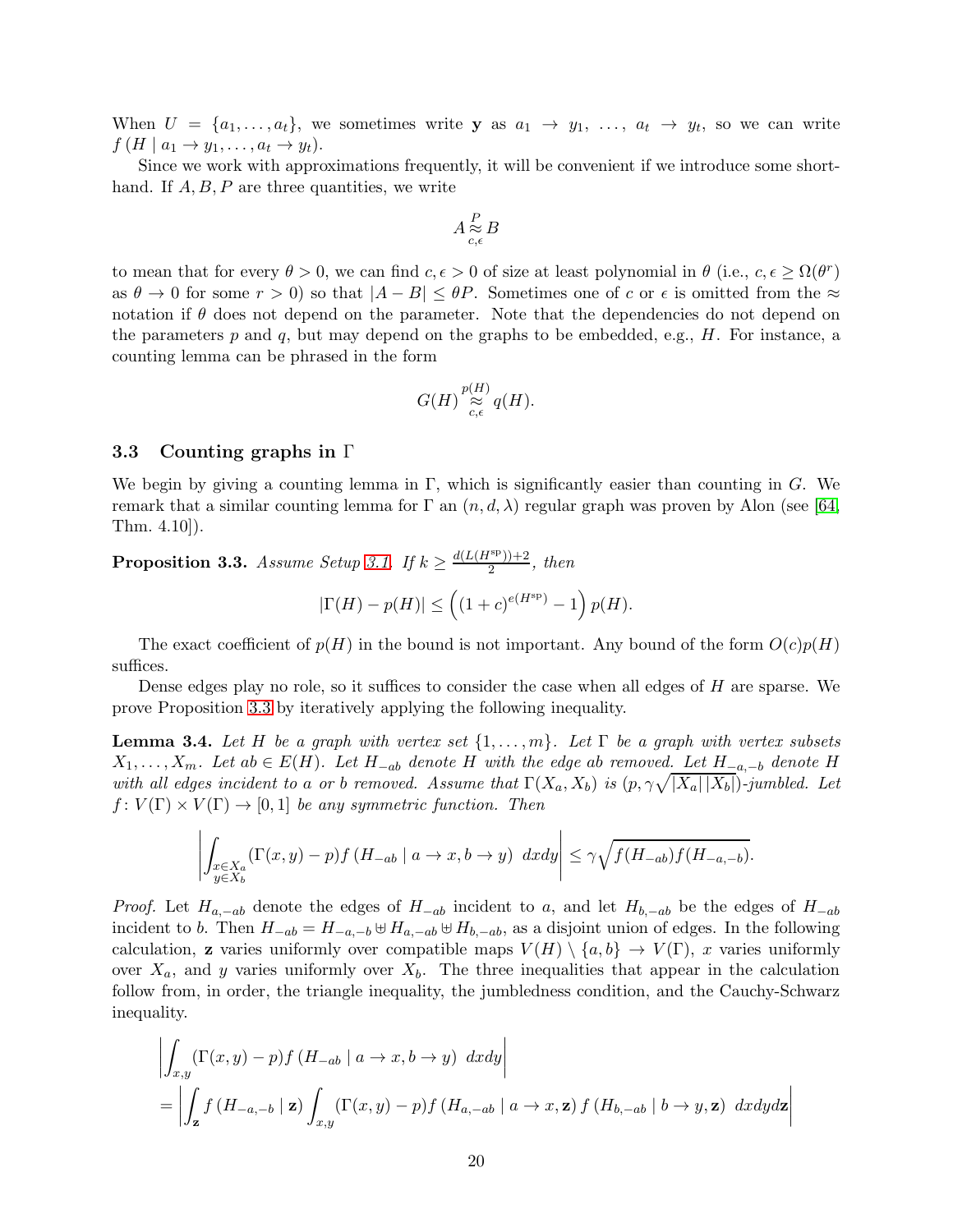When  $U = \{a_1, \ldots, a_t\}$ , we sometimes write y as  $a_1 \rightarrow y_1, \ldots, a_t \rightarrow y_t$ , so we can write  $f(H \mid a_1 \rightarrow y_1, \ldots, a_t \rightarrow y_t).$ 

Since we work with approximations frequently, it will be convenient if we introduce some shorthand. If  $A, B, P$  are three quantities, we write

$$
A\mathop{\approx}\limits^P_{c,\epsilon} B
$$

to mean that for every  $\theta > 0$ , we can find  $c, \epsilon > 0$  of size at least polynomial in  $\theta$  (i.e.,  $c, \epsilon \ge \Omega(\theta^r)$ ) as  $\theta \to 0$  for some  $r > 0$ ) so that  $|A - B| \leq \theta P$ . Sometimes one of c or  $\epsilon$  is omitted from the  $\approx$ notation if  $\theta$  does not depend on the parameter. Note that the dependencies do not depend on the parameters p and q, but may depend on the graphs to be embedded, e.g.,  $H$ . For instance, a counting lemma can be phrased in the form

$$
G(H)\mathop{\approx}\limits^{{p(H)}}_{c,\epsilon}q(H).
$$

### <span id="page-19-0"></span>3.3 Counting graphs in Γ

We begin by giving a counting lemma in  $\Gamma$ , which is significantly easier than counting in G. We remark that a similar counting lemma for  $\Gamma$  an  $(n, d, \lambda)$  regular graph was proven by Alon (see [\[64,](#page-68-2) Thm. 4.10]).

<span id="page-19-1"></span>**Proposition 3.3.** Assume Setup [3.1.](#page-17-2) If  $k \geq \frac{d(L(H^{sp})) + 2}{2}$  $\frac{(n-1)(n+2)}{2}$ , then

$$
|\Gamma(H)-p(H)|\leq \left((1+c)^{e(H^{\rm sp})}-1\right)p(H).
$$

The exact coefficient of  $p(H)$  in the bound is not important. Any bound of the form  $O(c)p(H)$ suffices.

Dense edges play no role, so it suffices to consider the case when all edges of  $H$  are sparse. We prove Proposition [3.3](#page-19-1) by iteratively applying the following inequality.

<span id="page-19-2"></span>**Lemma 3.4.** Let H be a graph with vertex set  $\{1, \ldots, m\}$ . Let  $\Gamma$  be a graph with vertex subsets  $X_1, \ldots, X_m$ . Let  $ab \in E(H)$ . Let  $H_{-ab}$  denote H with the edge ab removed. Let  $H_{-a,-b}$  denote H with all edges incident to a or b removed. Assume that  $\Gamma(X_a, X_b)$  is  $(p, \gamma \sqrt{|X_a||X_b|})$ -jumbled. Let  $f: V(\Gamma) \times V(\Gamma) \rightarrow [0, 1]$  be any symmetric function. Then

$$
\left| \int_{\substack{x \in X_a \\ y \in X_b}} (\Gamma(x, y) - p) f(H_{-ab} \mid a \to x, b \to y) \, dx dy \right| \leq \gamma \sqrt{f(H_{-ab}) f(H_{-a, -b})}.
$$

*Proof.* Let  $H_{a,-ab}$  denote the edges of  $H_{-ab}$  incident to a, and let  $H_{b,-ab}$  be the edges of  $H_{-ab}$ incident to b. Then  $H_{-ab} = H_{-a,-b} \cup H_{a,-ab} \cup H_{b,-ab}$ , as a disjoint union of edges. In the following calculation, z varies uniformly over compatible maps  $V(H) \setminus \{a, b\} \to V(\Gamma)$ , x varies uniformly over  $X_a$ , and y varies uniformly over  $X_b$ . The three inequalities that appear in the calculation follow from, in order, the triangle inequality, the jumbledness condition, and the Cauchy-Schwarz inequality.

$$
\left| \int_{x,y} (\Gamma(x,y) - p) f (H_{-ab} \mid a \to x, b \to y) dx dy \right|
$$
  
= 
$$
\left| \int_{\mathbf{z}} f (H_{-a,-b} \mid \mathbf{z}) \int_{x,y} (\Gamma(x,y) - p) f (H_{a,-ab} \mid a \to x, \mathbf{z}) f (H_{b,-ab} \mid b \to y, \mathbf{z}) dx dy dz \right|
$$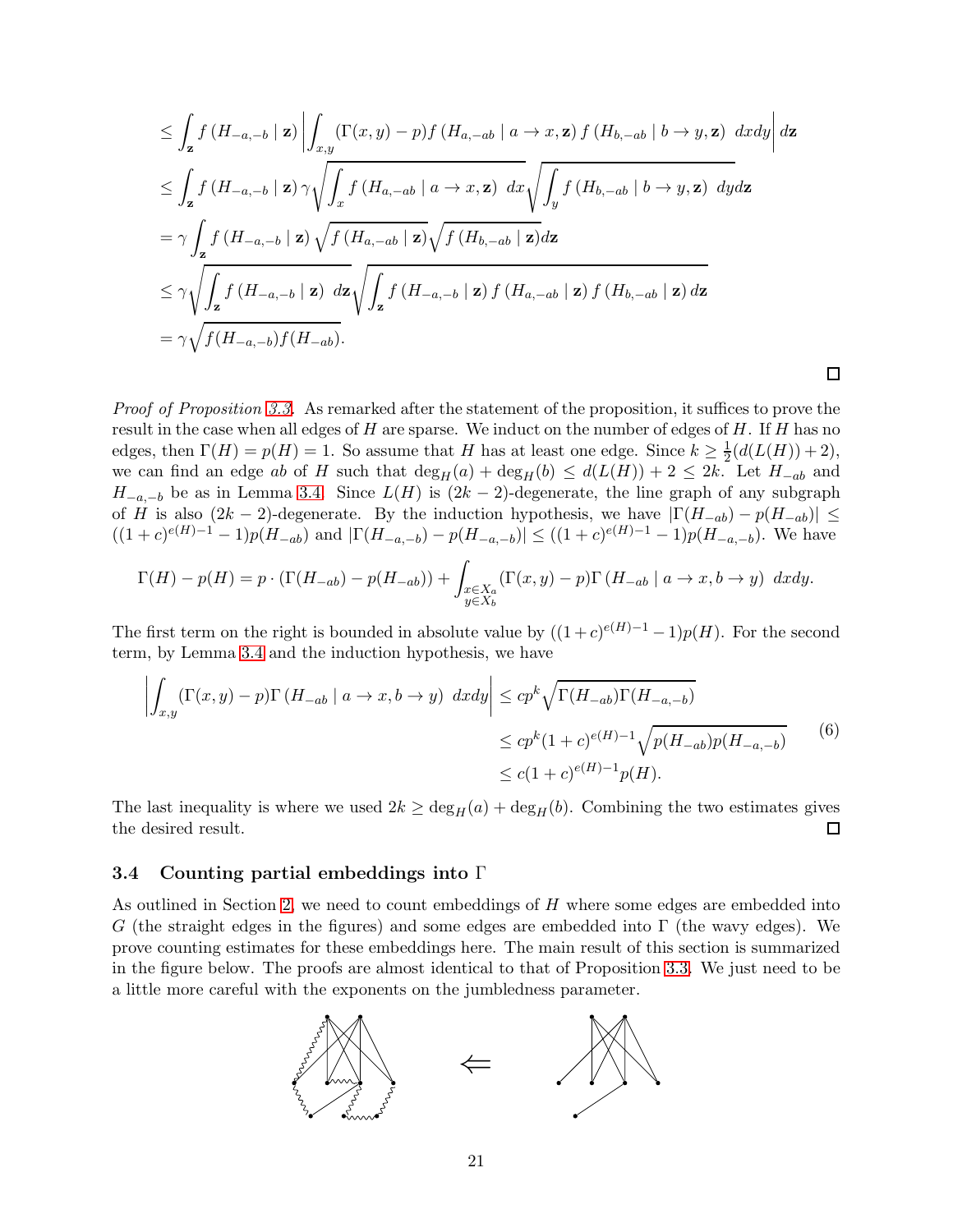$$
\leq \int_{\mathbf{z}} f(H_{-a,-b} | \mathbf{z}) \left| \int_{x,y} (\Gamma(x,y) - p) f(H_{a,-ab} | a \to x, \mathbf{z}) f(H_{b,-ab} | b \to y, \mathbf{z}) dx dy \right| d\mathbf{z}
$$
\n
$$
\leq \int_{\mathbf{z}} f(H_{-a,-b} | \mathbf{z}) \gamma \sqrt{\int_{x} f(H_{a,-ab} | a \to x, \mathbf{z}) dx} \sqrt{\int_{y} f(H_{b,-ab} | b \to y, \mathbf{z}) dy} d\mathbf{z}
$$
\n
$$
= \gamma \int_{\mathbf{z}} f(H_{-a,-b} | \mathbf{z}) \sqrt{f(H_{a,-ab} | \mathbf{z})} \sqrt{f(H_{b,-ab} | \mathbf{z})} d\mathbf{z}
$$
\n
$$
\leq \gamma \sqrt{\int_{\mathbf{z}} f(H_{-a,-b} | \mathbf{z}) dx} \sqrt{\int_{\mathbf{z}} f(H_{-a,-b} | \mathbf{z}) f(H_{a,-ab} | \mathbf{z}) f(H_{b,-ab} | \mathbf{z})} d\mathbf{z}
$$
\n
$$
= \gamma \sqrt{f(H_{-a,-b}) f(H_{-ab})}.
$$

Proof of Proposition [3.3.](#page-19-1) As remarked after the statement of the proposition, it suffices to prove the result in the case when all edges of  $H$  are sparse. We induct on the number of edges of  $H$ . If  $H$  has no edges, then  $\Gamma(H) = p(H) = 1$ . So assume that H has at least one edge. Since  $k \geq \frac{1}{2}$  $\frac{1}{2}(d(L(H))+2),$ we can find an edge ab of H such that  $\deg_H(a) + \deg_H(b) \leq d(L(H)) + 2 \leq 2k$ . Let  $H_{-ab}$  and  $H_{-a,-b}$  be as in Lemma [3.4.](#page-19-2) Since  $L(H)$  is  $(2k-2)$ -degenerate, the line graph of any subgraph of H is also  $(2k-2)$ -degenerate. By the induction hypothesis, we have  $|\Gamma(H_{-ab}) - p(H_{-ab})| \le$  $((1+c)^{e(H)-1}-1)p(H_{-ab})$  and  $|\Gamma(H_{-a,-b})-p(H_{-a,-b})| \leq ((1+c)^{e(H)-1}-1)p(H_{-a,-b})$ . We have

 $\Box$ 

$$
\Gamma(H) - p(H) = p \cdot (\Gamma(H_{-ab}) - p(H_{-ab})) + \int_{\substack{x \in X_a \\ y \in X_b}} (\Gamma(x, y) - p) \Gamma(H_{-ab} \mid a \to x, b \to y) dx dy.
$$

The first term on the right is bounded in absolute value by  $((1+c)^{e(H)-1}-1)p(H)$ . For the second term, by Lemma [3.4](#page-19-2) and the induction hypothesis, we have

<span id="page-20-1"></span>
$$
\left| \int_{x,y} (\Gamma(x,y) - p) \Gamma(H_{-ab} \mid a \to x, b \to y) dx dy \right| \leq c p^k \sqrt{\Gamma(H_{-ab}) \Gamma(H_{-a,-b})}
$$
  

$$
\leq c p^k (1+c)^{e(H)-1} \sqrt{p(H_{-ab}) p(H_{-a,-b})}
$$
(6)  

$$
\leq c (1+c)^{e(H)-1} p(H).
$$

The last inequality is where we used  $2k \ge \deg_H(a) + \deg_H(b)$ . Combining the two estimates gives the desired result. the desired result.

## <span id="page-20-0"></span>3.4 Counting partial embeddings into Γ

As outlined in Section [2,](#page-12-0) we need to count embeddings of H where some edges are embedded into G (the straight edges in the figures) and some edges are embedded into  $\Gamma$  (the wavy edges). We prove counting estimates for these embeddings here. The main result of this section is summarized in the figure below. The proofs are almost identical to that of Proposition [3.3.](#page-19-1) We just need to be a little more careful with the exponents on the jumbledness parameter.

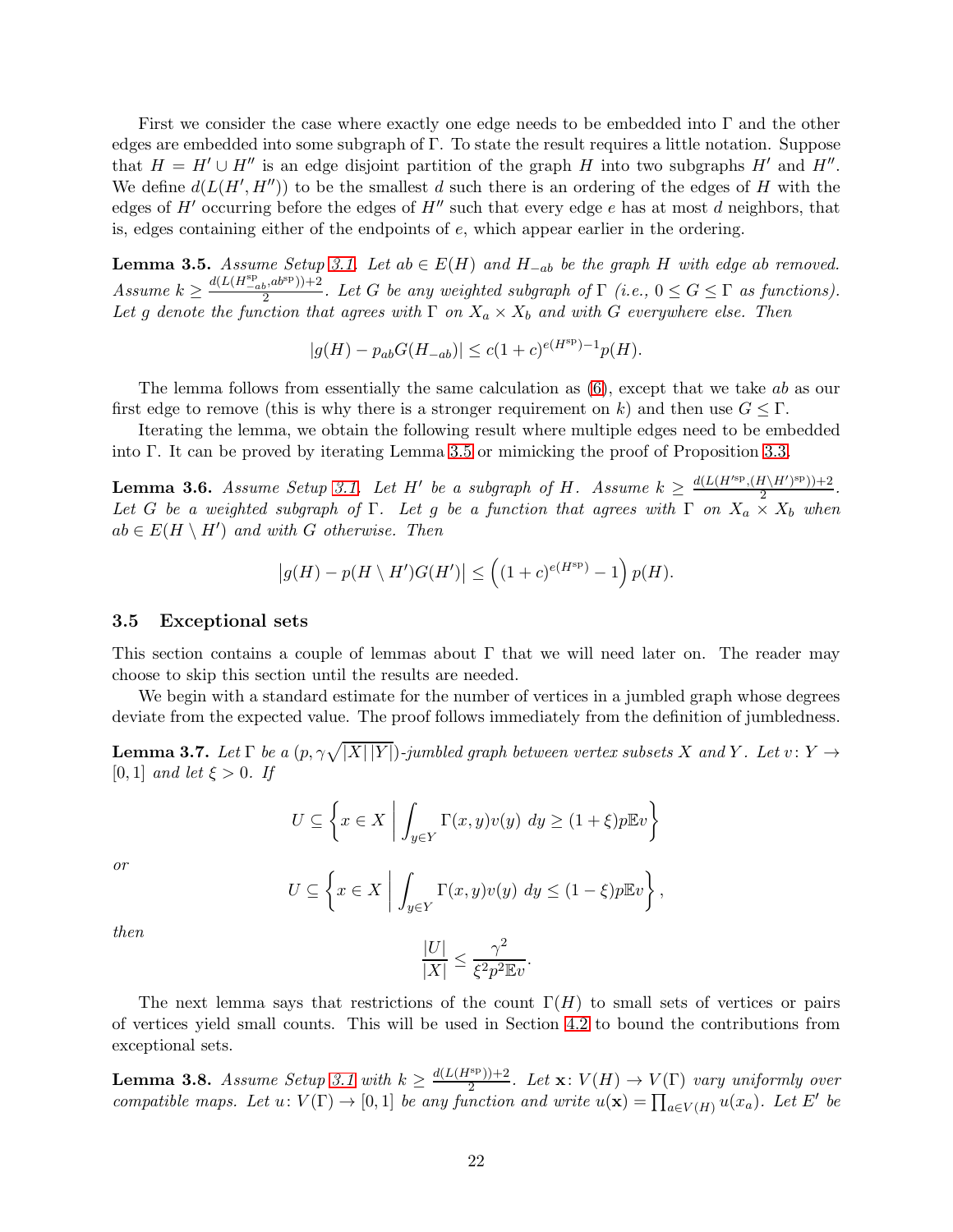First we consider the case where exactly one edge needs to be embedded into Γ and the other edges are embedded into some subgraph of Γ. To state the result requires a little notation. Suppose that  $H = H' \cup H''$  is an edge disjoint partition of the graph H into two subgraphs H' and H''. We define  $d(L(H', H''))$  to be the smallest d such there is an ordering of the edges of H with the edges of  $H'$  occurring before the edges of  $H''$  such that every edge e has at most d neighbors, that is, edges containing either of the endpoints of  $e$ , which appear earlier in the ordering.

<span id="page-21-1"></span>**Lemma 3.5.** Assume Setup [3.1.](#page-17-2) Let  $ab \in E(H)$  and  $H_{-ab}$  be the graph H with edge ab removed. Assume  $k \ge \frac{d(L(H_{-ab}^{\rm sp},ab^{\rm sp})) + 2}{2}$  $\frac{2}{2}$ . Let G be any weighted subgraph of  $\Gamma$  (i.e.,  $0 \leq G \leq \Gamma$  as functions). Let g denote the function that agrees with  $\Gamma$  on  $X_a \times X_b$  and with G everywhere else. Then

$$
|g(H) - p_{ab}G(H_{-ab})| \le c(1+c)^{e(H^{sp})-1}p(H).
$$

The lemma follows from essentially the same calculation as  $(6)$ , except that we take ab as our first edge to remove (this is why there is a stronger requirement on k) and then use  $G \leq \Gamma$ .

Iterating the lemma, we obtain the following result where multiple edges need to be embedded into Γ. It can be proved by iterating Lemma [3.5](#page-21-1) or mimicking the proof of Proposition [3.3.](#page-19-1)

<span id="page-21-3"></span>**Lemma 3.6.** Assume Setup [3.1.](#page-17-2) Let H' be a subgraph of H. Assume  $k \geq \frac{d(L(H^{s_p}, (H \setminus H')^{sp})) + 2}{2}$  $\frac{1}{2}$ . Let G be a weighted subgraph of  $\Gamma$ . Let g be a function that agrees with  $\Gamma$  on  $X_a \times X_b$  when  $ab \in E(H \setminus H')$  and with G otherwise. Then

$$
\left|g(H) - p(H \setminus H')G(H')\right| \le \left((1+c)^{e(H^{\text{sp}})} - 1\right)p(H).
$$

#### <span id="page-21-0"></span>3.5 Exceptional sets

This section contains a couple of lemmas about  $\Gamma$  that we will need later on. The reader may choose to skip this section until the results are needed.

We begin with a standard estimate for the number of vertices in a jumbled graph whose degrees deviate from the expected value. The proof follows immediately from the definition of jumbledness.

<span id="page-21-4"></span>**Lemma 3.7.** Let  $\Gamma$  be a  $(p, \gamma \sqrt{|X| |Y|})$ -jumbled graph between vertex subsets X and Y. Let  $v \colon Y \to Y$ [0, 1] and let  $\xi > 0$ . If

$$
U \subseteq \left\{ x \in X \mid \int_{y \in Y} \Gamma(x, y)v(y) \ dy \ge (1 + \xi)p \mathbb{E}v \right\}
$$

or

$$
U \subseteq \left\{ x \in X \mid \int_{y \in Y} \Gamma(x, y)v(y) \ dy \le (1 - \xi)p \mathbb{E}v \right\},\
$$

then

$$
\frac{|U|}{|X|} \le \frac{\gamma^2}{\xi^2 p^2 \mathbb{E} v}.
$$

The next lemma says that restrictions of the count  $\Gamma(H)$  to small sets of vertices or pairs of vertices yield small counts. This will be used in Section [4.2](#page-24-0) to bound the contributions from exceptional sets.

<span id="page-21-2"></span>**Lemma 3.8.** Assume Setup [3.1](#page-17-2) with  $k \geq \frac{d(L(H^{\text{sp}}))+2}{2}$  $\frac{2^{2p}+1}{2}$ . Let  $\mathbf{x}: V(H) \to V(\Gamma)$  vary uniformly over compatible maps. Let  $u: V(\Gamma) \to [0,1]$  be any function and write  $u(\mathbf{x}) = \prod_{a \in V(H)} u(x_a)$ . Let E' be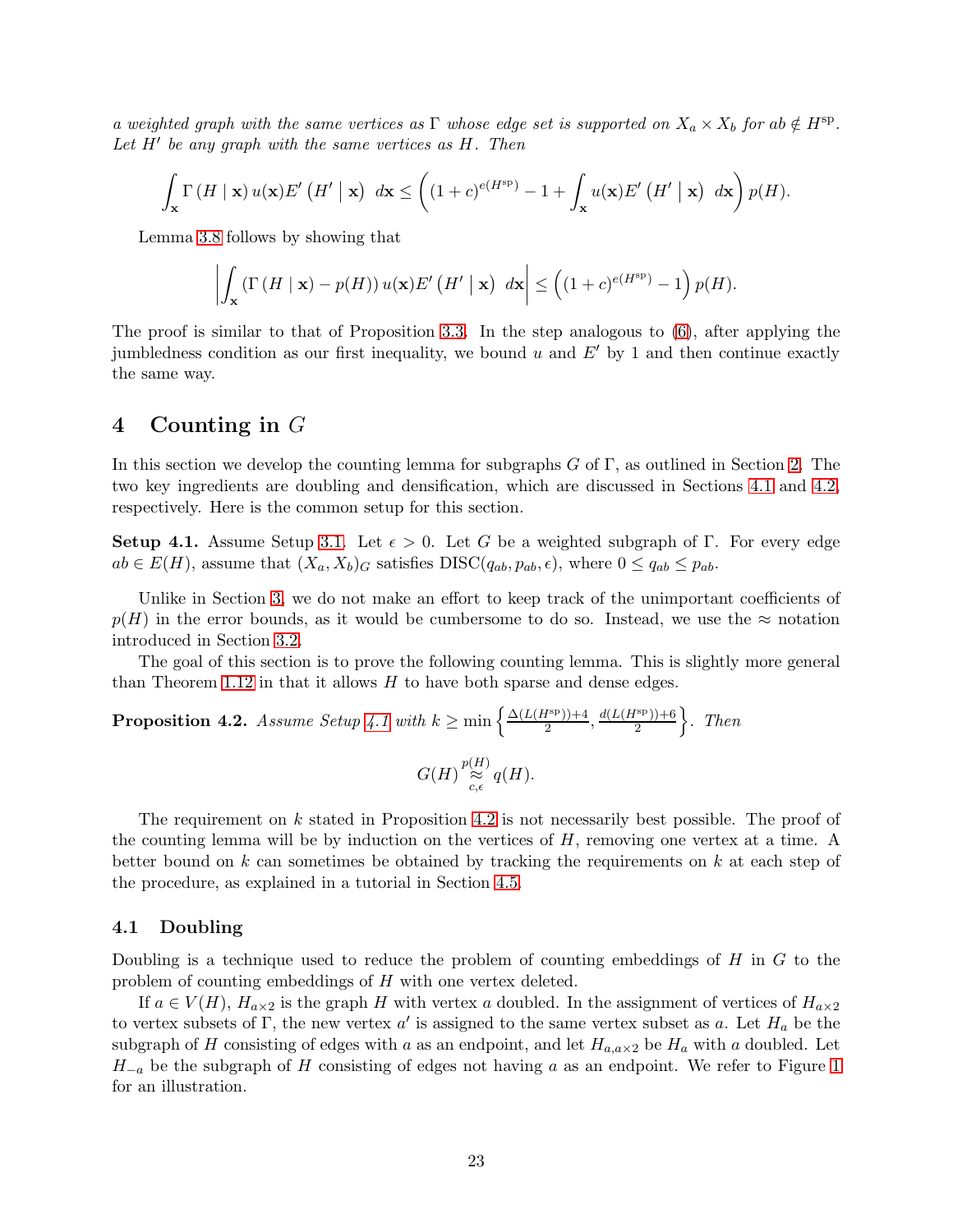a weighted graph with the same vertices as  $\Gamma$  whose edge set is supported on  $X_a \times X_b$  for ab  $\notin H^{\rm sp}$ . Let H' be any graph with the same vertices as H. Then

$$
\int_{\mathbf{x}} \Gamma\left(H \mid \mathbf{x}\right) u(\mathbf{x}) E'\left(H'\mid \mathbf{x}\right) \ d\mathbf{x} \leq \left((1+c)^{e(H^{\rm sp})} - 1 + \int_{\mathbf{x}} u(\mathbf{x}) E'\left(H'\mid \mathbf{x}\right) \ d\mathbf{x}\right) p(H).
$$

Lemma [3.8](#page-21-2) follows by showing that

$$
\left| \int_{\mathbf{x}} \left( \Gamma\left(H \mid \mathbf{x}\right) - p(H) \right) u(\mathbf{x}) E'\left(H' \mid \mathbf{x}\right) \, d\mathbf{x} \right| \le \left( (1+c)^{e(H^{\rm sp})} - 1 \right) p(H).
$$

The proof is similar to that of Proposition [3.3.](#page-19-1) In the step analogous to [\(6\)](#page-20-1), after applying the jumbledness condition as our first inequality, we bound u and  $E'$  by 1 and then continue exactly the same way.

## <span id="page-22-0"></span>4 Counting in G

In this section we develop the counting lemma for subgraphs  $G$  of  $\Gamma$ , as outlined in Section [2.](#page-12-0) The two key ingredients are doubling and densification, which are discussed in Sections [4.1](#page-22-1) and [4.2,](#page-24-0) respectively. Here is the common setup for this section.

<span id="page-22-2"></span>**Setup 4.1.** Assume Setup [3.1.](#page-17-2) Let  $\epsilon > 0$ . Let G be a weighted subgraph of Γ. For every edge  $ab \in E(H)$ , assume that  $(X_a, X_b)_G$  satisfies  $DISC(q_{ab}, p_{ab}, \epsilon)$ , where  $0 \leq q_{ab} \leq p_{ab}$ .

Unlike in Section [3,](#page-17-0) we do not make an effort to keep track of the unimportant coefficients of  $p(H)$  in the error bounds, as it would be cumbersome to do so. Instead, we use the  $\approx$  notation introduced in Section [3.2.](#page-18-0)

The goal of this section is to prove the following counting lemma. This is slightly more general than Theorem [1.12](#page-10-0) in that it allows  $H$  to have both sparse and dense edges.

<span id="page-22-3"></span>**Proposition 4.2.** Assume Setup 4.1 with 
$$
k \ge \min\left\{\frac{\Delta(L(H^{\text{sp}}))+4}{2}, \frac{d(L(H^{\text{sp}}))+6}{2}\right\}
$$
. Then  

$$
G(H) \underset{c, \epsilon}{\approx} q(H).
$$

The requirement on  $k$  stated in Proposition [4.2](#page-22-3) is not necessarily best possible. The proof of the counting lemma will be by induction on the vertices of  $H$ , removing one vertex at a time. A better bound on k can sometimes be obtained by tracking the requirements on  $k$  at each step of the procedure, as explained in a tutorial in Section [4.5.](#page-30-0)

### <span id="page-22-1"></span>4.1 Doubling

Doubling is a technique used to reduce the problem of counting embeddings of  $H$  in  $G$  to the problem of counting embeddings of H with one vertex deleted.

If  $a \in V(H)$ ,  $H_{a \times 2}$  is the graph H with vertex a doubled. In the assignment of vertices of  $H_{a \times 2}$ to vertex subsets of Γ, the new vertex  $a'$  is assigned to the same vertex subset as a. Let  $H_a$  be the subgraph of H consisting of edges with a as an endpoint, and let  $H_{a,a\times 2}$  be  $H_a$  with a doubled. Let  $H_{-a}$  be the subgraph of H consisting of edges not having a as an endpoint. We refer to Figure [1](#page-13-0) for an illustration.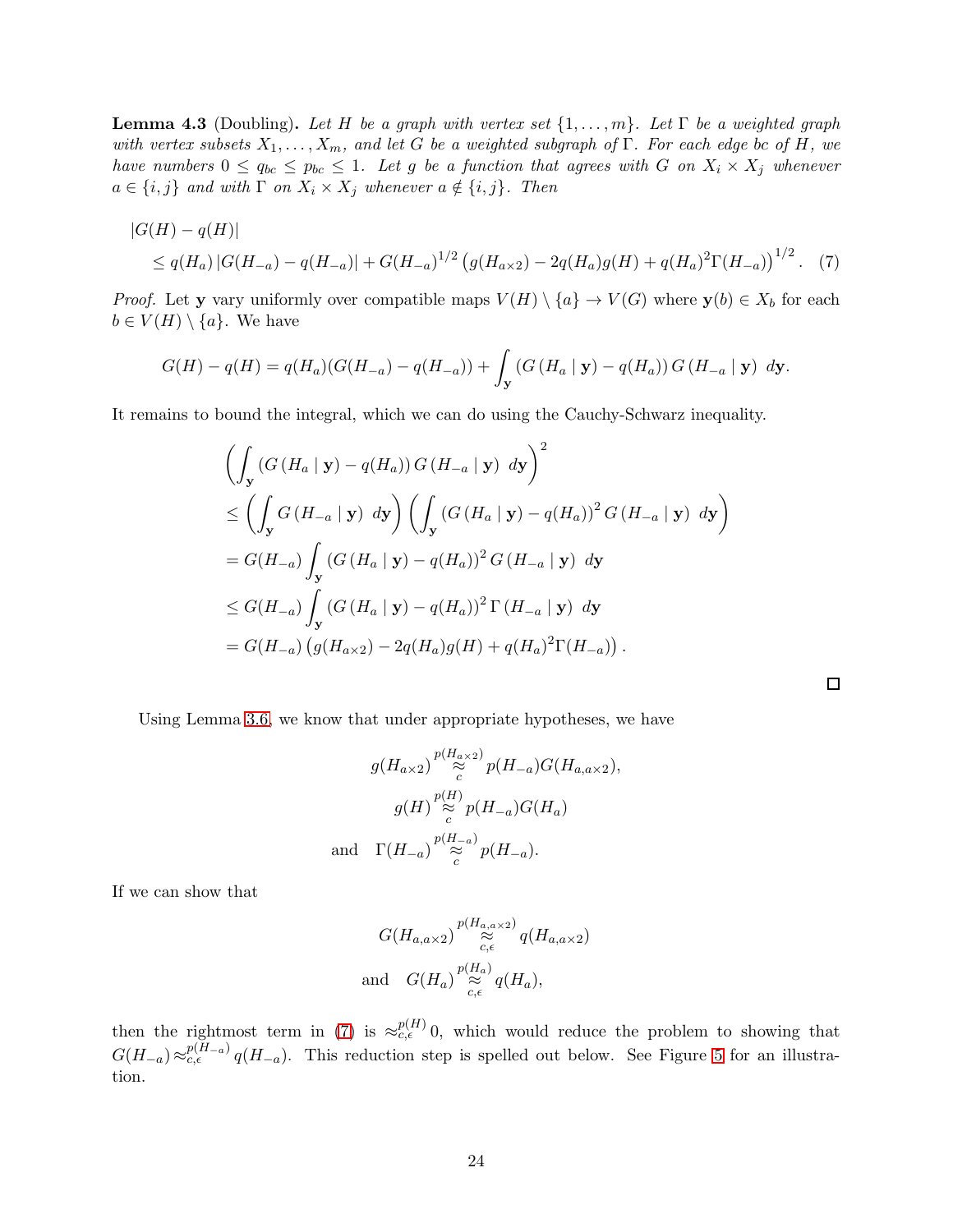**Lemma 4.3** (Doubling). Let H be a graph with vertex set  $\{1, \ldots, m\}$ . Let  $\Gamma$  be a weighted graph with vertex subsets  $X_1, \ldots, X_m$ , and let G be a weighted subgraph of  $\Gamma$ . For each edge bc of H, we have numbers  $0 \le q_{bc} \le p_{bc} \le 1$ . Let g be a function that agrees with G on  $X_i \times X_j$  whenever  $a \in \{i, j\}$  and with  $\Gamma$  on  $X_i \times X_j$  whenever  $a \notin \{i, j\}$ . Then

$$
|G(H) - q(H)|
$$
  
\n
$$
\leq q(H_a) |G(H_{-a}) - q(H_{-a})| + G(H_{-a})^{1/2} (g(H_{a \times 2}) - 2q(H_a)g(H) + q(H_a)^2 \Gamma(H_{-a}))^{1/2}.
$$
 (7)

*Proof.* Let y vary uniformly over compatible maps  $V(H) \setminus \{a\} \to V(G)$  where  $y(b) \in X_b$  for each  $b \in V(H) \setminus \{a\}.$  We have

$$
G(H) - q(H) = q(H_a)(G(H_{-a}) - q(H_{-a})) + \int_{\mathbf{y}} (G(H_a | \mathbf{y}) - q(H_a)) G(H_{-a} | \mathbf{y}) d\mathbf{y}.
$$

It remains to bound the integral, which we can do using the Cauchy-Schwarz inequality.

$$
\left(\int_{\mathbf{y}} \left(G\left(H_{a} \mid \mathbf{y}\right) - q(H_{a})\right) G\left(H_{-a} \mid \mathbf{y}\right) \, d\mathbf{y}\right)^{2}
$$
\n
$$
\leq \left(\int_{\mathbf{y}} G\left(H_{-a} \mid \mathbf{y}\right) \, d\mathbf{y}\right) \left(\int_{\mathbf{y}} \left(G\left(H_{a} \mid \mathbf{y}\right) - q(H_{a})\right)^{2} G\left(H_{-a} \mid \mathbf{y}\right) \, d\mathbf{y}\right)
$$
\n
$$
= G(H_{-a}) \int_{\mathbf{y}} \left(G\left(H_{a} \mid \mathbf{y}\right) - q(H_{a})\right)^{2} G\left(H_{-a} \mid \mathbf{y}\right) \, d\mathbf{y}
$$
\n
$$
\leq G(H_{-a}) \int_{\mathbf{y}} \left(G\left(H_{a} \mid \mathbf{y}\right) - q(H_{a})\right)^{2} \Gamma\left(H_{-a} \mid \mathbf{y}\right) \, d\mathbf{y}
$$
\n
$$
= G(H_{-a}) \left(g(H_{a \times 2}) - 2q(H_{a})g(H) + q(H_{a})^{2} \Gamma(H_{-a})\right).
$$

<span id="page-23-0"></span> $\Box$ 

Using Lemma [3.6,](#page-21-3) we know that under appropriate hypotheses, we have

$$
g(H_{a\times 2}) \overset{p(H_{a\times 2})}{\underset{c}{\approx}} p(H_{-a})G(H_{a,a\times 2}),
$$
  

$$
g(H) \overset{p(H)}{\underset{c}{\approx}} p(H_{-a})G(H_{a})
$$
  
and 
$$
\Gamma(H_{-a}) \overset{p(H_{-a})}{\underset{c}{\approx}} p(H_{-a}).
$$

If we can show that

$$
G(H_{a,a\times 2}) \underset{c,\epsilon}{\overset{p(H_{a,a\times 2})}{\approx}} q(H_{a,a\times 2})
$$
  
and 
$$
G(H_a) \underset{c,\epsilon}{\overset{p(H_a)}{\approx}} q(H_a),
$$

then the rightmost term in [\(7\)](#page-23-0) is  $\approx_{c,\epsilon}^{p(H)}$  0, which would reduce the problem to showing that  $G(H_{-a}) \approx_{c,\epsilon}^{p(H_{-a})} q(H_{-a})$ . This reduction step is spelled out below. See Figure [5](#page-24-1) for an illustration.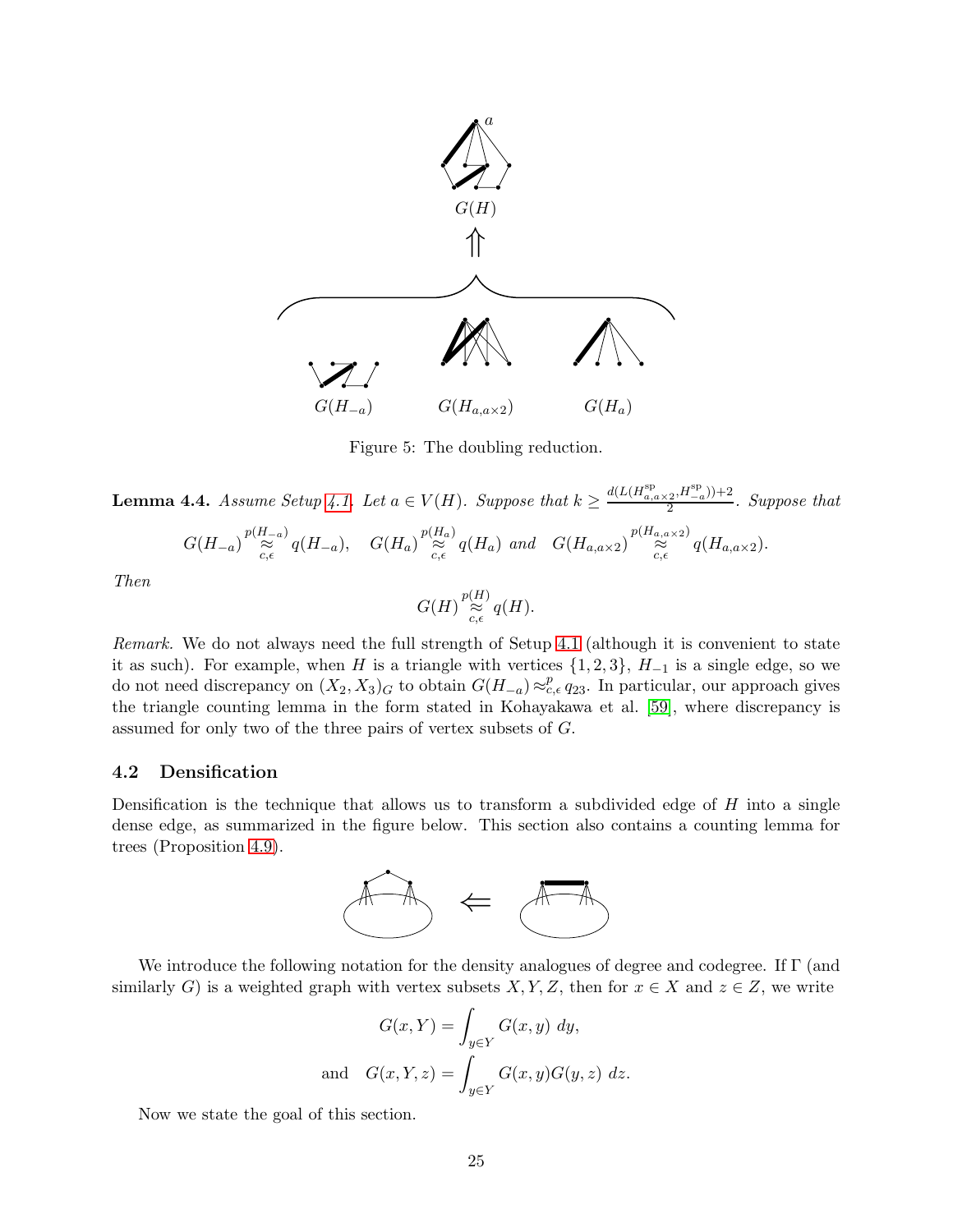<span id="page-24-1"></span>

Figure 5: The doubling reduction.

<span id="page-24-2"></span>**Lemma 4.4.** Assume Setup [4.1.](#page-22-2) Let  $a \in V(H)$ . Suppose that  $k \ge \frac{d(L(H_{a,a \times 2}^{\text{sp}}, H_{-a}^{\text{sp}})) + 2}{2}$  $\frac{(2)^{12}-a}{1}$ . Suppose that

$$
G(H_{-a})\overset{p(H_{-a})}{\approx}q(H_{-a}),\quad G(H_a)\overset{p(H_a)}{\approx}q(H_a)\text{ and }\quad G(H_{a,a\times 2})\overset{p(H_{a,a\times 2})}{\approx}q(H_{a,a\times 2}).
$$

Then

$$
G(H)\mathop{\approx}\limits^{{p(H)}}_{c,\epsilon}q(H).
$$

Remark. We do not always need the full strength of Setup [4.1](#page-22-2) (although it is convenient to state it as such). For example, when H is a triangle with vertices  $\{1, 2, 3\}$ ,  $H_{-1}$  is a single edge, so we do not need discrepancy on  $(X_2, X_3)$ <sub>G</sub> to obtain  $G(H_{-a}) \approx_{c,\epsilon}^p q_{23}$ . In particular, our approach gives the triangle counting lemma in the form stated in Kohayakawa et al. [\[59\]](#page-67-4), where discrepancy is assumed for only two of the three pairs of vertex subsets of G.

## <span id="page-24-0"></span>4.2 Densification

Densification is the technique that allows us to transform a subdivided edge of  $H$  into a single dense edge, as summarized in the figure below. This section also contains a counting lemma for trees (Proposition [4.9\)](#page-27-0).



We introduce the following notation for the density analogues of degree and codegree. If Γ (and similarly G) is a weighted graph with vertex subsets  $X, Y, Z$ , then for  $x \in X$  and  $z \in Z$ , we write

$$
G(x, Y) = \int_{y \in Y} G(x, y) dy,
$$
  
and 
$$
G(x, Y, z) = \int_{y \in Y} G(x, y) G(y, z) dz.
$$

Now we state the goal of this section.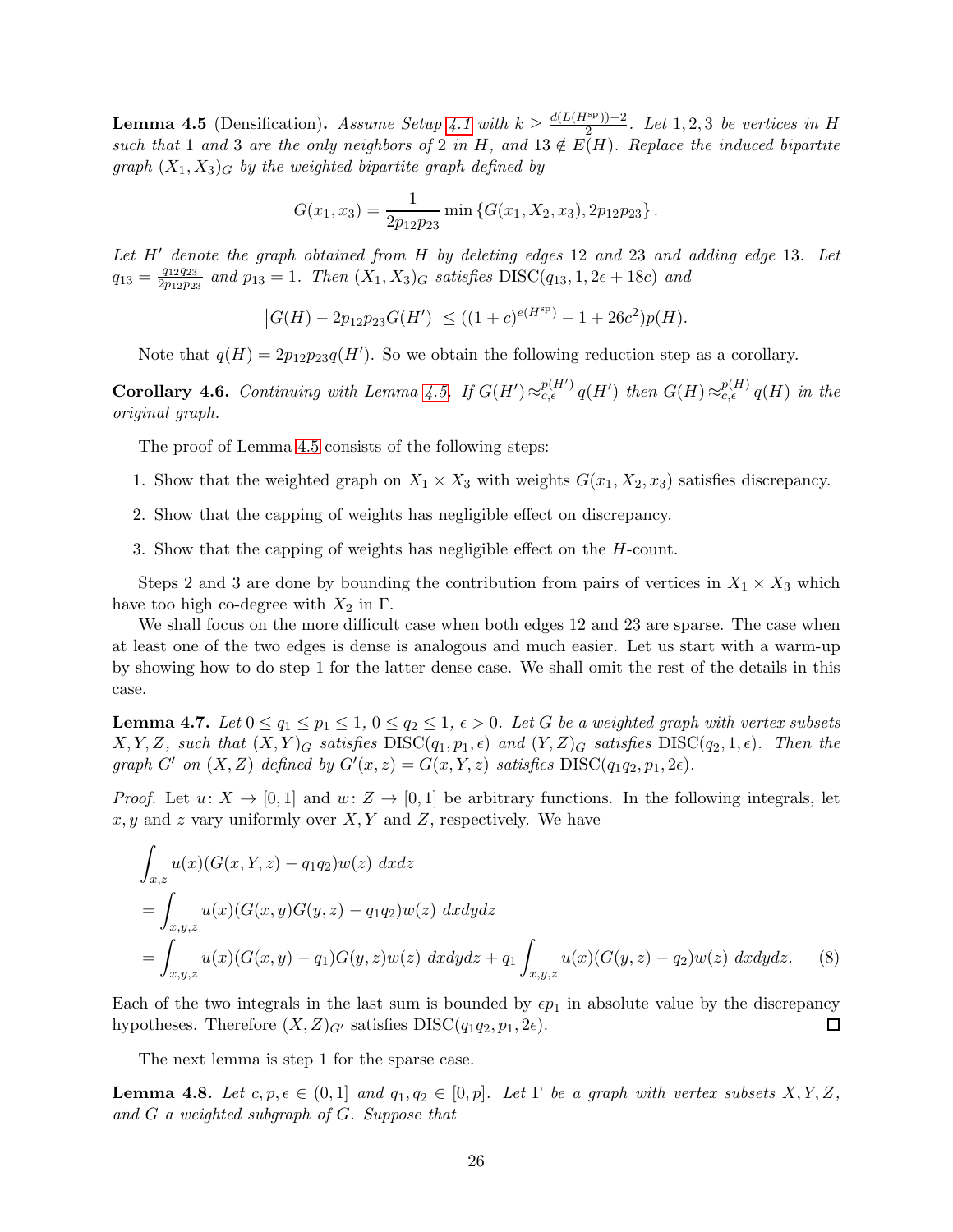<span id="page-25-0"></span>**Lemma 4.5** (Densification). Assume Setup [4.1](#page-22-2) with  $k \geq \frac{d(L(H^{\text{sp}}))+2}{2}$  $\frac{(n+1)+2}{2}$ . Let 1, 2, 3 be vertices in H such that 1 and 3 are the only neighbors of 2 in H, and  $13 \notin E(H)$ . Replace the induced bipartite graph  $(X_1, X_3)$ <sub>G</sub> by the weighted bipartite graph defined by

$$
G(x_1, x_3) = \frac{1}{2p_{12}p_{23}} \min \{G(x_1, X_2, x_3), 2p_{12}p_{23}\}.
$$

Let H' denote the graph obtained from H by deleting edges 12 and 23 and adding edge 13. Let  $q_{13} = \frac{q_{12}q_{23}}{2p_{12}p_{23}}$  $\frac{q_{12}q_{23}}{2p_{12}p_{23}}$  and  $p_{13} = 1$ . Then  $(X_1, X_3)_G$  satisfies  $DISC(q_{13}, 1, 2\epsilon + 18c)$  and

$$
|G(H) - 2p_{12}p_{23}G(H')| \le ((1+c)^{e(H^{sp})} - 1 + 26c^2)p(H).
$$

Note that  $q(H) = 2p_{12}p_{23}q(H')$ . So we obtain the following reduction step as a corollary.

<span id="page-25-4"></span>Corollary 4.6. Continuing with Lemma [4.5.](#page-25-0) If  $G(H') \approx_{c,\epsilon}^{p(H')} q(H')$  then  $G(H) \approx_{c,\epsilon}^{p(H)} q(H)$  in the original graph.

The proof of Lemma [4.5](#page-25-0) consists of the following steps:

- 1. Show that the weighted graph on  $X_1 \times X_3$  with weights  $G(x_1, X_2, x_3)$  satisfies discrepancy.
- 2. Show that the capping of weights has negligible effect on discrepancy.
- 3. Show that the capping of weights has negligible effect on the H-count.

Steps 2 and 3 are done by bounding the contribution from pairs of vertices in  $X_1 \times X_3$  which have too high co-degree with  $X_2$  in  $\Gamma$ .

We shall focus on the more difficult case when both edges 12 and 23 are sparse. The case when at least one of the two edges is dense is analogous and much easier. Let us start with a warm-up by showing how to do step 1 for the latter dense case. We shall omit the rest of the details in this case.

<span id="page-25-1"></span>**Lemma 4.7.** Let  $0 \le q_1 \le q_1 \le 1$ ,  $0 \le q_2 \le 1$ ,  $\epsilon > 0$ . Let G be a weighted graph with vertex subsets  $X, Y, Z$ , such that  $(X, Y)_G$  satisfies  $DISC(q_1, p_1, \epsilon)$  and  $(Y, Z)_G$  satisfies  $DISC(q_2, 1, \epsilon)$ . Then the graph G' on  $(X, Z)$  defined by  $G'(x, z) = G(x, Y, z)$  satisfies  $DISC(q_1q_2, p_1, 2\epsilon)$ .

*Proof.* Let  $u: X \to [0, 1]$  and  $w: Z \to [0, 1]$  be arbitrary functions. In the following integrals, let  $x, y$  and z vary uniformly over  $X, Y$  and  $Z$ , respectively. We have

<span id="page-25-2"></span>
$$
\int_{x,z} u(x)(G(x,Y,z) - q_1 q_2)w(z) \, dxdz
$$
\n
$$
= \int_{x,y,z} u(x)(G(x,y)G(y,z) - q_1 q_2)w(z) \, dxdydz
$$
\n
$$
= \int_{x,y,z} u(x)(G(x,y) - q_1)G(y,z)w(z) \, dxdydz + q_1 \int_{x,y,z} u(x)(G(y,z) - q_2)w(z) \, dxdydz. \tag{8}
$$

Each of the two integrals in the last sum is bounded by  $\epsilon p_1$  in absolute value by the discrepancy hypotheses. Therefore  $(X, Z)_{G'}$  satisfies  $DISC(q_1q_2, p_1, 2\epsilon)$ .  $\Box$ 

The next lemma is step 1 for the sparse case.

<span id="page-25-3"></span>**Lemma 4.8.** Let  $c, p, \epsilon \in (0, 1]$  and  $q_1, q_2 \in [0, p]$ . Let  $\Gamma$  be a graph with vertex subsets  $X, Y, Z$ , and G a weighted subgraph of G. Suppose that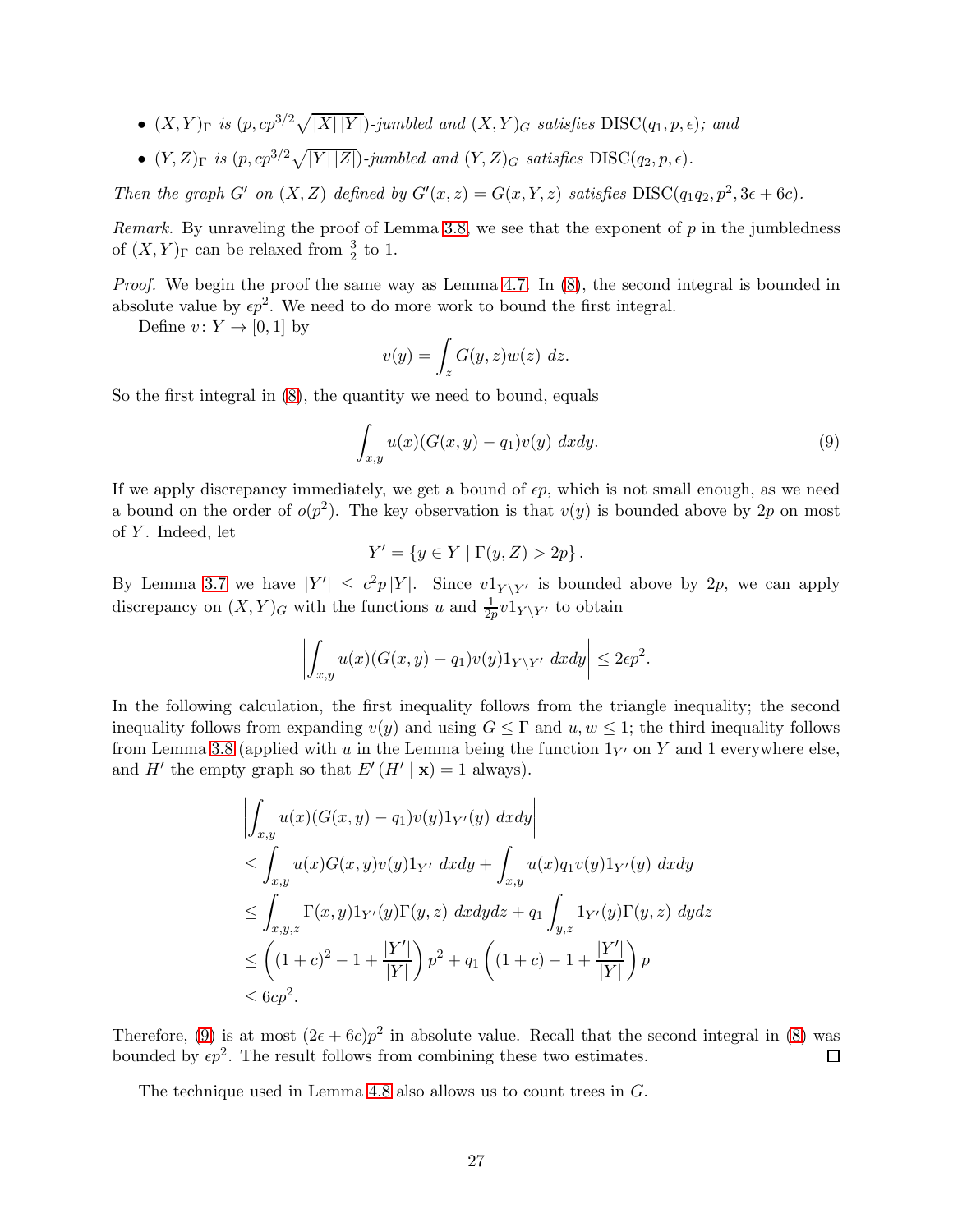- $(X, Y)_{\Gamma}$  is  $(p, cp^{3/2}\sqrt{|X||Y|})$ -jumbled and  $(X, Y)_{G}$  satisfies  $\text{DISC}(q_1, p, \epsilon)$ ; and
- $(Y, Z)_{\Gamma}$  is  $(p, cp^{3/2}\sqrt{|Y||Z|})$ -jumbled and  $(Y, Z)_{G}$  satisfies  $\text{DISC}(q_2, p, \epsilon)$ .

Then the graph G' on  $(X, Z)$  defined by  $G'(x, z) = G(x, Y, z)$  satisfies  $DISC(q_1q_2, p^2, 3\epsilon + 6c)$ .

Remark. By unraveling the proof of Lemma [3.8,](#page-21-2) we see that the exponent of  $p$  in the jumbledness of  $(X, Y)_{\Gamma}$  can be relaxed from  $\frac{3}{2}$  to 1.

Proof. We begin the proof the same way as Lemma [4.7.](#page-25-1) In  $(8)$ , the second integral is bounded in absolute value by  $\epsilon p^2$ . We need to do more work to bound the first integral.

Define  $v: Y \to [0,1]$  by

$$
v(y) = \int_z G(y, z)w(z) \ dz.
$$

So the first integral in [\(8\)](#page-25-2), the quantity we need to bound, equals

<span id="page-26-0"></span>
$$
\int_{x,y} u(x)(G(x,y) - q_1)v(y) \ dx dy.
$$
\n(9)

If we apply discrepancy immediately, we get a bound of  $\epsilon p$ , which is not small enough, as we need a bound on the order of  $o(p^2)$ . The key observation is that  $v(y)$  is bounded above by 2p on most of  $Y$ . Indeed, let

$$
Y' = \{ y \in Y \mid \Gamma(y, Z) > 2p \}.
$$

By Lemma [3.7](#page-21-4) we have  $|Y'| \leq c^2 p |Y|$ . Since  $v1_{Y \setminus Y'}$  is bounded above by 2p, we can apply discrepancy on  $(X, Y)_G$  with the functions u and  $\frac{1}{2p}v1_{Y \setminus Y'}$  to obtain

$$
\left| \int_{x,y} u(x) (G(x,y) - q_1) v(y) 1_{Y \setminus Y'} dx dy \right| \leq 2\epsilon p^2.
$$

In the following calculation, the first inequality follows from the triangle inequality; the second inequality follows from expanding  $v(y)$  and using  $G \leq \Gamma$  and  $u, w \leq 1$ ; the third inequality follows from Lemma [3.8](#page-21-2) (applied with u in the Lemma being the function  $1_{Y'}$  on Y and 1 everywhere else. and  $H'$  the empty graph so that  $E'(H' | \mathbf{x}) = 1$  always).

$$
\left| \int_{x,y} u(x) (G(x,y) - q_1) v(y) 1_{Y'}(y) dx dy \right|
$$
  
\n
$$
\leq \int_{x,y} u(x) G(x,y) v(y) 1_{Y'} dx dy + \int_{x,y} u(x) q_1 v(y) 1_{Y'}(y) dx dy
$$
  
\n
$$
\leq \int_{x,y,z} \Gamma(x,y) 1_{Y'}(y) \Gamma(y,z) dx dy dz + q_1 \int_{y,z} 1_{Y'}(y) \Gamma(y,z) dy dz
$$
  
\n
$$
\leq \left( (1+c)^2 - 1 + \frac{|Y'|}{|Y|} \right) p^2 + q_1 \left( (1+c) - 1 + \frac{|Y'|}{|Y|} \right) p
$$
  
\n
$$
\leq 6cp^2.
$$

Therefore, [\(9\)](#page-26-0) is at most  $(2\epsilon + 6c)p^2$  in absolute value. Recall that the second integral in [\(8\)](#page-25-2) was bounded by  $\epsilon p^2$ . The result follows from combining these two estimates.  $\Box$ 

The technique used in Lemma [4.8](#page-25-3) also allows us to count trees in  $G$ .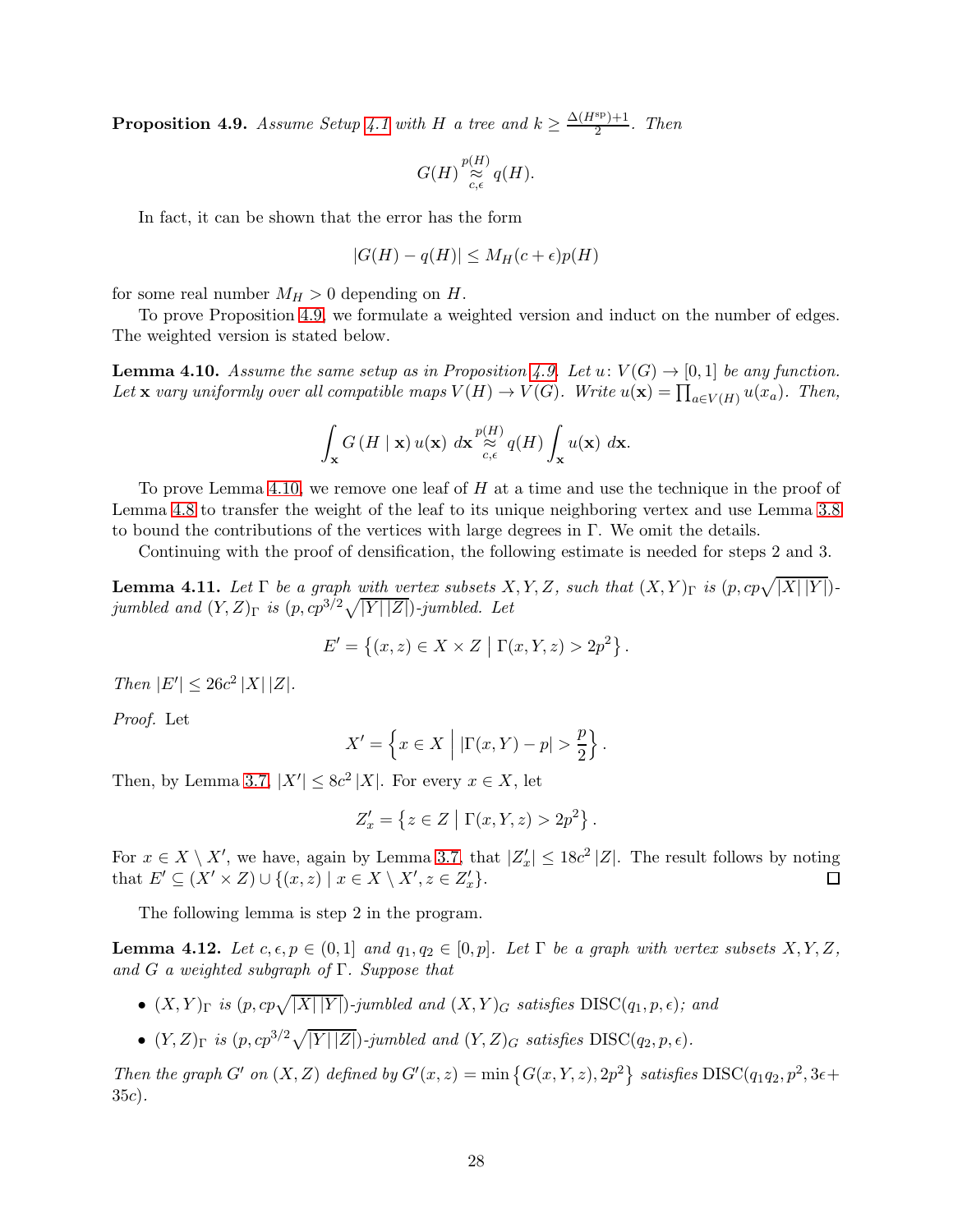<span id="page-27-0"></span>**Proposition 4.9.** Assume Setup [4.1](#page-22-2) with H a tree and  $k \geq \frac{\Delta(H^{\rm sp})+1}{2}$  $\frac{T}{2}$ . Then

$$
G(H)\mathop{\approx}\limits^{{p(H)}}_{{c,\epsilon}}q(H).
$$

In fact, it can be shown that the error has the form

$$
|G(H) - q(H)| \le M_H(c + \epsilon)p(H)
$$

for some real number  $M_H > 0$  depending on H.

To prove Proposition [4.9,](#page-27-0) we formulate a weighted version and induct on the number of edges. The weighted version is stated below.

<span id="page-27-1"></span>**Lemma 4.10.** Assume the same setup as in Proposition [4.9.](#page-27-0) Let  $u: V(G) \to [0, 1]$  be any function. Let **x** vary uniformly over all compatible maps  $V(H) \to V(G)$ . Write  $u(\mathbf{x}) = \prod_{a \in V(H)} u(x_a)$ . Then,

$$
\int_{\mathbf{x}} G\left(H \mid \mathbf{x}\right) u(\mathbf{x}) \; d\mathbf{x} \overset{p(H)}{\underset{c,\epsilon}{\approx}} q(H) \int_{\mathbf{x}} u(\mathbf{x}) \; d\mathbf{x}.
$$

To prove Lemma [4.10,](#page-27-1) we remove one leaf of  $H$  at a time and use the technique in the proof of Lemma [4.8](#page-25-3) to transfer the weight of the leaf to its unique neighboring vertex and use Lemma [3.8](#page-21-2) to bound the contributions of the vertices with large degrees in  $\Gamma$ . We omit the details.

Continuing with the proof of densification, the following estimate is needed for steps 2 and 3.

<span id="page-27-2"></span>**Lemma 4.11.** Let  $\Gamma$  be a graph with vertex subsets  $X, Y, Z$ , such that  $(X, Y)_{\Gamma}$  is  $(p, cp\sqrt{|X||Y|})$ jumbled and  $(Y, Z)_{\Gamma}$  is  $(p, cp^{3/2}\sqrt{|Y| |Z|})$ -jumbled. Let

$$
E' = \{(x, z) \in X \times Z \mid \Gamma(x, Y, z) > 2p^2\}.
$$

Then  $|E'| \le 26c^2 |X| |Z|$ .

Proof. Let

$$
X' = \left\{ x \in X \mid |\Gamma(x, Y) - p| > \frac{p}{2} \right\}.
$$

Then, by Lemma [3.7,](#page-21-4)  $|X'| \leq 8c^2 |X|$ . For every  $x \in X$ , let

$$
Z'_x = \left\{ z \in Z \mid \Gamma(x, Y, z) > 2p^2 \right\}.
$$

For  $x \in X \setminus X'$ , we have, again by Lemma [3.7,](#page-21-4) that  $|Z'_x| \leq 18c^2 |Z|$ . The result follows by noting that  $E' \subseteq (X' \times Z) \cup \{(x, z) \mid x \in X \setminus X', z \in Z'_x\}.$ 

The following lemma is step 2 in the program.

<span id="page-27-3"></span>**Lemma 4.12.** Let  $c, \epsilon, p \in (0,1]$  and  $q_1, q_2 \in [0,p]$ . Let  $\Gamma$  be a graph with vertex subsets  $X, Y, Z$ , and G a weighted subgraph of  $\Gamma$ . Suppose that

- $(X,Y)_{\Gamma}$  is  $(p, cp\sqrt{|X||Y|})$ -jumbled and  $(X,Y)_{G}$  satisfies  $\text{DISC}(q_1, p, \epsilon)$ ; and
- $(Y, Z)_{\Gamma}$  is  $(p, cp^{3/2}\sqrt{|Y||Z|})$ -jumbled and  $(Y, Z)_{G}$  satisfies  $\text{DISC}(q_2, p, \epsilon)$ .

Then the graph G' on  $(X, Z)$  defined by  $G'(x, z) = \min \{G(x, Y, z), 2p^2\}$  satisfies  $DISC(q_1q_2, p^2, 3\epsilon +$ 35c).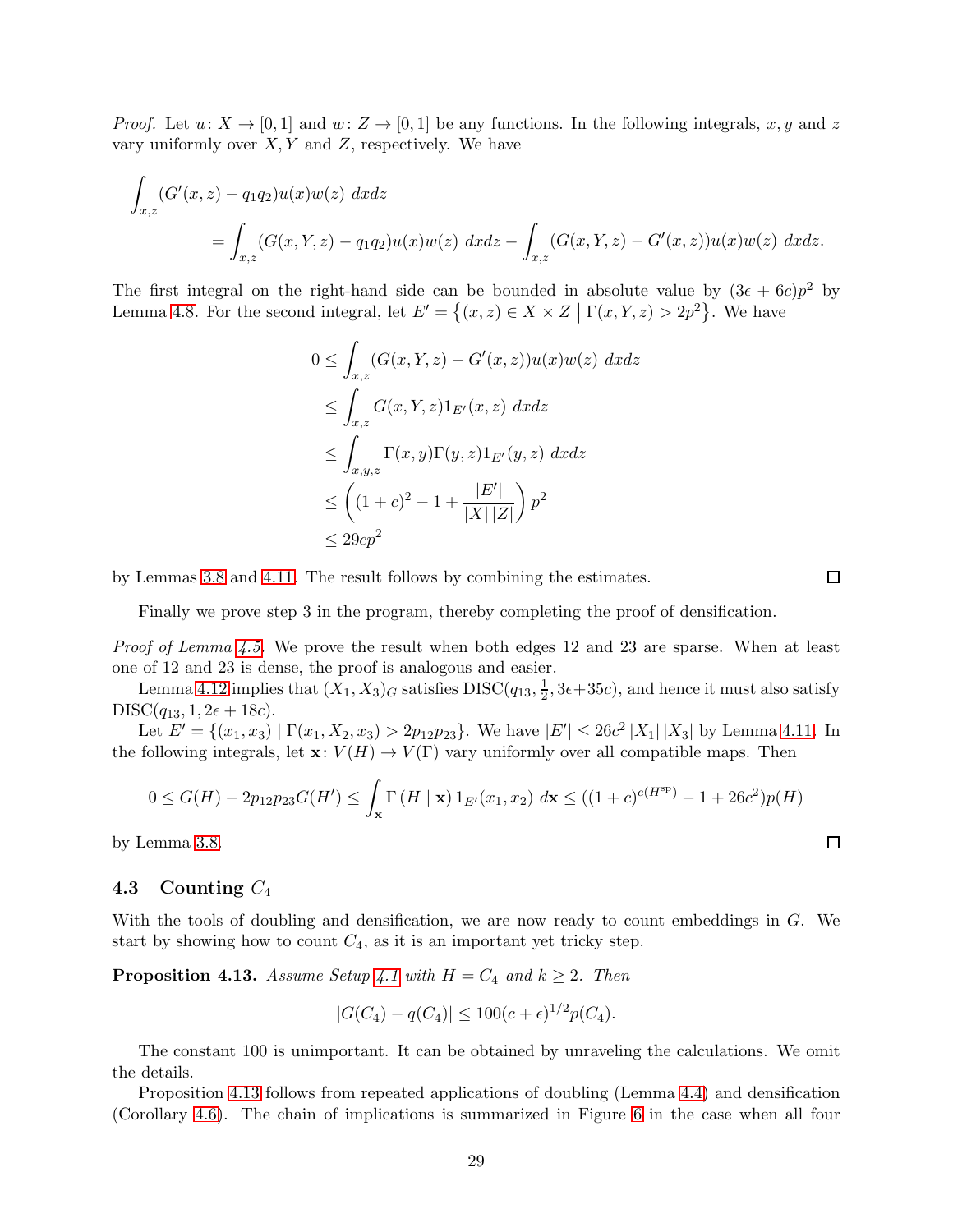*Proof.* Let  $u: X \to [0, 1]$  and  $w: Z \to [0, 1]$  be any functions. In the following integrals, x, y and z vary uniformly over  $X, Y$  and  $Z$ , respectively. We have

$$
\int_{x,z} (G'(x,z) - q_1 q_2) u(x) w(z) \, dx dz
$$
\n
$$
= \int_{x,z} (G(x,Y,z) - q_1 q_2) u(x) w(z) \, dx dz - \int_{x,z} (G(x,Y,z) - G'(x,z)) u(x) w(z) \, dx dz.
$$

The first integral on the right-hand side can be bounded in absolute value by  $(3\epsilon + 6c)p^2$  by Lemma [4.8.](#page-25-3) For the second integral, let  $E' = \{(x, z) \in X \times Z \mid \Gamma(x, Y, z) > 2p^2\}$ . We have

$$
0 \leq \int_{x,z} (G(x,Y,z) - G'(x,z))u(x)w(z) dx dz
$$
  
\n
$$
\leq \int_{x,z} G(x,Y,z)1_{E'}(x,z) dx dz
$$
  
\n
$$
\leq \int_{x,y,z} \Gamma(x,y)\Gamma(y,z)1_{E'}(y,z) dx dz
$$
  
\n
$$
\leq \left( (1+c)^2 - 1 + \frac{|E'|}{|X||Z|} \right) p^2
$$
  
\n
$$
\leq 29cp^2
$$

by Lemmas [3.8](#page-21-2) and [4.11.](#page-27-2) The result follows by combining the estimates.

Finally we prove step 3 in the program, thereby completing the proof of densification.

Proof of Lemma [4.5.](#page-25-0) We prove the result when both edges 12 and 23 are sparse. When at least one of 12 and 23 is dense, the proof is analogous and easier.

Lemma [4.12](#page-27-3) implies that  $(X_1, X_3)_G$  satisfies  $DISC(q_{13}, \frac{1}{2})$  $\frac{1}{2}$ , 3 $\epsilon$  + 35 $c$ ), and hence it must also satisfy  $DISC(q_{13}, 1, 2\epsilon + 18c).$ 

Let  $E' = \{(x_1, x_3) | \Gamma(x_1, X_2, x_3) > 2p_{12}p_{23}\}.$  We have  $|E'| \le 26c^2 |X_1||X_3|$  by Lemma [4.11.](#page-27-2) In the following integrals, let  $\mathbf{x}: V(H) \to V(\Gamma)$  vary uniformly over all compatible maps. Then

$$
0 \le G(H) - 2p_{12}p_{23}G(H') \le \int_{\mathbf{x}} \Gamma(H \mid \mathbf{x}) 1_{E'}(x_1, x_2) \, d\mathbf{x} \le ((1+c)^{e(H^{\rm sp})} - 1 + 26c^2)p(H)
$$

by Lemma [3.8.](#page-21-2)

### <span id="page-28-0"></span>4.3 Counting  $C_4$

With the tools of doubling and densification, we are now ready to count embeddings in G. We start by showing how to count  $C_4$ , as it is an important yet tricky step.

<span id="page-28-1"></span>**Proposition [4.1](#page-22-2)3.** Assume Setup 4.1 with  $H = C_4$  and  $k \geq 2$ . Then

$$
|G(C_4) - q(C_4)| \le 100(c + \epsilon)^{1/2} p(C_4).
$$

The constant 100 is unimportant. It can be obtained by unraveling the calculations. We omit the details.

Proposition [4.13](#page-28-1) follows from repeated applications of doubling (Lemma [4.4\)](#page-24-2) and densification (Corollary [4.6\)](#page-25-4). The chain of implications is summarized in Figure [6](#page-29-1) in the case when all four

 $\Box$ 

 $\Box$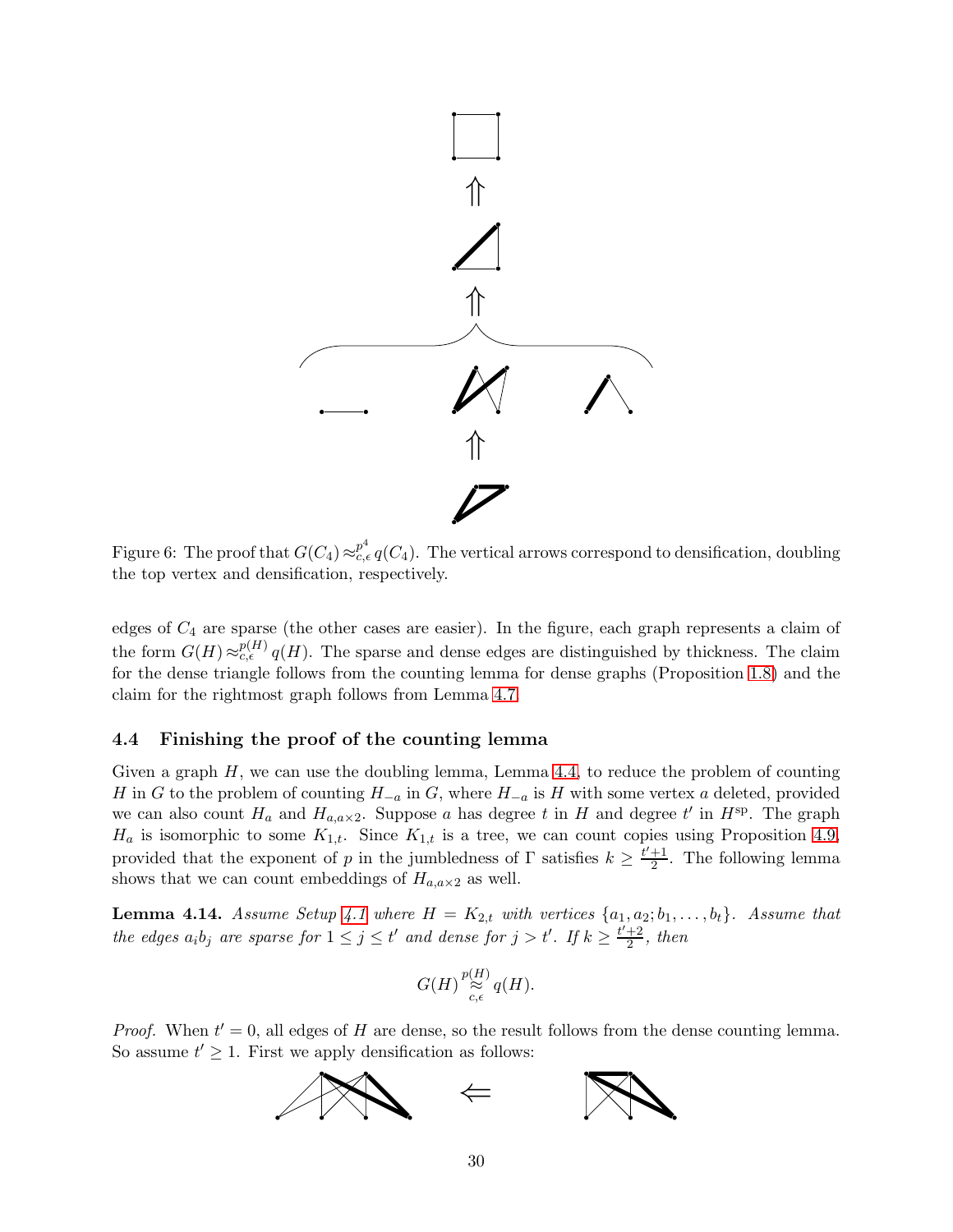<span id="page-29-1"></span>

Figure 6: The proof that  $G(C_4) \approx_{c,\epsilon}^{p^4} q(C_4)$ . The vertical arrows correspond to densification, doubling the top vertex and densification, respectively.

edges of  $C_4$  are sparse (the other cases are easier). In the figure, each graph represents a claim of the form  $G(H) \approx_{c,\epsilon}^{p(H)} q(H)$ . The sparse and dense edges are distinguished by thickness. The claim for the dense triangle follows from the counting lemma for dense graphs (Proposition [1.8\)](#page-8-0) and the claim for the rightmost graph follows from Lemma [4.7.](#page-25-1)

## <span id="page-29-0"></span>4.4 Finishing the proof of the counting lemma

Given a graph  $H$ , we can use the doubling lemma, Lemma [4.4,](#page-24-2) to reduce the problem of counting H in G to the problem of counting  $H_{-a}$  in G, where  $H_{-a}$  is H with some vertex a deleted, provided we can also count  $H_a$  and  $H_{a,a\times 2}$ . Suppose a has degree t in H and degree t' in  $H^{sp}$ . The graph  $H_a$  is isomorphic to some  $K_{1,t}$ . Since  $K_{1,t}$  is a tree, we can count copies using Proposition [4.9,](#page-27-0) provided that the exponent of p in the jumbledness of  $\Gamma$  satisfies  $k \geq \frac{t'+1}{2}$  $\frac{+1}{2}$ . The following lemma shows that we can count embeddings of  $H_{a,a\times 2}$  as well.

<span id="page-29-2"></span>**Lemma [4.1](#page-22-2)4.** Assume Setup 4.1 where  $H = K_{2,t}$  with vertices  $\{a_1, a_2; b_1, \ldots, b_t\}$ . Assume that the edges  $a_i b_j$  are sparse for  $1 \leq j \leq t'$  and dense for  $j > t'$ . If  $k \geq \frac{t'+2}{2}$  $\frac{+2}{2}$ , then

$$
G(H)\mathop{\approx}\limits^{{p(H)}}_{c,\epsilon}q(H).
$$

*Proof.* When  $t' = 0$ , all edges of H are dense, so the result follows from the dense counting lemma. So assume  $t' \geq 1$ . First we apply densification as follows:

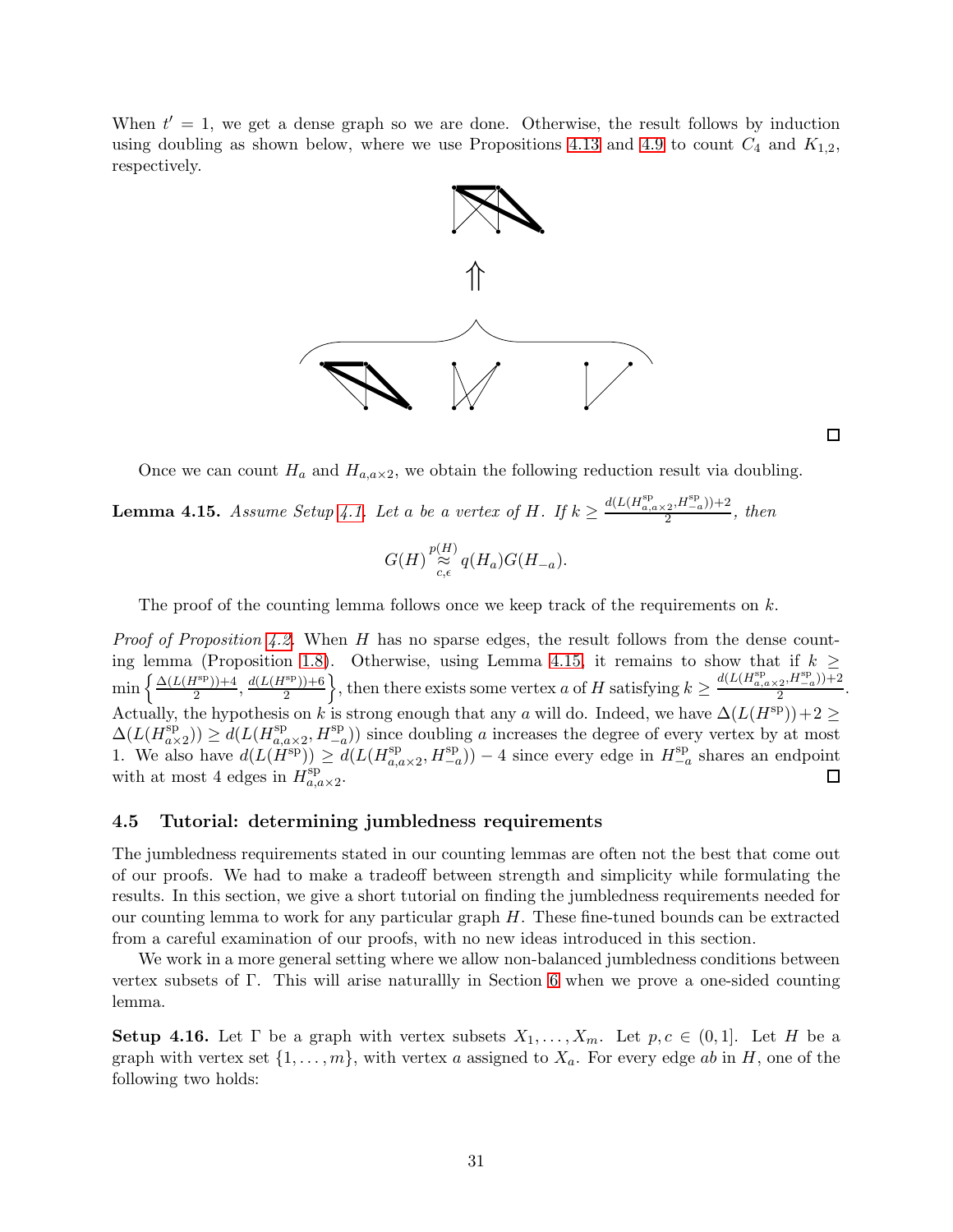When  $t' = 1$ , we get a dense graph so we are done. Otherwise, the result follows by induction using doubling as shown below, where we use Propositions [4.13](#page-28-1) and [4.9](#page-27-0) to count  $C_4$  and  $K_{1,2}$ , respectively.



 $\Box$ 

.

Once we can count  $H_a$  and  $H_{a,a\times 2}$ , we obtain the following reduction result via doubling.

<span id="page-30-1"></span>**Lemma 4.15.** Assume Setup [4.1.](#page-22-2) Let a be a vertex of H. If  $k \ge \frac{d(L(H_{a,a \times 2}^{\rm sp}, H_{-a}^{\rm sp})) + 2}{2}$  $\frac{2^{n^2-a}}{2}$ , then

$$
G(H) \mathop{\approx}\limits^{{p(H)}}_{c,\epsilon} q(H_a)G(H_{-a}).
$$

The proof of the counting lemma follows once we keep track of the requirements on  $k$ .

*Proof of Proposition [4.2.](#page-22-3)* When H has no sparse edges, the result follows from the dense count-ing lemma (Proposition [1.8\)](#page-8-0). Otherwise, using Lemma [4.15,](#page-30-1) it remains to show that if  $k >$ , then there exists some vertex a of H satisfying  $k \geq \frac{d(L(H^{\text{sp}}_{a,a \times 2}, H^{\text{sp}}_{-a})) + 2}{2}$  $\min\left\{\frac{\Delta(L(H^{\rm sp}))+4}{2}\right\}$  $\frac{d(L(H^{\rm sp})) + 4}{2}, \frac{d(L(H^{\rm sp})) + 6}{2}$ 2 2 Actually, the hypothesis on k is strong enough that any a will do. Indeed, we have  $\Delta(L(H^{\text{sp}}))+2 \geq$  $\Delta(L(H_{a}^{\rm sp})$  $\binom{\text{sp}}{a \times 2}$ )  $\geq d(L(H_{a, c}^{\text{sp}}))$  $\sum_{a,a\times 2}^{\text{sp}}$ ,  $H_{-a}^{\text{sp}}$ )) since doubling a increases the degree of every vertex by at most 1. We also have  $d(L(H^{\rm sp})) \geq d(L(H^{\rm sp}_{a,\alpha}))$  $\lim_{a,a\times 2}$ ,  $H_{-a}^{\text{sp}}$ )) – 4 since every edge in  $H_{-a}^{\text{sp}}$  $\frac{p}{-a}$  shares an endpoint with at most 4 edges in  $H_{a,d}^{\text{sp}}$  $\Box$  $_{a,a\times 2}^{\mathrm{sp}}$ .

## <span id="page-30-0"></span>4.5 Tutorial: determining jumbledness requirements

The jumbledness requirements stated in our counting lemmas are often not the best that come out of our proofs. We had to make a tradeoff between strength and simplicity while formulating the results. In this section, we give a short tutorial on finding the jumbledness requirements needed for our counting lemma to work for any particular graph H. These fine-tuned bounds can be extracted from a careful examination of our proofs, with no new ideas introduced in this section.

We work in a more general setting where we allow non-balanced jumbledness conditions between vertex subsets of Γ. This will arise naturallly in Section [6](#page-39-0) when we prove a one-sided counting lemma.

**Setup 4.16.** Let  $\Gamma$  be a graph with vertex subsets  $X_1, \ldots, X_m$ . Let  $p, c \in (0,1]$ . Let H be a graph with vertex set  $\{1, \ldots, m\}$ , with vertex a assigned to  $X_a$ . For every edge ab in H, one of the following two holds: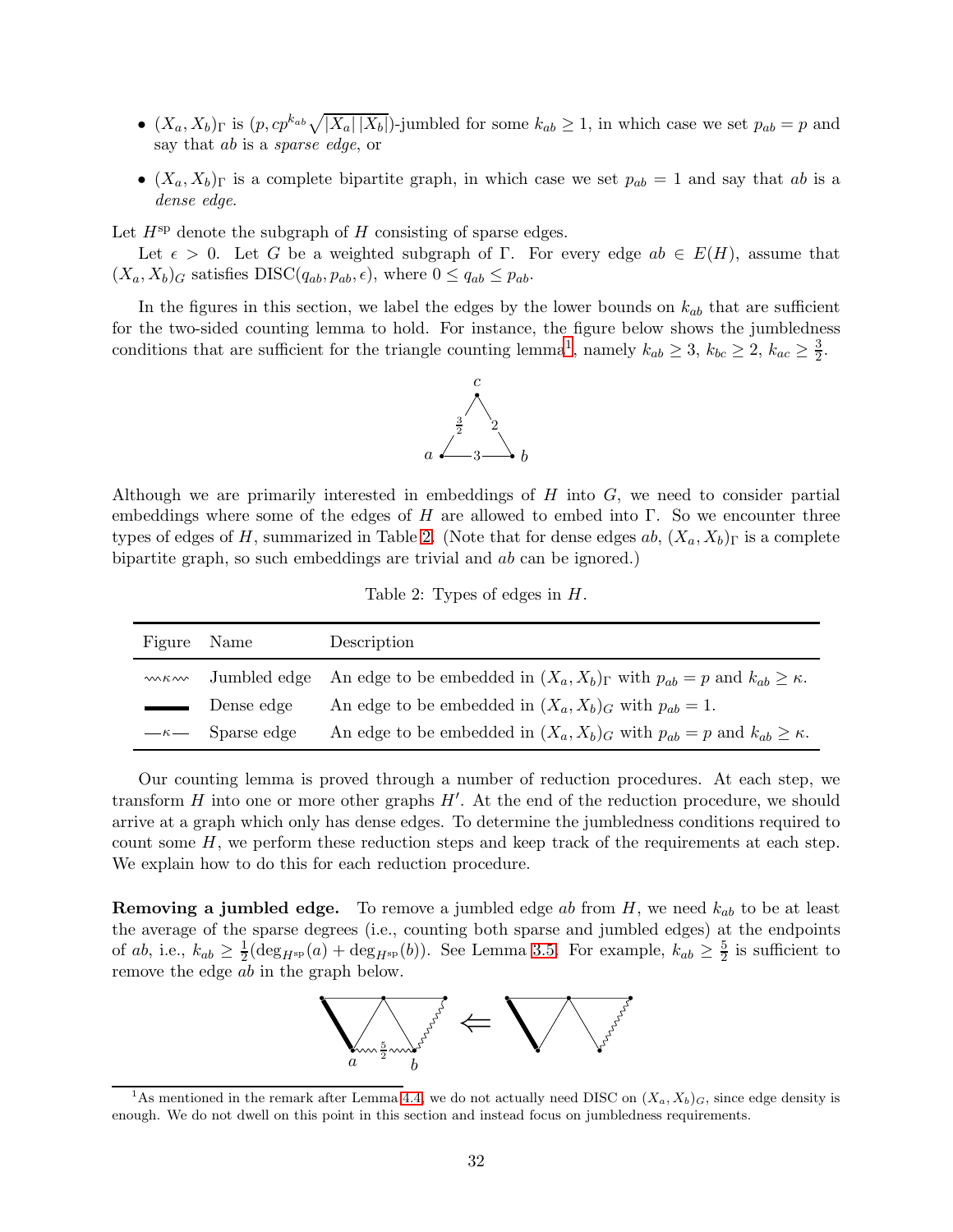- $(X_a, X_b)$ <sub>Γ</sub> is  $(p, cp^{k_{ab}}\sqrt{|X_a||X_b|})$ -jumbled for some  $k_{ab} \ge 1$ , in which case we set  $p_{ab} = p$  and say that ab is a sparse edge, or
- $(X_a, X_b)$ <sub>Γ</sub> is a complete bipartite graph, in which case we set  $p_{ab} = 1$  and say that ab is a dense edge.

Let  $H^{\rm sp}$  denote the subgraph of H consisting of sparse edges.

Let  $\epsilon > 0$ . Let G be a weighted subgraph of Γ. For every edge  $ab \in E(H)$ , assume that  $(X_a, X_b)_G$  satisfies DISC( $(q_{ab}, p_{ab}, \epsilon)$ , where  $0 \leq q_{ab} \leq p_{ab}$ .

In the figures in this section, we label the edges by the lower bounds on  $k_{ab}$  that are sufficient for the two-sided counting lemma to hold. For instance, the figure below shows the jumbledness conditions that are sufficient for the triangle counting lemma<sup>[1](#page-31-0)</sup>, namely  $k_{ab} \geq 3$ ,  $k_{bc} \geq 2$ ,  $k_{ac} \geq \frac{3}{2}$  $\frac{3}{2}$ .



Although we are primarily interested in embeddings of  $H$  into  $G$ , we need to consider partial embeddings where some of the edges of H are allowed to embed into Γ. So we encounter three types of edges of H, summarized in Table [2.](#page-31-1) (Note that for dense edges ab,  $(X_a, X_b)$ <sub>Γ</sub> is a complete bipartite graph, so such embeddings are trivial and ab can be ignored.)

Table 2: Types of edges in H.

<span id="page-31-1"></span>

| Figure | Name                  | Description                                                                                                   |
|--------|-----------------------|---------------------------------------------------------------------------------------------------------------|
| W K W  |                       | Jumbled edge An edge to be embedded in $(X_a, X_b)$ <sub>r</sub> with $p_{ab} = p$ and $k_{ab} \geq \kappa$ . |
| $\sim$ | Dense edge            | An edge to be embedded in $(X_a, X_b)_G$ with $p_{ab} = 1$ .                                                  |
|        | $-\kappa$ Sparse edge | An edge to be embedded in $(X_a, X_b)$ <sub>G</sub> with $p_{ab} = p$ and $k_{ab} \geq \kappa$ .              |

Our counting lemma is proved through a number of reduction procedures. At each step, we transform  $H$  into one or more other graphs  $H'$ . At the end of the reduction procedure, we should arrive at a graph which only has dense edges. To determine the jumbledness conditions required to count some  $H$ , we perform these reduction steps and keep track of the requirements at each step. We explain how to do this for each reduction procedure.

**Removing a jumbled edge.** To remove a jumbled edge ab from  $H$ , we need  $k_{ab}$  to be at least the average of the sparse degrees (i.e., counting both sparse and jumbled edges) at the endpoints of *ab*, i.e.,  $k_{ab} \geq \frac{1}{2}$  $\frac{1}{2}$ (deg<sub>Hsp</sub>(a) + deg<sub>Hsp</sub>(b)). See Lemma [3.5.](#page-21-1) For example,  $k_{ab} \geq \frac{5}{2}$  $\frac{5}{2}$  is sufficient to remove the edge ab in the graph below.



<span id="page-31-0"></span><sup>&</sup>lt;sup>1</sup>As mentioned in the remark after Lemma [4.4,](#page-24-2) we do not actually need DISC on  $(X_a, X_b)_G$ , since edge density is enough. We do not dwell on this point in this section and instead focus on jumbledness requirements.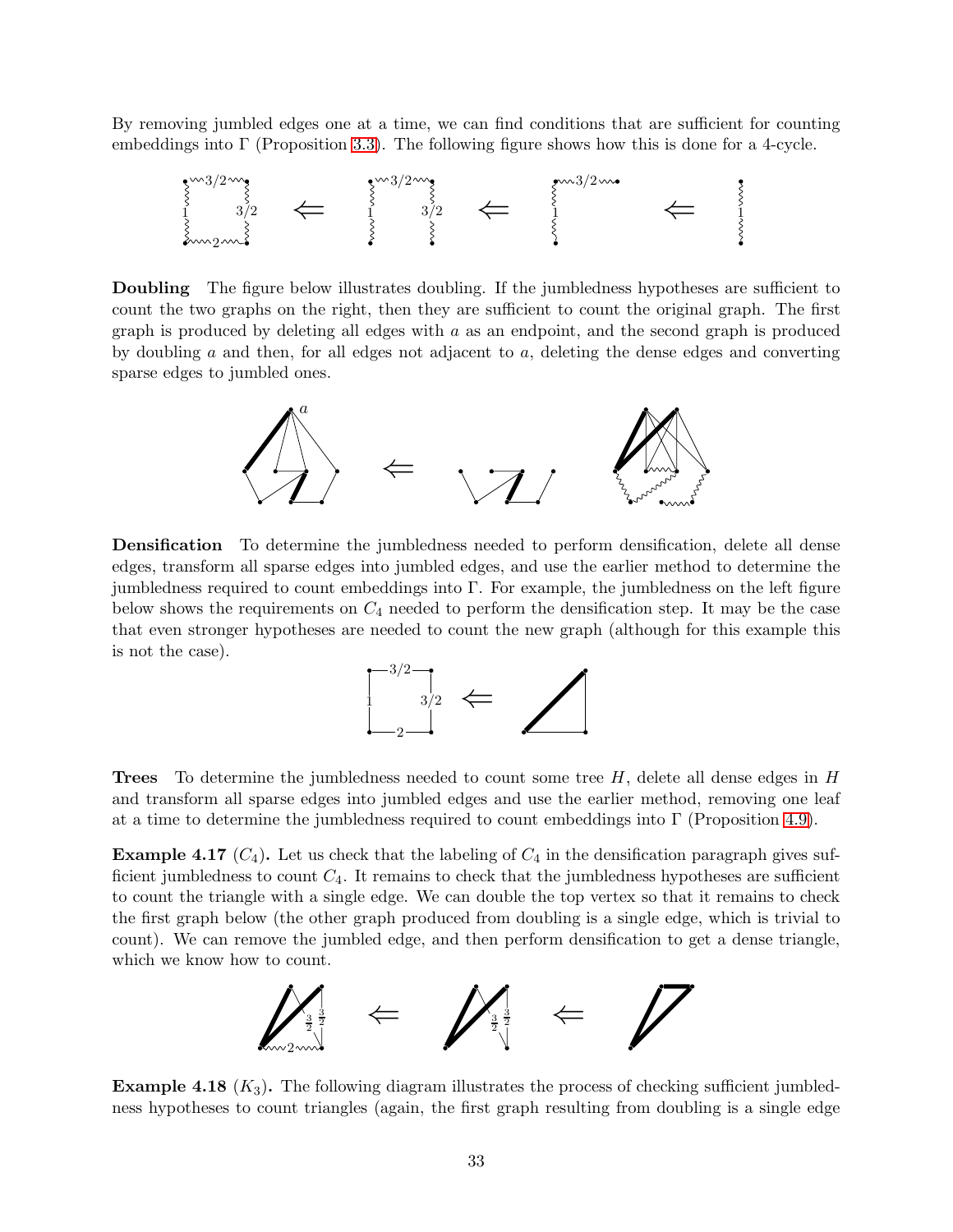By removing jumbled edges one at a time, we can find conditions that are sufficient for counting embeddings into  $\Gamma$  (Proposition [3.3\)](#page-19-1). The following figure shows how this is done for a 4-cycle.



Doubling The figure below illustrates doubling. If the jumbledness hypotheses are sufficient to count the two graphs on the right, then they are sufficient to count the original graph. The first graph is produced by deleting all edges with  $a$  as an endpoint, and the second graph is produced by doubling  $a$  and then, for all edges not adjacent to  $a$ , deleting the dense edges and converting sparse edges to jumbled ones.



Densification To determine the jumbledness needed to perform densification, delete all dense edges, transform all sparse edges into jumbled edges, and use the earlier method to determine the jumbledness required to count embeddings into Γ. For example, the jumbledness on the left figure below shows the requirements on  $C_4$  needed to perform the densification step. It may be the case that even stronger hypotheses are needed to count the new graph (although for this example this is not the case).



**Trees** To determine the jumbledness needed to count some tree  $H$ , delete all dense edges in  $H$ and transform all sparse edges into jumbled edges and use the earlier method, removing one leaf at a time to determine the jumbledness required to count embeddings into  $\Gamma$  (Proposition [4.9\)](#page-27-0).

**Example 4.17**  $(C_4)$ . Let us check that the labeling of  $C_4$  in the densification paragraph gives sufficient jumbledness to count  $C_4$ . It remains to check that the jumbledness hypotheses are sufficient to count the triangle with a single edge. We can double the top vertex so that it remains to check the first graph below (the other graph produced from doubling is a single edge, which is trivial to count). We can remove the jumbled edge, and then perform densification to get a dense triangle, which we know how to count.



**Example 4.18**  $(K_3)$ . The following diagram illustrates the process of checking sufficient jumbledness hypotheses to count triangles (again, the first graph resulting from doubling is a single edge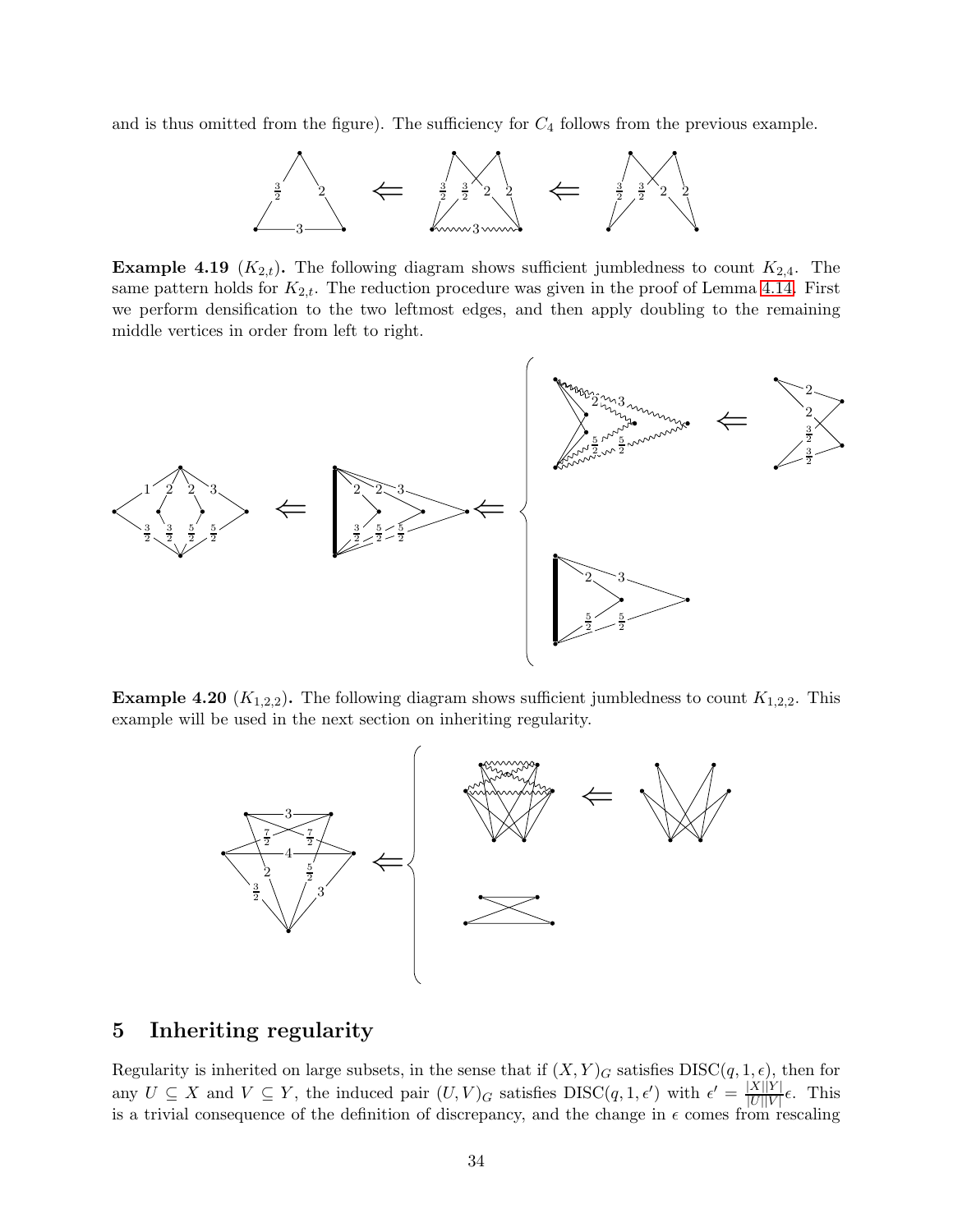and is thus omitted from the figure). The sufficiency for  $C_4$  follows from the previous example.



**Example 4.19** ( $K_{2,t}$ ). The following diagram shows sufficient jumbledness to count  $K_{2,4}$ . The same pattern holds for  $K_{2,t}$ . The reduction procedure was given in the proof of Lemma [4.14.](#page-29-2) First we perform densification to the two leftmost edges, and then apply doubling to the remaining middle vertices in order from left to right.



**Example 4.20**  $(K_{1,2,2})$ . The following diagram shows sufficient jumbledness to count  $K_{1,2,2}$ . This example will be used in the next section on inheriting regularity.



# <span id="page-33-0"></span>5 Inheriting regularity

Regularity is inherited on large subsets, in the sense that if  $(X, Y)_G$  satisfies  $DISC(q, 1, \epsilon)$ , then for any  $U \subseteq X$  and  $V \subseteq Y$ , the induced pair  $(U, V)_G$  satisfies  $DISC(q, 1, \epsilon')$  with  $\epsilon' = \frac{|X||Y|}{|U||V|}$  $\frac{|A||I|}{|U||V|}\epsilon$ . This is a trivial consequence of the definition of discrepancy, and the change in  $\epsilon$  comes from rescaling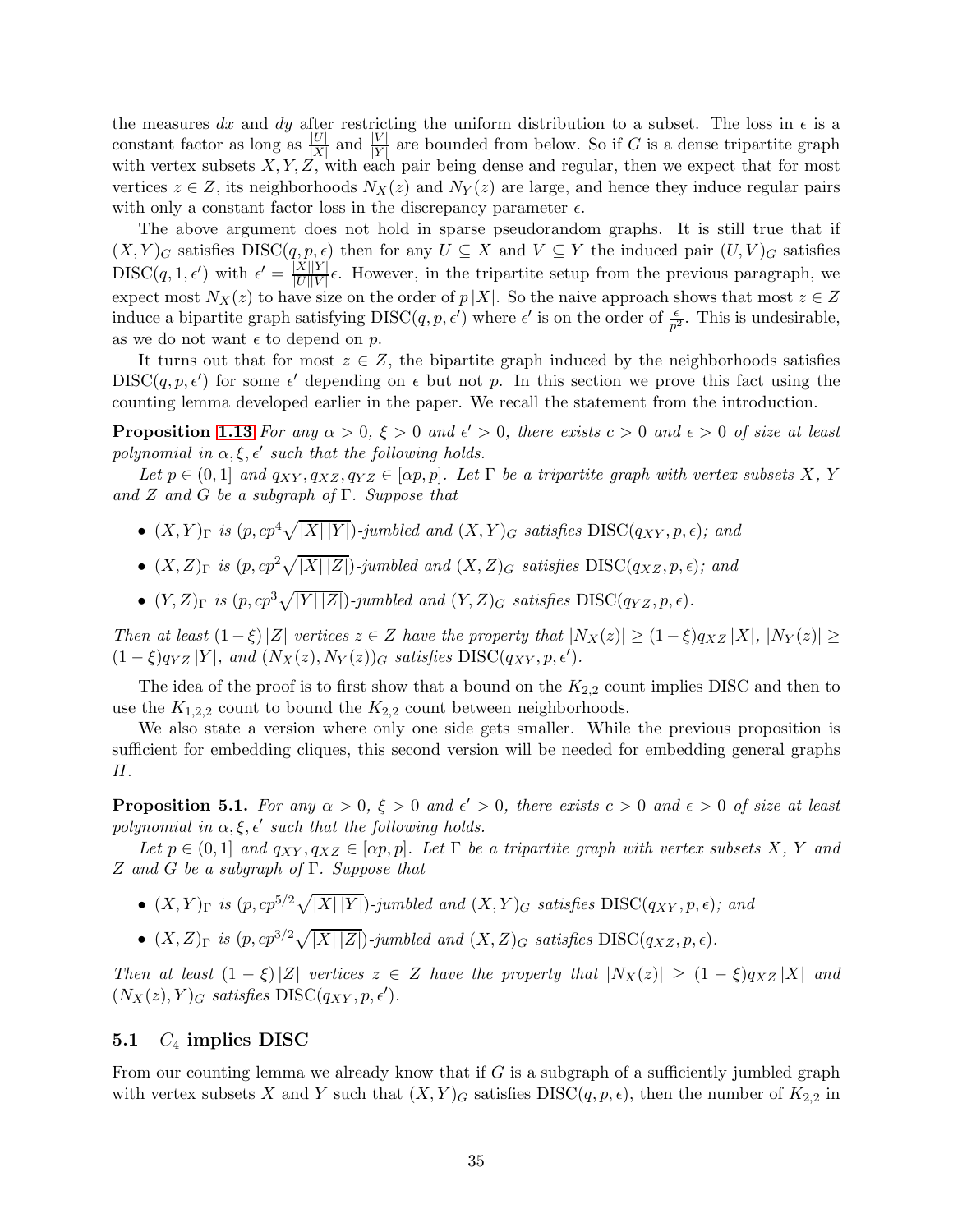the measures dx and dy after restricting the uniform distribution to a subset. The loss in  $\epsilon$  is a constant factor as long as  $\frac{|U|}{|X|}$  and  $\frac{|V|}{|Y|}$  are bounded from below. So if G is a dense tripartite graph with vertex subsets  $X, Y, Z$ , with each pair being dense and regular, then we expect that for most vertices  $z \in Z$ , its neighborhoods  $N_X(z)$  and  $N_Y(z)$  are large, and hence they induce regular pairs with only a constant factor loss in the discrepancy parameter  $\epsilon$ .

The above argument does not hold in sparse pseudorandom graphs. It is still true that if  $(X, Y)_G$  satisfies  $DISC(q, p, \epsilon)$  then for any  $U \subseteq X$  and  $V \subseteq Y$  the induced pair  $(U, V)_G$  satisfies  $\text{DISC}(q, 1, \epsilon')$  with  $\epsilon' = \frac{|X||Y|}{|U||V|}$  $\frac{|\mathbf{A}||\mathbf{I}|}{|U||V|}\epsilon$ . However, in the tripartite setup from the previous paragraph, we expect most  $N_X(z)$  to have size on the order of  $p|X|$ . So the naive approach shows that most  $z \in Z$ induce a bipartite graph satisfying  $DISC(q, p, \epsilon')$  where  $\epsilon'$  is on the order of  $\frac{\epsilon}{p^2}$ . This is undesirable, as we do not want  $\epsilon$  to depend on p.

It turns out that for most  $z \in Z$ , the bipartite graph induced by the neighborhoods satisfies  $DISC(q, p, \epsilon')$  for some  $\epsilon'$  depending on  $\epsilon$  but not p. In this section we prove this fact using the counting lemma developed earlier in the paper. We recall the statement from the introduction.

**Proposition [1.13](#page-11-2)** For any  $\alpha > 0$ ,  $\xi > 0$  and  $\epsilon' > 0$ , there exists  $c > 0$  and  $\epsilon > 0$  of size at least polynomial in  $\alpha, \xi, \epsilon'$  such that the following holds.

Let  $p \in (0,1]$  and  $q_{XY}, q_{XZ}, q_{YZ} \in [\alpha p, p]$ . Let  $\Gamma$  be a tripartite graph with vertex subsets X, Y and Z and G be a subgraph of  $\Gamma$ . Suppose that

- $(X,Y)$ <sub>Γ</sub> is  $(p, cp^4\sqrt{|X||Y|})$ -jumbled and  $(X,Y)$ <sub>G</sub> satisfies DISC( $q_{XY}, p, \epsilon$ ); and
- $(X, Z)_{\Gamma}$  is  $(p, cp^2\sqrt{|X|\,|Z|})$ -jumbled and  $(X, Z)_{G}$  satisfies  $DISC(q_{XZ}, p, \epsilon)$ ; and
- $(Y, Z)_{\Gamma}$  is  $(p, cp^3\sqrt{|Y||Z|})$ -jumbled and  $(Y, Z)_{G}$  satisfies  $\text{DISC}(q_{YZ}, p, \epsilon)$ .

Then at least  $(1 - \xi)|Z|$  vertices  $z \in Z$  have the property that  $|N_X(z)| \geq (1 - \xi) q_{XZ} |X|, |N_Y(z)| \geq$  $(1 - \xi)q_{YZ} |Y|$ , and  $(N_X(z), N_Y(z))_G$  satisfies  $DISC(q_{XY}, p, \epsilon')$ .

The idea of the proof is to first show that a bound on the  $K_{2,2}$  count implies DISC and then to use the  $K_{1,2,2}$  count to bound the  $K_{2,2}$  count between neighborhoods.

We also state a version where only one side gets smaller. While the previous proposition is sufficient for embedding cliques, this second version will be needed for embedding general graphs H.

<span id="page-34-1"></span>**Proposition 5.1.** For any  $\alpha > 0$ ,  $\xi > 0$  and  $\epsilon' > 0$ , there exists  $c > 0$  and  $\epsilon > 0$  of size at least polynomial in  $\alpha, \xi, \epsilon'$  such that the following holds.

Let  $p \in (0,1]$  and  $q_{XY}, q_{XZ} \in [\alpha p, p]$ . Let  $\Gamma$  be a tripartite graph with vertex subsets X, Y and Z and G be a subgraph of Γ. Suppose that

- $(X, Y)_{\Gamma}$  is  $(p, cp^{5/2}\sqrt{|X||Y|})$ -jumbled and  $(X, Y)_{G}$  satisfies  $DISC(q_{XY}, p, \epsilon)$ ; and
- $(X, Z)_{\Gamma}$  is  $(p, cp^{3/2}\sqrt{|X| |Z|})$ -jumbled and  $(X, Z)_{G}$  satisfies  $\text{DISC}(q_{XZ}, p, \epsilon)$ .

Then at least  $(1 - \xi)|Z|$  vertices  $z \in Z$  have the property that  $|N_X(z)| \geq (1 - \xi)q_{XZ}|X|$  and  $(N_X(z), Y)_G$  satisfies  $DISC(q_{XY}, p, \epsilon').$ 

## <span id="page-34-0"></span>5.1  $C_4$  implies DISC

From our counting lemma we already know that if  $G$  is a subgraph of a sufficiently jumbled graph with vertex subsets X and Y such that  $(X, Y)<sub>G</sub>$  satisfies DISC $(q, p, \epsilon)$ , then the number of  $K<sub>2,2</sub>$  in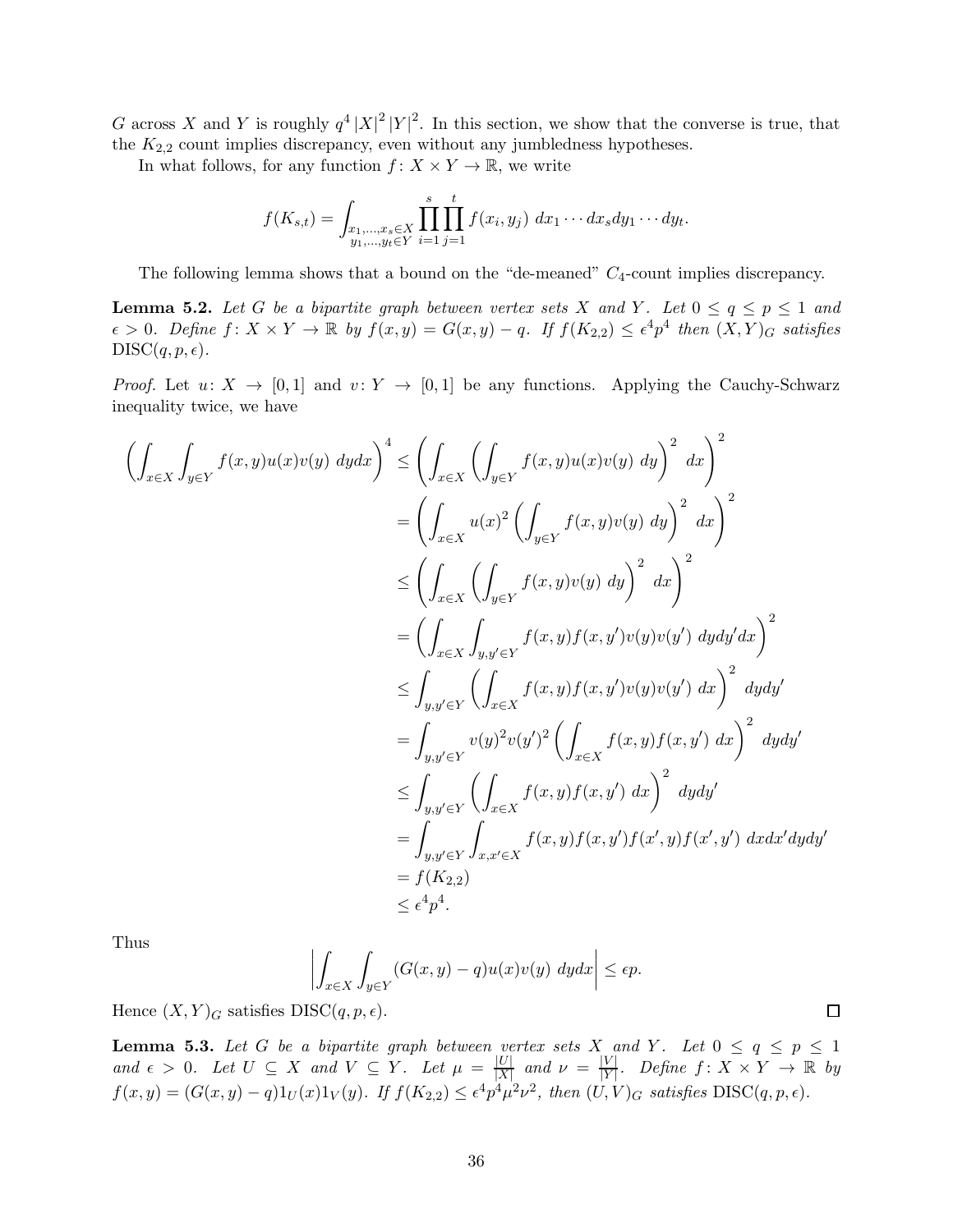G across X and Y is roughly  $q^4 |X|^2 |Y|^2$ . In this section, we show that the converse is true, that the  $K_{2,2}$  count implies discrepancy, even without any jumbledness hypotheses.

In what follows, for any function  $f: X \times Y \to \mathbb{R}$ , we write

$$
f(K_{s,t}) = \int_{\substack{x_1,\dots,x_s \in X \\ y_1,\dots,y_t \in Y}} \prod_{i=1}^s \prod_{j=1}^t f(x_i,y_j) \ dx_1 \cdots dx_s dy_1 \cdots dy_t.
$$

The following lemma shows that a bound on the "de-meaned"  $C_4$ -count implies discrepancy.

<span id="page-35-0"></span>**Lemma 5.2.** Let G be a bipartite graph between vertex sets X and Y. Let  $0 \le q \le p \le 1$  and  $\epsilon > 0$ . Define  $f: X \times Y \to \mathbb{R}$  by  $f(x, y) = G(x, y) - q$ . If  $f(K_{2,2}) \leq \epsilon^4 p^4$  then  $(X, Y)_G$  satisfies  $DISC(q, p, \epsilon).$ 

*Proof.* Let  $u: X \to [0,1]$  and  $v: Y \to [0,1]$  be any functions. Applying the Cauchy-Schwarz inequality twice, we have

$$
\left(\int_{x \in X} \int_{y \in Y} f(x, y)u(x)v(y) \, dy dx\right)^{4} \leq \left(\int_{x \in X} \left(\int_{y \in Y} f(x, y)u(x)v(y) \, dy\right)^{2} \, dx\right)^{2}
$$
\n
$$
= \left(\int_{x \in X} u(x)^{2} \left(\int_{y \in Y} f(x, y)v(y) \, dy\right)^{2} \, dx\right)^{2}
$$
\n
$$
\leq \left(\int_{x \in X} \left(\int_{y \in Y} f(x, y)v(y) \, dy\right)^{2} \, dx\right)^{2}
$$
\n
$$
= \left(\int_{x \in X} \int_{y, y' \in Y} f(x, y)f(x, y')v(y)v(y') \, dydy'dx\right)^{2}
$$
\n
$$
\leq \int_{y, y' \in Y} \left(\int_{x \in X} f(x, y)f(x, y')v(y)v(y') \, dx\right)^{2} \, dydy'
$$
\n
$$
= \int_{y, y' \in Y} v(y)^{2}v(y')^{2} \left(\int_{x \in X} f(x, y)f(x, y') \, dx\right)^{2} \, dydy'
$$
\n
$$
= \int_{y, y' \in Y} \left(\int_{x \in X} f(x, y)f(x, y') \, dx\right)^{2} \, dydy'
$$
\n
$$
= \int_{y, y' \in Y} \int_{x, x' \in X} f(x, y)f(x, y')f(x', y') \, dx dx'dydy'
$$
\n
$$
= f(K_{2,2})
$$
\n
$$
\leq \epsilon^{4} p^{4}.
$$

Thus

$$
\left| \int_{x \in X} \int_{y \in Y} (G(x, y) - q) u(x) v(y) \, dy dx \right| \le \epsilon p.
$$

Hence  $(X, Y)_G$  satisfies DISC $(q, p, \epsilon)$ .

<span id="page-35-1"></span>**Lemma 5.3.** Let G be a bipartite graph between vertex sets  $X$  and Y. Let  $0 \le q \le p \le 1$ and  $\epsilon > 0$ . Let  $U \subseteq X$  and  $V \subseteq Y$ . Let  $\mu = \frac{|U|}{|X|}$  $\frac{|U|}{|X|}$  and  $\nu = \frac{|V|}{|Y|}$  $\frac{|V|}{|Y|}$ . Define  $f: X \times Y \to \mathbb{R}$  by  $f(x,y) = (G(x,y) - q)1_U(x)1_V(y)$ . If  $f(K_{2,2}) \leq \epsilon^4 p^4 \mu^2 \nu^2$ , then  $(U,V)_G$  satisfies  $DISC(q, p, \epsilon)$ .

 $\Box$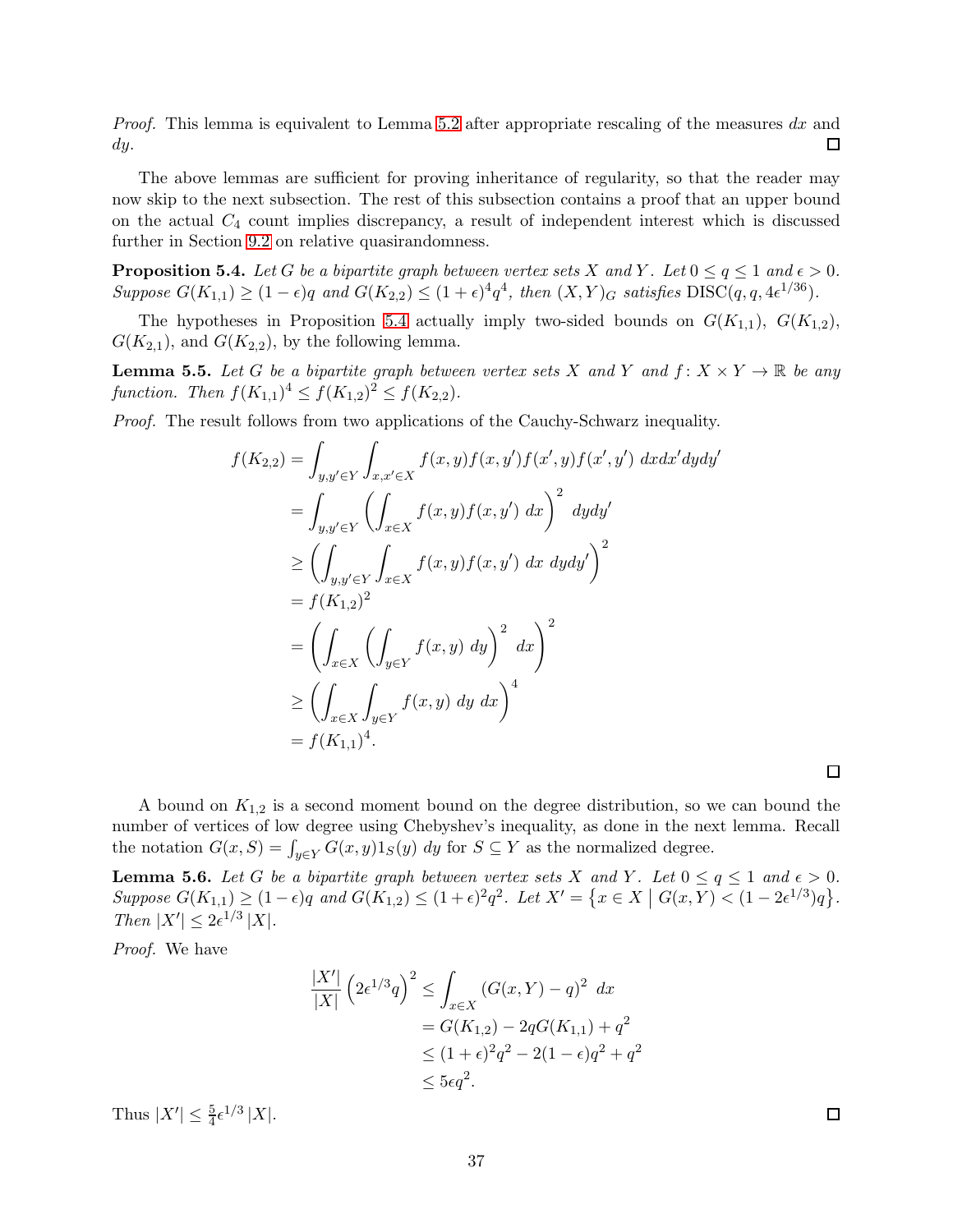*Proof.* This lemma is equivalent to Lemma [5.2](#page-35-0) after appropriate rescaling of the measures dx and  $\Box$ dy.

The above lemmas are sufficient for proving inheritance of regularity, so that the reader may now skip to the next subsection. The rest of this subsection contains a proof that an upper bound on the actual  $C_4$  count implies discrepancy, a result of independent interest which is discussed further in Section [9.2](#page-56-0) on relative quasirandomness.

<span id="page-36-0"></span>**Proposition 5.4.** Let G be a bipartite graph between vertex sets X and Y. Let  $0 \le q \le 1$  and  $\epsilon > 0$ . Suppose  $G(K_{1,1}) \ge (1 - \epsilon)q$  and  $G(K_{2,2}) \le (1 + \epsilon)^4 q^4$ , then  $(X,Y)_G$  satisfies  $DISC(q, q, 4\epsilon^{1/36})$ .

The hypotheses in Proposition [5.4](#page-36-0) actually imply two-sided bounds on  $G(K_{1,1}), G(K_{1,2}),$  $G(K_{2,1}),$  and  $G(K_{2,2}),$  by the following lemma.

<span id="page-36-2"></span>**Lemma 5.5.** Let G be a bipartite graph between vertex sets X and Y and  $f: X \times Y \to \mathbb{R}$  be any function. Then  $f(K_{1,1})^4 \le f(K_{1,2})^2 \le f(K_{2,2})$ .

Proof. The result follows from two applications of the Cauchy-Schwarz inequality.

$$
f(K_{2,2}) = \int_{y,y' \in Y} \int_{x,x' \in X} f(x,y)f(x,y')f(x',y)f(x',y') dx dx' dy dy'
$$
  
\n
$$
= \int_{y,y' \in Y} \left( \int_{x \in X} f(x,y)f(x,y') dx \right)^2 dy dy'
$$
  
\n
$$
\geq \left( \int_{y,y' \in Y} \int_{x \in X} f(x,y)f(x,y') dx dy dy' \right)^2
$$
  
\n
$$
= f(K_{1,2})^2
$$
  
\n
$$
= \left( \int_{x \in X} \left( \int_{y \in Y} f(x,y) dy \right)^2 dx \right)^2
$$
  
\n
$$
\geq \left( \int_{x \in X} \int_{y \in Y} f(x,y) dy dx \right)^4
$$
  
\n
$$
= f(K_{1,1})^4.
$$

 $\Box$ 

A bound on  $K_{1,2}$  is a second moment bound on the degree distribution, so we can bound the number of vertices of low degree using Chebyshev's inequality, as done in the next lemma. Recall the notation  $G(x, S) = \int_{y \in Y} G(x, y) 1_S(y) dy$  for  $S \subseteq Y$  as the normalized degree.

<span id="page-36-1"></span>**Lemma 5.6.** Let G be a bipartite graph between vertex sets X and Y. Let  $0 \le q \le 1$  and  $\epsilon > 0$ .  $Suppose \ G(K_{1,1}) \geq (1-\epsilon)q \ and \ G(K_{1,2}) \leq (1+\epsilon)^2q^2.$  Let  $X' = \{x \in X \mid G(x,Y) < (1-2\epsilon^{1/3})q\}.$ Then  $|X'| \leq 2\epsilon^{1/3} |X|$ .

Proof. We have

$$
\frac{|X'|}{|X|} \left(2\epsilon^{1/3}q\right)^2 \le \int_{x \in X} \left(G(x,Y) - q\right)^2 dx
$$
  
=  $G(K_{1,2}) - 2qG(K_{1,1}) + q^2$   
 $\le (1 + \epsilon)^2 q^2 - 2(1 - \epsilon)q^2 + q^2$   
 $\le 5\epsilon q^2.$ 

Thus  $|X'| \leq \frac{5}{4} \epsilon^{1/3} |X|$ .

 $\Box$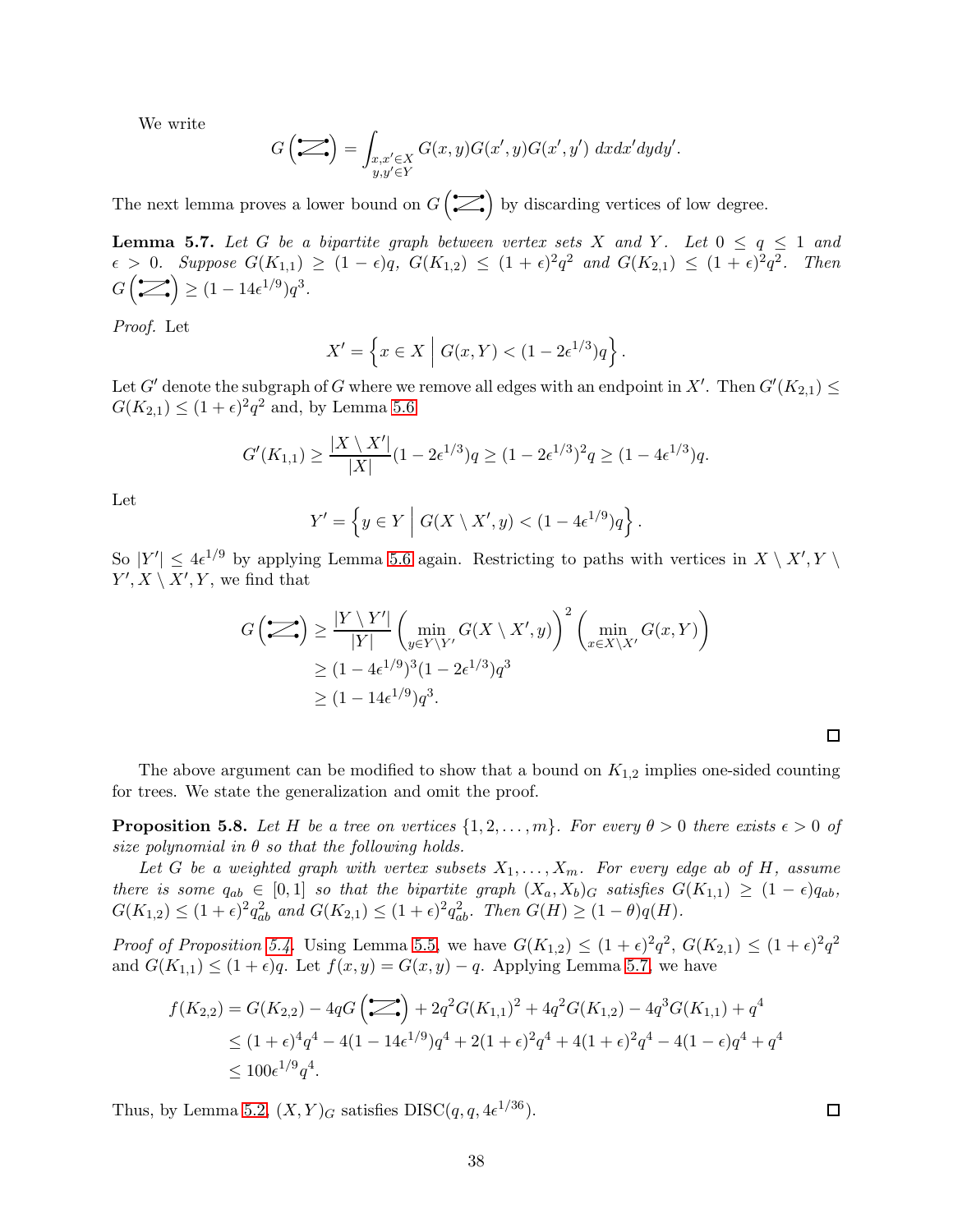We write

$$
G\left(\sum_{y,y'\in Y} \int_{\substack{x,x'\in X\\y,y'\in Y}} G(x,y)G(x',y)G(x',y')\ dx dx'dydy'.
$$

The next lemma proves a lower bound on  $G(\mathcal{L})$  by discarding vertices of low degree.

<span id="page-37-0"></span>**Lemma 5.7.** Let G be a bipartite graph between vertex sets X and Y. Let  $0 \le q \le 1$  and  $\epsilon > 0$ . Suppose  $G(K_{1,1}) \ge (1 - \epsilon)q$ ,  $G(K_{1,2}) \le (1 + \epsilon)^2 q^2$  and  $G(K_{2,1}) \le (1 + \epsilon)^2 q^2$ . Then  $G\left(\sum_{\bullet}\right) \geq (1-14\epsilon^{1/9})q^3.$ 

Proof. Let

$$
X' = \left\{ x \in X \mid G(x, Y) < (1 - 2\epsilon^{1/3})q \right\}.
$$

Let G' denote the subgraph of G where we remove all edges with an endpoint in X'. Then  $G'(K_{2,1}) \le$  $G(K_{2,1}) \leq (1+\epsilon)^2 q^2$  and, by Lemma [5.6](#page-36-1)

$$
G'(K_{1,1}) \ge \frac{|X \setminus X'|}{|X|}(1 - 2\epsilon^{1/3})q \ge (1 - 2\epsilon^{1/3})^2 q \ge (1 - 4\epsilon^{1/3})q.
$$

Let

$$
Y' = \left\{ y \in Y \mid G(X \setminus X', y) < (1 - 4\epsilon^{1/9})q \right\}.
$$

So  $|Y'| \leq 4\epsilon^{1/9}$  by applying Lemma [5.6](#page-36-1) again. Restricting to paths with vertices in  $X \setminus X', Y \setminus Y'$  $Y', X \setminus X', Y$ , we find that

$$
G\left(\sum_{i} \right) \ge \frac{|Y \setminus Y'|}{|Y|} \left(\min_{y \in Y \setminus Y'} G(X \setminus X', y)\right)^2 \left(\min_{x \in X \setminus X'} G(x, Y)\right)
$$
  
 
$$
\ge (1 - 4\epsilon^{1/9})^3 (1 - 2\epsilon^{1/3}) q^3
$$
  
 
$$
\ge (1 - 14\epsilon^{1/9}) q^3.
$$

The above argument can be modified to show that a bound on  $K_{1,2}$  implies one-sided counting for trees. We state the generalization and omit the proof.

**Proposition 5.8.** Let H be a tree on vertices  $\{1, 2, ..., m\}$ . For every  $\theta > 0$  there exists  $\epsilon > 0$  of size polynomial in  $\theta$  so that the following holds.

Let G be a weighted graph with vertex subsets  $X_1, \ldots, X_m$ . For every edge ab of H, assume there is some  $q_{ab} \in [0,1]$  so that the bipartite graph  $(X_a, X_b)_G$  satisfies  $G(K_{1,1}) \geq (1-\epsilon)q_{ab}$ ,  $G(K_{1,2}) \leq (1+\epsilon)^2 q_{ab}^2$  and  $G(K_{2,1}) \leq (1+\epsilon)^2 q_{ab}^2$ . Then  $G(H) \geq (1-\theta)q(H)$ .

*Proof of Proposition [5.4.](#page-36-0)* Using Lemma [5.5,](#page-36-2) we have  $G(K_{1,2}) \leq (1+\epsilon)^2 q^2$ ,  $G(K_{2,1}) \leq (1+\epsilon)^2 q^2$ and  $G(K_{1,1}) \leq (1+\epsilon)q$ . Let  $f(x,y) = G(x,y) - q$ . Applying Lemma [5.7,](#page-37-0) we have

$$
f(K_{2,2}) = G(K_{2,2}) - 4qG\left(\sum_{n=1}^{\infty}\right) + 2q^2G(K_{1,1})^2 + 4q^2G(K_{1,2}) - 4q^3G(K_{1,1}) + q^4
$$
  
\n
$$
\leq (1+\epsilon)^4 q^4 - 4(1-14\epsilon^{1/9})q^4 + 2(1+\epsilon)^2 q^4 + 4(1+\epsilon)^2 q^4 - 4(1-\epsilon)q^4 + q^4
$$
  
\n
$$
\leq 100\epsilon^{1/9} q^4.
$$

Thus, by Lemma [5.2,](#page-35-0)  $(X, Y)_G$  satisfies  $DISC(q, q, 4\epsilon^{1/36}).$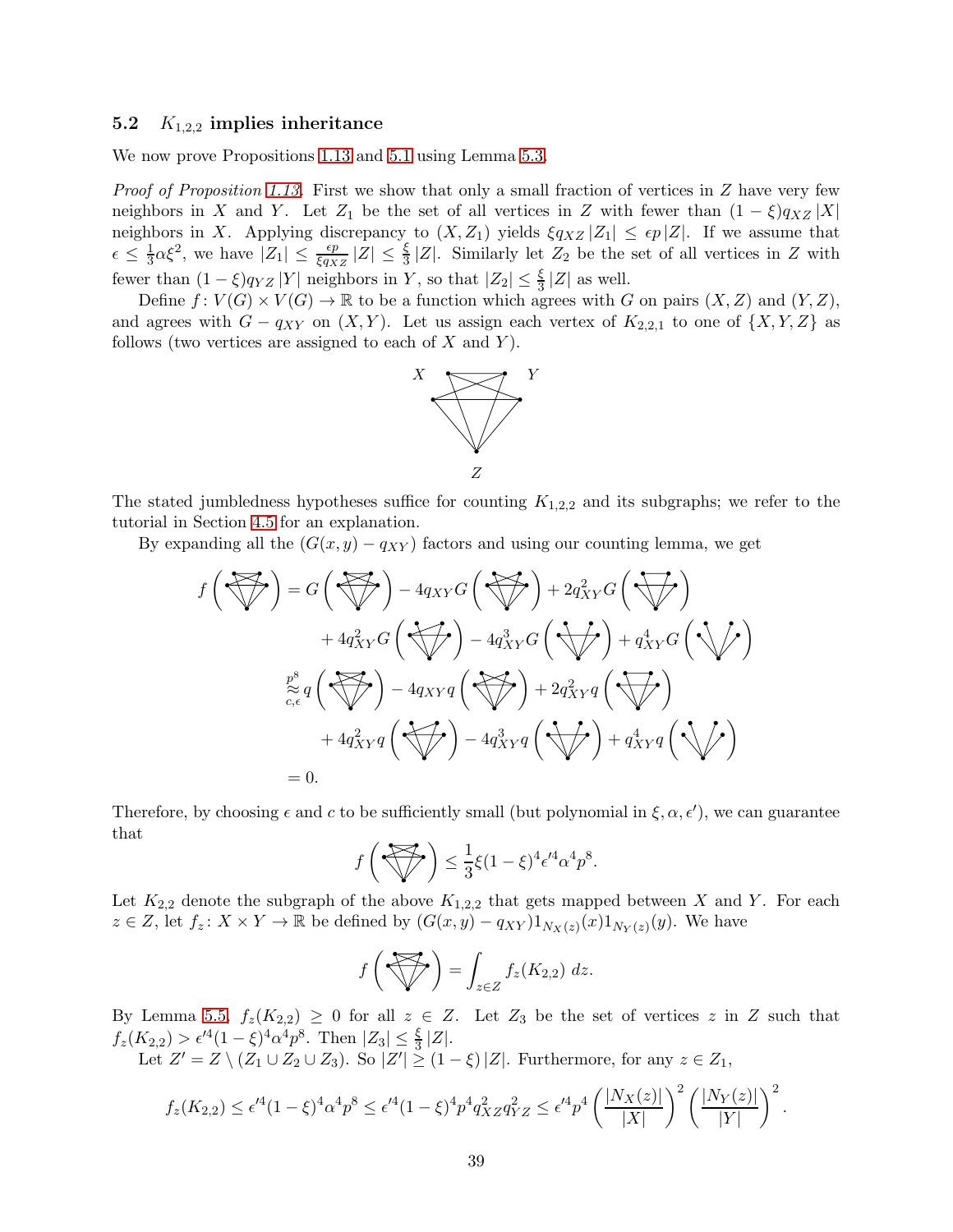## <span id="page-38-0"></span>5.2  $K_{1,2,2}$  implies inheritance

We now prove Propositions [1.13](#page-11-2) and [5.1](#page-34-1) using Lemma [5.3.](#page-35-1)

*Proof of Proposition [1.13.](#page-11-2)* First we show that only a small fraction of vertices in  $Z$  have very few neighbors in X and Y. Let  $Z_1$  be the set of all vertices in Z with fewer than  $(1 - \xi)q_{XZ} |X|$ neighbors in X. Applying discrepancy to  $(X, Z_1)$  yields  $\xi q_{XZ} |Z_1| \leq \epsilon p |Z|$ . If we assume that  $\epsilon \leq \frac{1}{3}$  $\frac{1}{3}\alpha\xi^2$ , we have  $|Z_1| \leq \frac{\epsilon p}{\xi q_{XZ}} |Z| \leq \frac{\xi}{3} |Z|$ . Similarly let  $Z_2$  be the set of all vertices in Z with fewer than  $(1 - \xi)q_{YZ} |Y|$  neighbors in Y, so that  $|Z_2| \leq \frac{\xi}{3} |Z|$  as well.

Define  $f: V(G) \times V(G) \to \mathbb{R}$  to be a function which agrees with G on pairs  $(X, Z)$  and  $(Y, Z)$ , and agrees with  $G - q_{XY}$  on  $(X, Y)$ . Let us assign each vertex of  $K_{2,2,1}$  to one of  $\{X, Y, Z\}$  as follows (two vertices are assigned to each of  $X$  and  $Y$ ).



The stated jumbledness hypotheses suffice for counting  $K_{1,2,2}$  and its subgraphs; we refer to the tutorial in Section [4.5](#page-30-0) for an explanation.

By expanding all the  $(G(x, y) - q_{XY})$  factors and using our counting lemma, we get

$$
f\left(\bigtriangledown f\right) = G\left(\bigtriangledown f\right) - 4q_{XY}G\left(\bigtriangledown f\right) + 2q_{XY}^2G\left(\bigtriangledown f\right) + 4q_{XY}^2G\left(\bigtriangledown f\right) + 4q_{XY}^2G\left(\bigtriangledown f\right) - 4q_{XY}^3G\left(\bigtriangledown f\right) + q_{XY}^4G\left(\bigtriangledown f\right) + 4q_{XY}^2G\left(\bigtriangledown f\right) - 4q_{XY}q\left(\bigtriangledown f\right) + 2q_{XY}^2q\left(\bigtriangledown f\right) + 4q_{XY}^2q\left(\bigtriangledown f\right) - 4q_{XY}^3q\left(\bigtriangledown f\right) + q_{XY}^4q\left(\bigtriangledown f\right)
$$
  
= 0.

Therefore, by choosing  $\epsilon$  and c to be sufficiently small (but polynomial in  $\xi, \alpha, \epsilon'$ ), we can guarantee that

$$
f\left(\bigotimes^{\mathbf{Z}}\mathbf{y}\right) \leq \frac{1}{3}\xi(1-\xi)^4\epsilon'^4\alpha^4p^8.
$$

Let  $K_{2,2}$  denote the subgraph of the above  $K_{1,2,2}$  that gets mapped between X and Y. For each  $z \in Z$ , let  $f_z \colon X \times Y \to \mathbb{R}$  be defined by  $(G(x, y) - q_{XY})1_{N_X(z)}(x)1_{N_Y(z)}(y)$ . We have

$$
f\left(\bigotimes f_z\right) = \int_{z\in Z} f_z(K_{2,2})\ dz.
$$

By Lemma [5.5,](#page-36-2)  $f_z(K_{2,2}) \geq 0$  for all  $z \in Z$ . Let  $Z_3$  be the set of vertices z in Z such that  $f_z(K_{2,2}) > \epsilon'^4 (1-\xi)^4 \alpha^4 p^8$ . Then  $|Z_3| \le \frac{\xi}{3} |Z|$ .

Let  $Z' = Z \setminus (Z_1 \cup Z_2 \cup Z_3)$ . So  $|Z'| \ge (1 - \xi) |Z|$ . Furthermore, for any  $z \in Z_1$ ,

$$
f_z(K_{2,2}) \le \epsilon'^4 (1-\xi)^4 \alpha^4 p^8 \le \epsilon'^4 (1-\xi)^4 p^4 q_{XZ}^2 q_{YZ}^2 \le \epsilon'^4 p^4 \left(\frac{|N_X(z)|}{|X|}\right)^2 \left(\frac{|N_Y(z)|}{|Y|}\right)^2.
$$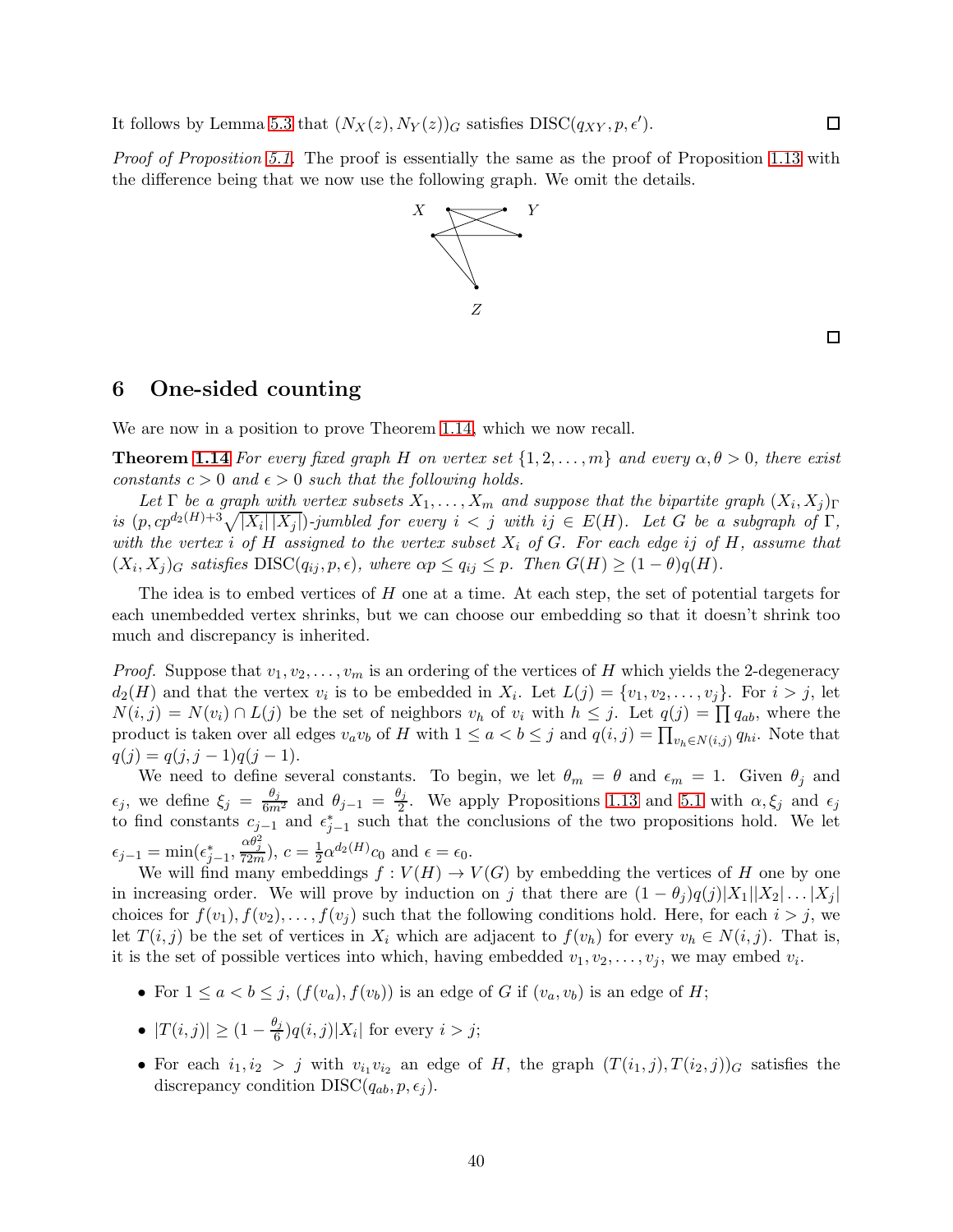It follows by Lemma [5.3](#page-35-1) that  $(N_X(z), N_Y(z))_G$  satisfies  $DISC(q_{XY}, p, \epsilon').$ 

Proof of Proposition [5.1.](#page-34-1) The proof is essentially the same as the proof of Proposition [1.13](#page-11-2) with the difference being that we now use the following graph. We omit the details.



 $\Box$ 

 $\Box$ 

## <span id="page-39-0"></span>6 One-sided counting

We are now in a position to prove Theorem [1.14,](#page-11-1) which we now recall.

**Theorem [1.14](#page-11-1)** For every fixed graph H on vertex set  $\{1, 2, ..., m\}$  and every  $\alpha, \theta > 0$ , there exist constants  $c > 0$  and  $\epsilon > 0$  such that the following holds.

Let  $\Gamma$  be a graph with vertex subsets  $X_1, \ldots, X_m$  and suppose that the bipartite graph  $(X_i, X_j)_{\Gamma}$ is  $(p, cp^{d_2(H)+3}\sqrt{|X_i||X_j|})$ -jumbled for every  $i < j$  with  $ij \in E(H)$ . Let G be a subgraph of  $\Gamma$ , with the vertex i of H assigned to the vertex subset  $X_i$  of G. For each edge ij of H, assume that  $(X_i, X_j)_G$  satisfies  $\text{DISC}(q_{ij}, p, \epsilon)$ , where  $\alpha p \le q_{ij} \le p$ . Then  $G(H) \ge (1 - \theta)q(H)$ .

The idea is to embed vertices of H one at a time. At each step, the set of potential targets for each unembedded vertex shrinks, but we can choose our embedding so that it doesn't shrink too much and discrepancy is inherited.

*Proof.* Suppose that  $v_1, v_2, \ldots, v_m$  is an ordering of the vertices of H which yields the 2-degeneracy  $d_2(H)$  and that the vertex  $v_i$  is to be embedded in  $X_i$ . Let  $L(j) = \{v_1, v_2, \ldots, v_j\}$ . For  $i > j$ , let  $N(i, j) = N(v_i) \cap L(j)$  be the set of neighbors  $v_h$  of  $v_i$  with  $h \leq j$ . Let  $q(j) = \prod q_{ab}$ , where the product is taken over all edges  $v_a v_b$  of H with  $1 \le a < b \le j$  and  $q(i, j) = \prod_{v_h \in N(i,j)} q_{hi}$ . Note that  $q(j) = q(j, j - 1)q(j - 1).$ 

We need to define several constants. To begin, we let  $\theta_m = \theta$  and  $\epsilon_m = 1$ . Given  $\theta_j$  and  $\epsilon_j$ , we define  $\xi_j = \frac{\theta_j}{6m^2}$  and  $\theta_{j-1} = \frac{\theta_j}{2}$  $\frac{\gamma_j}{2}$ . We apply Propositions [1.13](#page-11-2) and [5.1](#page-34-1) with  $\alpha, \xi_j$  and  $\epsilon_j$ to find constants  $c_{j-1}$  and  $\epsilon_{j-1}^*$  such that the conclusions of the two propositions hold. We let  $\epsilon_{j-1} = \min(\epsilon_{j-1}^*, \frac{\alpha \theta_j^2}{72m}), c = \frac{1}{2}$  $\frac{1}{2}\alpha^{d_2(H)}c_0$  and  $\epsilon = \epsilon_0$ .

We will find many embeddings  $f: V(H) \to V(G)$  by embedding the vertices of H one by one in increasing order. We will prove by induction on j that there are  $(1 - \theta_i)q(j)|X_1||X_2| \ldots |X_i|$ choices for  $f(v_1), f(v_2), \ldots, f(v_j)$  such that the following conditions hold. Here, for each  $i > j$ , we let  $T(i, j)$  be the set of vertices in  $X_i$  which are adjacent to  $f(v_h)$  for every  $v_h \in N(i, j)$ . That is, it is the set of possible vertices into which, having embedded  $v_1, v_2, \ldots, v_j$ , we may embed  $v_i$ .

- For  $1 \leq a < b \leq j$ ,  $(f(v_a), f(v_b))$  is an edge of G if  $(v_a, v_b)$  is an edge of H;
- $|T(i, j)| \geq (1 \frac{\theta_j}{6})$  $\frac{\gamma_j}{6}$ ) $q(i,j)|X_i|$  for every  $i > j$ ;
- For each  $i_1, i_2 > j$  with  $v_{i_1}v_{i_2}$  an edge of H, the graph  $(T(i_1, j), T(i_2, j))_G$  satisfies the discrepancy condition  $DISC(q_{ab}, p, \epsilon_i)$ .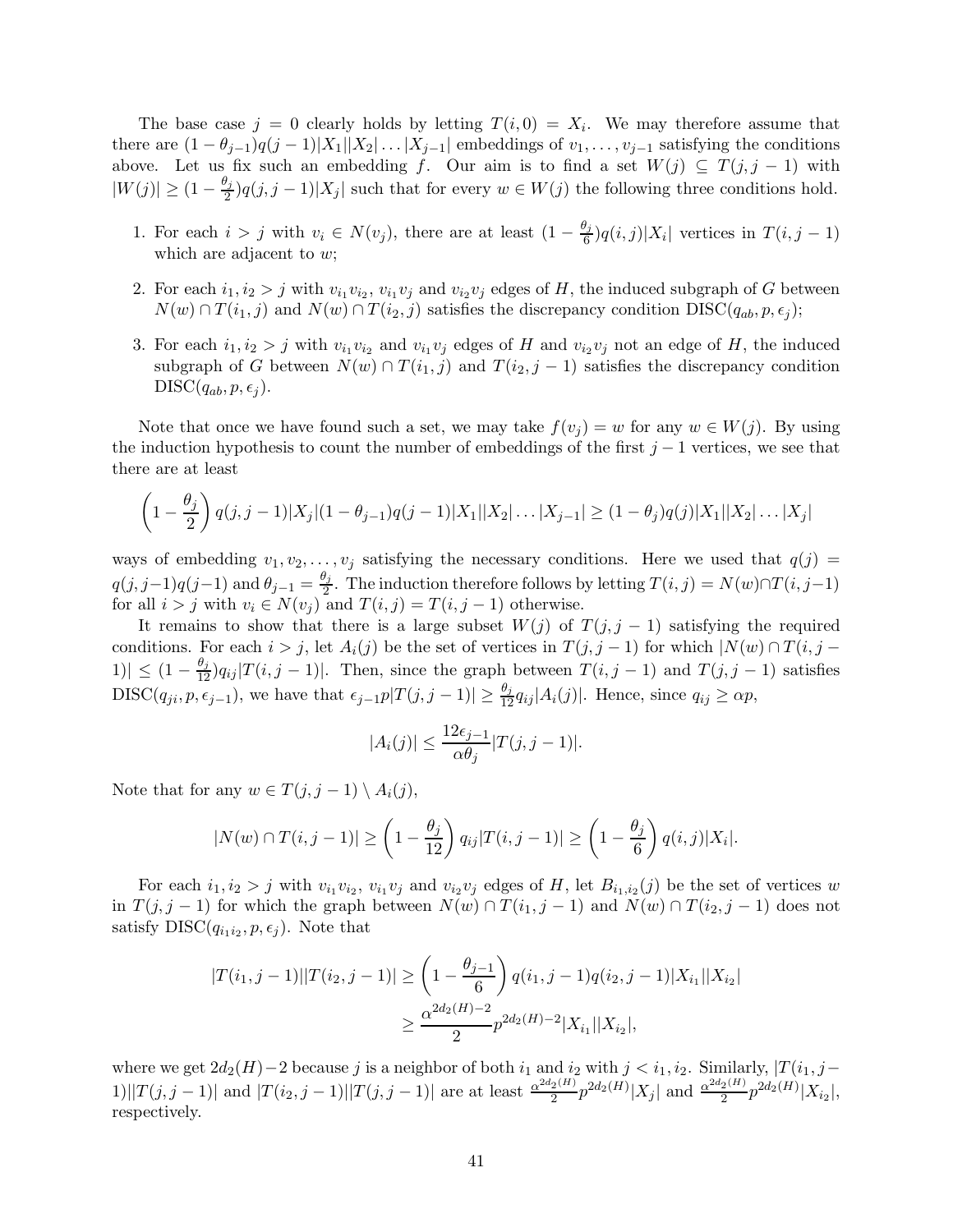The base case  $j = 0$  clearly holds by letting  $T(i, 0) = X_i$ . We may therefore assume that there are  $(1 - \theta_{j-1})q(j-1)|X_1||X_2|\ldots|X_{j-1}|$  embeddings of  $v_1,\ldots,v_{j-1}$  satisfying the conditions above. Let us fix such an embedding f. Our aim is to find a set  $W(j) \subseteq T(j, j - 1)$  with  $|W(j)| \geq (1 - \frac{\theta_j}{2})$  $\frac{\gamma_j}{2}$ ) $q(j, j-1)|X_j|$  such that for every  $w \in W(j)$  the following three conditions hold.

- 1. For each  $i > j$  with  $v_i \in N(v_j)$ , there are at least  $(1 \frac{\theta_j}{6})$  $\frac{\gamma_j}{6}$  $q(i,j)|X_i|$  vertices in  $T(i,j-1)$ which are adjacent to w;
- 2. For each  $i_1, i_2 > j$  with  $v_{i_1}v_{i_2}, v_{i_1}v_j$  and  $v_{i_2}v_j$  edges of H, the induced subgraph of G between  $N(w) \cap T(i_1, j)$  and  $N(w) \cap T(i_2, j)$  satisfies the discrepancy condition  $DISC(q_{ab}, p, \epsilon_i);$
- 3. For each  $i_1, i_2 > j$  with  $v_{i_1}v_{i_2}$  and  $v_{i_1}v_j$  edges of H and  $v_{i_2}v_j$  not an edge of H, the induced subgraph of G between  $N(w) \cap T(i_1, j)$  and  $T(i_2, j - 1)$  satisfies the discrepancy condition  $DISC(q_{ab}, p, \epsilon_i)$ .

Note that once we have found such a set, we may take  $f(v_j) = w$  for any  $w \in W(j)$ . By using the induction hypothesis to count the number of embeddings of the first  $j-1$  vertices, we see that there are at least

$$
\left(1 - \frac{\theta_j}{2}\right)q(j, j-1)|X_j|(1 - \theta_{j-1})q(j-1)|X_1||X_2|\dots|X_{j-1}| \geq (1 - \theta_j)q(j)|X_1||X_2|\dots|X_j|
$$

ways of embedding  $v_1, v_2, \ldots, v_j$  satisfying the necessary conditions. Here we used that  $q(j)$  $q(j, j-1)q(j-1)$  and  $\theta_{j-1} = \frac{\theta_j}{2}$  $\frac{\gamma_j}{2}$ . The induction therefore follows by letting  $T(i, j) = N(w) \cap T(i, j-1)$ for all  $i > j$  with  $v_i \in N(v_j)$  and  $T(i, j) = T(i, j - 1)$  otherwise.

It remains to show that there is a large subset  $W(j)$  of  $T(j, j - 1)$  satisfying the required conditions. For each  $i > j$ , let  $A_i(j)$  be the set of vertices in  $T(j, j - 1)$  for which  $|N(w) \cap T(i, j - 1)|$  $|1\rangle \leq (1 - \frac{\theta_j}{12}) q_{ij} |T(i, j-1)|$ . Then, since the graph between  $T(i, j-1)$  and  $T(j, j-1)$  satisfies DISC( $q_{ji}, p, \epsilon_{j-1}$ ), we have that  $\epsilon_{j-1} p |T(j, j-1)| \geq \frac{\theta_j}{12} q_{ij} |A_i(j)|$ . Hence, since  $q_{ij} \geq \alpha p$ ,

$$
|A_i(j)| \le \frac{12\epsilon_{j-1}}{\alpha \theta_j} |T(j, j-1)|.
$$

Note that for any  $w \in T(j, j-1) \setminus A_i(j)$ ,

$$
|N(w) \cap T(i,j-1)| \ge \left(1 - \frac{\theta_j}{12}\right) q_{ij} |T(i,j-1)| \ge \left(1 - \frac{\theta_j}{6}\right) q(i,j) |X_i|.
$$

For each  $i_1, i_2 > j$  with  $v_{i_1}v_{i_2}, v_{i_1}v_j$  and  $v_{i_2}v_j$  edges of H, let  $B_{i_1,i_2}(j)$  be the set of vertices w in  $T(j, j - 1)$  for which the graph between  $N(w) \cap T(i_1, j - 1)$  and  $N(w) \cap T(i_2, j - 1)$  does not satisfy  $DISC(q_{i_1 i_2}, p, \epsilon_j)$ . Note that

$$
|T(i_1, j - 1)||T(i_2, j - 1)| \ge \left(1 - \frac{\theta_{j-1}}{6}\right) q(i_1, j - 1)q(i_2, j - 1)|X_{i_1}||X_{i_2}|
$$
  

$$
\ge \frac{\alpha^{2d_2(H) - 2}}{2} p^{2d_2(H) - 2}|X_{i_1}||X_{i_2}|,
$$

where we get  $2d_2(H)-2$  because j is a neighbor of both  $i_1$  and  $i_2$  with  $j < i_1, i_2$ . Similarly,  $|T(i_1, j-1)|$ 1)|| $T(j, j - 1)$ | and  $|T(i_2, j - 1)| |T(j, j - 1)|$  are at least  $\frac{\alpha^{2d_2(H)}}{2}$  $\frac{2^{(H)}}{2}p^{2d_2(H)}|X_j|$  and  $\frac{\alpha^{2d_2(H)}}{2}$  $\frac{2^{(H)}}{2}p^{2d_2(H)}|X_{i_2}|,$ respectively.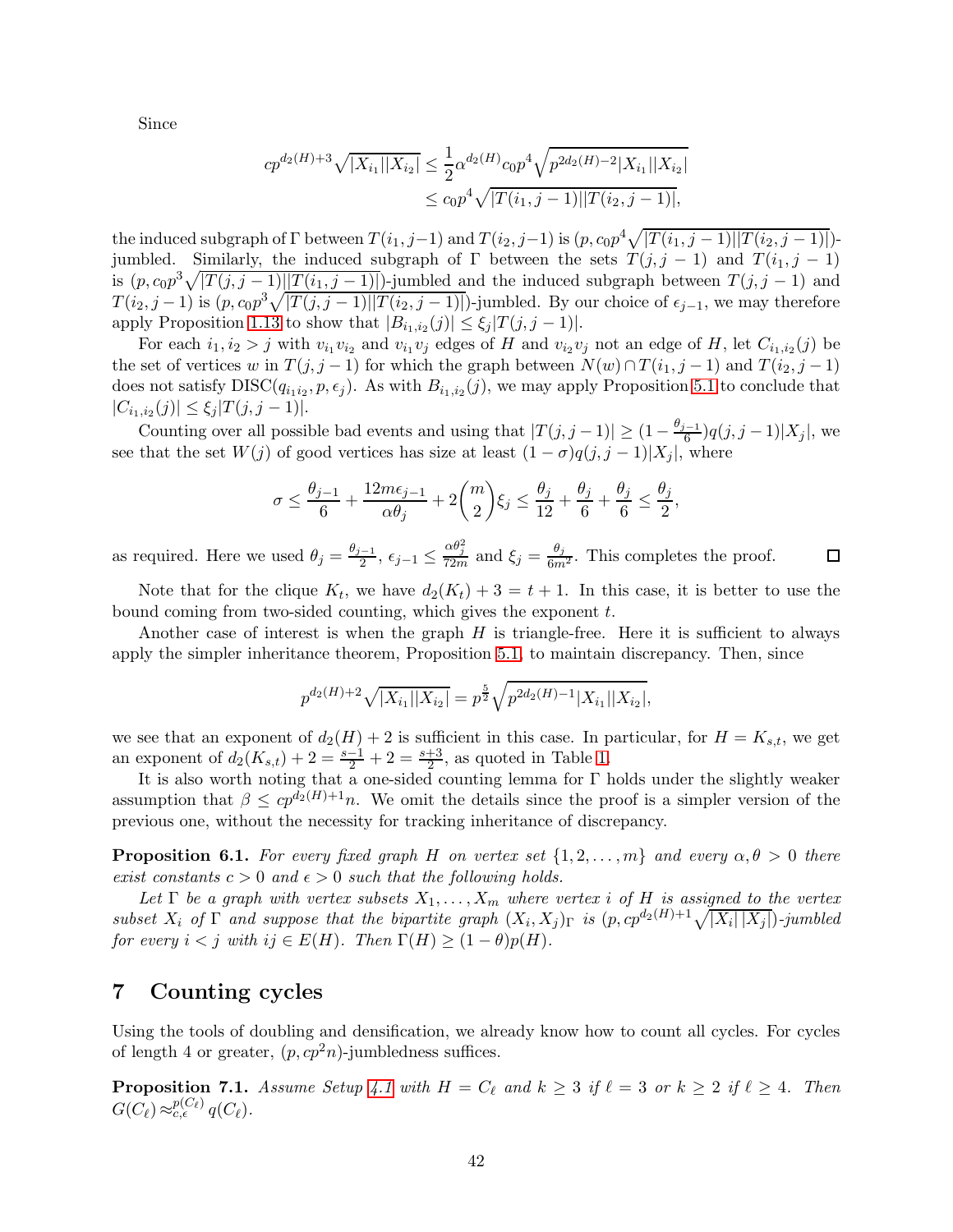Since

$$
cp^{d_2(H)+3}\sqrt{|X_{i_1}||X_{i_2}|} \leq \frac{1}{2}\alpha^{d_2(H)}c_0p^4\sqrt{p^{2d_2(H)-2}|X_{i_1}||X_{i_2}|}
$$
  

$$
\leq c_0p^4\sqrt{|T(i_1,j-1)||T(i_2,j-1)|},
$$

the induced subgraph of  $\Gamma$  between  $T(i_1, j-1)$  and  $T(i_2, j-1)$  is  $(p, c_0 p^4 \sqrt{|T(i_1, j-1)||T(i_2, j-1)|})$ . jumbled. Similarly, the induced subgraph of  $\Gamma$  between the sets  $T(j, j - 1)$  and  $T(i_1, j - 1)$ is  $(p, c_0 p^3 \sqrt{|T(j, j - 1)||T(i_1, j - 1)|})$ -jumbled and the induced subgraph between  $T(j, j - 1)$  and  $T(i_2, j-1)$  is  $(p, c_0 p^3 \sqrt{|T(j, j-1)||T(i_2, j-1)|})$ -jumbled. By our choice of  $\epsilon_{j-1}$ , we may therefore apply Proposition [1.13](#page-11-2) to show that  $|B_{i_1,i_2}(j)| \leq \xi_j |T(j,j-1)|$ .

For each  $i_1, i_2 > j$  with  $v_{i_1}v_{i_2}$  and  $v_{i_1}v_j$  edges of H and  $v_{i_2}v_j$  not an edge of H, let  $C_{i_1,i_2}(j)$  be the set of vertices w in  $T(j, j - 1)$  for which the graph between  $N(w) \cap T(i_1, j - 1)$  and  $T(i_2, j - 1)$ does not satisfy  $DISC(q_{i_1 i_2}, p, \epsilon_j)$ . As with  $B_{i_1, i_2}(j)$ , we may apply Proposition [5.1](#page-34-1) to conclude that  $|C_{i_1,i_2}(j)| \leq \xi_j |T(j,j-1)|.$ 

Counting over all possible bad events and using that  $|T(j, j-1)| \geq (1 - \frac{\theta_{j-1}}{6})$  $\frac{(-1)}{6}$  $q(j, j-1)|X_j|$ , we see that the set  $W(j)$  of good vertices has size at least  $(1 - \sigma)q(j, j - 1)|X_j|$ , where

$$
\sigma \leq \frac{\theta_{j-1}}{6} + \frac{12m\epsilon_{j-1}}{\alpha \theta_j} + 2\binom{m}{2} \xi_j \leq \frac{\theta_j}{12} + \frac{\theta_j}{6} + \frac{\theta_j}{6} \leq \frac{\theta_j}{2},
$$

 $\frac{-1}{2}$ ,  $\epsilon_{j-1} \leq \frac{\alpha \theta_j^2}{72m}$  and  $\xi_j = \frac{\theta_j}{6m^2}$ . This completes the proof. as required. Here we used  $\theta_j = \frac{\theta_{j-1}}{2}$  $\Box$ 

Note that for the clique  $K_t$ , we have  $d_2(K_t) + 3 = t + 1$ . In this case, it is better to use the bound coming from two-sided counting, which gives the exponent t.

Another case of interest is when the graph  $H$  is triangle-free. Here it is sufficient to always apply the simpler inheritance theorem, Proposition [5.1,](#page-34-1) to maintain discrepancy. Then, since

$$
p^{d_2(H)+2}\sqrt{|X_{i_1}||X_{i_2}|}=p^{\frac{5}{2}}\sqrt{p^{2d_2(H)-1}|X_{i_1}||X_{i_2}|},
$$

we see that an exponent of  $d_2(H) + 2$  is sufficient in this case. In particular, for  $H = K_{s,t}$ , we get an exponent of  $d_2(K_{s,t}) + 2 = \frac{s-1}{2} + 2 = \frac{s+3}{2}$ , as quoted in Table [1.](#page-11-0)

It is also worth noting that a one-sided counting lemma for Γ holds under the slightly weaker assumption that  $\beta \leq cp^{d_2(H)+1}n$ . We omit the details since the proof is a simpler version of the previous one, without the necessity for tracking inheritance of discrepancy.

**Proposition 6.1.** For every fixed graph H on vertex set  $\{1, 2, \ldots, m\}$  and every  $\alpha, \theta > 0$  there exist constants  $c > 0$  and  $\epsilon > 0$  such that the following holds.

Let  $\Gamma$  be a graph with vertex subsets  $X_1, \ldots, X_m$  where vertex i of H is assigned to the vertex subset  $X_i$  of  $\Gamma$  and suppose that the bipartite graph  $(X_i, X_j)_{\Gamma}$  is  $(p, cp^{d_2(H)+1}\sqrt{|X_i||X_j|})$ -jumbled for every  $i < j$  with  $ij \in E(H)$ . Then  $\Gamma(H) \geq (1 - \theta)p(H)$ .

## <span id="page-41-0"></span>7 Counting cycles

Using the tools of doubling and densification, we already know how to count all cycles. For cycles of length 4 or greater,  $(p, cp^2n)$ -jumbledness suffices.

**Proposition 7.1.** Assume Setup [4.1](#page-22-2) with  $H = C_{\ell}$  and  $k \geq 3$  if  $\ell = 3$  or  $k \geq 2$  if  $\ell \geq 4$ . Then  $G(C_{\ell}) \approx_{c,\epsilon}^{p(C_{\ell})} q(C_{\ell}).$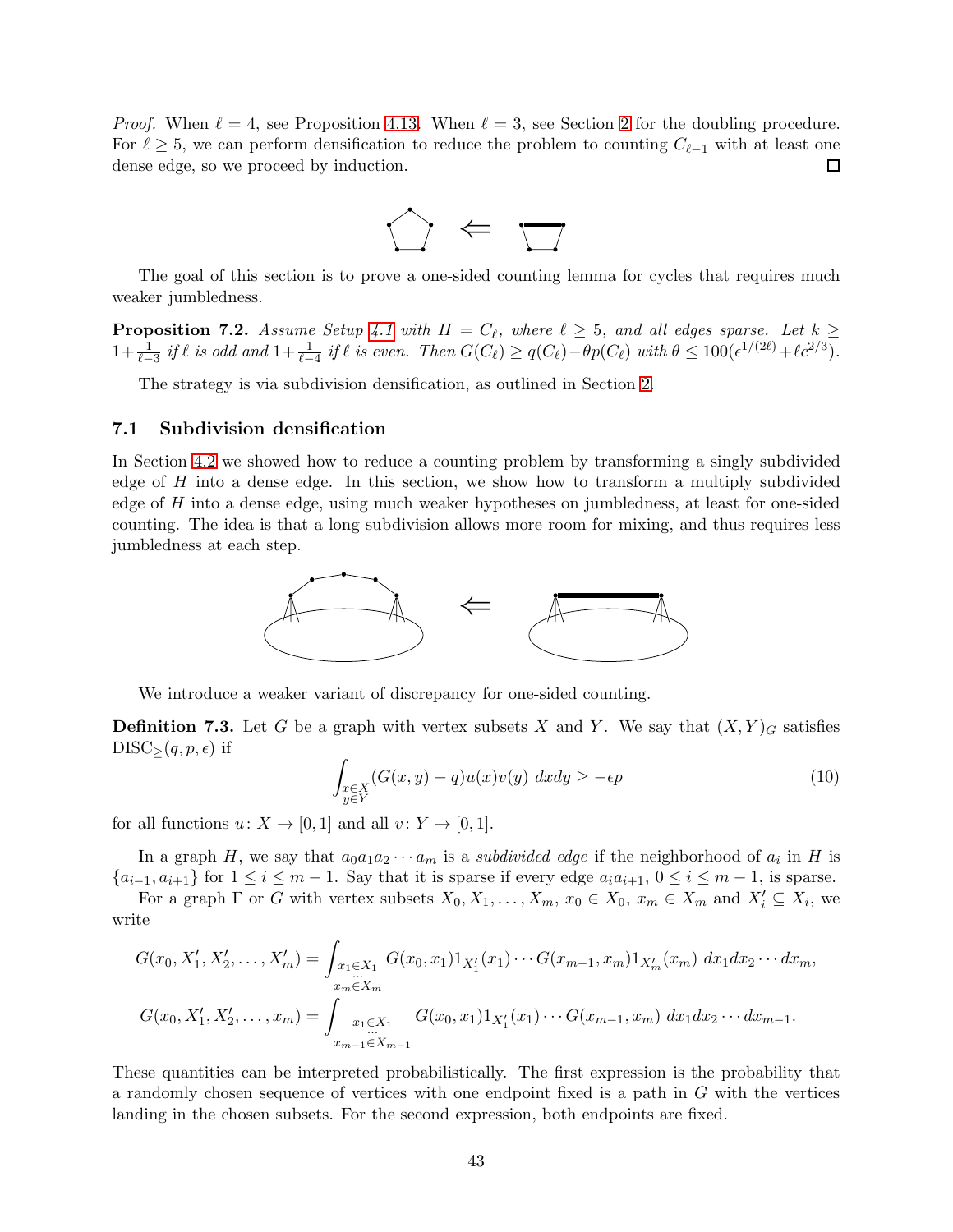*Proof.* When  $\ell = 4$ , see Proposition [4.13.](#page-28-1) When  $\ell = 3$ , see Section [2](#page-12-0) for the doubling procedure. For  $\ell \geq 5$ , we can perform densification to reduce the problem to counting  $C_{\ell-1}$  with at least one dense edge, so we proceed by induction. dense edge, so we proceed by induction.



The goal of this section is to prove a one-sided counting lemma for cycles that requires much weaker jumbledness.

<span id="page-42-2"></span>**Proposition 7.2.** Assume Setup [4.1](#page-22-2) with  $H = C_{\ell}$ , where  $\ell \geq 5$ , and all edges sparse. Let  $k \geq 0$  $1+\frac{1}{\ell-3}$  if  $\ell$  is odd and  $1+\frac{1}{\ell-4}$  if  $\ell$  is even. Then  $G(C_{\ell}) \geq q(C_{\ell})-\theta p(C_{\ell})$  with  $\theta \leq 100(\epsilon^{1/(2\ell)}+\ell c^{2/3})$ .

The strategy is via subdivision densification, as outlined in Section [2.](#page-12-0)

#### <span id="page-42-0"></span>7.1 Subdivision densification

In Section [4.2](#page-24-0) we showed how to reduce a counting problem by transforming a singly subdivided edge of  $H$  into a dense edge. In this section, we show how to transform a multiply subdivided edge of  $H$  into a dense edge, using much weaker hypotheses on jumbledness, at least for one-sided counting. The idea is that a long subdivision allows more room for mixing, and thus requires less jumbledness at each step.



We introduce a weaker variant of discrepancy for one-sided counting.

**Definition 7.3.** Let G be a graph with vertex subsets X and Y. We say that  $(X, Y)<sub>G</sub>$  satisfies  $DISC_{>(q,p,\epsilon)}$  if

<span id="page-42-1"></span>
$$
\int_{\substack{x \in X \\ y \in Y}} (G(x, y) - q) u(x) v(y) \, dx dy \ge -\epsilon p \tag{10}
$$

for all functions  $u: X \to [0,1]$  and all  $v: Y \to [0,1]$ .

In a graph H, we say that  $a_0a_1a_2\cdots a_m$  is a *subdivided edge* if the neighborhood of  $a_i$  in H is  $\{a_{i-1}, a_{i+1}\}\$ for  $1 \leq i \leq m-1$ . Say that it is sparse if every edge  $a_i a_{i+1}, 0 \leq i \leq m-1$ , is sparse.

For a graph  $\Gamma$  or G with vertex subsets  $X_0, X_1, \ldots, X_m, x_0 \in X_0, x_m \in X_m$  and  $X'_i \subseteq X_i$ , we write

$$
G(x_0, X'_1, X'_2, \dots, X'_m) = \int_{\substack{x_1 \in X_1 \\ x_m \in X_m}} G(x_0, x_1) 1_{X'_1}(x_1) \cdots G(x_{m-1}, x_m) 1_{X'_m}(x_m) dx_1 dx_2 \cdots dx_m,
$$
  

$$
G(x_0, X'_1, X'_2, \dots, x_m) = \int_{\substack{x_1 \in X_1 \\ x_{m-1} \in X_{m-1}}} G(x_0, x_1) 1_{X'_1}(x_1) \cdots G(x_{m-1}, x_m) dx_1 dx_2 \cdots dx_{m-1}.
$$

These quantities can be interpreted probabilistically. The first expression is the probability that a randomly chosen sequence of vertices with one endpoint fixed is a path in G with the vertices landing in the chosen subsets. For the second expression, both endpoints are fixed.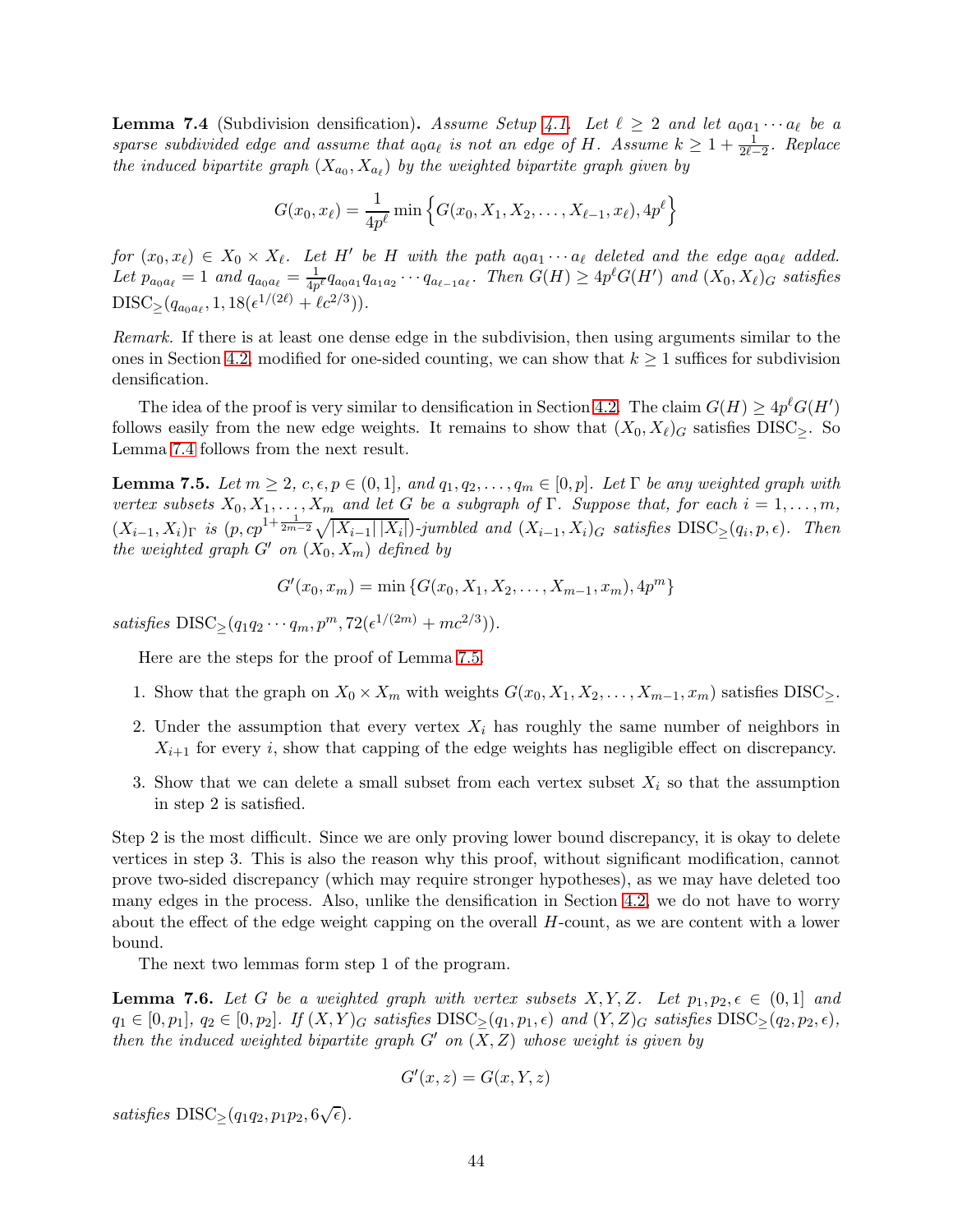<span id="page-43-0"></span>**Lemma 7.4** (Subdivision densification). Assume Setup [4.1.](#page-22-2) Let  $\ell \geq 2$  and let  $a_0a_1 \cdots a_\ell$  be a sparse subdivided edge and assume that  $a_0a_\ell$  is not an edge of H. Assume  $k \geq 1 + \frac{1}{2\ell-2}$ . Replace the induced bipartite graph  $(X_{a_0}, X_{a_\ell})$  by the weighted bipartite graph given by

$$
G(x_0, x_\ell) = \frac{1}{4p^\ell} \min \left\{ G(x_0, X_1, X_2, \dots, X_{\ell-1}, x_\ell), 4p^\ell \right\}
$$

 $for (x_0, x_\ell) \in X_0 \times X_\ell$ . Let H' be H with the path  $a_0a_1 \cdots a_\ell$  deleted and the edge  $a_0a_\ell$  added. Let  $p_{a_0a_\ell} = 1$  and  $q_{a_0a_\ell} = \frac{1}{4p^\ell} q_{a_0a_1} q_{a_1a_2} \cdots q_{a_{\ell-1}a_\ell}$ . Then  $G(H) \geq 4p^\ell G(H')$  and  $(X_0, X_\ell)_G$  satisfies  $DISC_{\geq}(q_{a_0a_{\ell}}, 1, 18(\epsilon^{1/(2\ell)} + \ell c^{2/3})).$ 

Remark. If there is at least one dense edge in the subdivision, then using arguments similar to the ones in Section [4.2,](#page-24-0) modified for one-sided counting, we can show that  $k \geq 1$  suffices for subdivision densification.

The idea of the proof is very similar to densification in Section [4.2.](#page-24-0) The claim  $G(H) \ge 4p^{\ell}G(H')$ follows easily from the new edge weights. It remains to show that  $(X_0, X_\ell)$  satisfies DISC>. So Lemma [7.4](#page-43-0) follows from the next result.

<span id="page-43-1"></span>**Lemma 7.5.** Let  $m \geq 2$ ,  $c, \epsilon, p \in (0, 1]$ , and  $q_1, q_2, \ldots, q_m \in [0, p]$ . Let  $\Gamma$  be any weighted graph with vertex subsets  $X_0, X_1, \ldots, X_m$  and let G be a subgraph of  $\Gamma$ . Suppose that, for each  $i = 1, \ldots, m$ ,  $(X_{i-1}, X_i)_{\Gamma}$  is  $(p, cp^{1+\frac{1}{2m-2}}\sqrt{|X_{i-1}||X_i|})$ -jumbled and  $(X_{i-1}, X_i)_{G}$  satisfies  $\text{DISC}_{\geq}(q_i, p, \epsilon)$ . Then the weighted graph  $G'$  on  $(X_0, X_m)$  defined by

$$
G'(x_0, x_m) = \min \{ G(x_0, X_1, X_2, \dots, X_{m-1}, x_m), 4p^m \}
$$

satisfies  $DISC_{\geq}(q_1q_2\cdots q_m, p^m, 72(\epsilon^{1/(2m)} + mc^{2/3})).$ 

Here are the steps for the proof of Lemma [7.5.](#page-43-1)

- 1. Show that the graph on  $X_0 \times X_m$  with weights  $G(x_0, X_1, X_2, \ldots, X_{m-1}, x_m)$  satisfies DISC>.
- 2. Under the assumption that every vertex  $X_i$  has roughly the same number of neighbors in  $X_{i+1}$  for every i, show that capping of the edge weights has negligible effect on discrepancy.
- 3. Show that we can delete a small subset from each vertex subset  $X_i$  so that the assumption in step 2 is satisfied.

Step 2 is the most difficult. Since we are only proving lower bound discrepancy, it is okay to delete vertices in step 3. This is also the reason why this proof, without significant modification, cannot prove two-sided discrepancy (which may require stronger hypotheses), as we may have deleted too many edges in the process. Also, unlike the densification in Section [4.2,](#page-24-0) we do not have to worry about the effect of the edge weight capping on the overall H-count, as we are content with a lower bound.

The next two lemmas form step 1 of the program.

<span id="page-43-2"></span>**Lemma 7.6.** Let G be a weighted graph with vertex subsets  $X, Y, Z$ . Let  $p_1, p_2, \epsilon \in (0, 1]$  and  $q_1 \in [0, p_1], q_2 \in [0, p_2].$  If  $(X, Y)_G$  satisfies DISC $>(q_1, p_1, \epsilon)$  and  $(Y, Z)_G$  satisfies DISC $>(q_2, p_2, \epsilon)$ , then the induced weighted bipartite graph  $G'$  on  $(X, Z)$  whose weight is given by

$$
G'(x, z) = G(x, Y, z)
$$

satisfies  $DISC_{\geq}(q_1q_2, p_1p_2, 6\sqrt{\epsilon}).$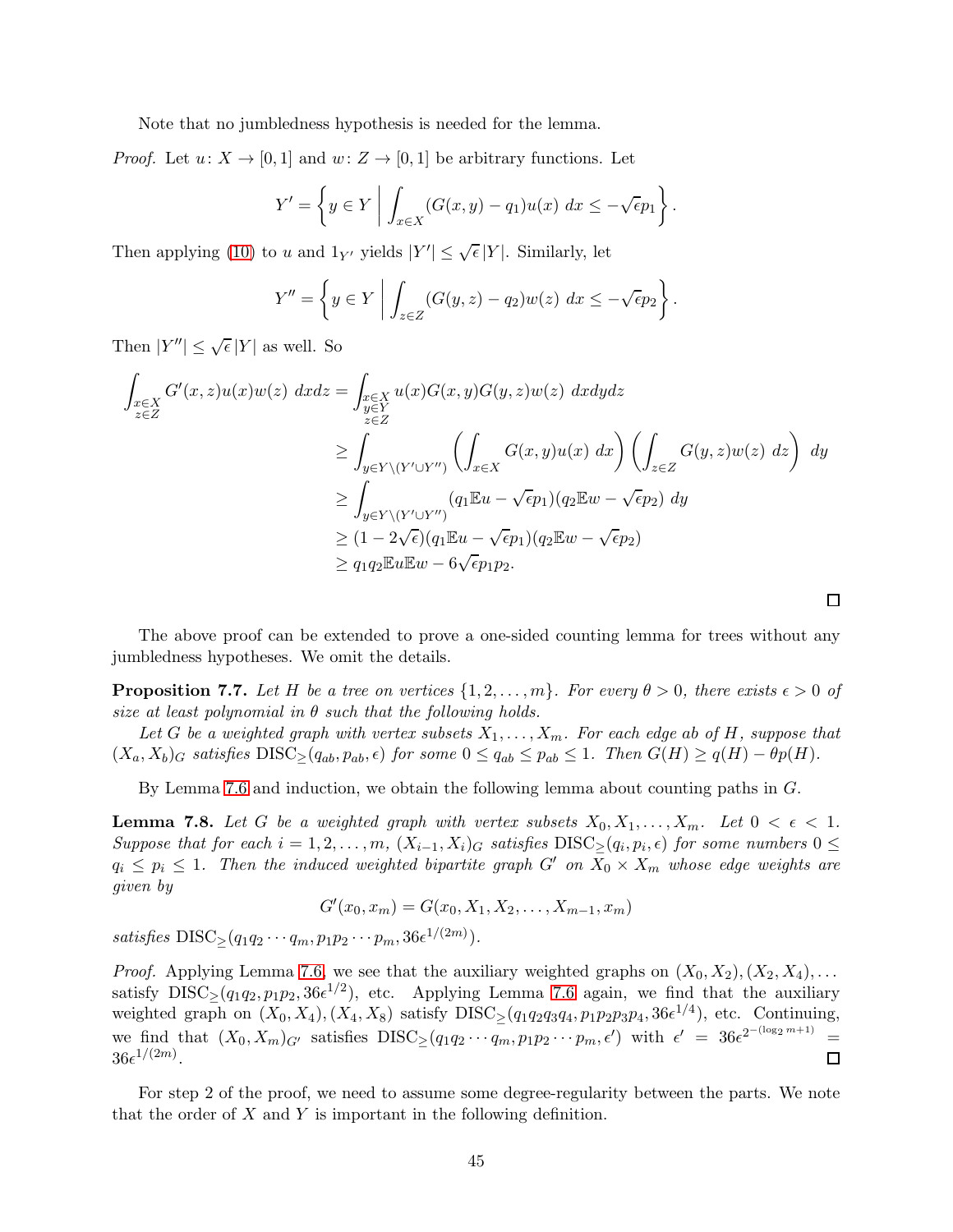Note that no jumbledness hypothesis is needed for the lemma.

*Proof.* Let  $u: X \to [0, 1]$  and  $w: Z \to [0, 1]$  be arbitrary functions. Let

$$
Y' = \left\{ y \in Y \mid \int_{x \in X} (G(x, y) - q_1) u(x) \ dx \leq -\sqrt{\epsilon} p_1 \right\}.
$$

Then applying [\(10\)](#page-42-1) to u and  $1_{Y'}$  yields  $|Y'| \leq \sqrt{\epsilon}|Y|$ . Similarly, let

$$
Y'' = \left\{ y \in Y \mid \int_{z \in Z} (G(y, z) - q_2) w(z) \, dx \leq -\sqrt{\epsilon} p_2 \right\}.
$$

Then  $|Y''| \leq \sqrt{\epsilon} |Y|$  as well. So

$$
\int_{\substack{x \in X \\ z \in Z}} G'(x, z) u(x) w(z) dx dz = \int_{\substack{x \in X \\ z \in Z}} u(x) G(x, y) G(y, z) w(z) dx dy dz
$$
\n
$$
\geq \int_{y \in Y \setminus (Y' \cup Y'')} \left( \int_{x \in X} G(x, y) u(x) dx \right) \left( \int_{z \in Z} G(y, z) w(z) dz \right) dy
$$
\n
$$
\geq \int_{y \in Y \setminus (Y' \cup Y'')} (q_1 \mathbb{E} u - \sqrt{\epsilon} p_1) (q_2 \mathbb{E} w - \sqrt{\epsilon} p_2) dy
$$
\n
$$
\geq (1 - 2\sqrt{\epsilon}) (q_1 \mathbb{E} u - \sqrt{\epsilon} p_1) (q_2 \mathbb{E} w - \sqrt{\epsilon} p_2)
$$
\n
$$
\geq q_1 q_2 \mathbb{E} u \mathbb{E} w - 6\sqrt{\epsilon} p_1 p_2.
$$

The above proof can be extended to prove a one-sided counting lemma for trees without any jumbledness hypotheses. We omit the details.

 $\Box$ 

<span id="page-44-0"></span>**Proposition 7.7.** Let H be a tree on vertices  $\{1, 2, \ldots, m\}$ . For every  $\theta > 0$ , there exists  $\epsilon > 0$  of size at least polynomial in  $\theta$  such that the following holds.

Let G be a weighted graph with vertex subsets  $X_1, \ldots, X_m$ . For each edge ab of H, suppose that  $(X_a, X_b)_G$  satisfies  $DISC_{\geq}(q_{ab}, p_{ab}, \epsilon)$  for some  $0 \leq q_{ab} \leq p_{ab} \leq 1$ . Then  $G(H) \geq q(H) - \theta p(H)$ .

By Lemma [7.6](#page-43-2) and induction, we obtain the following lemma about counting paths in G.

<span id="page-44-1"></span>**Lemma 7.8.** Let G be a weighted graph with vertex subsets  $X_0, X_1, \ldots, X_m$ . Let  $0 < \epsilon < 1$ . Suppose that for each  $i = 1, 2, ..., m$ ,  $(X_{i-1}, X_i)_G$  satisfies  $DISC_{\geq}(q_i, p_i, \epsilon)$  for some numbers  $0 \leq$  $q_i \leq p_i \leq 1$ . Then the induced weighted bipartite graph G' on  $X_0 \times X_m$  whose edge weights are given by

$$
G'(x_0, x_m) = G(x_0, X_1, X_2, \dots, X_{m-1}, x_m)
$$

satisfies  $DISC_{\geq}(q_1q_2\cdots q_m, p_1p_2\cdots p_m, 36\epsilon^{1/(2m)})$ .

*Proof.* Applying Lemma [7.6,](#page-43-2) we see that the auxiliary weighted graphs on  $(X_0, X_2), (X_2, X_4), \ldots$ satisfy  $DISC_{\geq}(q_1q_2, p_1p_2, 36\epsilon^{1/2})$ , etc. Applying Lemma [7.6](#page-43-2) again, we find that the auxiliary weighted graph on  $(X_0, X_4), (X_4, X_8)$  satisfy  $DISC_{\geq}(q_1q_2q_3q_4, p_1p_2p_3p_4, 36\epsilon^{1/4})$ , etc. Continuing, we find that  $(X_0, X_m)_{G'}$  satisfies  $DISC_{\geq}(q_1q_2\cdots q_m, p_1p_2\cdots p_m, \epsilon')$  with  $\epsilon' = 36\epsilon^{2^{-(\log_2 m + 1)}}$ =  $36\epsilon^{1/(2m)}$ .  $\Box$ 

For step 2 of the proof, we need to assume some degree-regularity between the parts. We note that the order of  $X$  and  $Y$  is important in the following definition.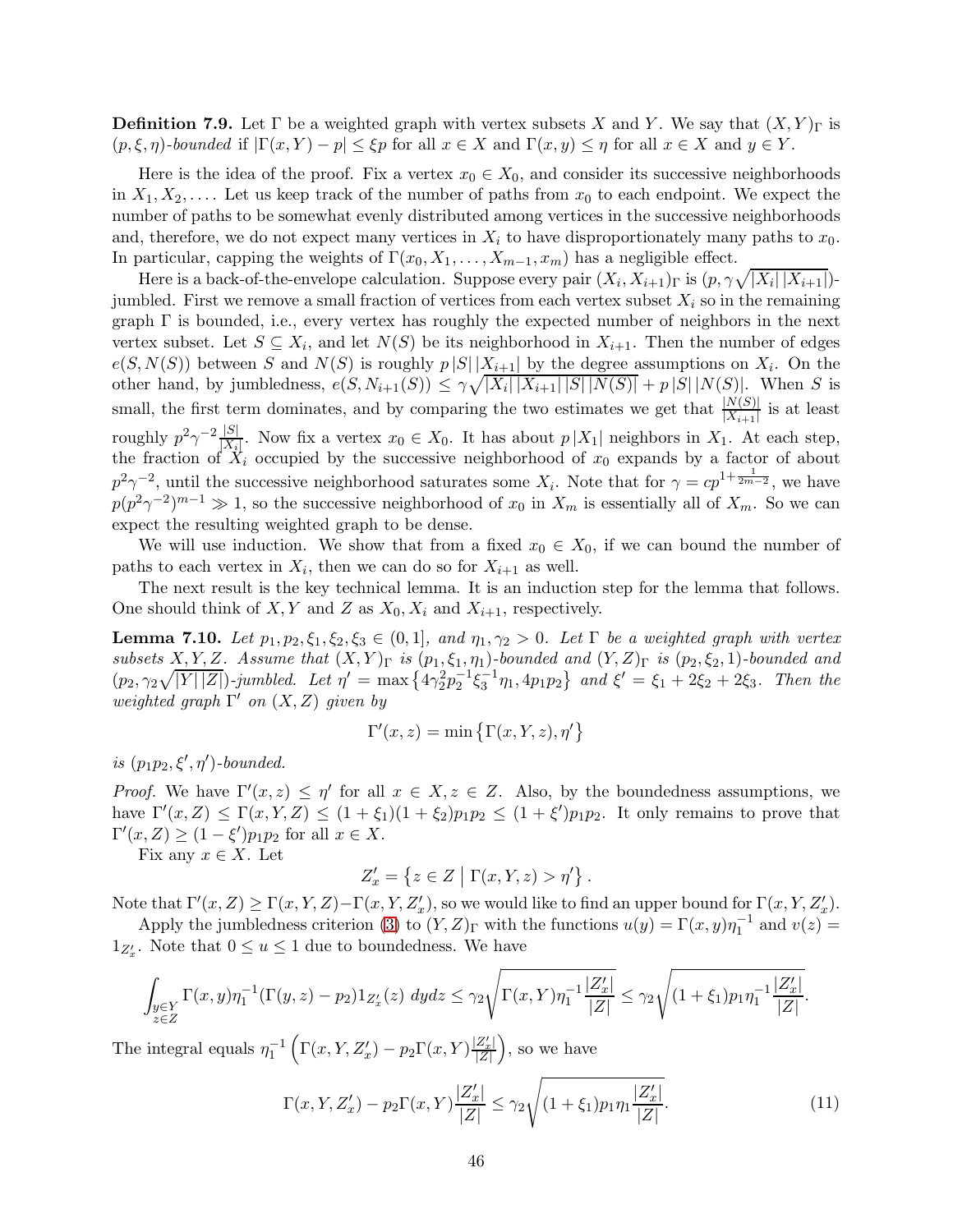**Definition 7.9.** Let  $\Gamma$  be a weighted graph with vertex subsets X and Y. We say that  $(X, Y)_{\Gamma}$  is  $(p, \xi, \eta)$ -bounded if  $|\Gamma(x, Y) - p| \leq \xi p$  for all  $x \in X$  and  $\Gamma(x, y) \leq \eta$  for all  $x \in X$  and  $y \in Y$ .

Here is the idea of the proof. Fix a vertex  $x_0 \in X_0$ , and consider its successive neighborhoods in  $X_1, X_2, \ldots$  Let us keep track of the number of paths from  $x_0$  to each endpoint. We expect the number of paths to be somewhat evenly distributed among vertices in the successive neighborhoods and, therefore, we do not expect many vertices in  $X_i$  to have disproportionately many paths to  $x_0$ . In particular, capping the weights of  $\Gamma(x_0, X_1, \ldots, X_{m-1}, x_m)$  has a negligible effect.

Here is a back-of-the-envelope calculation. Suppose every pair  $(X_i, X_{i+1})$ <sub>Γ</sub> is  $(p, \gamma \sqrt{|X_i| |X_{i+1}|})$ jumbled. First we remove a small fraction of vertices from each vertex subset  $X_i$  so in the remaining graph  $\Gamma$  is bounded, i.e., every vertex has roughly the expected number of neighbors in the next vertex subset. Let  $S \subseteq X_i$ , and let  $N(S)$  be its neighborhood in  $X_{i+1}$ . Then the number of edges  $e(S, N(S))$  between S and  $N(S)$  is roughly  $p|S|\left|\frac{X_{i+1}}{X_{i+1}}\right|$  by the degree assumptions on  $X_i$ . On the other hand, by jumbledness,  $e(S, N_{i+1}(S)) \leq \gamma \sqrt{|X_i| |X_{i+1}| |S| |N(S)|} + p |S| |N(S)|$ . When S is small, the first term dominates, and by comparing the two estimates we get that  $\frac{|N(S)|}{|X_{i+1}|}$  is at least roughly  $p^2 \gamma^{-2} \frac{|S|}{|X|}$  $\frac{|\mathcal{S}|}{|X_i|}$ . Now fix a vertex  $x_0 \in X_0$ . It has about  $p|X_1|$  neighbors in  $X_1$ . At each step, the fraction of  $X_i$  occupied by the successive neighborhood of  $x_0$  expands by a factor of about  $p^2\gamma^{-2}$ , until the successive neighborhood saturates some  $X_i$ . Note that for  $\gamma = cp^{1+\frac{1}{2m-2}}$ , we have  $p(p^2\gamma^{-2})^{m-1} \gg 1$ , so the successive neighborhood of  $x_0$  in  $X_m$  is essentially all of  $X_m$ . So we can expect the resulting weighted graph to be dense.

We will use induction. We show that from a fixed  $x_0 \in X_0$ , if we can bound the number of paths to each vertex in  $X_i$ , then we can do so for  $X_{i+1}$  as well.

The next result is the key technical lemma. It is an induction step for the lemma that follows. One should think of X, Y and Z as  $X_0, X_i$  and  $X_{i+1}$ , respectively.

<span id="page-45-1"></span>**Lemma 7.10.** Let  $p_1, p_2, \xi_1, \xi_2, \xi_3 \in (0,1]$ , and  $\eta_1, \gamma_2 > 0$ . Let  $\Gamma$  be a weighted graph with vertex subsets X, Y, Z. Assume that  $(X, Y)_{\Gamma}$  is  $(p_1, \xi_1, \eta_1)$ -bounded and  $(Y, Z)_{\Gamma}$  is  $(p_2, \xi_2, 1)$ -bounded and  $(p_2, \gamma_2\sqrt{|Y||Z|})$ -jumbled. Let  $\eta' = \max\{\frac{4\gamma_2^2 p_2^{-1} \xi_3^{-1} \eta_1, 4p_1 p_2\}$  and  $\xi' = \xi_1 + 2\xi_2 + 2\xi_3$ . Then the weighted graph  $\Gamma'$  on  $(X, Z)$  given by

$$
\Gamma'(x, z) = \min \{ \Gamma(x, Y, z), \eta' \}
$$

is  $(p_1p_2, \xi', \eta')$ -bounded.

*Proof.* We have  $\Gamma'(x, z) \leq \eta'$  for all  $x \in X, z \in Z$ . Also, by the boundedness assumptions, we have  $\Gamma'(x, Z) \leq \Gamma(x, Y, Z) \leq (1 + \xi_1)(1 + \xi_2)p_1p_2 \leq (1 + \xi')p_1p_2$ . It only remains to prove that  $\Gamma'(x,Z) \ge (1-\xi')p_1p_2$  for all  $x \in X$ .

Fix any  $x \in X$ . Let

$$
Z'_x = \{ z \in Z \mid \Gamma(x,Y,z) > \eta' \} .
$$

Note that  $\Gamma'(x, Z) \ge \Gamma(x, Y, Z) - \Gamma(x, Y, Z'_x)$ , so we would like to find an upper bound for  $\Gamma(x, Y, Z'_x)$ .

Apply the jumbledness criterion [\(3\)](#page-9-1) to  $(Y, Z)_{\Gamma}$  with the functions  $u(y) = \Gamma(x, y)\eta_1^{-1}$  and  $v(z) =$  $1_{Z'_x}$ . Note that  $0 \le u \le 1$  due to boundedness. We have

$$
\int_{\substack{y \in Y \\ z \in Z}} \Gamma(x, y) \eta_1^{-1} (\Gamma(y, z) - p_2) 1_{Z'_x}(z) dydz \leq \gamma_2 \sqrt{\Gamma(x, Y) \eta_1^{-1} \frac{|Z'_x|}{|Z|}} \leq \gamma_2 \sqrt{(1 + \xi_1) p_1 \eta_1^{-1} \frac{|Z'_x|}{|Z|}}
$$

The integral equals  $\eta_1^{-1}$  $\left(\Gamma(x,Y,Z_x')-p_2\Gamma(x,Y)\frac{|Z_x'|}{|Z|}\right)$ , so we have

<span id="page-45-0"></span>
$$
\Gamma(x, Y, Z'_x) - p_2 \Gamma(x, Y) \frac{|Z'_x|}{|Z|} \le \gamma_2 \sqrt{(1 + \xi_1) p_1 \eta_1 \frac{|Z'_x|}{|Z|}}.
$$
\n(11)

.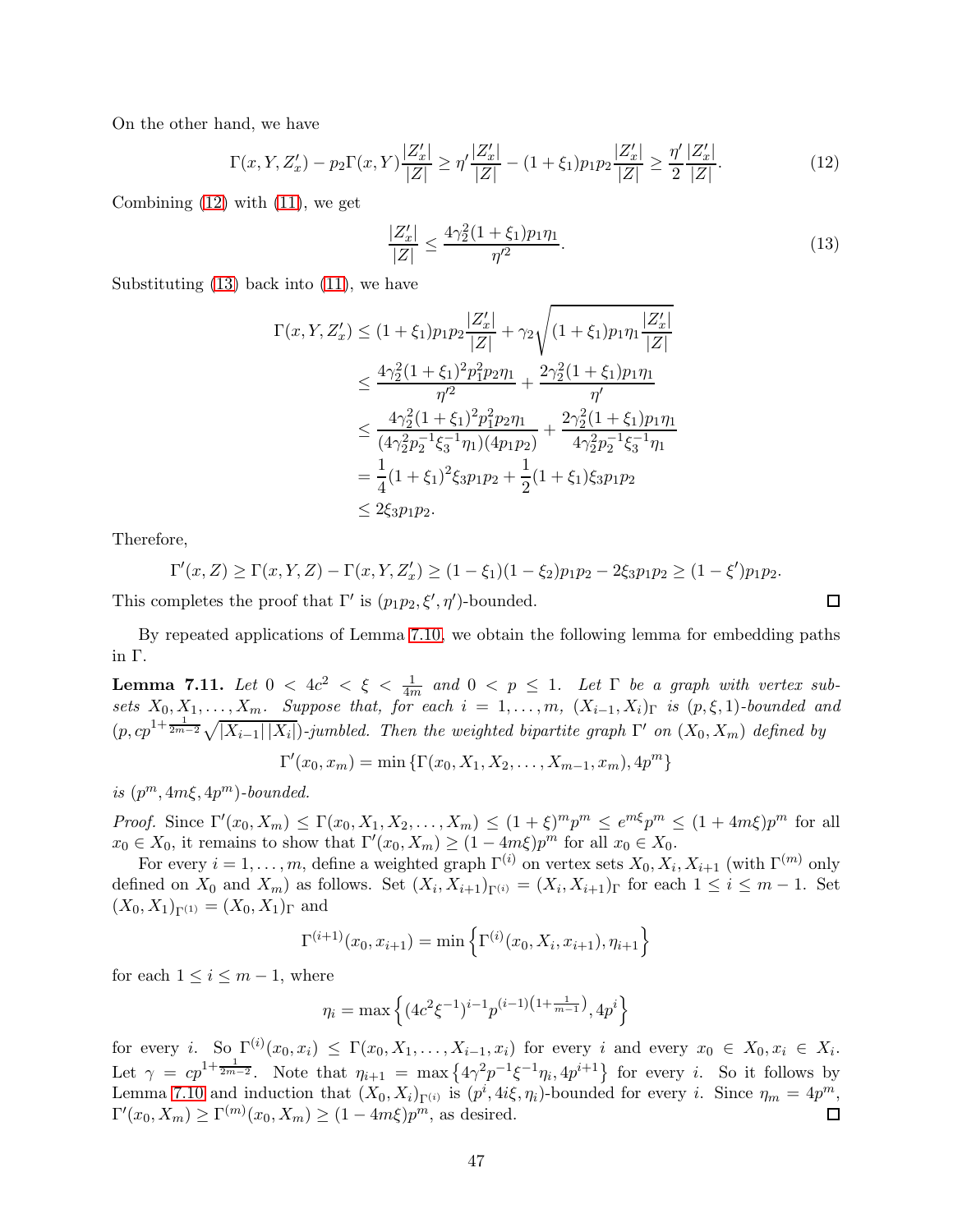On the other hand, we have

<span id="page-46-0"></span>
$$
\Gamma(x, Y, Z'_x) - p_2 \Gamma(x, Y) \frac{|Z'_x|}{|Z|} \ge \eta' \frac{|Z'_x|}{|Z|} - (1 + \xi_1) p_1 p_2 \frac{|Z'_x|}{|Z|} \ge \frac{\eta'}{2} \frac{|Z'_x|}{|Z|}.
$$
\n(12)

Combining [\(12\)](#page-46-0) with [\(11\)](#page-45-0), we get

<span id="page-46-1"></span>
$$
\frac{|Z'_x|}{|Z|} \le \frac{4\gamma_2^2 (1 + \xi_1) p_1 \eta_1}{\eta'^2}.
$$
\n(13)

Substituting  $(13)$  back into  $(11)$ , we have

$$
\Gamma(x, Y, Z'_x) \le (1 + \xi_1) p_1 p_2 \frac{|Z'_x|}{|Z|} + \gamma_2 \sqrt{(1 + \xi_1) p_1 \eta_1 \frac{|Z'_x|}{|Z|}}
$$
  
\n
$$
\le \frac{4\gamma_2^2 (1 + \xi_1)^2 p_1^2 p_2 \eta_1}{\eta'^2} + \frac{2\gamma_2^2 (1 + \xi_1) p_1 \eta_1}{\eta'}
$$
  
\n
$$
\le \frac{4\gamma_2^2 (1 + \xi_1)^2 p_1^2 p_2 \eta_1}{(4\gamma_2^2 p_2^{-1} \xi_3^{-1} \eta_1)(4 p_1 p_2)} + \frac{2\gamma_2^2 (1 + \xi_1) p_1 \eta_1}{4\gamma_2^2 p_2^{-1} \xi_3^{-1} \eta_1}
$$
  
\n
$$
= \frac{1}{4} (1 + \xi_1)^2 \xi_3 p_1 p_2 + \frac{1}{2} (1 + \xi_1) \xi_3 p_1 p_2
$$
  
\n
$$
\le 2\xi_3 p_1 p_2.
$$

Therefore,

$$
\Gamma'(x,Z) \ge \Gamma(x,Y,Z) - \Gamma(x,Y,Z'_x) \ge (1-\xi_1)(1-\xi_2)p_1p_2 - 2\xi_3p_1p_2 \ge (1-\xi')p_1p_2.
$$

This completes the proof that  $\Gamma'$  is  $(p_1p_2, \xi', \eta')$ -bounded.

By repeated applications of Lemma [7.10,](#page-45-1) we obtain the following lemma for embedding paths in Γ.

<span id="page-46-2"></span>**Lemma 7.11.** Let  $0 < 4c^2 < \xi < \frac{1}{4m}$  and  $0 < p \le 1$ . Let  $\Gamma$  be a graph with vertex subsets  $X_0, X_1, \ldots, X_m$ . Suppose that, for each  $i = 1, \ldots, m$ ,  $(X_{i-1}, X_i)_{\Gamma}$  is  $(p, \xi, 1)$ -bounded and  $(p, cp^{1+\frac{1}{2m-2}}\sqrt{|X_{i-1}||X_i|})$ -jumbled. Then the weighted bipartite graph  $\Gamma'$  on  $(X_0, X_m)$  defined by

$$
\Gamma'(x_0, x_m) = \min \{ \Gamma(x_0, X_1, X_2, \dots, X_{m-1}, x_m), 4p^m \}
$$

is  $(p^m, 4m\xi, 4p^m)$ -bounded.

*Proof.* Since  $\Gamma'(x_0, X_m) \leq \Gamma(x_0, X_1, X_2, \ldots, X_m) \leq (1 + \xi)^m p^m \leq e^{m\xi} p^m \leq (1 + 4m\xi)p^m$  for all  $x_0 \in X_0$ , it remains to show that  $\Gamma'(x_0, X_m) \geq (1 - 4m\xi)p^m$  for all  $x_0 \in X_0$ .

For every  $i = 1, \ldots, m$ , define a weighted graph  $\Gamma^{(i)}$  on vertex sets  $X_0, X_i, X_{i+1}$  (with  $\Gamma^{(m)}$  only defined on  $X_0$  and  $X_m$ ) as follows. Set  $(X_i, X_{i+1})_{\Gamma^{(i)}} = (X_i, X_{i+1})_{\Gamma}$  for each  $1 \le i \le m-1$ . Set  $(X_0, X_1)_{\Gamma(1)} = (X_0, X_1)_{\Gamma}$  and

$$
\Gamma^{(i+1)}(x_0, x_{i+1}) = \min \left\{ \Gamma^{(i)}(x_0, X_i, x_{i+1}), \eta_{i+1} \right\}
$$

for each  $1 \leq i \leq m-1$ , where

$$
\eta_i = \max \left\{ (4c^2 \xi^{-1})^{i-1} p^{(i-1)\left(1 + \frac{1}{m-1}\right)}, 4p^i \right\}
$$

for every i. So  $\Gamma^{(i)}(x_0, x_i) \leq \Gamma(x_0, X_1, \ldots, X_{i-1}, x_i)$  for every i and every  $x_0 \in X_0, x_i \in X_i$ . Let  $\gamma = c p^{1+\frac{1}{2m-2}}$ . Note that  $\eta_{i+1} = \max\{4\gamma^2 p^{-1} \xi^{-1} \eta_i, 4p^{i+1}\}\$  for every i. So it follows by Lemma [7.10](#page-45-1) and induction that  $(X_0, X_i)_{\Gamma^{(i)}}$  is  $(p^i, 4i\xi, \eta_i)$ -bounded for every i. Since  $\eta_m = 4p^m$ ,  $\Gamma'(x_0, X_m) \ge \Gamma^{(m)}(x_0, X_m) \ge (1 - 4m\xi)p^m$ , as desired. 囗

 $\Box$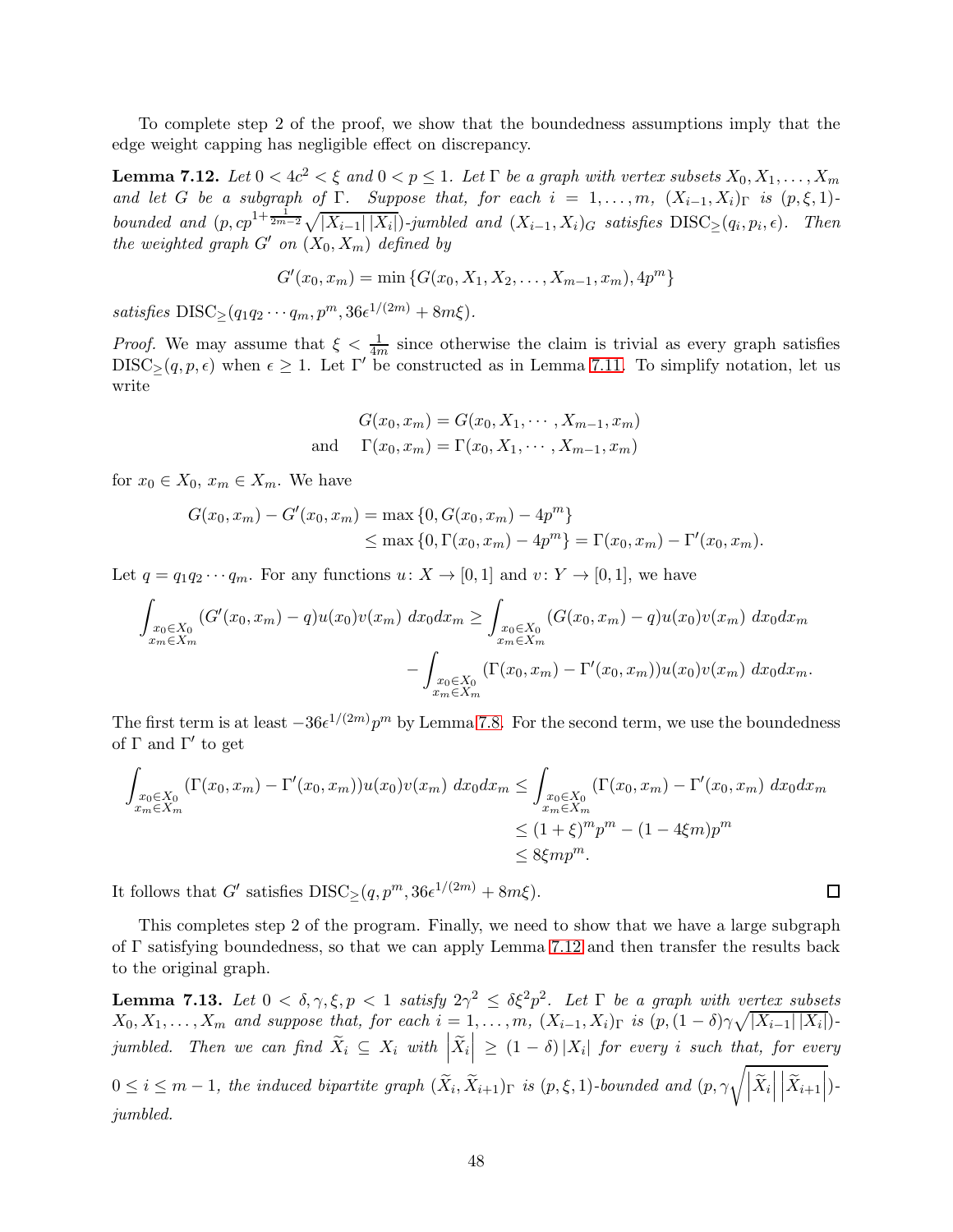To complete step 2 of the proof, we show that the boundedness assumptions imply that the edge weight capping has negligible effect on discrepancy.

<span id="page-47-0"></span>**Lemma 7.12.** Let  $0 < 4c^2 < \xi$  and  $0 < p \le 1$ . Let  $\Gamma$  be a graph with vertex subsets  $X_0, X_1, \ldots, X_m$ and let G be a subgraph of Γ. Suppose that, for each  $i = 1, \ldots, m$ ,  $(X_{i-1}, X_i)_{\Gamma}$  is  $(p, \xi, 1)$ bounded and  $(p, cp^{1+\frac{1}{2m-2}}\sqrt{|X_{i-1}||X_i|})$ -jumbled and  $(X_{i-1}, X_i)$ <sub>G</sub> satisfies  $\text{DISC}_{\geq}(q_i, p_i, \epsilon)$ . Then the weighted graph  $G'$  on  $(X_0, X_m)$  defined by

$$
G'(x_0, x_m) = \min \{ G(x_0, X_1, X_2, \dots, X_{m-1}, x_m), 4p^m \}
$$

satisfies  $DISC_{\geq}(q_1q_2\cdots q_m, p^m, 36\epsilon^{1/(2m)} + 8m\xi).$ 

*Proof.* We may assume that  $\xi < \frac{1}{4m}$  since otherwise the claim is trivial as every graph satisfies  $DISC_{\geq}(q, p, \epsilon)$  when  $\epsilon \geq 1$ . Let  $\Gamma'$  be constructed as in Lemma [7.11.](#page-46-2) To simplify notation, let us write

$$
G(x_0, x_m) = G(x_0, X_1, \cdots, X_{m-1}, x_m)
$$
  
and 
$$
\Gamma(x_0, x_m) = \Gamma(x_0, X_1, \cdots, X_{m-1}, x_m)
$$

for  $x_0 \in X_0$ ,  $x_m \in X_m$ . We have

$$
G(x_0, x_m) - G'(x_0, x_m) = \max\{0, G(x_0, x_m) - 4p^m\}
$$
  
\$\leq\$ max {0,  $\Gamma(x_0, x_m) - 4p^m$ } =  $\Gamma(x_0, x_m) - \Gamma'(x_0, x_m)$ .

Let  $q = q_1 q_2 \cdots q_m$ . For any functions  $u: X \to [0, 1]$  and  $v: Y \to [0, 1]$ , we have

$$
\int_{\substack{x_0 \in X_0 \\ x_m \in X_m}} (G'(x_0, x_m) - q) u(x_0) v(x_m) dx_0 dx_m \ge \int_{\substack{x_0 \in X_0 \\ x_m \in X_m}} (G(x_0, x_m) - q) u(x_0) v(x_m) dx_0 dx_m - \int_{\substack{x_0 \in X_0 \\ x_m \in X_m}} (\Gamma(x_0, x_m) - \Gamma'(x_0, x_m)) u(x_0) v(x_m) dx_0 dx_m.
$$

The first term is at least  $-36\epsilon^{1/(2m)}p^m$  by Lemma [7.8.](#page-44-1) For the second term, we use the boundedness of  $\Gamma$  and  $\Gamma'$  to get

$$
\int_{\substack{x_0 \in X_0 \\ x_m \in X_m}} (\Gamma(x_0, x_m) - \Gamma'(x_0, x_m)) u(x_0) v(x_m) dx_0 dx_m \le \int_{\substack{x_0 \in X_0 \\ x_m \in X_m}} (\Gamma(x_0, x_m) - \Gamma'(x_0, x_m) dx_0 dx_m
$$
  

$$
\le (1 + \xi)^m p^m - (1 - 4\xi m) p^m
$$
  

$$
\le 8\xi m p^m.
$$

It follows that G' satisfies  $DISC_{\geq}(q, p^m, 36\epsilon^{1/(2m)} + 8m\xi)$ .

This completes step 2 of the program. Finally, we need to show that we have a large subgraph of Γ satisfying boundedness, so that we can apply Lemma [7.12](#page-47-0) and then transfer the results back to the original graph.

<span id="page-47-1"></span>**Lemma 7.13.** Let  $0 < \delta, \gamma, \xi, p < 1$  satisfy  $2\gamma^2 \leq \delta \xi^2 p^2$ . Let  $\Gamma$  be a graph with vertex subsets  $X_0, X_1, \ldots, X_m$  and suppose that, for each  $i = 1, \ldots, m$ ,  $(X_{i-1}, X_i)$ <sub>Γ</sub> is  $(p, (1 - \delta) \gamma \sqrt{|X_{i-1}| |X_i|})$ jumbled. Then we can find  $\widetilde{X}_i \subseteq X_i$  with  $\left| \widetilde{X}_i \right| \geq (1 - \delta) |X_i|$  for every i such that, for every  $0 \leq i \leq m-1$ , the induced bipartite graph  $(\widetilde{X}_i, \widetilde{X}_{i+1})_{\Gamma}$  is  $(p, \xi, 1)$ -bounded and  $(p, \gamma \sqrt{\left|\widetilde{X}_i\right|})$  $\left| \widetilde{X}_{i+1} \right|$ )jumbled.

 $\Box$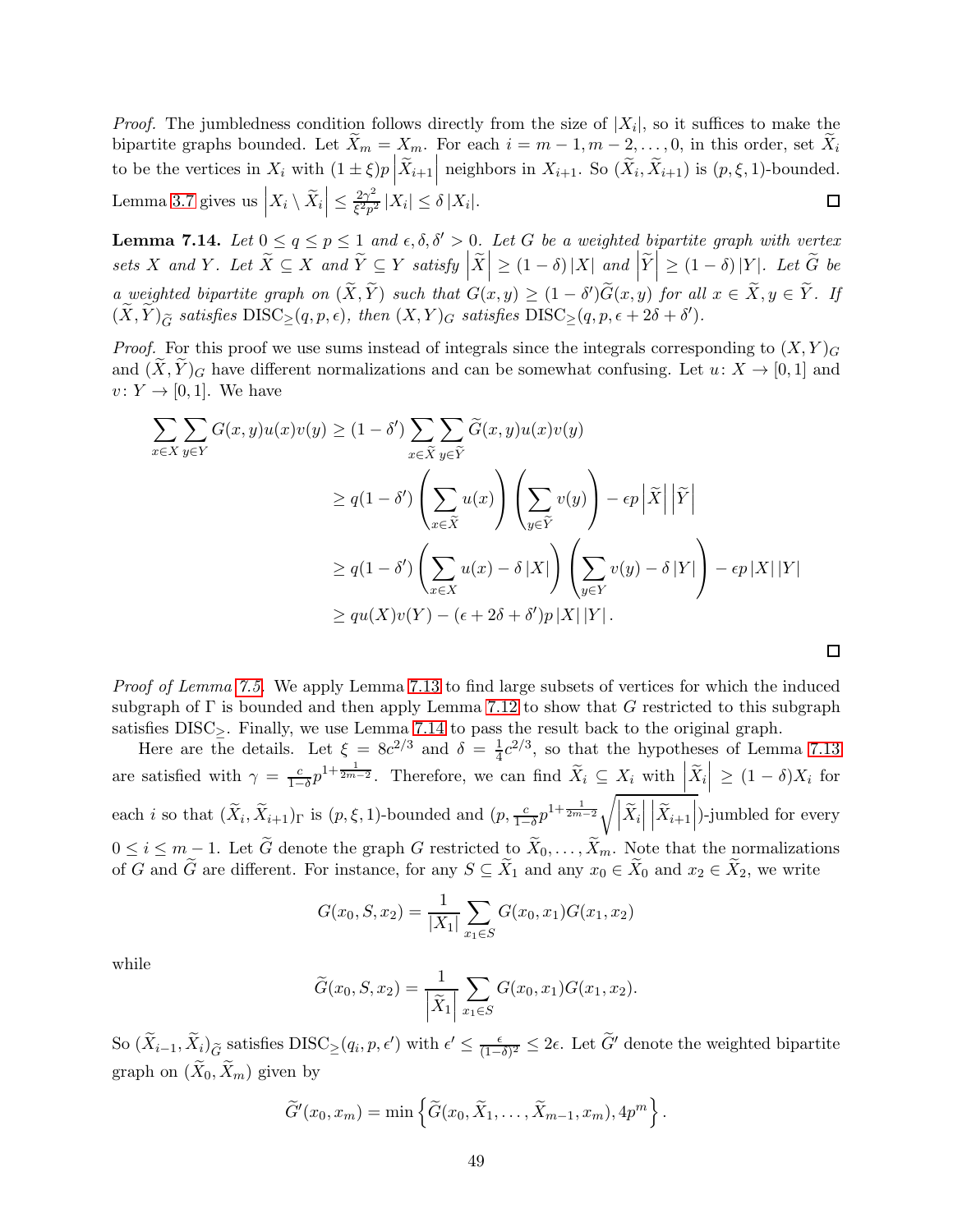*Proof.* The jumbledness condition follows directly from the size of  $|X_i|$ , so it suffices to make the bipartite graphs bounded. Let  $\bar{X}_m = X_m$ . For each  $i = m - 1, m - 2, \ldots, 0$ , in this order, set  $\bar{X}_i$ to be the vertices in  $X_i$  with  $(1 \pm \xi)p\left|\widetilde{X}_{i+1}\right|$  neighbors in  $X_{i+1}$ . So  $(\widetilde{X}_i, \widetilde{X}_{i+1})$  is  $(p, \xi, 1)$ -bounded. Lemma [3.7](#page-21-4) gives us  $\left| X_i \setminus \widetilde{X}_i \right| \leq \frac{2\gamma^2}{\xi^2 p^2}$  $\frac{2\gamma}{\xi^2 p^2} |X_i| \leq \delta |X_i|.$  $\Box$ 

<span id="page-48-0"></span>**Lemma 7.14.** Let  $0 \le q \le p \le 1$  and  $\epsilon, \delta, \delta' > 0$ . Let G be a weighted bipartite graph with vertex sets X and Y. Let  $\widetilde{X} \subseteq X$  and  $\widetilde{Y} \subseteq Y$  satisfy  $\left|\widetilde{X}\right| \geq (1-\delta) |X|$  and  $\left|\widetilde{Y}\right| \geq (1-\delta) |Y|$ . Let  $\widetilde{G}$  be a weighted bipartite graph on  $(\tilde{X}, \tilde{Y})$  such that  $G(x, y) \geq (1 - \delta')\tilde{G}(x, y)$  for all  $x \in \tilde{X}, y \in \tilde{Y}$ . If  $(\widetilde{X}, \widetilde{Y})_{\widetilde{G}}$  satisfies  $\text{DISC}_{\geq}(q, p, \epsilon)$ , then  $(X, Y)_{G}$  satisfies  $\text{DISC}_{\geq}(q, p, \epsilon + 2\delta + \delta')$ .

*Proof.* For this proof we use sums instead of integrals since the integrals corresponding to  $(X, Y)<sub>G</sub>$ and  $(X, Y)_G$  have different normalizations and can be somewhat confusing. Let  $u: X \to [0, 1]$  and  $v: Y \to [0,1]$ . We have

$$
\sum_{x \in X} \sum_{y \in Y} G(x, y)u(x)v(y) \ge (1 - \delta') \sum_{x \in \widetilde{X}} \sum_{y \in \widetilde{Y}} \widetilde{G}(x, y)u(x)v(y)
$$
  

$$
\ge q(1 - \delta') \left( \sum_{x \in \widetilde{X}} u(x) \right) \left( \sum_{y \in \widetilde{Y}} v(y) \right) - \epsilon p |\widetilde{X}| |\widetilde{Y}|
$$
  

$$
\ge q(1 - \delta') \left( \sum_{x \in X} u(x) - \delta |X| \right) \left( \sum_{y \in Y} v(y) - \delta |Y| \right) - \epsilon p |X| |Y|
$$
  

$$
\ge qu(X)v(Y) - (\epsilon + 2\delta + \delta')p |X| |Y|.
$$

Proof of Lemma [7.5.](#page-43-1) We apply Lemma [7.13](#page-47-1) to find large subsets of vertices for which the induced subgraph of  $\Gamma$  is bounded and then apply Lemma [7.12](#page-47-0) to show that G restricted to this subgraph satisfies  $DISC_{\geq}$ . Finally, we use Lemma [7.14](#page-48-0) to pass the result back to the original graph.

 $\Box$ 

Here are the details. Let  $\xi = 8c^{2/3}$  and  $\delta = \frac{1}{4}c^{2/3}$ , so that the hypotheses of Lemma [7.13](#page-47-1) are satisfied with  $\gamma = \frac{c}{1-z}$  $\frac{c}{1-\delta}p^{1+\frac{1}{2m-2}}$ . Therefore, we can find  $\widetilde{X}_i \subseteq X_i$  with  $\left|\widetilde{X}_i\right| \geq (1-\delta)X_i$  for each *i* so that  $(\widetilde{X}_i, \widetilde{X}_{i+1})$ <sub>Γ</sub> is  $(p, \xi, 1)$ -bounded and  $(p, \frac{c}{1-\delta}p^{1+\frac{1}{2m-2}}\sqrt{|\widetilde{X}_i|})$  $\left| \widetilde{X}_{i+1} \right|$ )-jumbled for every  $0 \leq i \leq m-1$ . Let  $\widetilde{G}$  denote the graph G restricted to  $\widetilde{X}_0, \ldots, \widetilde{X}_m$ . Note that the normalizations of G and  $\widetilde{G}$  are different. For instance, for any  $S \subseteq \widetilde{X}_1$  and any  $x_0 \in \widetilde{X}_0$  and  $x_2 \in \widetilde{X}_2$ , we write

$$
G(x_0, S, x_2) = \frac{1}{|X_1|} \sum_{x_1 \in S} G(x_0, x_1) G(x_1, x_2)
$$

while

$$
\widetilde{G}(x_0, S, x_2) = \frac{1}{\left|\widetilde{X}_1\right|} \sum_{x_1 \in S} G(x_0, x_1) G(x_1, x_2).
$$

So  $(\widetilde{X}_{i-1}, \widetilde{X}_i)_{\widetilde{G}}$  satisfies  $\text{DISC}_{\geq}(q_i, p, \epsilon')$  with  $\epsilon' \leq \frac{\epsilon}{(1-\epsilon)}$  $\frac{\epsilon}{(1-\delta)^2}$  ≤ 2 $\epsilon$ . Let  $\widetilde{G}'$  denote the weighted bipartite graph on  $(\widetilde{X}_0, \widetilde{X}_m)$  given by

$$
\widetilde{G}'(x_0,x_m)=\min\left\{\widetilde{G}(x_0,\widetilde{X}_1,\ldots,\widetilde{X}_{m-1},x_m),4p^m\right\}.
$$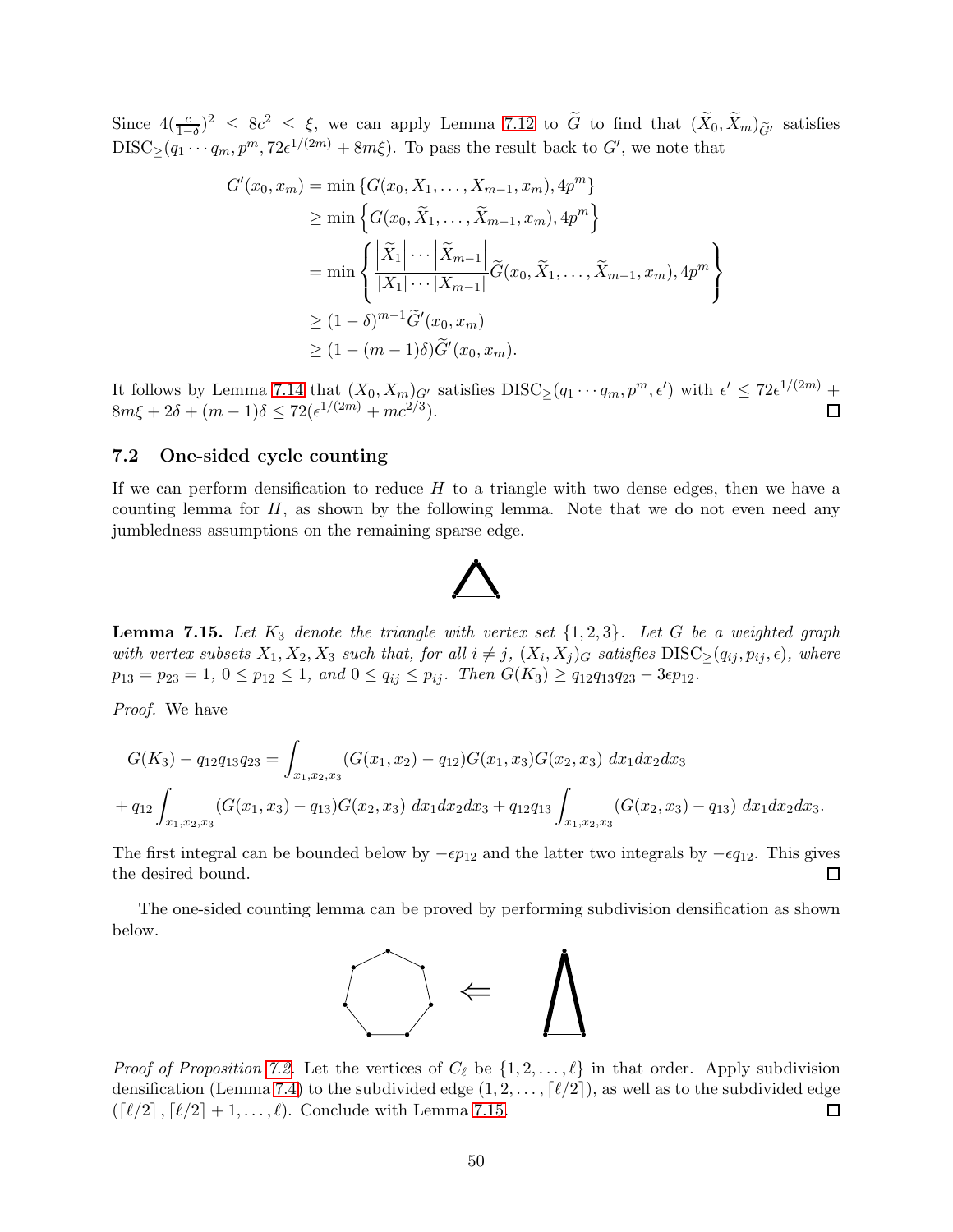Since  $4(\frac{c}{1-\delta})^2 \leq 8c^2 \leq \xi$ , we can apply Lemma [7.12](#page-47-0) to  $\widetilde{G}$  to find that  $(\widetilde{X}_0, \widetilde{X}_m)_{\widetilde{G}'}$  satisfies  $\text{DISC}_{\geq}(q_1 \cdots q_m, p^m, 72\epsilon^{1/(2m)} + 8m\xi)$ . To pass the result back to  $G'$ , we note that

$$
G'(x_0, x_m) = \min \{ G(x_0, X_1, \dots, X_{m-1}, x_m), 4p^m \}
$$
  
\n
$$
\geq \min \left\{ G(x_0, \tilde{X}_1, \dots, \tilde{X}_{m-1}, x_m), 4p^m \right\}
$$
  
\n
$$
= \min \left\{ \frac{|\tilde{X}_1| \cdots |\tilde{X}_{m-1}|}{|X_1| \cdots |X_{m-1}|} \tilde{G}(x_0, \tilde{X}_1, \dots, \tilde{X}_{m-1}, x_m), 4p^m \right\}
$$
  
\n
$$
\geq (1 - \delta)^{m-1} \tilde{G}'(x_0, x_m)
$$
  
\n
$$
\geq (1 - (m-1)\delta) \tilde{G}'(x_0, x_m).
$$

It follows by Lemma [7.14](#page-48-0) that  $(X_0, X_m)_{G'}$  satisfies  $DISC_{\geq}(q_1 \cdots q_m, p^m, \epsilon')$  with  $\epsilon' \leq 72\epsilon^{1/(2m)}$  +  $8m\xi + 2\delta + (m-1)\delta \leq 72(\epsilon^{1/(2m)} + mc^{2/3}).$  $\Box$ 

### <span id="page-49-0"></span>7.2 One-sided cycle counting

If we can perform densification to reduce  $H$  to a triangle with two dense edges, then we have a counting lemma for  $H$ , as shown by the following lemma. Note that we do not even need any jumbledness assumptions on the remaining sparse edge.



<span id="page-49-1"></span>**Lemma 7.15.** Let  $K_3$  denote the triangle with vertex set  $\{1,2,3\}$ . Let G be a weighted graph with vertex subsets  $X_1, X_2, X_3$  such that, for all  $i \neq j$ ,  $(X_i, X_j)_G$  satisfies  $DISC_{\geq}(q_{ij}, p_{ij}, \epsilon)$ , where  $p_{13} = p_{23} = 1, 0 \le p_{12} \le 1, \text{ and } 0 \le q_{ij} \le p_{ij}. \text{ Then } G(K_3) \ge q_{12}q_{13}q_{23} - 3\epsilon p_{12}.$ 

Proof. We have

$$
G(K_3) - q_{12}q_{13}q_{23} = \int_{x_1, x_2, x_3} (G(x_1, x_2) - q_{12})G(x_1, x_3)G(x_2, x_3) dx_1 dx_2 dx_3
$$
  
+ 
$$
q_{12} \int_{x_1, x_2, x_3} (G(x_1, x_3) - q_{13})G(x_2, x_3) dx_1 dx_2 dx_3 + q_{12}q_{13} \int_{x_1, x_2, x_3} (G(x_2, x_3) - q_{13}) dx_1 dx_2 dx_3.
$$

The first integral can be bounded below by  $-\epsilon p_{12}$  and the latter two integrals by  $-\epsilon q_{12}$ . This gives the desired bound. П

The one-sided counting lemma can be proved by performing subdivision densification as shown below.



*Proof of Proposition [7.2.](#page-42-2)* Let the vertices of  $C_{\ell}$  be  $\{1, 2, \ldots, \ell\}$  in that order. Apply subdivision densification (Lemma [7.4\)](#page-43-0) to the subdivided edge  $(1, 2, ..., \lceil \ell/2 \rceil)$ , as well as to the subdivided edge  $(\lceil \ell/2 \rceil, \lceil \ell/2 \rceil + 1, ..., \ell)$ . Conclude with Lemma 7.15.  $(\lceil \ell/2 \rceil, \lceil \ell/2 \rceil + 1, \ldots, \ell)$ . Conclude with Lemma [7.15.](#page-49-1)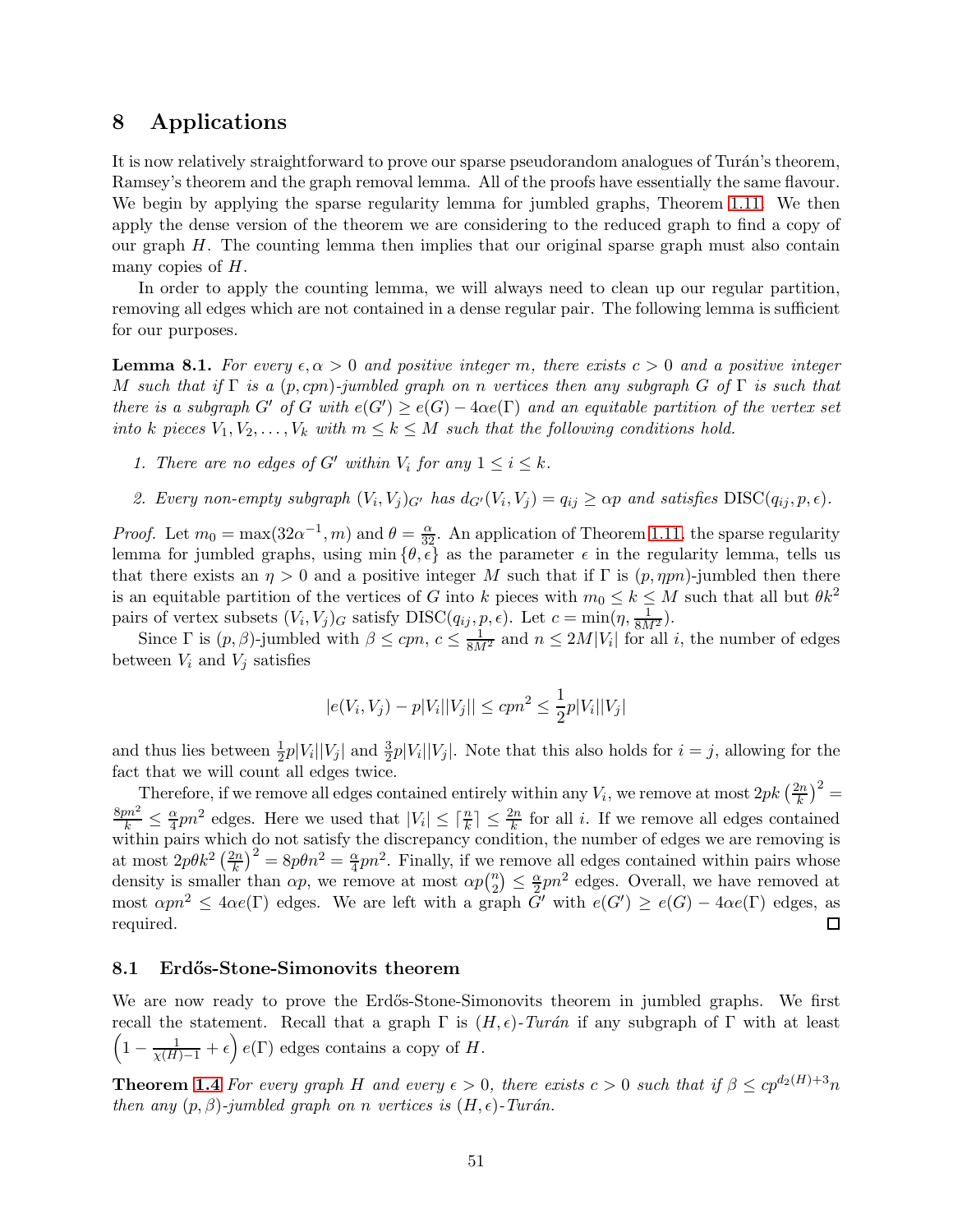# <span id="page-50-0"></span>8 Applications

It is now relatively straightforward to prove our sparse pseudorandom analogues of Turán's theorem, Ramsey's theorem and the graph removal lemma. All of the proofs have essentially the same flavour. We begin by applying the sparse regularity lemma for jumbled graphs, Theorem [1.11.](#page-9-2) We then apply the dense version of the theorem we are considering to the reduced graph to find a copy of our graph  $H$ . The counting lemma then implies that our original sparse graph must also contain many copies of H.

In order to apply the counting lemma, we will always need to clean up our regular partition, removing all edges which are not contained in a dense regular pair. The following lemma is sufficient for our purposes.

<span id="page-50-2"></span>**Lemma 8.1.** For every  $\epsilon, \alpha > 0$  and positive integer m, there exists  $c > 0$  and a positive integer M such that if  $\Gamma$  is a  $(p, cpn)$ -jumbled graph on n vertices then any subgraph G of  $\Gamma$  is such that there is a subgraph  $G'$  of  $G$  with  $e(G') \ge e(G) - 4\alpha e(\Gamma)$  and an equitable partition of the vertex set into k pieces  $V_1, V_2, \ldots, V_k$  with  $m \leq k \leq M$  such that the following conditions hold.

- 1. There are no edges of G' within  $V_i$  for any  $1 \leq i \leq k$ .
- 2. Every non-empty subgraph  $(V_i, V_j)_{G'}$  has  $d_{G'}(V_i, V_j) = q_{ij} \geq \alpha p$  and satisfies  $\text{DISC}(q_{ij}, p, \epsilon)$ .

*Proof.* Let  $m_0 = \max(32\alpha^{-1}, m)$  and  $\theta = \frac{\alpha}{32}$ . An application of Theorem [1.11,](#page-9-2) the sparse regularity lemma for jumbled graphs, using min  $\{\theta, \epsilon\}$  as the parameter  $\epsilon$  in the regularity lemma, tells us that there exists an  $\eta > 0$  and a positive integer M such that if  $\Gamma$  is  $(p, \eta pn)$ -jumbled then there is an equitable partition of the vertices of G into k pieces with  $m_0 \leq k \leq M$  such that all but  $\theta k^2$ pairs of vertex subsets  $(V_i, V_j)_G$  satisfy  $DISC(q_{ij}, p, \epsilon)$ . Let  $c = \min(\eta, \frac{1}{8M^2})$ .

Since  $\Gamma$  is  $(p, \beta)$ -jumbled with  $\beta \leq cpn$ ,  $c \leq \frac{1}{8M^2}$  and  $n \leq 2M|V_i|$  for all i, the number of edges between  $V_i$  and  $V_j$  satisfies

$$
|e(V_i, V_j) - p|V_i||V_j|| \le cpn^2 \le \frac{1}{2}p|V_i||V_j|
$$

and thus lies between  $\frac{1}{2}p|V_i||V_j|$  and  $\frac{3}{2}p|V_i||V_j|$ . Note that this also holds for  $i = j$ , allowing for the fact that we will count all edges twice.

Therefore, if we remove all edges contained entirely within any  $V_i$ , we remove at most  $2pk\left(\frac{2n}{k}\right)$  $\left(\frac{2n}{k}\right)^2 =$  $\frac{8pn^2}{k} \leq \frac{\alpha}{4}$  $\frac{\alpha}{4}pn^2$  edges. Here we used that  $|V_i| \leq \lceil \frac{n}{k} \rceil \leq \frac{2n}{k}$  for all *i*. If we remove all edges contained within pairs which do not satisfy the discrepancy condition, the number of edges we are removing is at most  $2p\theta k^2\left(\frac{2n}{k}\right)$  $\left(\frac{2n}{k}\right)^2 = 8p\theta n^2 = \frac{\alpha}{4}pn^2$ . Finally, if we remove all edges contained within pairs whose density is smaller than  $\alpha p$ , we remove at most  $\alpha p$ <sup>n</sup>  $\binom{n}{2} \leq \frac{\alpha}{2}pn^2$  edges. Overall, we have removed at most  $\alpha pn^2 \leq 4\alpha e(\Gamma)$  edges. We are left with a graph  $G'$  with  $e(G') \geq e(G) - 4\alpha e(\Gamma)$  edges, as required.

## <span id="page-50-1"></span>8.1 Erdős-Stone-Simonovits theorem

We are now ready to prove the Erdős-Stone-Simonovits theorem in jumbled graphs. We first recall the statement. Recall that a graph  $\Gamma$  is  $(H, \epsilon)$ -Turán if any subgraph of  $\Gamma$  with at least  $\left(1-\frac{1}{\chi(H)-1}+\epsilon\right)e(\Gamma)$  edges contains a copy of H.

**Theorem [1.4](#page-6-0)** For every graph H and every  $\epsilon > 0$ , there exists  $c > 0$  such that if  $\beta \leq cp^{d_2(H)+3}n$ then any  $(p, \beta)$ -jumbled graph on n vertices is  $(H, \epsilon)$ -Turán.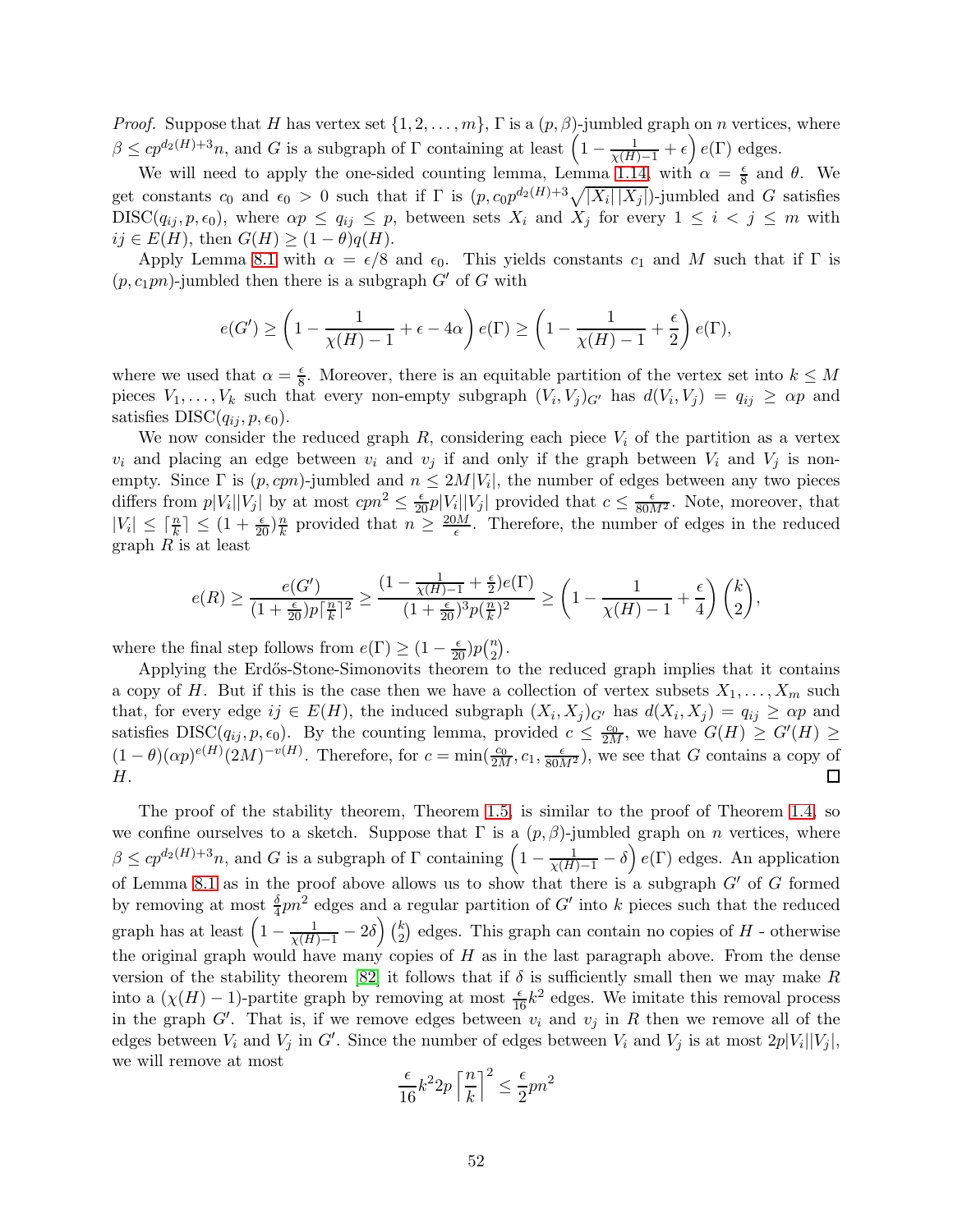*Proof.* Suppose that H has vertex set  $\{1, 2, ..., m\}$ ,  $\Gamma$  is a  $(p, \beta)$ -jumbled graph on n vertices, where  $\beta \leq cp^{d_2(H)+3}n$ , and G is a subgraph of  $\Gamma$  containing at least  $\left(1-\frac{1}{\chi(H)-1}+\epsilon\right)e(\Gamma)$  edges.

We will need to apply the one-sided counting lemma, Lemma [1.14,](#page-11-1) with  $\alpha = \frac{\epsilon}{8}$  $\frac{\epsilon}{8}$  and  $\theta$ . We get constants  $c_0$  and  $\epsilon_0 > 0$  such that if  $\Gamma$  is  $(p, c_0 p^{d_2(H)+3}\sqrt{|X_i||X_j|})$ -jumbled and G satisfies  $DISC(q_{ij}, p, \epsilon_0)$ , where  $\alpha p \le q_{ij} \le p$ , between sets  $X_i$  and  $X_j$  for every  $1 \le i \le j \le m$  with  $ij \in E(H)$ , then  $G(H) \geq (1 - \theta)q(H)$ .

Apply Lemma [8.1](#page-50-2) with  $\alpha = \epsilon/8$  and  $\epsilon_0$ . This yields constants  $c_1$  and M such that if  $\Gamma$  is  $(p, c_1pn)$ -jumbled then there is a subgraph  $G'$  of G with

$$
e(G') \ge \left(1 - \frac{1}{\chi(H) - 1} + \epsilon - 4\alpha\right)e(\Gamma) \ge \left(1 - \frac{1}{\chi(H) - 1} + \frac{\epsilon}{2}\right)e(\Gamma),
$$

where we used that  $\alpha = \frac{\epsilon}{8}$  $\frac{e}{8}$ . Moreover, there is an equitable partition of the vertex set into  $k \leq M$ pieces  $V_1, \ldots, V_k$  such that every non-empty subgraph  $(V_i, V_j)_{G'}$  has  $d(V_i, V_j) = q_{ij} \ge \alpha p$  and satisfies  $DISC(q_{ij}, p, \epsilon_0)$ .

We now consider the reduced graph  $R$ , considering each piece  $V_i$  of the partition as a vertex  $v_i$  and placing an edge between  $v_i$  and  $v_j$  if and only if the graph between  $V_i$  and  $V_j$  is nonempty. Since  $\Gamma$  is  $(p, cpn)$ -jumbled and  $n \leq 2M|V_i|$ , the number of edges between any two pieces differs from  $p|V_i||V_j|$  by at most  $cpn^2 \leq \frac{\epsilon}{20}p|V_i||V_j|$  provided that  $c \leq \frac{\epsilon}{80M^2}$ . Note, moreover, that  $|V_i| \leq \lceil \frac{n}{k} \rceil \leq (1 + \frac{\epsilon}{20}) \frac{n}{k}$  $\frac{n}{k}$  provided that  $n \geq \frac{20M}{\epsilon}$ . Therefore, the number of edges in the reduced graph  $R$  is at least

$$
e(R) \ge \frac{e(G')}{(1+\frac{\epsilon}{20})p\lceil\frac{n}{k}\rceil^2} \ge \frac{(1-\frac{1}{\chi(H)-1}+\frac{\epsilon}{2})e(\Gamma)}{(1+\frac{\epsilon}{20})^3p(\frac{n}{k})^2} \ge \left(1-\frac{1}{\chi(H)-1}+\frac{\epsilon}{4}\right)\binom{k}{2},
$$

where the final step follows from  $e(\Gamma) \geq (1 - \frac{\epsilon}{20})p{n \choose 2}$  $\binom{n}{2}$ .

Applying the Erdős-Stone-Simonovits theorem to the reduced graph implies that it contains a copy of H. But if this is the case then we have a collection of vertex subsets  $X_1, \ldots, X_m$  such that, for every edge  $ij \in E(H)$ , the induced subgraph  $(X_i, X_j)_{G'}$  has  $d(X_i, X_j) = q_{ij} \ge \alpha p$  and satisfies  $DISC(q_{ij}, p, \epsilon_0)$ . By the counting lemma, provided  $c \leq \frac{c_0}{2M}$ , we have  $G(H) \geq G'(H) \geq$  $(1-\theta)(\alpha p)^{e(H)}(2M)^{-v(H)}$ . Therefore, for  $c=\min(\frac{c_0}{2M},c_1,\frac{\epsilon}{80M^2})$ , we see that G contains a copy of H.

The proof of the stability theorem, Theorem [1.5,](#page-6-1) is similar to the proof of Theorem [1.4,](#page-6-0) so we confine ourselves to a sketch. Suppose that  $\Gamma$  is a  $(p, \beta)$ -jumbled graph on n vertices, where  $\beta \leq cp^{d_2(H)+3}n$ , and G is a subgraph of  $\Gamma$  containing  $\left(1-\frac{1}{\chi(H)-1}-\delta\right)e(\Gamma)$  edges. An application of Lemma [8.1](#page-50-2) as in the proof above allows us to show that there is a subgraph  $G'$  of G formed by removing at most  $\frac{\delta}{4}pn^2$  edges and a regular partition of G' into k pieces such that the reduced graph has at least  $\left(1 - \frac{1}{\chi(H)-1} - 2\delta\right) \binom{k}{2}$  $\binom{k}{2}$  edges. This graph can contain no copies of  $H$  - otherwise the original graph would have many copies of  $H$  as in the last paragraph above. From the dense version of the stability theorem [\[82\]](#page-69-6) it follows that if  $\delta$  is sufficiently small then we may make R into a  $(\chi(H) - 1)$ -partite graph by removing at most  $\frac{\epsilon}{16}k^2$  edges. We imitate this removal process in the graph G'. That is, if we remove edges between  $v_i$  and  $v_j$  in R then we remove all of the edges between  $V_i$  and  $V_j$  in  $G'$ . Since the number of edges between  $V_i$  and  $V_j$  is at most  $2p|V_i||V_j|$ , we will remove at most

$$
\frac{\epsilon}{16}k^2 2p\left\lceil \frac{n}{k} \right\rceil^2 \le \frac{\epsilon}{2}pn^2
$$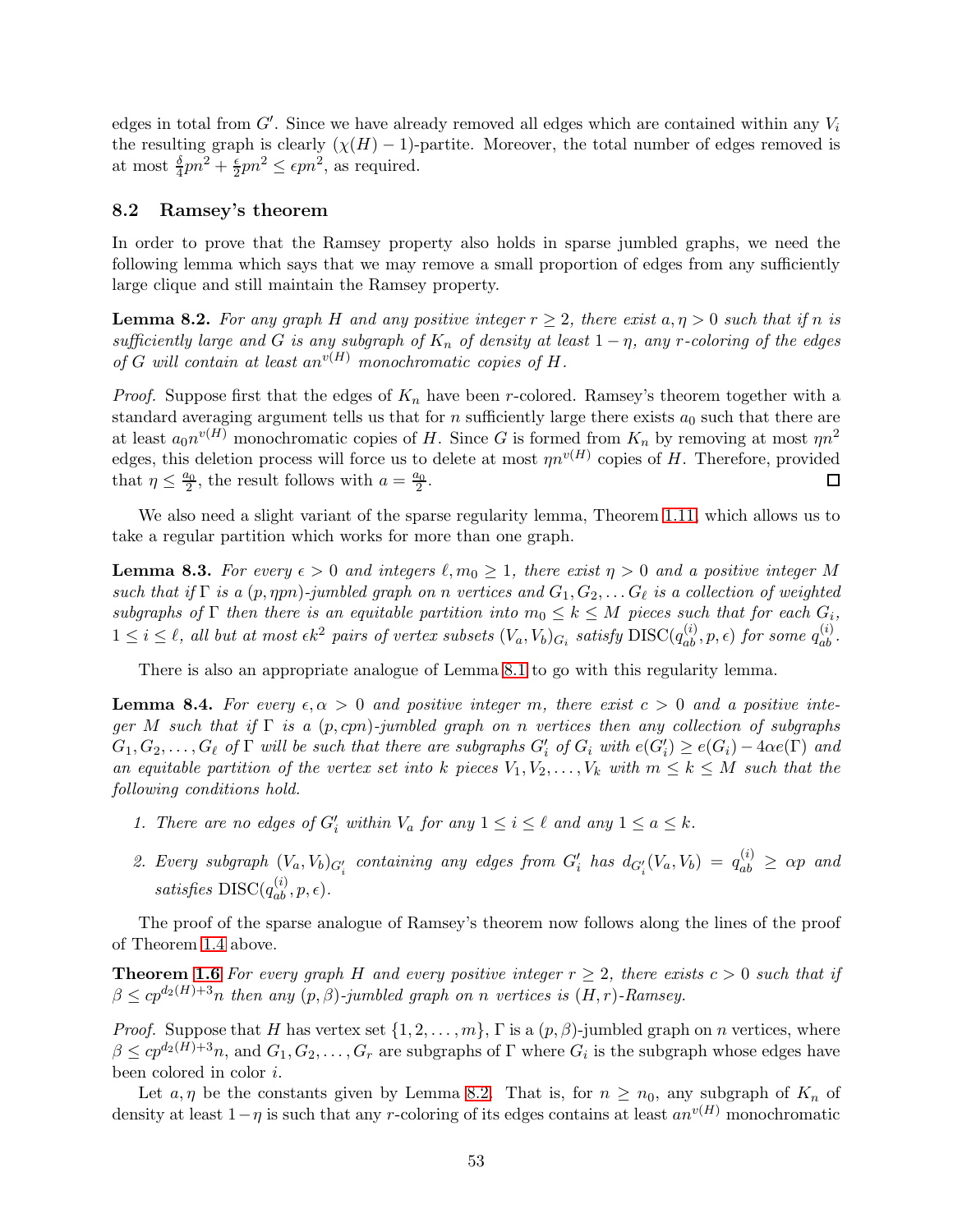edges in total from  $G'$ . Since we have already removed all edges which are contained within any  $V_i$ the resulting graph is clearly  $(\chi(H) - 1)$ -partite. Moreover, the total number of edges removed is at most  $\frac{\delta}{4}pn^2 + \frac{\epsilon}{2}$  $\frac{\epsilon}{2}pn^2 \le \epsilon pn^2$ , as required.

### <span id="page-52-0"></span>8.2 Ramsey's theorem

In order to prove that the Ramsey property also holds in sparse jumbled graphs, we need the following lemma which says that we may remove a small proportion of edges from any sufficiently large clique and still maintain the Ramsey property.

<span id="page-52-1"></span>**Lemma 8.2.** For any graph H and any positive integer  $r \geq 2$ , there exist  $a, \eta > 0$  such that if n is sufficiently large and G is any subgraph of  $K_n$  of density at least  $1 - \eta$ , any r-coloring of the edges of G will contain at least an<sup>v(H)</sup> monochromatic copies of H.

*Proof.* Suppose first that the edges of  $K_n$  have been r-colored. Ramsey's theorem together with a standard averaging argument tells us that for  $n$  sufficiently large there exists  $a_0$  such that there are at least  $a_0n^{v(H)}$  monochromatic copies of H. Since G is formed from  $K_n$  by removing at most  $\eta n^2$ edges, this deletion process will force us to delete at most  $\eta n^{v(H)}$  copies of H. Therefore, provided that  $\eta \leq \frac{a_0}{2}$ , the result follows with  $a = \frac{a_0}{2}$ . 囗

We also need a slight variant of the sparse regularity lemma, Theorem [1.11,](#page-9-2) which allows us to take a regular partition which works for more than one graph.

**Lemma 8.3.** For every  $\epsilon > 0$  and integers  $\ell, m_0 \geq 1$ , there exist  $\eta > 0$  and a positive integer M such that if  $\Gamma$  is a  $(p, \eta pn)$ -jumbled graph on n vertices and  $G_1, G_2, \ldots G_\ell$  is a collection of weighted subgraphs of  $\Gamma$  then there is an equitable partition into  $m_0 \leq k \leq M$  pieces such that for each  $G_i$ ,  $1 \leq i \leq \ell$ , all but at most  $\epsilon k^2$  pairs of vertex subsets  $(V_a, V_b)_{G_i}$  satisfy  $\text{DISC}(q_{ab}^{(i)}, p, \epsilon)$  for some  $q_{ab}^{(i)}$ .

There is also an appropriate analogue of Lemma [8.1](#page-50-2) to go with this regularity lemma.

<span id="page-52-2"></span>**Lemma 8.4.** For every  $\epsilon, \alpha > 0$  and positive integer m, there exist  $c > 0$  and a positive integer M such that if  $\Gamma$  is a  $(p, cpn)$ -jumbled graph on n vertices then any collection of subgraphs  $G_1, G_2, \ldots, G_\ell$  of  $\Gamma$  will be such that there are subgraphs  $G'_i$  of  $G_i$  with  $e(G'_i) \geq e(G_i) - 4\alpha e(\Gamma)$  and an equitable partition of the vertex set into k pieces  $V_1, V_2, \ldots, V_k$  with  $m \leq k \leq M$  such that the following conditions hold.

- 1. There are no edges of  $G'_i$  within  $V_a$  for any  $1 \leq i \leq \ell$  and any  $1 \leq a \leq k$ .
- 2. Every subgraph  $(V_a, V_b)_{G'_i}$  containing any edges from  $G'_i$  has  $d_{G'_i}(V_a, V_b) = q_{ab}^{(i)} \ge \alpha p$  and satisfies  $DISC(q_{ab}^{(i)}, p, \epsilon)$ .

The proof of the sparse analogue of Ramsey's theorem now follows along the lines of the proof of Theorem [1.4](#page-6-0) above.

**Theorem [1.6](#page-6-2)** For every graph H and every positive integer  $r \geq 2$ , there exists  $c > 0$  such that if  $\beta \leq cp^{d_2(H)+3}n$  then any  $(p, \beta)$ -jumbled graph on n vertices is  $(H, r)$ -Ramsey.

*Proof.* Suppose that H has vertex set  $\{1, 2, ..., m\}$ ,  $\Gamma$  is a  $(p, \beta)$ -jumbled graph on n vertices, where  $\beta \le cp^{d_2(H)+3}n$ , and  $G_1, G_2, \ldots, G_r$  are subgraphs of  $\Gamma$  where  $G_i$  is the subgraph whose edges have been colored in color i.

Let  $a, \eta$  be the constants given by Lemma [8.2.](#page-52-1) That is, for  $n \geq n_0$ , any subgraph of  $K_n$  of density at least  $1-\eta$  is such that any r-coloring of its edges contains at least  $an^{v(H)}$  monochromatic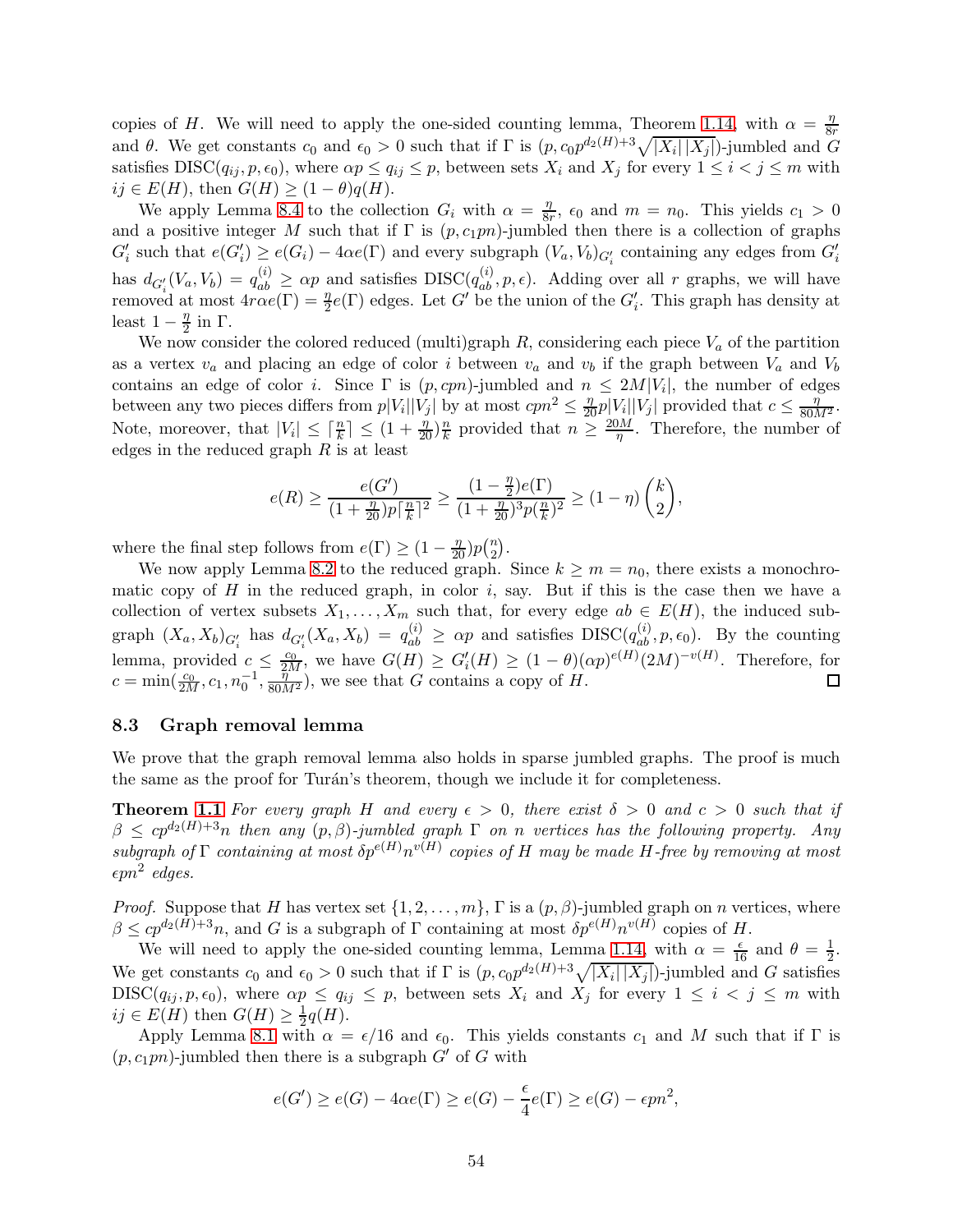copies of H. We will need to apply the one-sided counting lemma, Theorem [1.14,](#page-11-1) with  $\alpha = \frac{\eta}{8}$ 8r and  $\theta$ . We get constants  $c_0$  and  $\epsilon_0 > 0$  such that if  $\Gamma$  is  $(p, c_0 p^{d_2(H)+3}\sqrt{|X_i||X_j|})$ -jumbled and  $G$ satisfies  $DISC(q_{ij}, p, \epsilon_0)$ , where  $\alpha p \le q_{ij} \le p$ , between sets  $X_i$  and  $X_j$  for every  $1 \le i < j \le m$  with  $ij \in E(H)$ , then  $G(H) \geq (1 - \theta)q(H)$ .

We apply Lemma [8.4](#page-52-2) to the collection  $G_i$  with  $\alpha = \frac{\eta}{8i}$  $\frac{\eta}{8r}$ ,  $\epsilon_0$  and  $m = n_0$ . This yields  $c_1 > 0$ and a positive integer M such that if  $\Gamma$  is  $(p, c_1pn)$ -jumbled then there is a collection of graphs  $G'_{i}$  such that  $e(G'_{i}) \ge e(G_{i}) - 4\alpha e(\Gamma)$  and every subgraph  $(V_{a}, V_{b})_{G'_{i}}$  containing any edges from  $G'_{i}$ i has  $d_{G_i'}(V_a, V_b) = q_{ab}^{(i)} \ge \alpha p$  and satisfies  $DISC(q_{ab}^{(i)}, p, \epsilon)$ . Adding over all r graphs, we will have removed at most  $4r\alpha e(\Gamma) = \frac{\eta}{2}e(\Gamma)$  edges. Let G' be the union of the  $G'_i$ . This graph has density at least  $1-\frac{\eta}{2}$  $\frac{\eta}{2}$  in Γ.

We now consider the colored reduced (multi)graph  $R$ , considering each piece  $V_a$  of the partition as a vertex  $v_a$  and placing an edge of color i between  $v_a$  and  $v_b$  if the graph between  $V_a$  and  $V_b$ contains an edge of color *i*. Since  $\Gamma$  is  $(p, cpn)$ -jumbled and  $n \leq 2M|V_i|$ , the number of edges between any two pieces differs from  $p|V_i||V_j|$  by at most  $cpn^2 \leq \frac{\eta}{20} p|V_i||V_j|$  provided that  $c \leq \frac{\eta}{80M^2}$ . Note, moreover, that  $|V_i| \leq \lceil \frac{n}{k} \rceil \leq (1 + \frac{\eta}{20})\frac{n}{k}$  $\frac{n}{k}$  provided that  $n \geq \frac{20M}{\eta}$  $\frac{\partial M}{\partial \eta}$ . Therefore, the number of edges in the reduced graph  $R$  is at least

$$
e(R) \geq \frac{e(G')}{(1+\frac{\eta}{20})p\lceil\frac{n}{k}\rceil^2} \geq \frac{(1-\frac{\eta}{2})e(\Gamma)}{(1+\frac{\eta}{20})^3p(\frac{n}{k})^2} \geq (1-\eta)\,\binom{k}{2},
$$

where the final step follows from  $e(\Gamma) \geq (1 - \frac{\eta}{20})p(\frac{n}{2})$  $\binom{n}{2}$ .

We now apply Lemma [8.2](#page-52-1) to the reduced graph. Since  $k \ge m = n_0$ , there exists a monochromatic copy of  $H$  in the reduced graph, in color  $i$ , say. But if this is the case then we have a collection of vertex subsets  $X_1, \ldots, X_m$  such that, for every edge  $ab \in E(H)$ , the induced subgraph  $(X_a, X_b)_{G'_i}$  has  $d_{G'_i}(X_a, X_b) = q_{ab}^{(i)} \ge \alpha p$  and satisfies  $DISC(q_{ab}^{(i)}, p, \epsilon_0)$ . By the counting lemma, provided  $c \leq \frac{c_0}{2M}$ , we have  $G(H) \geq G'_{i}(H) \geq (1-\theta)(\alpha p)^{e(H)}(2M)^{-v(H)}$ . Therefore, for  $c = \min(\frac{c_0}{2M}, c_1, n_0^{-1}, \frac{\tilde{\eta}^2}{80M^2})$ , we see that G contains a copy of H. □

## <span id="page-53-0"></span>8.3 Graph removal lemma

We prove that the graph removal lemma also holds in sparse jumbled graphs. The proof is much the same as the proof for Turán's theorem, though we include it for completeness.

**Theorem [1.1](#page-4-0)** For every graph H and every  $\epsilon > 0$ , there exist  $\delta > 0$  and  $c > 0$  such that if  $\beta \leq cp^{d_2(H)+3}n$  then any  $(p, \beta)$ -jumbled graph  $\Gamma$  on n vertices has the following property. Any subgraph of  $\Gamma$  containing at most  $\delta p^{e(H)} n^{v(H)}$  copies of H may be made H-free by removing at most  $\epsilon pn^2$  edges.

*Proof.* Suppose that H has vertex set  $\{1, 2, ..., m\}$ ,  $\Gamma$  is a  $(p, \beta)$ -jumbled graph on n vertices, where  $\beta \le cp^{d_2(H)+3}n$ , and G is a subgraph of  $\Gamma$  containing at most  $\delta p^{e(H)}n^{v(H)}$  copies of H.

We will need to apply the one-sided counting lemma, Lemma [1.14,](#page-11-1) with  $\alpha = \frac{\epsilon}{16}$  and  $\theta = \frac{1}{2}$  $rac{1}{2}$ . We get constants  $c_0$  and  $\epsilon_0 > 0$  such that if  $\Gamma$  is  $(p, c_0 p^{d_2(H)+3}\sqrt{|X_i||X_j|})$ -jumbled and G satisfies  $DISC(q_{ij}, p, \epsilon_0)$ , where  $\alpha p \le q_{ij} \le p$ , between sets  $X_i$  and  $X_j$  for every  $1 \le i \le j \le m$  with  $ij \in E(H)$  then  $G(H) \geq \frac{1}{2}$  $\frac{1}{2}q(H).$ 

Apply Lemma [8.1](#page-50-2) with  $\alpha = \epsilon/16$  and  $\epsilon_0$ . This yields constants  $c_1$  and M such that if  $\Gamma$  is  $(p, c_1pn)$ -jumbled then there is a subgraph G' of G with

$$
e(G') \ge e(G) - 4\alpha e(\Gamma) \ge e(G) - \frac{\epsilon}{4}e(\Gamma) \ge e(G) - \epsilon p n^2,
$$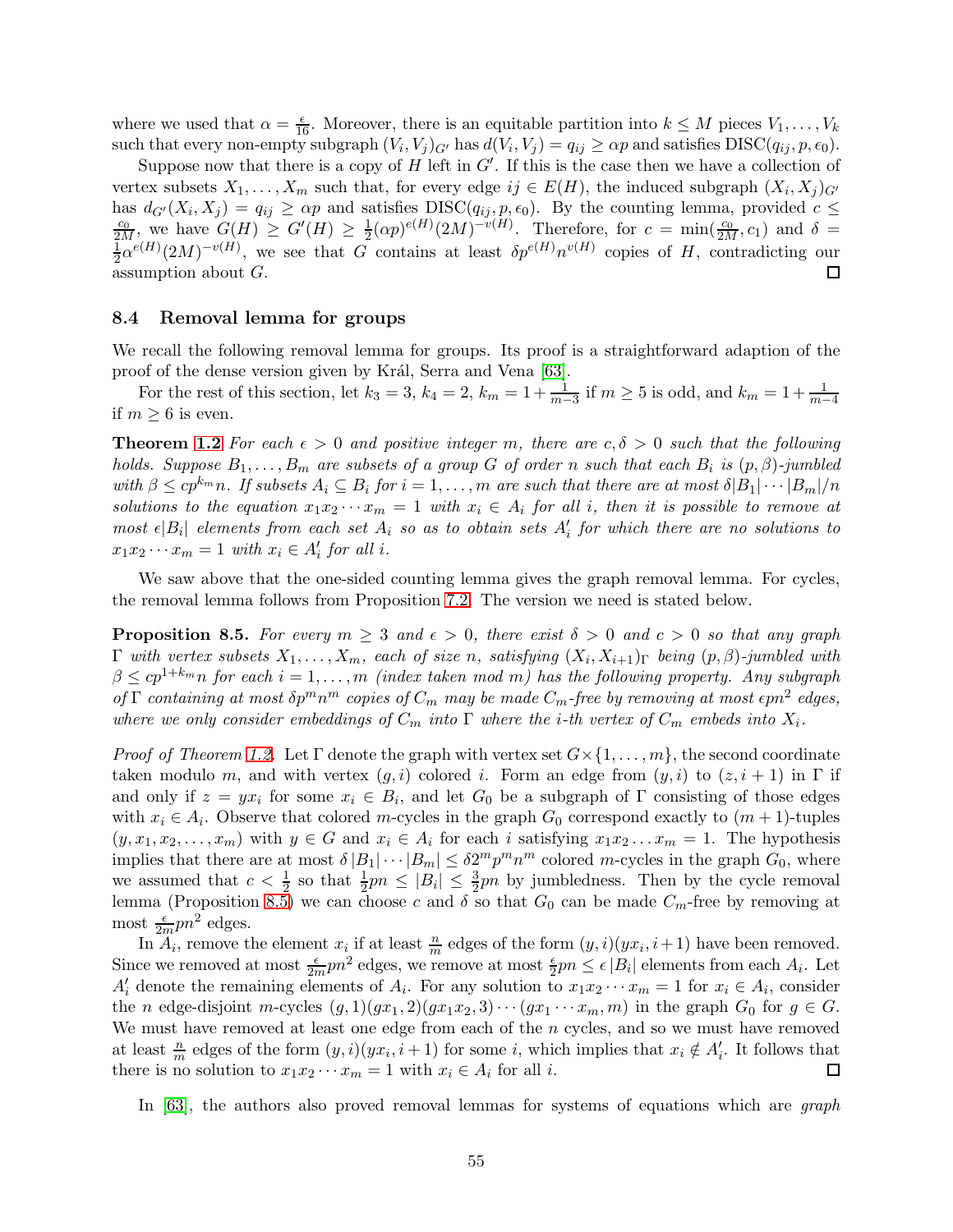where we used that  $\alpha = \frac{\epsilon}{16}$ . Moreover, there is an equitable partition into  $k \leq M$  pieces  $V_1, \ldots, V_k$ such that every non-empty subgraph  $(V_i, V_j)_{G'}$  has  $d(V_i, V_j) = q_{ij} \ge \alpha p$  and satisfies  $DISC(q_{ij}, p, \epsilon_0)$ .

Suppose now that there is a copy of  $H$  left in  $G'$ . If this is the case then we have a collection of vertex subsets  $X_1, \ldots, X_m$  such that, for every edge  $ij \in E(H)$ , the induced subgraph  $(X_i, X_j)_{G'}$ has  $d_{G'}(X_i, X_j) = q_{ij} \ge \alpha p$  and satisfies  $DISC(q_{ij}, p, \epsilon_0)$ . By the counting lemma, provided  $c \le \frac{c_0}{2M}$ , we have  $G(H) \ge G'(H) \ge \frac{1}{2}(\alpha p)^{e(H)}(2M)^{-v(H)}$ . Therefore, for  $c = \min(\frac{c_0}{2M}, c_1)$  and  $\delta =$  $\frac{1}{2}(\alpha p)^{e(H)}(2M)^{-v(H)}$ . Therefore, for  $c = \min(\frac{c_0}{2M}, c_1)$  and  $\delta =$ 1  $\frac{1}{2}\alpha^{e(H)}(2M)^{-v(H)}$ , we see that G contains at least  $\delta p^{e(H)}n^{v(H)}$  copies of H, contradicting our  $\Box$ assumption about G.

### <span id="page-54-0"></span>8.4 Removal lemma for groups

We recall the following removal lemma for groups. Its proof is a straightforward adaption of the proof of the dense version given by Král, Serra and Vena [\[63\]](#page-68-6).

For the rest of this section, let  $k_3 = 3$ ,  $k_4 = 2$ ,  $k_m = 1 + \frac{1}{m-3}$  if  $m \ge 5$  is odd, and  $k_m = 1 + \frac{1}{m-4}$ if  $m > 6$  is even.

**Theorem [1.2](#page-5-1)** For each  $\epsilon > 0$  and positive integer m, there are  $c, \delta > 0$  such that the following holds. Suppose  $B_1, \ldots, B_m$  are subsets of a group G of order n such that each  $B_i$  is  $(p, \beta)$ -jumbled with  $\beta \le cp^{k_m}n$ . If subsets  $A_i \subseteq B_i$  for  $i = 1, \ldots, m$  are such that there are at most  $\delta |B_1| \cdots |B_m|/n$ solutions to the equation  $x_1x_2 \cdots x_m = 1$  with  $x_i \in A_i$  for all i, then it is possible to remove at most  $\epsilon |B_i|$  elements from each set  $A_i$  so as to obtain sets  $A'_i$  for which there are no solutions to  $x_1 x_2 \cdots x_m = 1$  with  $x_i \in A'_i$  for all i.

We saw above that the one-sided counting lemma gives the graph removal lemma. For cycles, the removal lemma follows from Proposition [7.2.](#page-42-2) The version we need is stated below.

<span id="page-54-1"></span>**Proposition 8.5.** For every  $m \geq 3$  and  $\epsilon > 0$ , there exist  $\delta > 0$  and  $c > 0$  so that any graph  $\Gamma$  with vertex subsets  $X_1,\ldots,X_m$ , each of size n, satisfying  $(X_i,X_{i+1})_{\Gamma}$  being  $(p,\beta)$ -jumbled with  $\beta \leq cp^{1+k_m}$ n for each  $i = 1, \ldots, m$  (index taken mod m) has the following property. Any subgraph of  $\Gamma$  containing at most  $\delta p^m n^m$  copies of  $C_m$  may be made  $C_m$ -free by removing at most  $\epsilon p n^2$  edges, where we only consider embeddings of  $C_m$  into  $\Gamma$  where the *i*-th vertex of  $C_m$  embeds into  $X_i$ .

*Proof of Theorem [1.2.](#page-5-1)* Let Γ denote the graph with vertex set  $G \times \{1, \ldots, m\}$ , the second coordinate taken modulo m, and with vertex  $(g, i)$  colored i. Form an edge from  $(y, i)$  to  $(z, i + 1)$  in  $\Gamma$  if and only if  $z = yx_i$  for some  $x_i \in B_i$ , and let  $G_0$  be a subgraph of  $\Gamma$  consisting of those edges with  $x_i \in A_i$ . Observe that colored m-cycles in the graph  $G_0$  correspond exactly to  $(m + 1)$ -tuples  $(y, x_1, x_2, \ldots, x_m)$  with  $y \in G$  and  $x_i \in A_i$  for each i satisfying  $x_1 x_2 \ldots x_m = 1$ . The hypothesis implies that there are at most  $\delta |B_1| \cdots |B_m| \leq \delta 2^m p^m n^m$  colored m-cycles in the graph  $G_0$ , where we assumed that  $c < \frac{1}{2}$  so that  $\frac{1}{2}pn \leq |B_i| \leq \frac{3}{2}pn$  by jumbledness. Then by the cycle removal lemma (Proposition [8.5\)](#page-54-1) we can choose c and  $\delta$  so that  $G_0$  can be made  $C_m$ -free by removing at most  $\frac{\epsilon}{2m}pn^2$  edges.

In  $A_i$ , remove the element  $x_i$  if at least  $\frac{n}{m}$  edges of the form  $(y, i)(yx_i, i+1)$  have been removed. Since we removed at most  $\frac{\epsilon}{2m}pn^2$  edges, we remove at most  $\frac{\epsilon}{2}pn \leq \epsilon |B_i|$  elements from each  $A_i$ . Let  $A'_i$  denote the remaining elements of  $A_i$ . For any solution to  $x_1x_2\cdots x_m=1$  for  $x_i\in A_i$ , consider the n edge-disjoint m-cycles  $(g, 1)(gx_1, 2)(gx_1x_2, 3) \cdots (gx_1 \cdots x_m, m)$  in the graph  $G_0$  for  $g \in G$ . We must have removed at least one edge from each of the  $n$  cycles, and so we must have removed at least  $\frac{n}{m}$  edges of the form  $(y, i)(yx_i, i+1)$  for some i, which implies that  $x_i \notin A'_i$ . It follows that there is no solution to  $x_1 x_2 \cdots x_m = 1$  with  $x_i \in A_i$  for all *i*.  $\Box$ 

In [\[63\]](#page-68-6), the authors also proved removal lemmas for systems of equations which are *graph*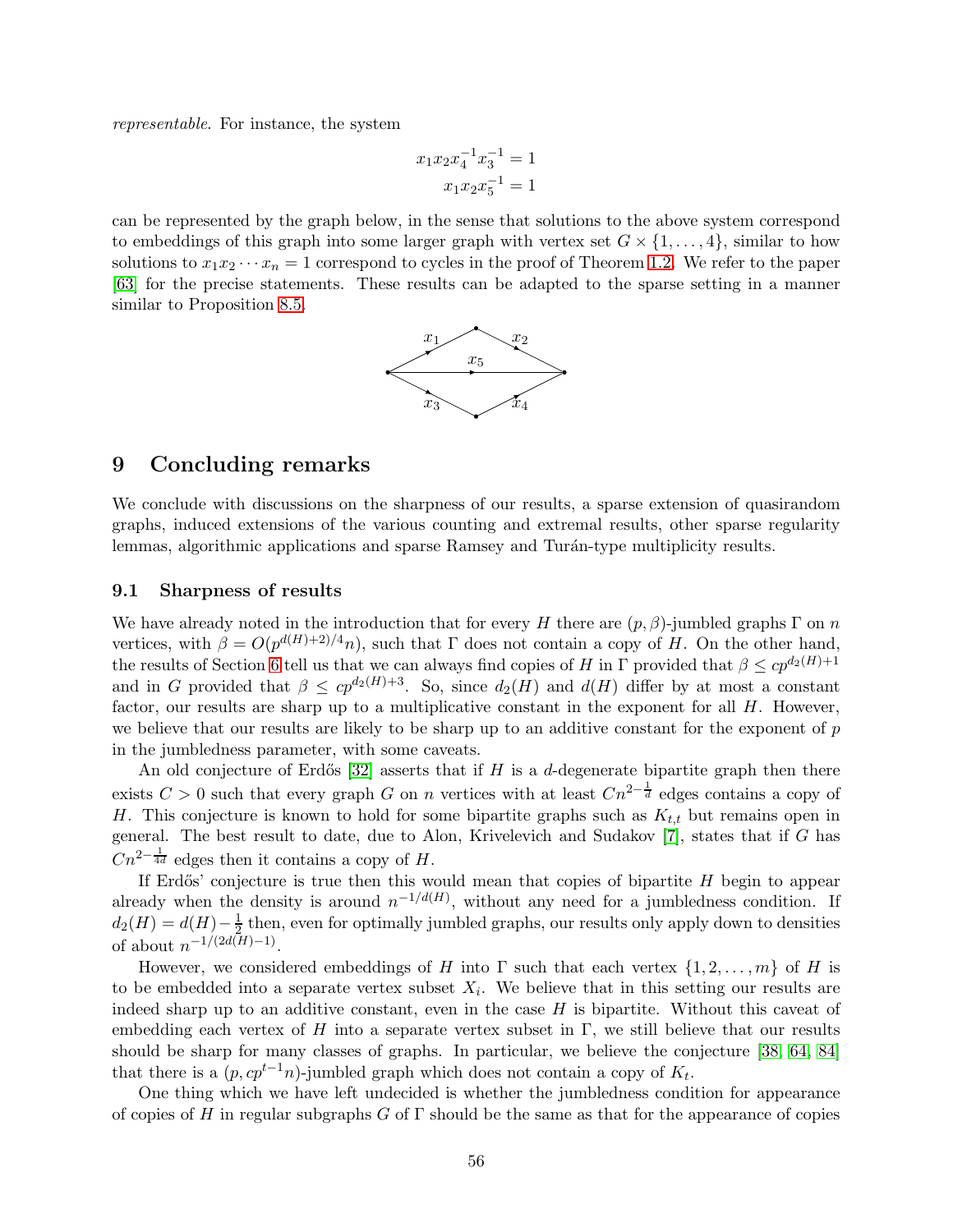representable. For instance, the system

$$
x_1 x_2 x_4^{-1} x_3^{-1} = 1
$$

$$
x_1 x_2 x_5^{-1} = 1
$$

can be represented by the graph below, in the sense that solutions to the above system correspond to embeddings of this graph into some larger graph with vertex set  $G \times \{1, \ldots, 4\}$ , similar to how solutions to  $x_1x_2 \cdots x_n = 1$  correspond to cycles in the proof of Theorem [1.2.](#page-5-1) We refer to the paper [\[63\]](#page-68-6) for the precise statements. These results can be adapted to the sparse setting in a manner similar to Proposition [8.5.](#page-54-1)



## <span id="page-55-0"></span>9 Concluding remarks

We conclude with discussions on the sharpness of our results, a sparse extension of quasirandom graphs, induced extensions of the various counting and extremal results, other sparse regularity lemmas, algorithmic applications and sparse Ramsey and Turán-type multiplicity results.

### <span id="page-55-1"></span>9.1 Sharpness of results

We have already noted in the introduction that for every H there are  $(p, \beta)$ -jumbled graphs  $\Gamma$  on n vertices, with  $\beta = O(p^{d(H)+2)/4}n)$ , such that  $\Gamma$  does not contain a copy of H. On the other hand, the results of Section [6](#page-39-0) tell us that we can always find copies of H in Γ provided that  $\beta \leq cp^{d_2(H)+1}$ and in G provided that  $\beta \leq cp^{d_2(H)+3}$ . So, since  $d_2(H)$  and  $d(H)$  differ by at most a constant factor, our results are sharp up to a multiplicative constant in the exponent for all  $H$ . However, we believe that our results are likely to be sharp up to an additive constant for the exponent of  $p$ in the jumbledness parameter, with some caveats.

An old conjecture of Erdős [\[32\]](#page-66-11) asserts that if H is a d-degenerate bipartite graph then there exists  $C > 0$  such that every graph G on n vertices with at least  $Cn^{2-\frac{1}{d}}$  edges contains a copy of H. This conjecture is known to hold for some bipartite graphs such as  $K_{t,t}$  but remains open in general. The best result to date, due to Alon, Krivelevich and Sudakov [\[7\]](#page-64-4), states that if G has  $Cn^{2-\frac{1}{4d}}$  edges then it contains a copy of H.

If Erdős' conjecture is true then this would mean that copies of bipartite  $H$  begin to appear already when the density is around  $n^{-1/d(H)}$ , without any need for a jumbledness condition. If  $d_2(H) = d(H) - \frac{1}{2}$  $\frac{1}{2}$  then, even for optimally jumbled graphs, our results only apply down to densities of about  $n^{-1/(2d(H)-1)}$ .

However, we considered embeddings of H into  $\Gamma$  such that each vertex  $\{1, 2, \ldots, m\}$  of H is to be embedded into a separate vertex subset  $X_i$ . We believe that in this setting our results are indeed sharp up to an additive constant, even in the case  $H$  is bipartite. Without this caveat of embedding each vertex of H into a separate vertex subset in  $\Gamma$ , we still believe that our results should be sharp for many classes of graphs. In particular, we believe the conjecture [\[38,](#page-66-5) [64,](#page-68-2) [84\]](#page-69-5) that there is a  $(p, cp^{t-1}n)$ -jumbled graph which does not contain a copy of  $K_t$ .

One thing which we have left undecided is whether the jumbledness condition for appearance of copies of H in regular subgraphs G of  $\Gamma$  should be the same as that for the appearance of copies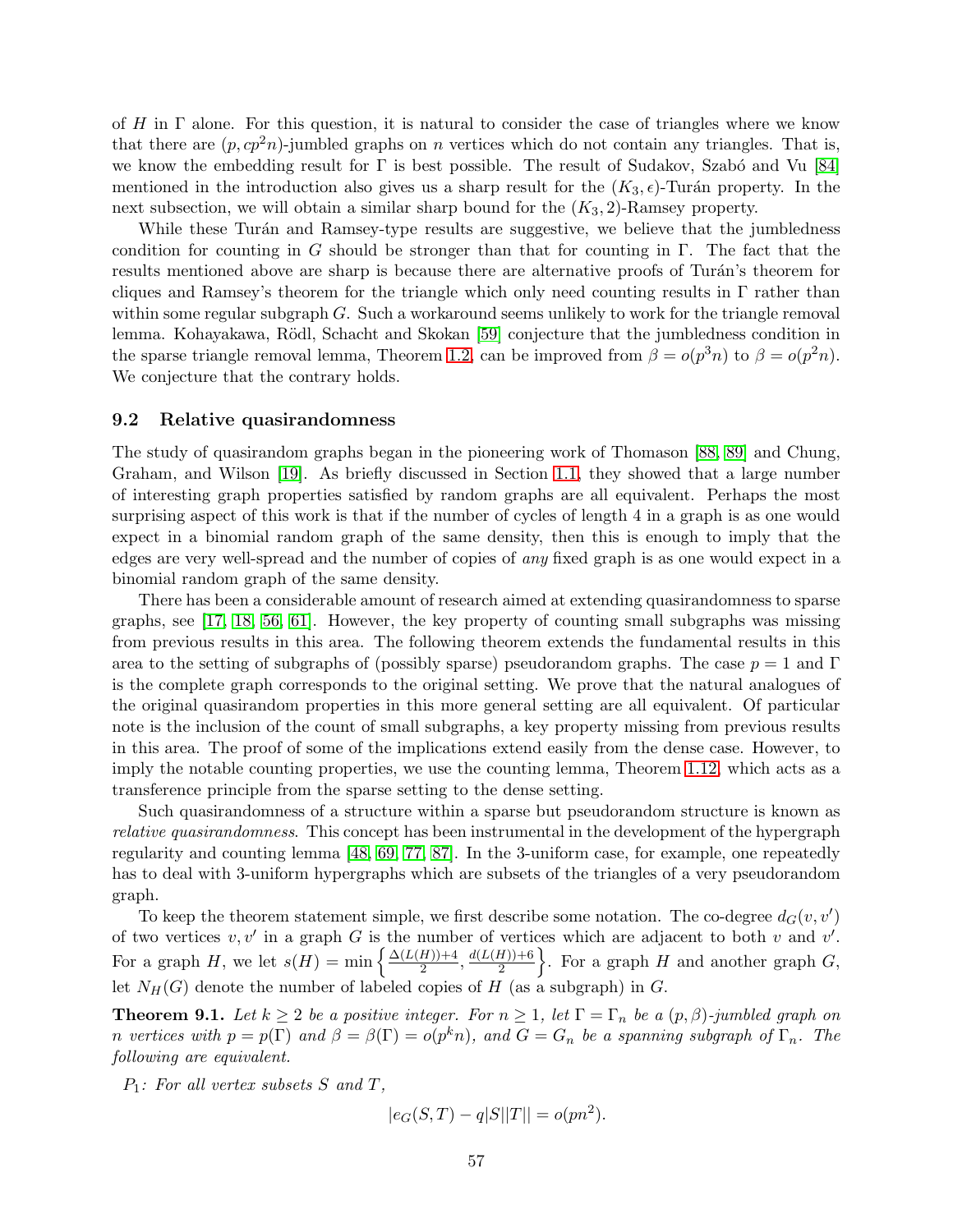of  $H$  in  $\Gamma$  alone. For this question, it is natural to consider the case of triangles where we know that there are  $(p, cp^2n)$ -jumbled graphs on *n* vertices which do not contain any triangles. That is, we know the embedding result for  $\Gamma$  is best possible. The result of Sudakov, Szabó and Vu [\[84\]](#page-69-5) mentioned in the introduction also gives us a sharp result for the  $(K_3, \epsilon)$ -Turán property. In the next subsection, we will obtain a similar sharp bound for the  $(K_3, 2)$ -Ramsey property.

While these Turán and Ramsey-type results are suggestive, we believe that the jumbledness condition for counting in G should be stronger than that for counting in  $\Gamma$ . The fact that the results mentioned above are sharp is because there are alternative proofs of Turán's theorem for cliques and Ramsey's theorem for the triangle which only need counting results in  $\Gamma$  rather than within some regular subgraph G. Such a workaround seems unlikely to work for the triangle removal lemma. Kohayakawa, Rödl, Schacht and Skokan [\[59\]](#page-67-4) conjecture that the jumbledness condition in the sparse triangle removal lemma, Theorem [1.2,](#page-5-0) can be improved from  $\beta = o(p^3n)$  to  $\beta = o(p^2n)$ . We conjecture that the contrary holds.

## <span id="page-56-0"></span>9.2 Relative quasirandomness

The study of quasirandom graphs began in the pioneering work of Thomason [\[88,](#page-69-0) [89\]](#page-69-1) and Chung, Graham, and Wilson [\[19\]](#page-65-2). As briefly discussed in Section [1.1,](#page-2-0) they showed that a large number of interesting graph properties satisfied by random graphs are all equivalent. Perhaps the most surprising aspect of this work is that if the number of cycles of length 4 in a graph is as one would expect in a binomial random graph of the same density, then this is enough to imply that the edges are very well-spread and the number of copies of any fixed graph is as one would expect in a binomial random graph of the same density.

There has been a considerable amount of research aimed at extending quasirandomness to sparse graphs, see [\[17,](#page-65-6) [18,](#page-65-4) [56,](#page-67-10) [61\]](#page-67-5). However, the key property of counting small subgraphs was missing from previous results in this area. The following theorem extends the fundamental results in this area to the setting of subgraphs of (possibly sparse) pseudorandom graphs. The case  $p = 1$  and  $\Gamma$ is the complete graph corresponds to the original setting. We prove that the natural analogues of the original quasirandom properties in this more general setting are all equivalent. Of particular note is the inclusion of the count of small subgraphs, a key property missing from previous results in this area. The proof of some of the implications extend easily from the dense case. However, to imply the notable counting properties, we use the counting lemma, Theorem [1.12,](#page-10-0) which acts as a transference principle from the sparse setting to the dense setting.

Such quasirandomness of a structure within a sparse but pseudorandom structure is known as relative quasirandomness. This concept has been instrumental in the development of the hypergraph regularity and counting lemma [\[48,](#page-67-9) [69,](#page-68-3) [77,](#page-68-4) [87\]](#page-69-2). In the 3-uniform case, for example, one repeatedly has to deal with 3-uniform hypergraphs which are subsets of the triangles of a very pseudorandom graph.

To keep the theorem statement simple, we first describe some notation. The co-degree  $d_G(v, v')$ of two vertices  $v, v'$  in a graph G is the number of vertices which are adjacent to both v and  $v'$ . For a graph H, we let  $s(H) = \min \left\{ \frac{\Delta(L(H)) + 4}{2} \right\}$  $\frac{H\rightarrow{+4}{2}}$ ,  $\frac{d(L(H)) + 6}{2}$ 2 }. For a graph  $H$  and another graph  $G$ , let  $N_H(G)$  denote the number of labeled copies of H (as a subgraph) in G.

<span id="page-56-1"></span>**Theorem 9.1.** Let  $k \geq 2$  be a positive integer. For  $n \geq 1$ , let  $\Gamma = \Gamma_n$  be a  $(p, \beta)$ -jumbled graph on n vertices with  $p = p(\Gamma)$  and  $\beta = \beta(\Gamma) = o(p^k n)$ , and  $G = G_n$  be a spanning subgraph of  $\Gamma_n$ . The following are equivalent.

 $P_1$ : For all vertex subsets S and T,

$$
|e_G(S,T) - q|S||T|| = o(pn^2).
$$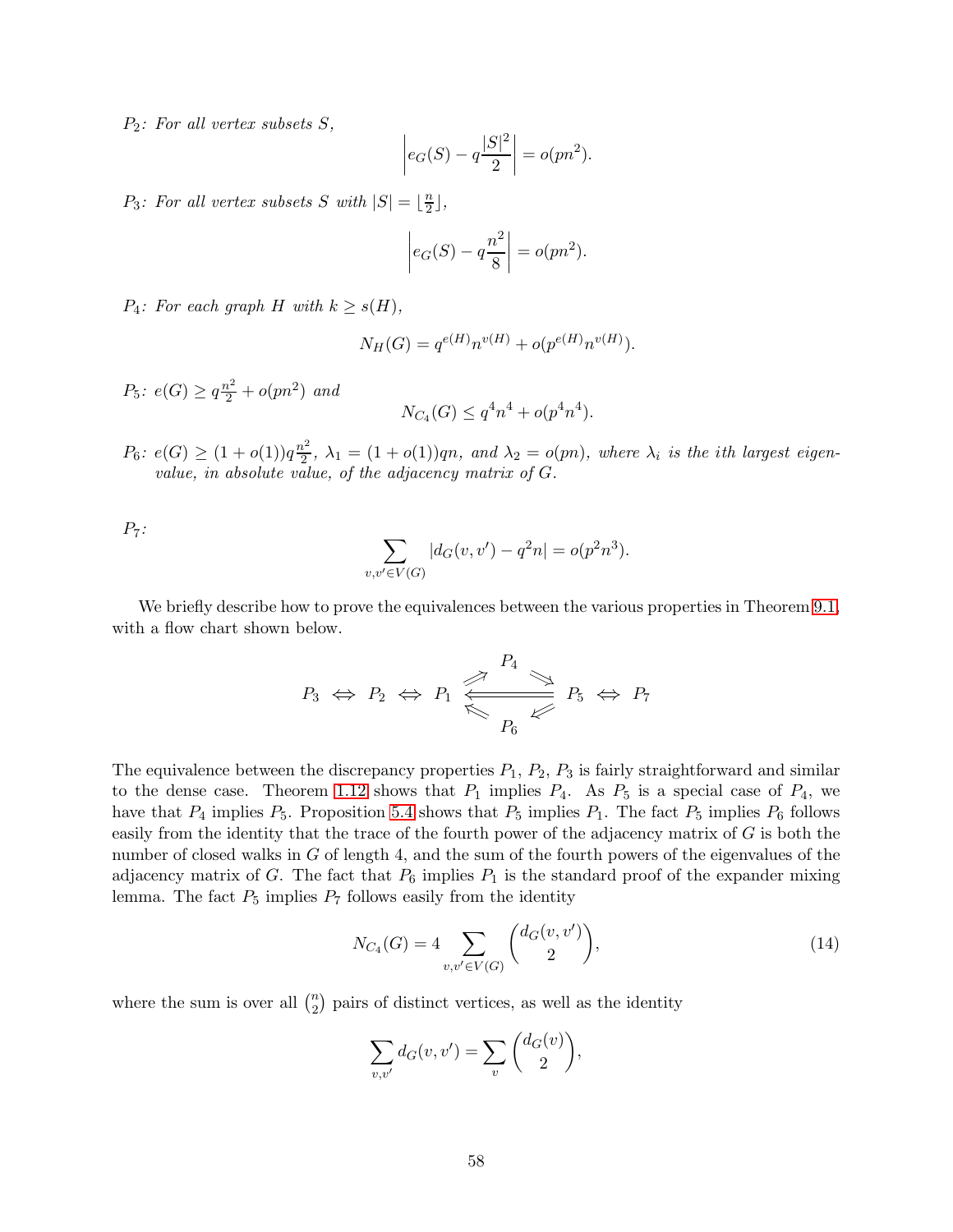$P_2$ : For all vertex subsets S,

$$
\left| e_G(S) - q \frac{|S|^2}{2} \right| = o(pn^2).
$$

 $P_3$ : For all vertex subsets S with  $|S| = \lfloor \frac{n}{2} \rfloor$  $\frac{n}{2}$ ,

$$
\left| e_G(S) - q \frac{n^2}{8} \right| = o(pn^2).
$$

 $P_4$ : For each graph H with  $k \geq s(H)$ ,

$$
N_H(G) = q^{e(H)} n^{v(H)} + o(p^{e(H)} n^{v(H)}).
$$

 $P_5$ :  $e(G) \geq q\frac{n^2}{2} + o(pn^2)$  and

$$
N_{C_4}(G) \le q^4 n^4 + o(p^4 n^4).
$$

 $P_6$ :  $e(G) \geq (1 + o(1))q \frac{n^2}{2}$  $\lambda_2^2$ ,  $\lambda_1 = (1 + o(1))qn$ , and  $\lambda_2 = o(pn)$ , where  $\lambda_i$  is the ith largest eigenvalue, in absolute value, of the adjacency matrix of G.

 $P_7$ :

$$
\sum_{v,v' \in V(G)} |d_G(v,v') - q^2 n| = o(p^2 n^3).
$$

We briefly describe how to prove the equivalences between the various properties in Theorem [9.1,](#page-56-1) with a flow chart shown below.

$$
P_3 \Leftrightarrow P_2 \Leftrightarrow P_1 \Leftrightarrow \begin{array}{c} P_4 \\ \hline \Leftrightarrow \\ P_6 \end{array} \Leftrightarrow P_5 \Leftrightarrow P_7
$$

The equivalence between the discrepancy properties  $P_1$ ,  $P_2$ ,  $P_3$  is fairly straightforward and similar to the dense case. Theorem [1.12](#page-10-0) shows that  $P_1$  implies  $P_4$ . As  $P_5$  is a special case of  $P_4$ , we have that  $P_4$  implies  $P_5$ . Proposition [5.4](#page-36-0) shows that  $P_5$  implies  $P_1$ . The fact  $P_5$  implies  $P_6$  follows easily from the identity that the trace of the fourth power of the adjacency matrix of  $G$  is both the number of closed walks in G of length 4, and the sum of the fourth powers of the eigenvalues of the adjacency matrix of G. The fact that  $P_6$  implies  $P_1$  is the standard proof of the expander mixing lemma. The fact  $P_5$  implies  $P_7$  follows easily from the identity

<span id="page-57-0"></span>
$$
N_{C_4}(G) = 4 \sum_{v,v' \in V(G)} \binom{d_G(v,v')}{2},\tag{14}
$$

where the sum is over all  $\binom{n}{2}$  $\binom{n}{2}$  pairs of distinct vertices, as well as the identity

$$
\sum_{v,v'} d_G(v,v') = \sum_v {d_G(v) \choose 2},
$$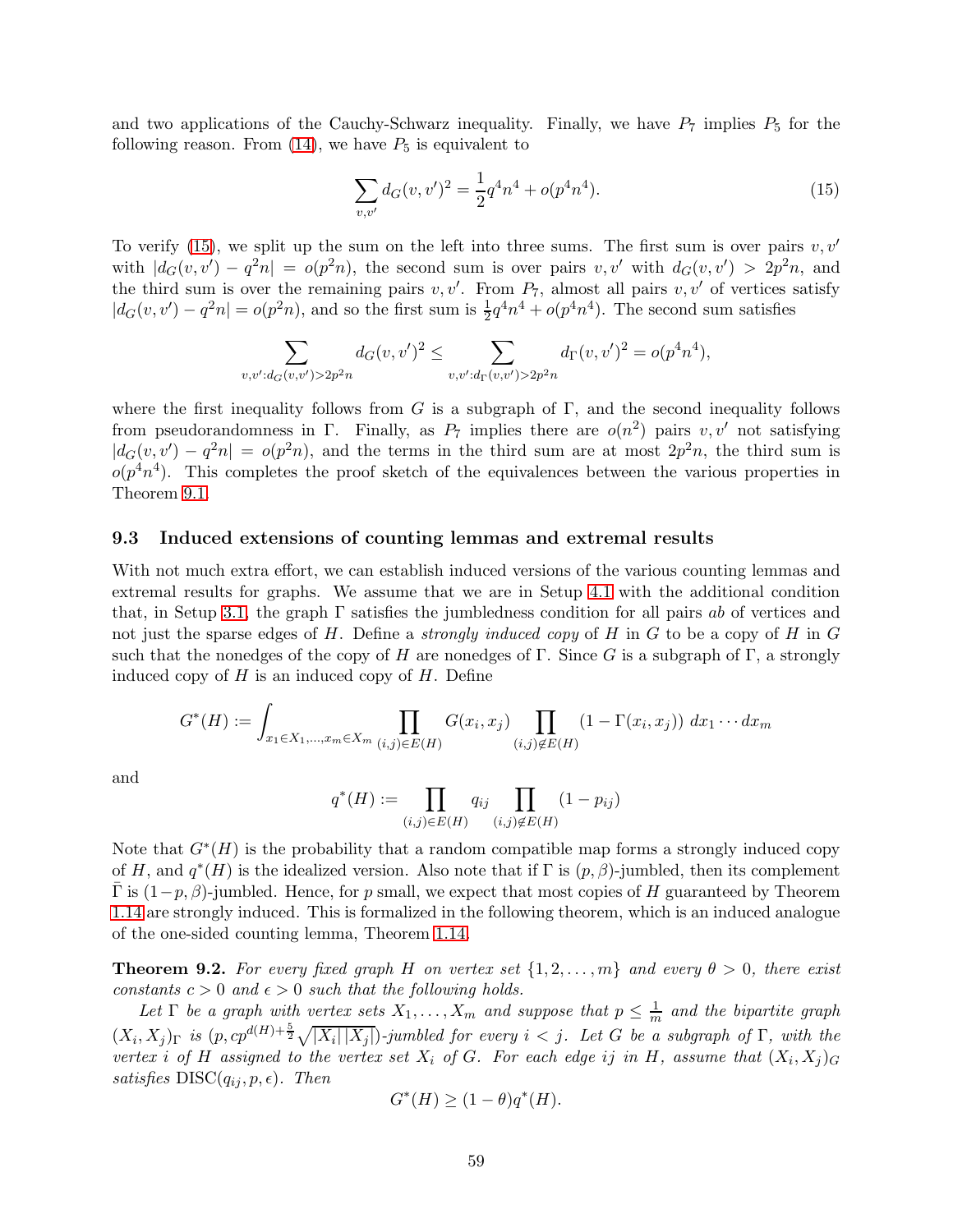and two applications of the Cauchy-Schwarz inequality. Finally, we have  $P_7$  implies  $P_5$  for the following reason. From  $(14)$ , we have  $P_5$  is equivalent to

<span id="page-58-1"></span>
$$
\sum_{v,v'} d_G(v,v')^2 = \frac{1}{2}q^4n^4 + o(p^4n^4). \tag{15}
$$

To verify [\(15\)](#page-58-1), we split up the sum on the left into three sums. The first sum is over pairs  $v, v'$ with  $|d_G(v, v') - q^2 n| = o(p^2 n)$ , the second sum is over pairs  $v, v'$  with  $d_G(v, v') > 2p^2 n$ , and the third sum is over the remaining pairs  $v, v'$ . From  $P_7$ , almost all pairs  $v, v'$  of vertices satisfy  $|d_G(v, v') - q^2 n| = o(p^2 n)$ , and so the first sum is  $\frac{1}{2}q^4 n^4 + o(p^4 n^4)$ . The second sum satisfies

$$
\sum_{v,v':d_G(v,v')>2p^2n} d_G(v,v')^2 \leq \sum_{v,v':d_{\Gamma}(v,v')>2p^2n} d_{\Gamma}(v,v')^2 = o(p^4n^4),
$$

where the first inequality follows from G is a subgraph of  $\Gamma$ , and the second inequality follows from pseudorandomness in  $\Gamma$ . Finally, as  $P_7$  implies there are  $o(n^2)$  pairs  $v, v'$  not satisfying  $|d_G(v, v') - q^2 n| = o(p^2 n)$ , and the terms in the third sum are at most  $2p^2 n$ , the third sum is  $o(p^4n^4)$ . This completes the proof sketch of the equivalences between the various properties in Theorem [9.1.](#page-56-1)

### <span id="page-58-0"></span>9.3 Induced extensions of counting lemmas and extremal results

With not much extra effort, we can establish induced versions of the various counting lemmas and extremal results for graphs. We assume that we are in Setup [4.1](#page-22-2) with the additional condition that, in Setup [3.1,](#page-17-2) the graph  $\Gamma$  satisfies the jumbledness condition for all pairs ab of vertices and not just the sparse edges of  $H$ . Define a *strongly induced copy* of  $H$  in  $G$  to be a copy of  $H$  in  $G$ such that the nonedges of the copy of H are nonedges of  $\Gamma$ . Since G is a subgraph of  $\Gamma$ , a strongly induced copy of  $H$  is an induced copy of  $H$ . Define

$$
G^*(H) := \int_{x_1 \in X_1, \dots, x_m \in X_m} \prod_{(i,j) \in E(H)} G(x_i, x_j) \prod_{(i,j) \notin E(H)} (1 - \Gamma(x_i, x_j)) dx_1 \cdots dx_m
$$

and

$$
q^*(H) := \prod_{(i,j) \in E(H)} q_{ij} \prod_{(i,j) \notin E(H)} (1 - p_{ij})
$$

Note that  $G^*(H)$  is the probability that a random compatible map forms a strongly induced copy of H, and  $q^*(H)$  is the idealized version. Also note that if  $\Gamma$  is  $(p, \beta)$ -jumbled, then its complement  $\Gamma$  is  $(1-p, \beta)$ -jumbled. Hence, for p small, we expect that most copies of H guaranteed by Theorem [1.14](#page-11-1) are strongly induced. This is formalized in the following theorem, which is an induced analogue of the one-sided counting lemma, Theorem [1.14.](#page-11-1)

<span id="page-58-2"></span>**Theorem 9.2.** For every fixed graph H on vertex set  $\{1, 2, ..., m\}$  and every  $\theta > 0$ , there exist constants  $c > 0$  and  $\epsilon > 0$  such that the following holds.

Let  $\Gamma$  be a graph with vertex sets  $X_1, \ldots, X_m$  and suppose that  $p \leq \frac{1}{m}$  and the bipartite graph  $(X_i, X_j)_{\Gamma}$  is  $(p, cp^{d(H)+\frac{5}{2}}\sqrt{|X_i||X_j|})$ -jumbled for every  $i < j$ . Let G be a subgraph of  $\Gamma$ , with the vertex i of H assigned to the vertex set  $X_i$  of G. For each edge ij in H, assume that  $(X_i, X_j)_G$ satisfies  $DISC(q_{ij}, p, \epsilon)$ . Then

$$
G^*(H)\geq (1-\theta)q^*(H).
$$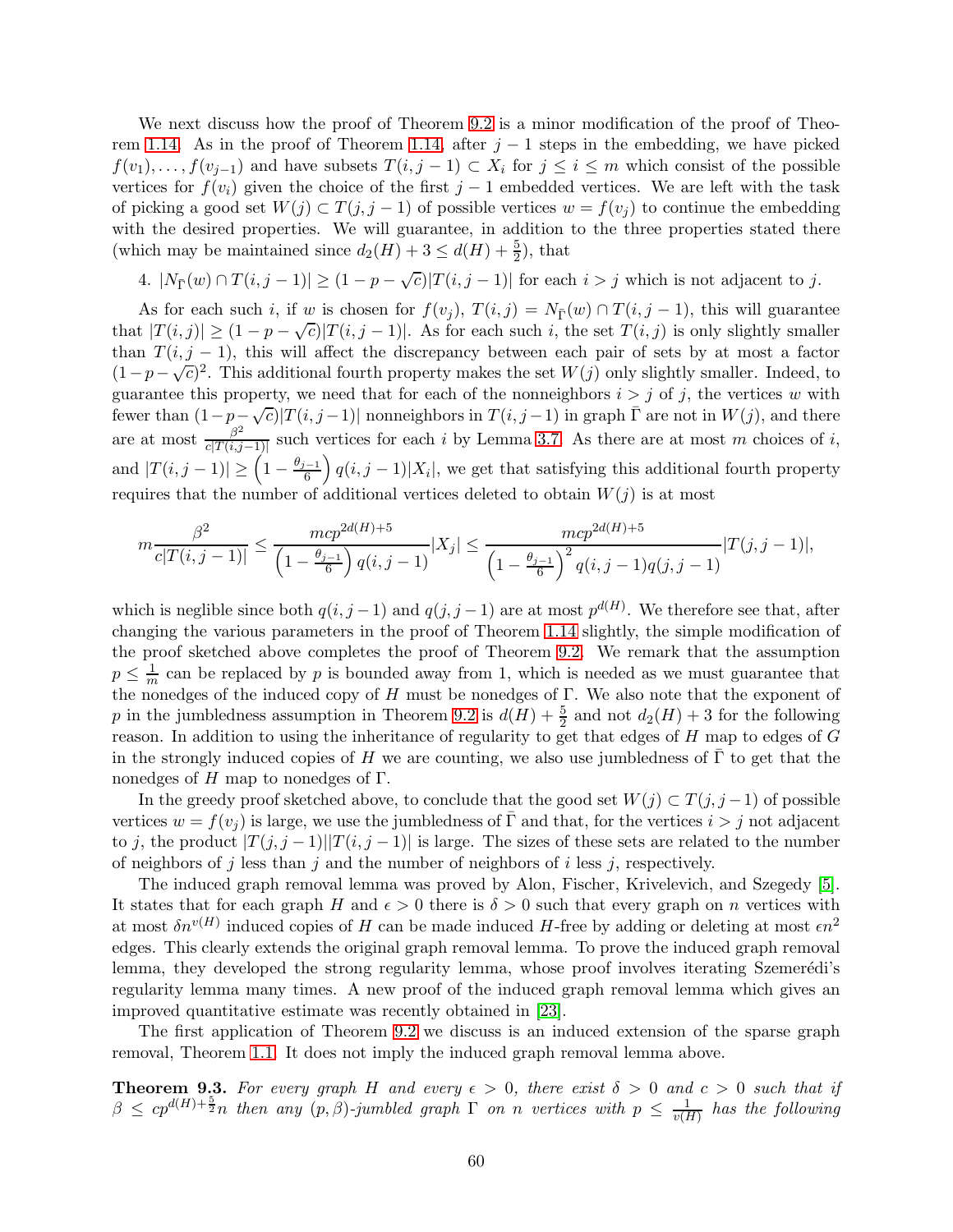We next discuss how the proof of Theorem [9.2](#page-58-2) is a minor modification of the proof of Theo-rem [1.14.](#page-11-1) As in the proof of Theorem [1.14,](#page-11-1) after  $j-1$  steps in the embedding, we have picked  $f(v_1), \ldots, f(v_{j-1})$  and have subsets  $T(i, j-1) \subset X_i$  for  $j \leq i \leq m$  which consist of the possible vertices for  $f(v_i)$  given the choice of the first j – 1 embedded vertices. We are left with the task of picking a good set  $W(j) \subset T(j, j-1)$  of possible vertices  $w = f(v_j)$  to continue the embedding with the desired properties. We will guarantee, in addition to the three properties stated there (which may be maintained since  $d_2(H) + 3 \le d(H) + \frac{5}{2}$ ), that

4.  $|N_{\overline{\Gamma}}(w) \cap T(i, j-1)| \ge (1-p-\sqrt{c})|T(i, j-1)|$  for each  $i > j$  which is not adjacent to j.

As for each such i, if w is chosen for  $f(v_i)$ ,  $T(i, j) = N_{\overline{\Gamma}}(w) \cap T(i, j - 1)$ , this will guarantee that  $|T(i, j)| \geq (1 - p - \sqrt{c})|T(i, j - 1)|$ . As for each such i, the set  $T(i, j)$  is only slightly smaller than  $T(i, j - 1)$ , this will affect the discrepancy between each pair of sets by at most a factor  $(1-p-\sqrt{c})^2$ . This additional fourth property makes the set  $W(j)$  only slightly smaller. Indeed, to guarantee this property, we need that for each of the nonneighbors  $i > j$  of j, the vertices w with fewer than  $(1-p-\sqrt{c})|T(i,j-1)|$  nonneighbors in  $T(i,j-1)$  in graph  $\overline{\Gamma}$  are not in  $W(j)$ , and there are at most  $\frac{\beta^2}{c!T(i,i)}$  $\frac{\beta}{c|T(i,j-1)|}$  such vertices for each i by Lemma [3.7.](#page-21-4) As there are at most m choices of i, and  $|T(i, j - 1)| \geq \left(1 - \frac{\theta_{j-1}}{6}\right)$ 6  $(q(i, j-1)|X_i|$ , we get that satisfying this additional fourth property requires that the number of additional vertices deleted to obtain  $W(j)$  is at most

$$
m \frac{\beta^2}{c|T(i,j-1)|} \le \frac{mcp^{2d(H)+5}}{\left(1 - \frac{\theta_{j-1}}{6}\right)q(i,j-1)} |X_j| \le \frac{mcp^{2d(H)+5}}{\left(1 - \frac{\theta_{j-1}}{6}\right)^2 q(i,j-1)q(j,j-1)} |T(j,j-1)|,
$$

which is neglible since both  $q(i, j - 1)$  and  $q(j, j - 1)$  are at most  $p^{d(H)}$ . We therefore see that, after changing the various parameters in the proof of Theorem [1.14](#page-11-1) slightly, the simple modification of the proof sketched above completes the proof of Theorem [9.2.](#page-58-2) We remark that the assumption  $p \leq \frac{1}{m}$  can be replaced by p is bounded away from 1, which is needed as we must guarantee that the nonedges of the induced copy of  $H$  must be nonedges of  $\Gamma$ . We also note that the exponent of p in the jumbledness assumption in Theorem [9.2](#page-58-2) is  $d(H) + \frac{5}{2}$  and not  $d_2(H) + 3$  for the following reason. In addition to using the inheritance of regularity to get that edges of H map to edges of G in the strongly induced copies of H we are counting, we also use jumbledness of  $\Gamma$  to get that the nonedges of H map to nonedges of  $\Gamma$ .

In the greedy proof sketched above, to conclude that the good set  $W(j) \subset T(j, j-1)$  of possible vertices  $w = f(v_i)$  is large, we use the jumbledness of  $\overline{\Gamma}$  and that, for the vertices  $i > j$  not adjacent to j, the product  $|T(j, j - 1)||T(i, j - 1)|$  is large. The sizes of these sets are related to the number of neighbors of j less than j and the number of neighbors of i less j, respectively.

The induced graph removal lemma was proved by Alon, Fischer, Krivelevich, and Szegedy [\[5\]](#page-64-5). It states that for each graph H and  $\epsilon > 0$  there is  $\delta > 0$  such that every graph on n vertices with at most  $\delta n^{v(H)}$  induced copies of H can be made induced H-free by adding or deleting at most  $\epsilon n^2$ edges. This clearly extends the original graph removal lemma. To prove the induced graph removal lemma, they developed the strong regularity lemma, whose proof involves iterating Szemerédi's regularity lemma many times. A new proof of the induced graph removal lemma which gives an improved quantitative estimate was recently obtained in [\[23\]](#page-65-12).

The first application of Theorem [9.2](#page-58-2) we discuss is an induced extension of the sparse graph removal, Theorem [1.1.](#page-4-0) It does not imply the induced graph removal lemma above.

<span id="page-59-0"></span>**Theorem 9.3.** For every graph H and every  $\epsilon > 0$ , there exist  $\delta > 0$  and  $c > 0$  such that if  $\beta \leq cp^{d(H)+\frac{5}{2}n}$  then any  $(p, \beta)$ -jumbled graph  $\Gamma$  on n vertices with  $p \leq \frac{1}{v(I)}$  $\frac{1}{v(H)}$  has the following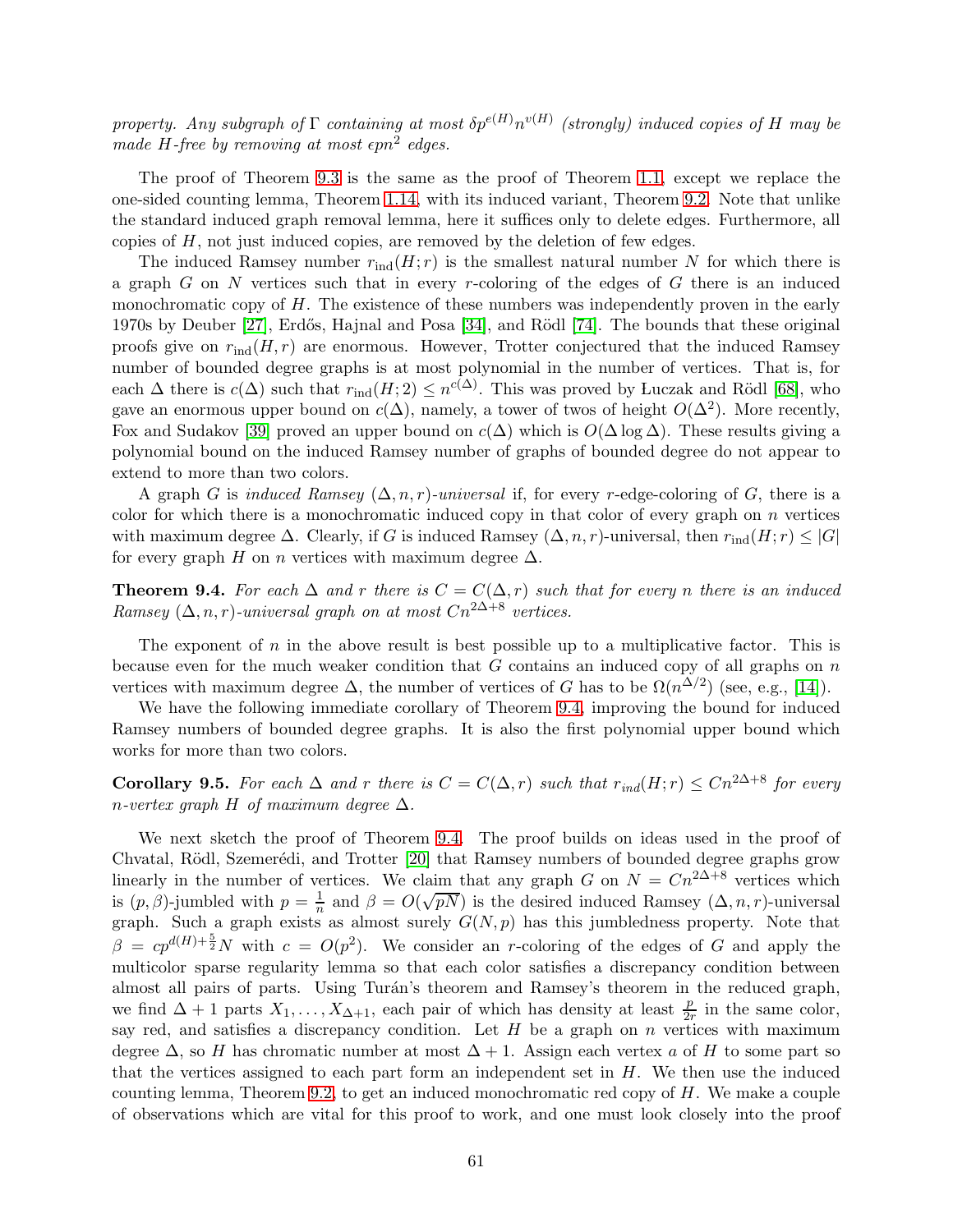property. Any subgraph of  $\Gamma$  containing at most  $\delta p^{e(H)} n^{v(H)}$  (strongly) induced copies of H may be made H-free by removing at most  $\epsilon p n^2$  edges.

The proof of Theorem [9.3](#page-59-0) is the same as the proof of Theorem [1.1,](#page-4-0) except we replace the one-sided counting lemma, Theorem [1.14,](#page-11-1) with its induced variant, Theorem [9.2.](#page-58-2) Note that unlike the standard induced graph removal lemma, here it suffices only to delete edges. Furthermore, all copies of  $H$ , not just induced copies, are removed by the deletion of few edges.

The induced Ramsey number  $r_{\text{ind}}(H; r)$  is the smallest natural number N for which there is a graph  $G$  on  $N$  vertices such that in every r-coloring of the edges of  $G$  there is an induced monochromatic copy of  $H$ . The existence of these numbers was independently proven in the early 1970s by Deuber [\[27\]](#page-65-13), Erdős, Hajnal and Posa [\[34\]](#page-66-12), and Rödl [\[74\]](#page-68-12). The bounds that these original proofs give on  $r_{\text{ind}}(H, r)$  are enormous. However, Trotter conjectured that the induced Ramsey number of bounded degree graphs is at most polynomial in the number of vertices. That is, for each  $\Delta$  there is  $c(\Delta)$  such that  $r_{\text{ind}}(H; 2) \leq n^{c(\Delta)}$ . This was proved by Luczak and Rödl [\[68\]](#page-68-13), who gave an enormous upper bound on  $c(\Delta)$ , namely, a tower of twos of height  $O(\Delta^2)$ . More recently, Fox and Sudakov [\[39\]](#page-66-13) proved an upper bound on  $c(\Delta)$  which is  $O(\Delta \log \Delta)$ . These results giving a polynomial bound on the induced Ramsey number of graphs of bounded degree do not appear to extend to more than two colors.

A graph G is induced Ramsey  $(\Delta, n, r)$ -universal if, for every r-edge-coloring of G, there is a color for which there is a monochromatic induced copy in that color of every graph on  $n$  vertices with maximum degree  $\Delta$ . Clearly, if G is induced Ramsey  $(\Delta, n, r)$ -universal, then  $r_{\text{ind}}(H; r) \leq |G|$ for every graph H on n vertices with maximum degree  $\Delta$ .

<span id="page-60-0"></span>**Theorem 9.4.** For each  $\Delta$  and r there is  $C = C(\Delta, r)$  such that for every n there is an induced Ramsey  $(\Delta, n, r)$ -universal graph on at most  $Cn^{2\Delta+8}$  vertices.

The exponent of  $n$  in the above result is best possible up to a multiplicative factor. This is because even for the much weaker condition that  $G$  contains an induced copy of all graphs on  $n$ vertices with maximum degree  $\Delta$ , the number of vertices of G has to be  $\Omega(n^{\Delta/2})$  (see, e.g., [\[14\]](#page-65-14)).

We have the following immediate corollary of Theorem [9.4,](#page-60-0) improving the bound for induced Ramsey numbers of bounded degree graphs. It is also the first polynomial upper bound which works for more than two colors.

Corollary 9.5. For each  $\Delta$  and r there is  $C = C(\Delta, r)$  such that  $r_{ind}(H; r) \leq Cn^{2\Delta + 8}$  for every n-vertex graph H of maximum degree  $\Delta$ .

We next sketch the proof of Theorem [9.4.](#page-60-0) The proof builds on ideas used in the proof of Chvatal, Rödl, Szemerédi, and Trotter [\[20\]](#page-65-11) that Ramsey numbers of bounded degree graphs grow linearly in the number of vertices. We claim that any graph G on  $N = Cn^{2\Delta+8}$  vertices which is  $(p, \beta)$ -jumbled with  $p = \frac{1}{p}$  $\frac{1}{n}$  and  $\beta = O(\sqrt{pN})$  is the desired induced Ramsey  $(\Delta, n, r)$ -universal graph. Such a graph exists as almost surely  $G(N, p)$  has this jumbledness property. Note that  $\beta = cp^{d(H)+\frac{5}{2}}N$  with  $c = O(p^2)$ . We consider an *r*-coloring of the edges of G and apply the multicolor sparse regularity lemma so that each color satisfies a discrepancy condition between almost all pairs of parts. Using Turán's theorem and Ramsey's theorem in the reduced graph, we find  $\Delta + 1$  parts  $X_1, \ldots, X_{\Delta+1}$ , each pair of which has density at least  $\frac{p}{2r}$  in the same color, say red, and satisfies a discrepancy condition. Let  $H$  be a graph on  $n$  vertices with maximum degree  $\Delta$ , so H has chromatic number at most  $\Delta + 1$ . Assign each vertex a of H to some part so that the vertices assigned to each part form an independent set in  $H$ . We then use the induced counting lemma, Theorem [9.2,](#page-58-2) to get an induced monochromatic red copy of  $H$ . We make a couple of observations which are vital for this proof to work, and one must look closely into the proof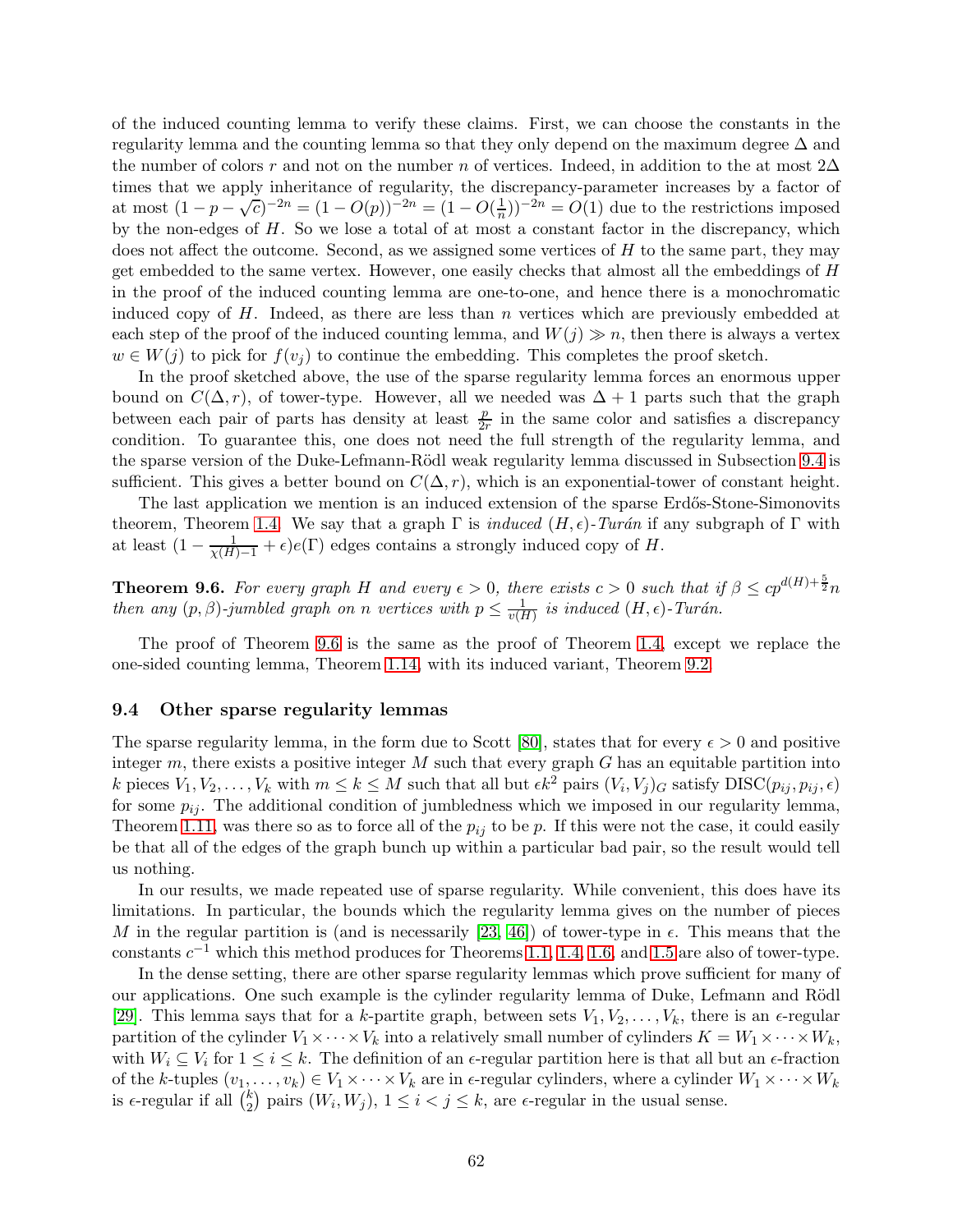of the induced counting lemma to verify these claims. First, we can choose the constants in the regularity lemma and the counting lemma so that they only depend on the maximum degree ∆ and the number of colors r and not on the number n of vertices. Indeed, in addition to the at most  $2\Delta$ times that we apply inheritance of regularity, the discrepancy-parameter increases by a factor of at most  $(1 - p - \sqrt{c})^{-2n} = (1 - O(p))^{-2n} = (1 - O(\frac{1}{n}))$  $(\frac{1}{n})^{-2n} = O(1)$  due to the restrictions imposed by the non-edges of H. So we lose a total of at most a constant factor in the discrepancy, which does not affect the outcome. Second, as we assigned some vertices of  $H$  to the same part, they may get embedded to the same vertex. However, one easily checks that almost all the embeddings of H in the proof of the induced counting lemma are one-to-one, and hence there is a monochromatic induced copy of  $H$ . Indeed, as there are less than  $n$  vertices which are previously embedded at each step of the proof of the induced counting lemma, and  $W(j) \gg n$ , then there is always a vertex  $w \in W(j)$  to pick for  $f(v_i)$  to continue the embedding. This completes the proof sketch.

In the proof sketched above, the use of the sparse regularity lemma forces an enormous upper bound on  $C(\Delta, r)$ , of tower-type. However, all we needed was  $\Delta + 1$  parts such that the graph between each pair of parts has density at least  $\frac{p}{2r}$  in the same color and satisfies a discrepancy condition. To guarantee this, one does not need the full strength of the regularity lemma, and the sparse version of the Duke-Lefmann-Rödl weak regularity lemma discussed in Subsection [9.4](#page-61-0) is sufficient. This gives a better bound on  $C(\Delta, r)$ , which is an exponential-tower of constant height.

The last application we mention is an induced extension of the sparse Erdős-Stone-Simonovits theorem, Theorem [1.4.](#page-6-0) We say that a graph  $\Gamma$  is *induced*  $(H, \epsilon)$ -Turán if any subgraph of  $\Gamma$  with at least  $(1 - \frac{1}{\chi(H)-1} + \epsilon)e(\Gamma)$  edges contains a strongly induced copy of H.

<span id="page-61-1"></span>**Theorem 9.6.** For every graph H and every  $\epsilon > 0$ , there exists  $c > 0$  such that if  $\beta \leq cp^{d(H)+\frac{5}{2}}n$ then any  $(p, \beta)$ -jumbled graph on n vertices with  $p \leq \frac{1}{v(I)}$  $\frac{1}{v(H)}$  is induced  $(H, \epsilon)$ -Turán.

The proof of Theorem [9.6](#page-61-1) is the same as the proof of Theorem [1.4,](#page-6-0) except we replace the one-sided counting lemma, Theorem [1.14,](#page-11-1) with its induced variant, Theorem [9.2.](#page-58-2)

## <span id="page-61-0"></span>9.4 Other sparse regularity lemmas

The sparse regularity lemma, in the form due to Scott [\[80\]](#page-68-1), states that for every  $\epsilon > 0$  and positive integer  $m$ , there exists a positive integer  $M$  such that every graph  $G$  has an equitable partition into k pieces  $V_1, V_2, \ldots, V_k$  with  $m \le k \le M$  such that all but  $\epsilon k^2$  pairs  $(V_i, V_j)_G$  satisfy  $\text{DISC}(p_{ij}, p_{ij}, \epsilon)$ for some  $p_{ij}$ . The additional condition of jumbledness which we imposed in our regularity lemma, Theorem [1.11,](#page-9-2) was there so as to force all of the  $p_{ij}$  to be p. If this were not the case, it could easily be that all of the edges of the graph bunch up within a particular bad pair, so the result would tell us nothing.

In our results, we made repeated use of sparse regularity. While convenient, this does have its limitations. In particular, the bounds which the regularity lemma gives on the number of pieces M in the regular partition is (and is necessarily [\[23,](#page-65-12) [46\]](#page-67-16)) of tower-type in  $\epsilon$ . This means that the constants  $c^{-1}$  which this method produces for Theorems [1.1,](#page-4-0) [1.4,](#page-6-0) [1.6,](#page-6-2) and [1.5](#page-6-1) are also of tower-type.

In the dense setting, there are other sparse regularity lemmas which prove sufficient for many of our applications. One such example is the cylinder regularity lemma of Duke, Lefmann and Rödl [\[29\]](#page-66-14). This lemma says that for a k-partite graph, between sets  $V_1, V_2, \ldots, V_k$ , there is an  $\epsilon$ -regular partition of the cylinder  $V_1 \times \cdots \times V_k$  into a relatively small number of cylinders  $K = W_1 \times \cdots \times W_k$ , with  $W_i \subseteq V_i$  for  $1 \leq i \leq k$ . The definition of an  $\epsilon$ -regular partition here is that all but an  $\epsilon$ -fraction of the k-tuples  $(v_1, \ldots, v_k) \in V_1 \times \cdots \times V_k$  are in  $\epsilon$ -regular cylinders, where a cylinder  $W_1 \times \cdots \times W_k$ is  $\epsilon$ -regular if all  $\binom{k}{2}$  $\binom{k}{2}$  pairs  $(W_i, W_j)$ ,  $1 \leq i < j \leq k$ , are  $\epsilon$ -regular in the usual sense.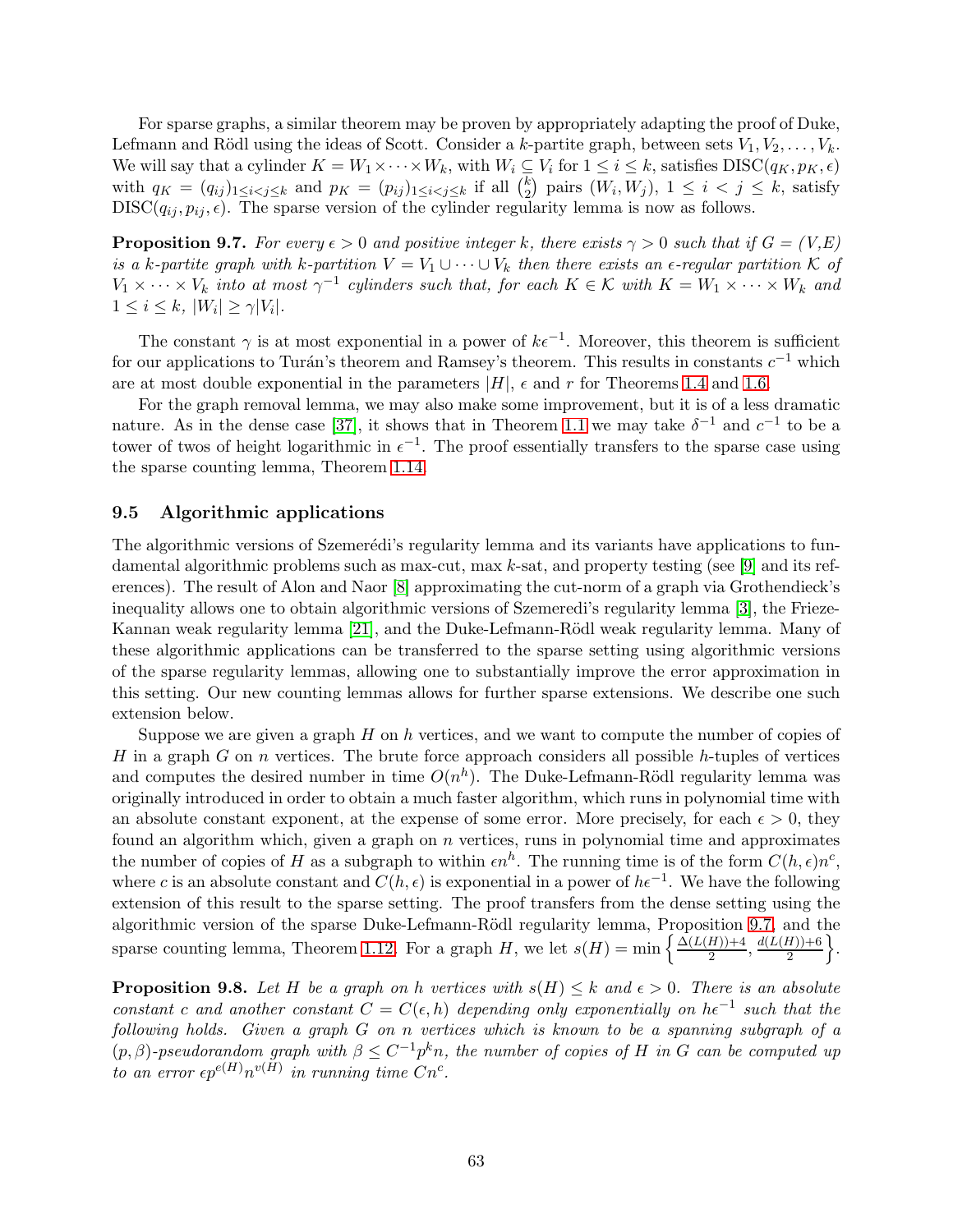For sparse graphs, a similar theorem may be proven by appropriately adapting the proof of Duke, Lefmann and Rödl using the ideas of Scott. Consider a k-partite graph, between sets  $V_1, V_2, \ldots, V_k$ . We will say that a cylinder  $K = W_1 \times \cdots \times W_k$ , with  $W_i \subseteq V_i$  for  $1 \leq i \leq k$ , satisfies  $DISC(q_K, p_K, \epsilon)$ with  $q_K = (q_{ij})_{1 \leq i < j \leq k}$  and  $p_K = (p_{ij})_{1 \leq i < j \leq k}$  if all  $\binom{k}{2}$  $\binom{k}{2}$  pairs  $(W_i, W_j)$ ,  $1 \leq i < j \leq k$ , satisfy  $DISC(q_i, p_i, \epsilon)$ . The sparse version of the cylinder regularity lemma is now as follows.

<span id="page-62-1"></span>**Proposition 9.7.** For every  $\epsilon > 0$  and positive integer k, there exists  $\gamma > 0$  such that if  $G = (V, E)$ is a k-partite graph with k-partition  $V = V_1 \cup \cdots \cup V_k$  then there exists an  $\epsilon$ -regular partition K of  $V_1 \times \cdots \times V_k$  into at most  $\gamma^{-1}$  cylinders such that, for each  $K \in \mathcal{K}$  with  $K = W_1 \times \cdots \times W_k$  and  $1 \leq i \leq k, |W_i| \geq \gamma |V_i|.$ 

The constant  $\gamma$  is at most exponential in a power of  $k\epsilon^{-1}$ . Moreover, this theorem is sufficient for our applications to Turán's theorem and Ramsey's theorem. This results in constants  $c^{-1}$  which are at most double exponential in the parameters  $|H|$ ,  $\epsilon$  and r for Theorems [1.4](#page-6-0) and [1.6.](#page-6-2)

For the graph removal lemma, we may also make some improvement, but it is of a less dramatic nature. As in the dense case [\[37\]](#page-66-3), it shows that in Theorem [1.1](#page-4-0) we may take  $\delta^{-1}$  and  $c^{-1}$  to be a tower of twos of height logarithmic in  $\epsilon^{-1}$ . The proof essentially transfers to the sparse case using the sparse counting lemma, Theorem [1.14.](#page-11-1)

## <span id="page-62-0"></span>9.5 Algorithmic applications

The algorithmic versions of Szemerédi's regularity lemma and its variants have applications to fun-damental algorithmic problems such as max-cut, max k-sat, and property testing (see [\[9\]](#page-65-15) and its references). The result of Alon and Naor [\[8\]](#page-64-6) approximating the cut-norm of a graph via Grothendieck's inequality allows one to obtain algorithmic versions of Szemeredi's regularity lemma [\[3\]](#page-64-7), the Frieze-Kannan weak regularity lemma [\[21\]](#page-65-16), and the Duke-Lefmann-Rödl weak regularity lemma. Many of these algorithmic applications can be transferred to the sparse setting using algorithmic versions of the sparse regularity lemmas, allowing one to substantially improve the error approximation in this setting. Our new counting lemmas allows for further sparse extensions. We describe one such extension below.

Suppose we are given a graph  $H$  on  $h$  vertices, and we want to compute the number of copies of H in a graph G on n vertices. The brute force approach considers all possible h-tuples of vertices and computes the desired number in time  $O(n^h)$ . The Duke-Lefmann-Rödl regularity lemma was originally introduced in order to obtain a much faster algorithm, which runs in polynomial time with an absolute constant exponent, at the expense of some error. More precisely, for each  $\epsilon > 0$ , they found an algorithm which, given a graph on  $n$  vertices, runs in polynomial time and approximates the number of copies of H as a subgraph to within  $\epsilon n^h$ . The running time is of the form  $C(h, \epsilon)n^c$ , where c is an absolute constant and  $C(h, \epsilon)$  is exponential in a power of  $h\epsilon^{-1}$ . We have the following extension of this result to the sparse setting. The proof transfers from the dense setting using the algorithmic version of the sparse Duke-Lefmann-Rödl regularity lemma, Proposition [9.7,](#page-62-1) and the sparse counting lemma, Theorem [1.12.](#page-10-0) For a graph H, we let  $s(H) = \min \left\{ \frac{\Delta(L(H)) + 4}{2} \right\}$  $\frac{H\rightarrow{+4}{2}}$ ,  $\frac{d(L(H)) + 6}{2}$ 2  $\bigg\}$ .

**Proposition 9.8.** Let H be a graph on h vertices with  $s(H) \leq k$  and  $\epsilon > 0$ . There is an absolute constant c and another constant  $C = C(\epsilon, h)$  depending only exponentially on  $h\epsilon^{-1}$  such that the following holds. Given a graph G on n vertices which is known to be a spanning subgraph of a  $(p, \beta)$ -pseudorandom graph with  $\beta \leq C^{-1}p^k n$ , the number of copies of H in G can be computed up to an error  $\epsilon p^{e(H)} n^{v(H)}$  in running time  $Cn^c$ .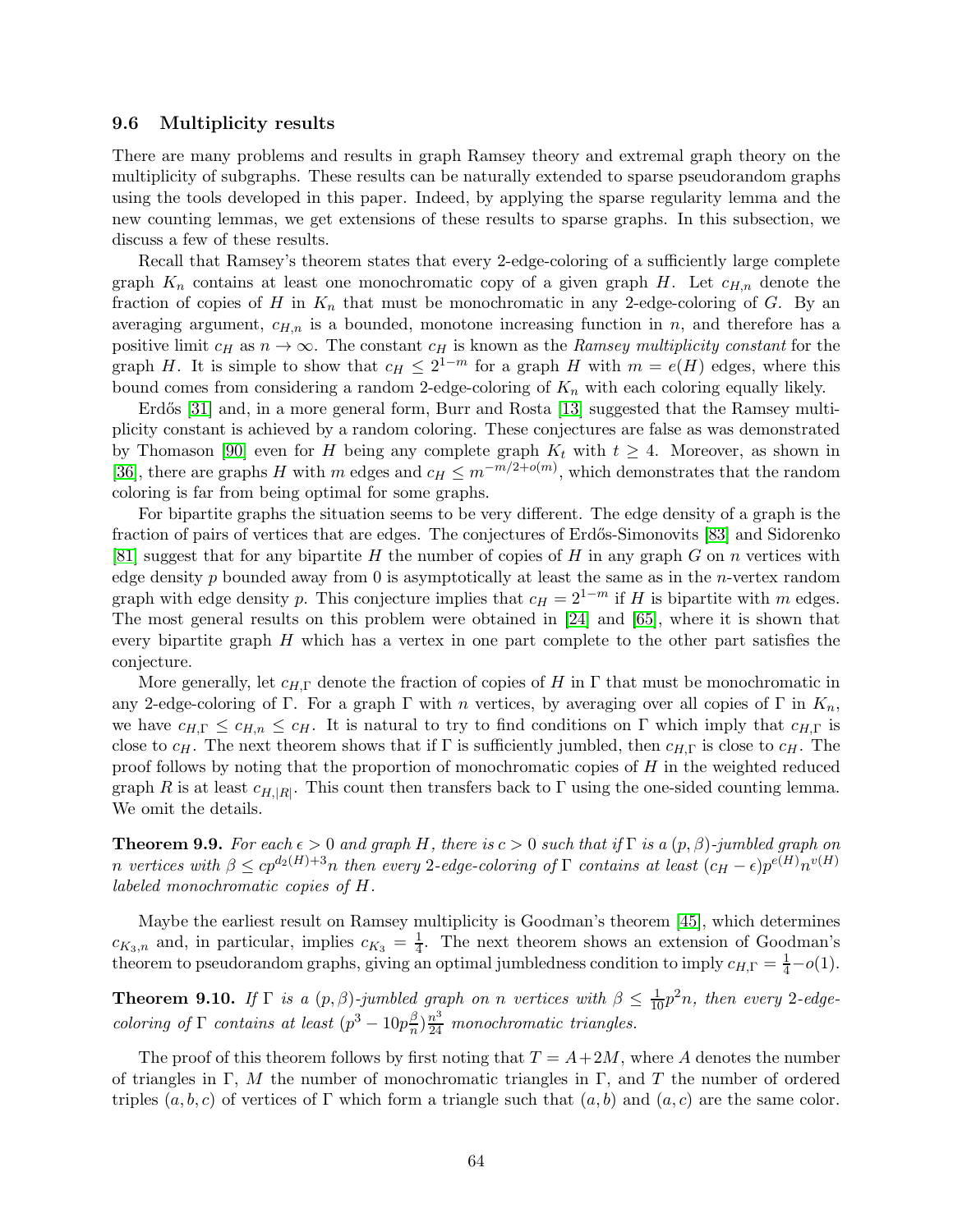### <span id="page-63-0"></span>9.6 Multiplicity results

There are many problems and results in graph Ramsey theory and extremal graph theory on the multiplicity of subgraphs. These results can be naturally extended to sparse pseudorandom graphs using the tools developed in this paper. Indeed, by applying the sparse regularity lemma and the new counting lemmas, we get extensions of these results to sparse graphs. In this subsection, we discuss a few of these results.

Recall that Ramsey's theorem states that every 2-edge-coloring of a sufficiently large complete graph  $K_n$  contains at least one monochromatic copy of a given graph H. Let  $c_{H,n}$  denote the fraction of copies of H in  $K_n$  that must be monochromatic in any 2-edge-coloring of G. By an averaging argument,  $c_{H,n}$  is a bounded, monotone increasing function in n, and therefore has a positive limit  $c_H$  as  $n \to \infty$ . The constant  $c_H$  is known as the Ramsey multiplicity constant for the graph H. It is simple to show that  $c_H \leq 2^{1-m}$  for a graph H with  $m = e(H)$  edges, where this bound comes from considering a random 2-edge-coloring of  $K_n$  with each coloring equally likely.

Erdős [\[31\]](#page-66-15) and, in a more general form, Burr and Rosta [\[13\]](#page-65-17) suggested that the Ramsey multiplicity constant is achieved by a random coloring. These conjectures are false as was demonstrated by Thomason [\[90\]](#page-69-8) even for H being any complete graph  $K_t$  with  $t \geq 4$ . Moreover, as shown in [\[36\]](#page-66-16), there are graphs H with m edges and  $c_H \leq m^{-m/2+o(m)}$ , which demonstrates that the random coloring is far from being optimal for some graphs.

For bipartite graphs the situation seems to be very different. The edge density of a graph is the fraction of pairs of vertices that are edges. The conjectures of Erdős-Simonovits [\[83\]](#page-69-9) and Sidorenko [\[81\]](#page-68-14) suggest that for any bipartite H the number of copies of H in any graph G on n vertices with edge density  $p$  bounded away from 0 is asymptotically at least the same as in the *n*-vertex random graph with edge density p. This conjecture implies that  $c_H = 2^{1-m}$  if H is bipartite with m edges. The most general results on this problem were obtained in [\[24\]](#page-65-18) and [\[65\]](#page-68-15), where it is shown that every bipartite graph H which has a vertex in one part complete to the other part satisfies the conjecture.

More generally, let  $c_{H,\Gamma}$  denote the fraction of copies of H in  $\Gamma$  that must be monochromatic in any 2-edge-coloring of Γ. For a graph Γ with n vertices, by averaging over all copies of Γ in  $K_n$ , we have  $c_{H,\Gamma} \leq c_{H,n} \leq c_H$ . It is natural to try to find conditions on Γ which imply that  $c_{H,\Gamma}$  is close to  $c_H$ . The next theorem shows that if Γ is sufficiently jumbled, then  $c_{H,\Gamma}$  is close to  $c_H$ . The proof follows by noting that the proportion of monochromatic copies of  $H$  in the weighted reduced graph R is at least  $c_{H,|R|}$ . This count then transfers back to  $\Gamma$  using the one-sided counting lemma. We omit the details.

**Theorem 9.9.** For each  $\epsilon > 0$  and graph H, there is  $c > 0$  such that if  $\Gamma$  is a  $(p, \beta)$ -jumbled graph on n vertices with  $\beta \leq cp^{d_2(H)+3}n$  then every 2-edge-coloring of  $\Gamma$  contains at least  $(c_H - \epsilon)p^{e(H)}n^{v(H)}$ labeled monochromatic copies of H.

Maybe the earliest result on Ramsey multiplicity is Goodman's theorem [\[45\]](#page-66-17), which determines  $c_{K_3,n}$  and, in particular, implies  $c_{K_3} = \frac{1}{4}$  $\frac{1}{4}$ . The next theorem shows an extension of Goodman's theorem to pseudorandom graphs, giving an optimal jumbledness condition to imply  $c_{H,\Gamma} = \frac{1}{4} - o(1)$ .

**Theorem 9.10.** If  $\Gamma$  is a  $(p, \beta)$ -jumbled graph on n vertices with  $\beta \leq \frac{1}{10}p^2n$ , then every 2-edgecoloring of  $\Gamma$  contains at least  $(p^3 - 10p^{\beta}_{n})$  $\frac{\beta}{n}$  $\frac{n^3}{24}$  monochromatic triangles.

The proof of this theorem follows by first noting that  $T = A + 2M$ , where A denotes the number of triangles in Γ, M the number of monochromatic triangles in Γ, and T the number of ordered triples  $(a, b, c)$  of vertices of Γ which form a triangle such that  $(a, b)$  and  $(a, c)$  are the same color.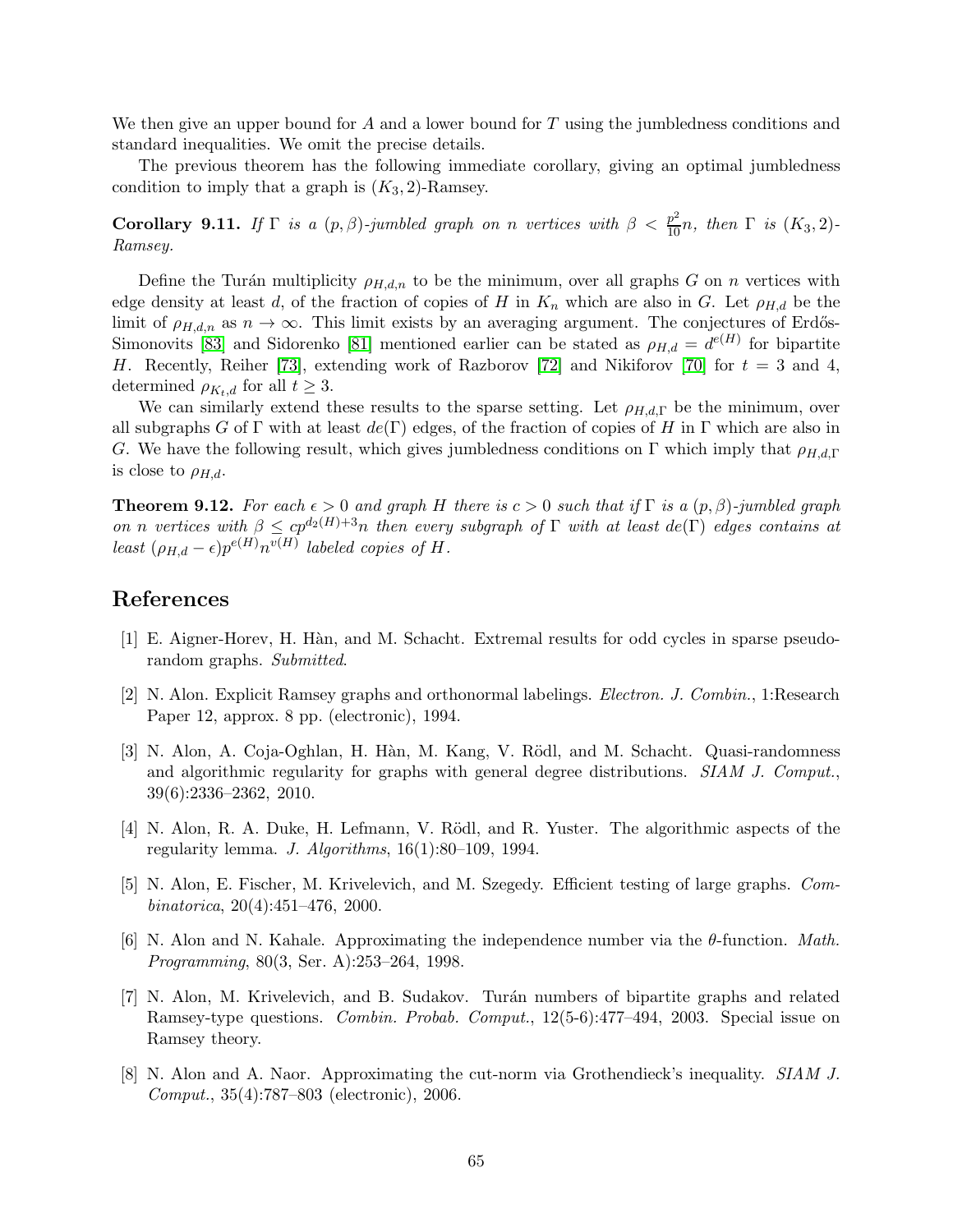We then give an upper bound for  $A$  and a lower bound for  $T$  using the jumbledness conditions and standard inequalities. We omit the precise details.

The previous theorem has the following immediate corollary, giving an optimal jumbledness condition to imply that a graph is  $(K_3, 2)$ -Ramsey.

**Corollary 9.11.** If  $\Gamma$  is a  $(p, \beta)$ -jumbled graph on n vertices with  $\beta < \frac{p^2}{10}n$ , then  $\Gamma$  is  $(K_3, 2)$ -Ramsey.

Define the Turán multiplicity  $\rho_{H,d,n}$  to be the minimum, over all graphs G on n vertices with edge density at least d, of the fraction of copies of H in  $K_n$  which are also in G. Let  $\rho_{H,d}$  be the limit of  $\rho_{H,d,n}$  as  $n \to \infty$ . This limit exists by an averaging argument. The conjectures of Erdős-Simonovits [\[83\]](#page-69-9) and Sidorenko [\[81\]](#page-68-14) mentioned earlier can be stated as  $\rho_{H,d} = d^{e(H)}$  for bipartite H. Recently, Reiher [\[73\]](#page-68-16), extending work of Razborov [\[72\]](#page-68-17) and Nikiforov [\[70\]](#page-68-18) for  $t = 3$  and 4, determined  $\rho_{K_t,d}$  for all  $t \geq 3$ .

We can similarly extend these results to the sparse setting. Let  $\rho_{H,d,\Gamma}$  be the minimum, over all subgraphs G of  $\Gamma$  with at least  $de(\Gamma)$  edges, of the fraction of copies of H in  $\Gamma$  which are also in G. We have the following result, which gives jumbledness conditions on  $\Gamma$  which imply that  $\rho_{H,d,\Gamma}$ is close to  $\rho_{H,d}$ .

**Theorem 9.12.** For each  $\epsilon > 0$  and graph H there is  $c > 0$  such that if  $\Gamma$  is a  $(p, \beta)$ -jumbled graph on n vertices with  $\beta \leq cp^{d_2(H)+3}n$  then every subgraph of  $\Gamma$  with at least  $de(\Gamma)$  edges contains at least  $(\rho_{H,d} - \epsilon)p^{e(H)}n^{v(H)}$  labeled copies of H.

## <span id="page-64-2"></span>References

- <span id="page-64-1"></span>[1] E. Aigner-Horev, H. H`an, and M. Schacht. Extremal results for odd cycles in sparse pseudorandom graphs. Submitted.
- [2] N. Alon. Explicit Ramsey graphs and orthonormal labelings. Electron. J. Combin., 1:Research Paper 12, approx. 8 pp. (electronic), 1994.
- <span id="page-64-7"></span>[3] N. Alon, A. Coja-Oghlan, H. Hàn, M. Kang, V. Rödl, and M. Schacht. Quasi-randomness and algorithmic regularity for graphs with general degree distributions. SIAM J. Comput., 39(6):2336–2362, 2010.
- <span id="page-64-0"></span>[4] N. Alon, R. A. Duke, H. Lefmann, V. Rödl, and R. Yuster. The algorithmic aspects of the regularity lemma. J. Algorithms,  $16(1):80-109$ , 1994.
- <span id="page-64-5"></span>[5] N. Alon, E. Fischer, M. Krivelevich, and M. Szegedy. Efficient testing of large graphs. Combinatorica, 20(4):451–476, 2000.
- <span id="page-64-3"></span>[6] N. Alon and N. Kahale. Approximating the independence number via the θ-function. Math. Programming, 80(3, Ser. A):253–264, 1998.
- <span id="page-64-4"></span>[7] N. Alon, M. Krivelevich, and B. Sudakov. Tur´an numbers of bipartite graphs and related Ramsey-type questions. Combin. Probab. Comput., 12(5-6):477–494, 2003. Special issue on Ramsey theory.
- <span id="page-64-6"></span>[8] N. Alon and A. Naor. Approximating the cut-norm via Grothendieck's inequality. SIAM J. Comput., 35(4):787–803 (electronic), 2006.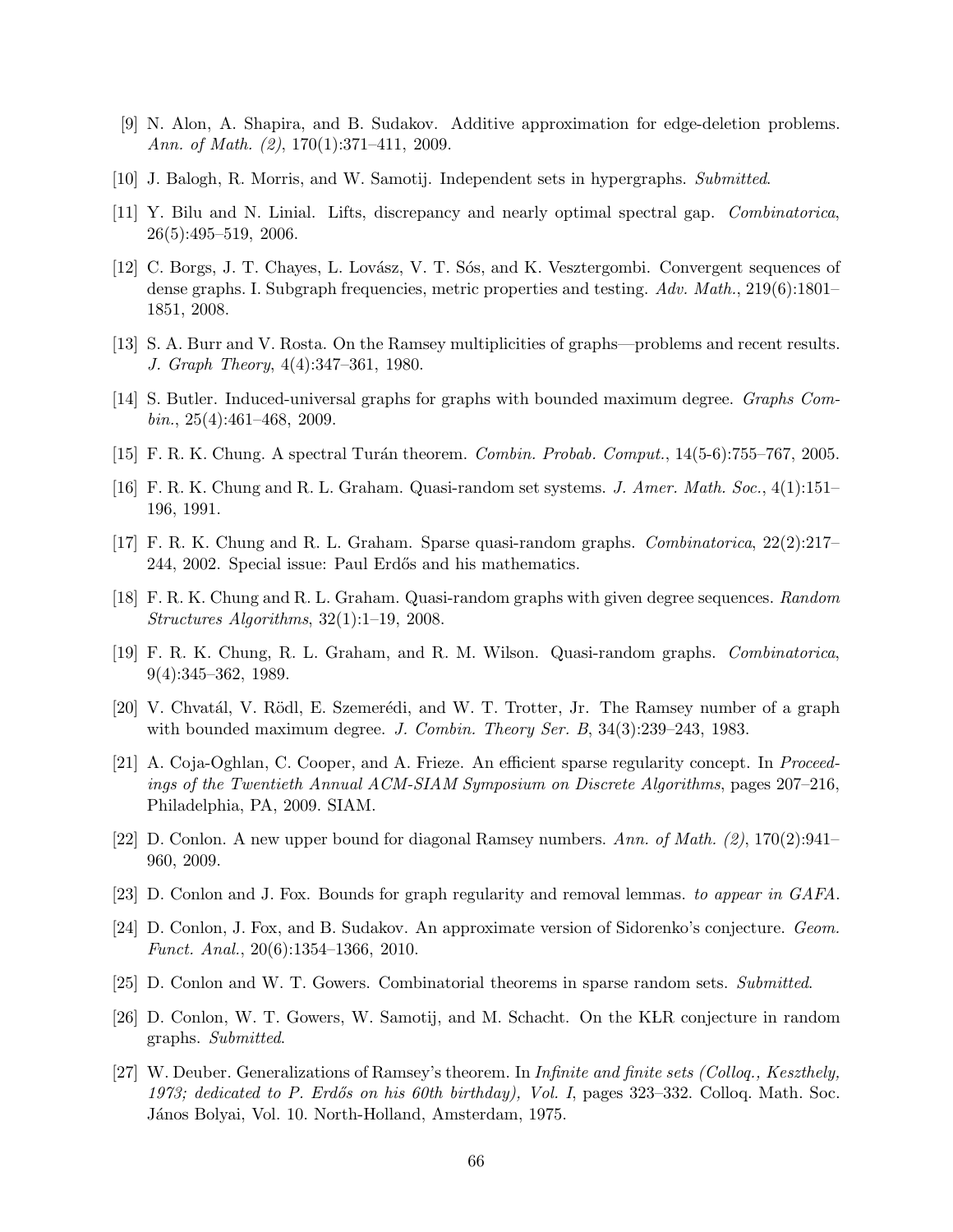- <span id="page-65-15"></span><span id="page-65-0"></span>[9] N. Alon, A. Shapira, and B. Sudakov. Additive approximation for edge-deletion problems. Ann. of Math. (2), 170(1):371-411, 2009.
- <span id="page-65-7"></span>[10] J. Balogh, R. Morris, and W. Samotij. Independent sets in hypergraphs. Submitted.
- <span id="page-65-10"></span>[11] Y. Bilu and N. Linial. Lifts, discrepancy and nearly optimal spectral gap. Combinatorica, 26(5):495–519, 2006.
- [12] C. Borgs, J. T. Chayes, L. Lovász, V. T. Sós, and K. Vesztergombi. Convergent sequences of dense graphs. I. Subgraph frequencies, metric properties and testing. Adv. Math., 219(6):1801– 1851, 2008.
- <span id="page-65-17"></span><span id="page-65-14"></span>[13] S. A. Burr and V. Rosta. On the Ramsey multiplicities of graphs—problems and recent results. J. Graph Theory, 4(4):347–361, 1980.
- <span id="page-65-9"></span>[14] S. Butler. Induced-universal graphs for graphs with bounded maximum degree. Graphs Com $bin., 25(4):461-468, 2009.$
- <span id="page-65-3"></span>[15] F. R. K. Chung. A spectral Turán theorem. *Combin. Probab. Comput.*, 14(5-6):755–767, 2005.
- <span id="page-65-6"></span>[16] F. R. K. Chung and R. L. Graham. Quasi-random set systems. J. Amer. Math. Soc., 4(1):151– 196, 1991.
- <span id="page-65-4"></span>[17] F. R. K. Chung and R. L. Graham. Sparse quasi-random graphs. Combinatorica, 22(2):217– 244, 2002. Special issue: Paul Erdős and his mathematics.
- <span id="page-65-2"></span>[18] F. R. K. Chung and R. L. Graham. Quasi-random graphs with given degree sequences. Random Structures Algorithms, 32(1):1–19, 2008.
- [19] F. R. K. Chung, R. L. Graham, and R. M. Wilson. Quasi-random graphs. Combinatorica, 9(4):345–362, 1989.
- <span id="page-65-16"></span><span id="page-65-11"></span>[20] V. Chvatál, V. Rödl, E. Szemerédi, and W. T. Trotter, Jr. The Ramsey number of a graph with bounded maximum degree. J. Combin. Theory Ser. B, 34(3):239–243, 1983.
- [21] A. Coja-Oghlan, C. Cooper, and A. Frieze. An efficient sparse regularity concept. In Proceedings of the Twentieth Annual ACM-SIAM Symposium on Discrete Algorithms, pages 207–216, Philadelphia, PA, 2009. SIAM.
- <span id="page-65-12"></span><span id="page-65-5"></span>[22] D. Conlon. A new upper bound for diagonal Ramsey numbers. Ann. of Math. (2), 170(2):941– 960, 2009.
- <span id="page-65-18"></span>[23] D. Conlon and J. Fox. Bounds for graph regularity and removal lemmas. to appear in GAFA.
- [24] D. Conlon, J. Fox, and B. Sudakov. An approximate version of Sidorenko's conjecture. Geom. Funct. Anal., 20(6):1354–1366, 2010.
- <span id="page-65-8"></span><span id="page-65-1"></span>[25] D. Conlon and W. T. Gowers. Combinatorial theorems in sparse random sets. Submitted.
- <span id="page-65-13"></span>[26] D. Conlon, W. T. Gowers, W. Samotij, and M. Schacht. On the KLR conjecture in random graphs. Submitted.
- [27] W. Deuber. Generalizations of Ramsey's theorem. In Infinite and finite sets (Colloq., Keszthely, 1973; dedicated to P. Erdős on his 60th birthday), Vol. I, pages  $323-332$ . Colloq. Math. Soc. János Bolyai, Vol. 10. North-Holland, Amsterdam, 1975.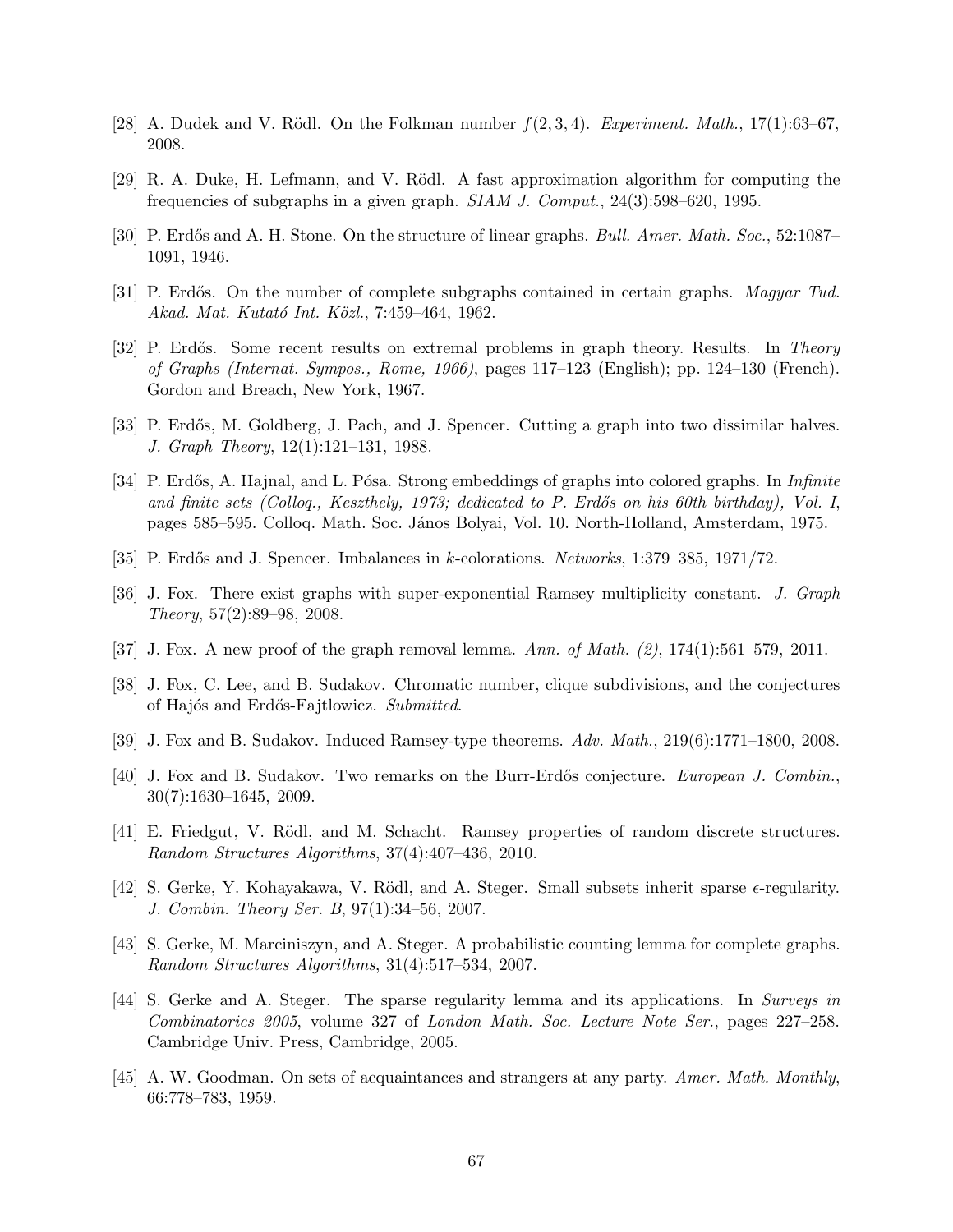- <span id="page-66-14"></span><span id="page-66-7"></span>[28] A. Dudek and V. Rödl. On the Folkman number  $f(2,3,4)$ . Experiment. Math., 17(1):63–67, 2008.
- <span id="page-66-4"></span>[29] R. A. Duke, H. Lefmann, and V. Rödl. A fast approximation algorithm for computing the frequencies of subgraphs in a given graph. SIAM J. Comput., 24(3):598–620, 1995.
- <span id="page-66-15"></span>[30] P. Erdős and A. H. Stone. On the structure of linear graphs. Bull. Amer. Math. Soc., 52:1087– 1091, 1946.
- <span id="page-66-11"></span>[31] P. Erdős. On the number of complete subgraphs contained in certain graphs. Magyar Tud. Akad. Mat. Kutató Int. Közl., 7:459–464, 1962.
- [32] P. Erdős. Some recent results on extremal problems in graph theory. Results. In Theory of Graphs (Internat. Sympos., Rome, 1966), pages 117–123 (English); pp. 124–130 (French). Gordon and Breach, New York, 1967.
- <span id="page-66-12"></span><span id="page-66-1"></span>[33] P. Erdős, M. Goldberg, J. Pach, and J. Spencer. Cutting a graph into two dissimilar halves. J. Graph Theory, 12(1):121–131, 1988.
- [34] P. Erdős, A. Hajnal, and L. Pósa. Strong embeddings of graphs into colored graphs. In *Infinite* and finite sets (Colloq., Keszthely, 1973; dedicated to P. Erdős on his 60th birthday), Vol. I, pages 585–595. Colloq. Math. Soc. J´anos Bolyai, Vol. 10. North-Holland, Amsterdam, 1975.
- <span id="page-66-16"></span><span id="page-66-2"></span>[35] P. Erdős and J. Spencer. Imbalances in k-colorations. Networks, 1:379–385, 1971/72.
- <span id="page-66-3"></span>[36] J. Fox. There exist graphs with super-exponential Ramsey multiplicity constant. J. Graph Theory, 57(2):89–98, 2008.
- <span id="page-66-5"></span>[37] J. Fox. A new proof of the graph removal lemma. Ann. of Math. (2), 174(1):561–579, 2011.
- <span id="page-66-13"></span>[38] J. Fox, C. Lee, and B. Sudakov. Chromatic number, clique subdivisions, and the conjectures of Hajós and Erdős-Fajtlowicz. Submitted.
- <span id="page-66-10"></span>[39] J. Fox and B. Sudakov. Induced Ramsey-type theorems. Adv. Math., 219(6):1771–1800, 2008.
- <span id="page-66-6"></span>[40] J. Fox and B. Sudakov. Two remarks on the Burr-Erdős conjecture. *European J. Combin.*, 30(7):1630–1645, 2009.
- [41] E. Friedgut, V. Rödl, and M. Schacht. Ramsey properties of random discrete structures. Random Structures Algorithms, 37(4):407–436, 2010.
- <span id="page-66-8"></span>[42] S. Gerke, Y. Kohayakawa, V. Rödl, and A. Steger. Small subsets inherit sparse  $\epsilon$ -regularity. J. Combin. Theory Ser. B, 97(1):34–56, 2007.
- <span id="page-66-9"></span>[43] S. Gerke, M. Marciniszyn, and A. Steger. A probabilistic counting lemma for complete graphs. Random Structures Algorithms, 31(4):517–534, 2007.
- <span id="page-66-0"></span>[44] S. Gerke and A. Steger. The sparse regularity lemma and its applications. In Surveys in Combinatorics 2005, volume 327 of London Math. Soc. Lecture Note Ser., pages 227–258. Cambridge Univ. Press, Cambridge, 2005.
- <span id="page-66-17"></span>[45] A. W. Goodman. On sets of acquaintances and strangers at any party. Amer. Math. Monthly, 66:778–783, 1959.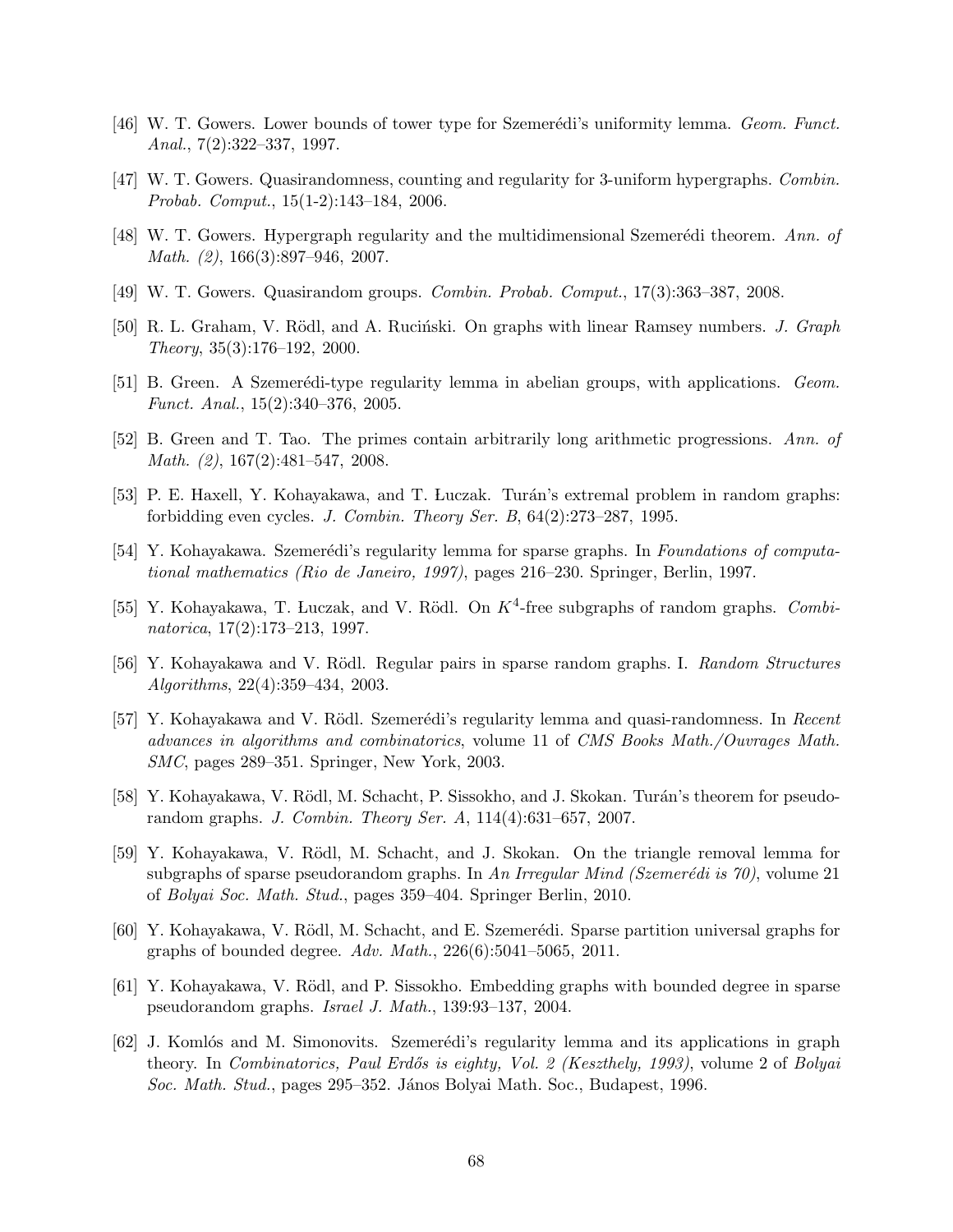- <span id="page-67-16"></span><span id="page-67-7"></span>[46] W. T. Gowers. Lower bounds of tower type for Szemerédi's uniformity lemma. Geom. Funct. Anal., 7(2):322–337, 1997.
- <span id="page-67-9"></span>[47] W. T. Gowers. Quasirandomness, counting and regularity for 3-uniform hypergraphs. Combin. Probab. Comput., 15(1-2):143–184, 2006.
- <span id="page-67-8"></span>[48] W. T. Gowers. Hypergraph regularity and the multidimensional Szemerédi theorem. Ann. of Math. (2), 166(3):897–946, 2007.
- <span id="page-67-15"></span>[49] W. T. Gowers. Quasirandom groups. Combin. Probab. Comput., 17(3):363–387, 2008.
- <span id="page-67-11"></span>[50] R. L. Graham, V. Rödl, and A. Ruciński. On graphs with linear Ramsey numbers. J. Graph Theory, 35(3):176–192, 2000.
- <span id="page-67-6"></span>[51] B. Green. A Szemerédi-type regularity lemma in abelian groups, with applications. Geom. Funct. Anal., 15(2):340–376, 2005.
- <span id="page-67-12"></span>[52] B. Green and T. Tao. The primes contain arbitrarily long arithmetic progressions. Ann. of Math. (2), 167(2):481–547, 2008.
- <span id="page-67-2"></span>[53] P. E. Haxell, Y. Kohayakawa, and T. Luczak. Turán's extremal problem in random graphs: forbidding even cycles. J. Combin. Theory Ser. B,  $64(2):273-287$ , 1995.
- [54] Y. Kohayakawa. Szemerédi's regularity lemma for sparse graphs. In Foundations of computational mathematics (Rio de Janeiro, 1997), pages 216–230. Springer, Berlin, 1997.
- <span id="page-67-3"></span>[55] Y. Kohayakawa, T. Luczak, and V. Rödl. On  $K^4$ -free subgraphs of random graphs. Combinatorica, 17(2):173–213, 1997.
- <span id="page-67-10"></span>[56] Y. Kohayakawa and V. Rödl. Regular pairs in sparse random graphs. I. Random Structures Algorithms, 22(4):359–434, 2003.
- <span id="page-67-0"></span>[57] Y. Kohayakawa and V. Rödl. Szemerédi's regularity lemma and quasi-randomness. In Recent advances in algorithms and combinatorics, volume 11 of CMS Books Math./Ouvrages Math. SMC, pages 289–351. Springer, New York, 2003.
- <span id="page-67-13"></span>[58] Y. Kohayakawa, V. Rödl, M. Schacht, P. Sissokho, and J. Skokan. Turán's theorem for pseudorandom graphs. J. Combin. Theory Ser. A, 114(4):631–657, 2007.
- <span id="page-67-4"></span>[59] Y. Kohayakawa, V. R¨odl, M. Schacht, and J. Skokan. On the triangle removal lemma for subgraphs of sparse pseudorandom graphs. In An Irregular Mind (Szemerédi is 70), volume 21 of Bolyai Soc. Math. Stud., pages 359–404. Springer Berlin, 2010.
- <span id="page-67-14"></span>[60] Y. Kohayakawa, V. Rödl, M. Schacht, and E. Szemerédi. Sparse partition universal graphs for graphs of bounded degree. Adv. Math.,  $226(6):5041-5065$ ,  $2011$ .
- <span id="page-67-5"></span>[61] Y. Kohayakawa, V. Rödl, and P. Sissokho. Embedding graphs with bounded degree in sparse pseudorandom graphs. Israel J. Math., 139:93–137, 2004.
- <span id="page-67-1"></span>[62] J. Komlós and M. Simonovits. Szemerédi's regularity lemma and its applications in graph theory. In *Combinatorics, Paul Erdős is eighty, Vol. 2 (Keszthely, 1993)*, volume 2 of *Bolyai* Soc. Math. Stud., pages 295–352. János Bolyai Math. Soc., Budapest, 1996.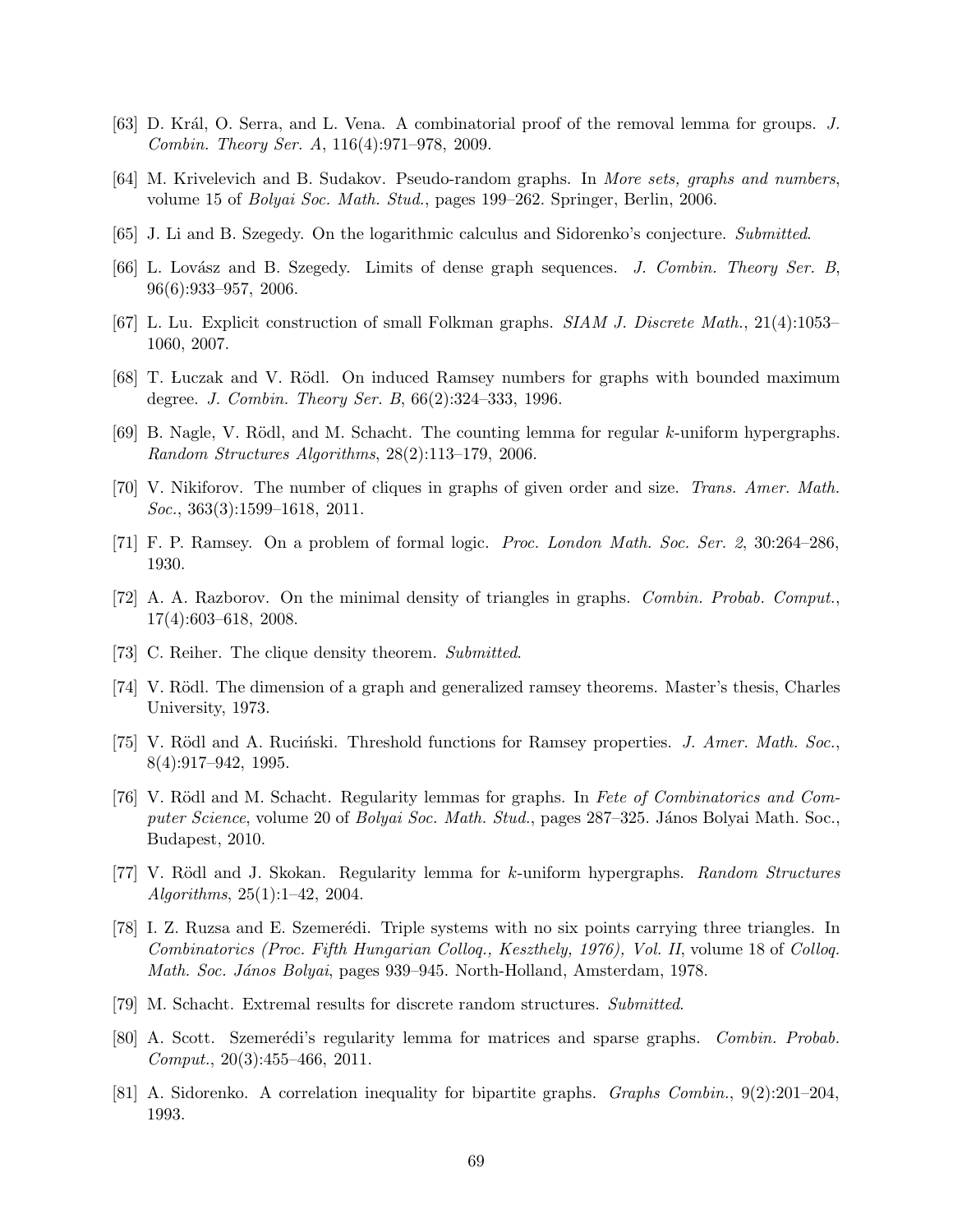- <span id="page-68-6"></span><span id="page-68-2"></span>[63] D. Král, O. Serra, and L. Vena. A combinatorial proof of the removal lemma for groups. J. Combin. Theory Ser. A, 116(4):971–978, 2009.
- <span id="page-68-15"></span>[64] M. Krivelevich and B. Sudakov. Pseudo-random graphs. In More sets, graphs and numbers, volume 15 of Bolyai Soc. Math. Stud., pages 199–262. Springer, Berlin, 2006.
- <span id="page-68-11"></span>[65] J. Li and B. Szegedy. On the logarithmic calculus and Sidorenko's conjecture. Submitted.
- <span id="page-68-10"></span>[66] L. Lovász and B. Szegedy. Limits of dense graph sequences. J. Combin. Theory Ser. B, 96(6):933–957, 2006.
- <span id="page-68-13"></span>[67] L. Lu. Explicit construction of small Folkman graphs. SIAM J. Discrete Math., 21(4):1053– 1060, 2007.
- <span id="page-68-3"></span>[68] T. Luczak and V. Rödl. On induced Ramsey numbers for graphs with bounded maximum degree. J. Combin. Theory Ser. B, 66(2):324–333, 1996.
- <span id="page-68-18"></span>[69] B. Nagle, V. Rödl, and M. Schacht. The counting lemma for regular  $k$ -uniform hypergraphs. Random Structures Algorithms, 28(2):113–179, 2006.
- <span id="page-68-8"></span>[70] V. Nikiforov. The number of cliques in graphs of given order and size. Trans. Amer. Math. Soc., 363(3):1599-1618, 2011.
- <span id="page-68-17"></span>[71] F. P. Ramsey. On a problem of formal logic. Proc. London Math. Soc. Ser. 2, 30:264–286, 1930.
- <span id="page-68-16"></span>[72] A. A. Razborov. On the minimal density of triangles in graphs. Combin. Probab. Comput., 17(4):603–618, 2008.
- <span id="page-68-12"></span>[73] C. Reiher. The clique density theorem. Submitted.
- <span id="page-68-9"></span>[74] V. Rödl. The dimension of a graph and generalized ramsey theorems. Master's thesis, Charles University, 1973.
- <span id="page-68-0"></span>[75] V. Rödl and A. Rucinski. Threshold functions for Ramsey properties. J. Amer. Math. Soc., 8(4):917–942, 1995.
- [76] V. Rödl and M. Schacht. Regularity lemmas for graphs. In Fete of Combinatorics and Computer Science, volume 20 of Bolyai Soc. Math. Stud., pages 287–325. János Bolyai Math. Soc., Budapest, 2010.
- <span id="page-68-4"></span>[77] V. Rödl and J. Skokan. Regularity lemma for k-uniform hypergraphs. Random Structures Algorithms, 25(1):1–42, 2004.
- <span id="page-68-5"></span>[78] I. Z. Ruzsa and E. Szemerédi. Triple systems with no six points carrying three triangles. In Combinatorics (Proc. Fifth Hungarian Colloq., Keszthely, 1976), Vol. II, volume 18 of Colloq. Math. Soc. János Bolyai, pages 939–945. North-Holland, Amsterdam, 1978.
- <span id="page-68-7"></span><span id="page-68-1"></span>[79] M. Schacht. Extremal results for discrete random structures. Submitted.
- [80] A. Scott. Szemerédi's regularity lemma for matrices and sparse graphs. Combin. Probab.  $Comput., 20(3):455-466, 2011.$
- <span id="page-68-14"></span>[81] A. Sidorenko. A correlation inequality for bipartite graphs. Graphs Combin., 9(2):201–204, 1993.